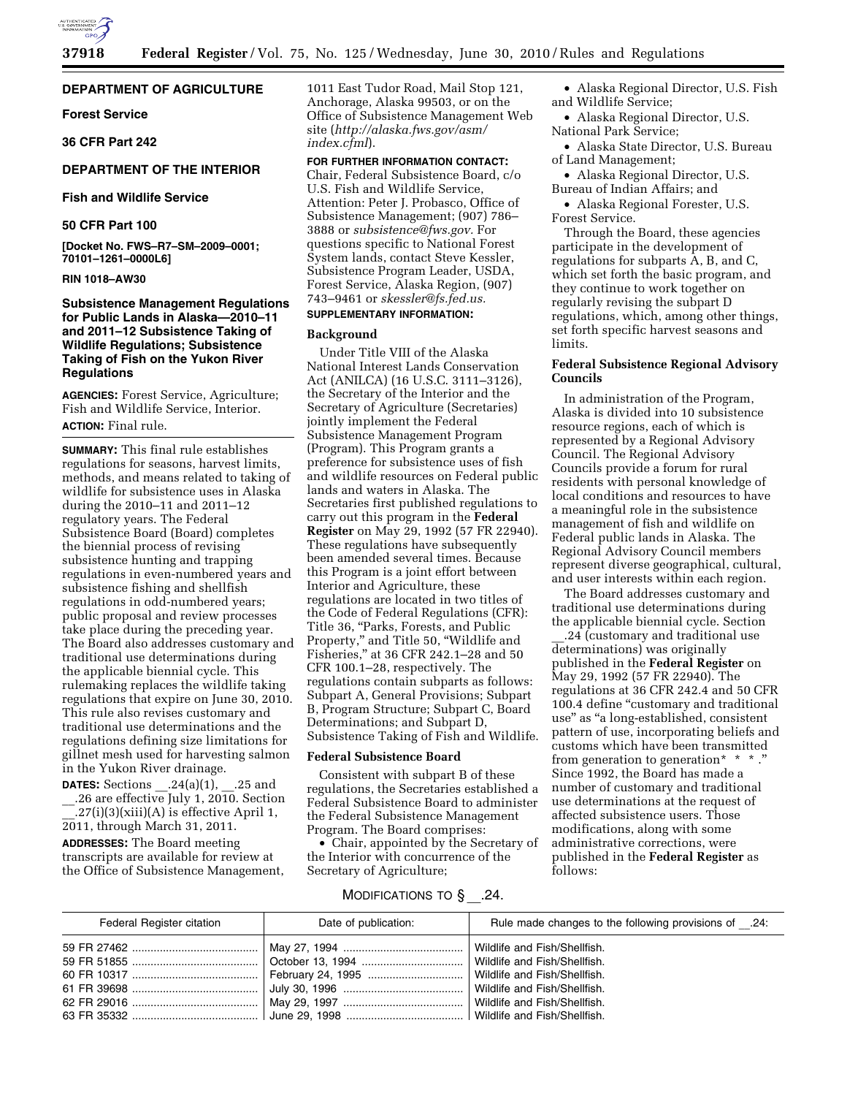

## **DEPARTMENT OF AGRICULTURE**

#### **Forest Service**

**36 CFR Part 242** 

#### **DEPARTMENT OF THE INTERIOR**

## **Fish and Wildlife Service**

## **50 CFR Part 100**

**[Docket No. FWS–R7–SM–2009–0001; 70101–1261–0000L6]** 

## **RIN 1018–AW30**

## **Subsistence Management Regulations for Public Lands in Alaska—2010–11 and 2011–12 Subsistence Taking of Wildlife Regulations; Subsistence Taking of Fish on the Yukon River Regulations**

**AGENCIES:** Forest Service, Agriculture; Fish and Wildlife Service, Interior. **ACTION:** Final rule.

**SUMMARY:** This final rule establishes regulations for seasons, harvest limits, methods, and means related to taking of wildlife for subsistence uses in Alaska during the 2010–11 and 2011–12 regulatory years. The Federal Subsistence Board (Board) completes the biennial process of revising subsistence hunting and trapping regulations in even-numbered years and subsistence fishing and shellfish regulations in odd-numbered years; public proposal and review processes take place during the preceding year. The Board also addresses customary and traditional use determinations during the applicable biennial cycle. This rulemaking replaces the wildlife taking regulations that expire on June 30, 2010. This rule also revises customary and traditional use determinations and the regulations defining size limitations for gillnet mesh used for harvesting salmon in the Yukon River drainage.

**DATES:** Sections  $.24(a)(1)$ ,  $.25$  and \_\_.26 are effective July 1, 2010. Section  $.27(i)(3)(xiii)(A)$  is effective April 1, 2011, through March 31, 2011. **ADDRESSES:** The Board meeting transcripts are available for review at the Office of Subsistence Management,

1011 East Tudor Road, Mail Stop 121, Anchorage, Alaska 99503, or on the Office of Subsistence Management Web site (*http://alaska.fws.gov/asm/ index.cfml*).

#### **FOR FURTHER INFORMATION CONTACT:**

Chair, Federal Subsistence Board, c/o U.S. Fish and Wildlife Service, Attention: Peter J. Probasco, Office of Subsistence Management; (907) 786– 3888 or *subsistence@fws.gov.* For questions specific to National Forest System lands, contact Steve Kessler, Subsistence Program Leader, USDA, Forest Service, Alaska Region, (907) 743–9461 or *skessler@fs.fed.us.* 

## **SUPPLEMENTARY INFORMATION:**

## **Background**

Under Title VIII of the Alaska National Interest Lands Conservation Act (ANILCA) (16 U.S.C. 3111–3126), the Secretary of the Interior and the Secretary of Agriculture (Secretaries) jointly implement the Federal Subsistence Management Program (Program). This Program grants a preference for subsistence uses of fish and wildlife resources on Federal public lands and waters in Alaska. The Secretaries first published regulations to carry out this program in the **Federal Register** on May 29, 1992 (57 FR 22940). These regulations have subsequently been amended several times. Because this Program is a joint effort between Interior and Agriculture, these regulations are located in two titles of the Code of Federal Regulations (CFR): Title 36, "Parks, Forests, and Public Property," and Title 50, "Wildlife and Fisheries,'' at 36 CFR 242.1–28 and 50 CFR 100.1–28, respectively. The regulations contain subparts as follows: Subpart A, General Provisions; Subpart B, Program Structure; Subpart C, Board Determinations; and Subpart D, Subsistence Taking of Fish and Wildlife.

#### **Federal Subsistence Board**

Consistent with subpart B of these regulations, the Secretaries established a Federal Subsistence Board to administer the Federal Subsistence Management Program. The Board comprises:

• Chair, appointed by the Secretary of the Interior with concurrence of the Secretary of Agriculture;

- Alaska Regional Director, U.S. Fish and Wildlife Service;
- Alaska Regional Director, U.S. National Park Service;
- Alaska State Director, U.S. Bureau of Land Management;
- Alaska Regional Director, U.S. Bureau of Indian Affairs; and

• Alaska Regional Forester, U.S. Forest Service.

Through the Board, these agencies participate in the development of regulations for subparts A, B, and C, which set forth the basic program, and they continue to work together on regularly revising the subpart D regulations, which, among other things, set forth specific harvest seasons and limits.

## **Federal Subsistence Regional Advisory Councils**

In administration of the Program, Alaska is divided into 10 subsistence resource regions, each of which is represented by a Regional Advisory Council. The Regional Advisory Councils provide a forum for rural residents with personal knowledge of local conditions and resources to have a meaningful role in the subsistence management of fish and wildlife on Federal public lands in Alaska. The Regional Advisory Council members represent diverse geographical, cultural, and user interests within each region.

The Board addresses customary and traditional use determinations during the applicable biennial cycle. Section

\_\_.24 (customary and traditional use determinations) was originally published in the **Federal Register** on May 29, 1992 (57 FR 22940). The regulations at 36 CFR 242.4 and 50 CFR 100.4 define "customary and traditional use'' as ''a long-established, consistent pattern of use, incorporating beliefs and customs which have been transmitted from generation to generation  $* * *$ . Since 1992, the Board has made a number of customary and traditional use determinations at the request of affected subsistence users. Those modifications, along with some administrative corrections, were published in the **Federal Register** as follows:

## MODIFICATIONS TO § \_\_.24.

| Federal Register citation | Date of publication: | .24: Rule made changes to the following provisions of |
|---------------------------|----------------------|-------------------------------------------------------|
|                           |                      |                                                       |
|                           |                      | Wildlife and Fish/Shellfish.                          |
|                           |                      | Wildlife and Fish/Shellfish.                          |
|                           |                      | Wildlife and Fish/Shellfish.                          |
|                           |                      | Wildlife and Fish/Shellfish.                          |
|                           |                      |                                                       |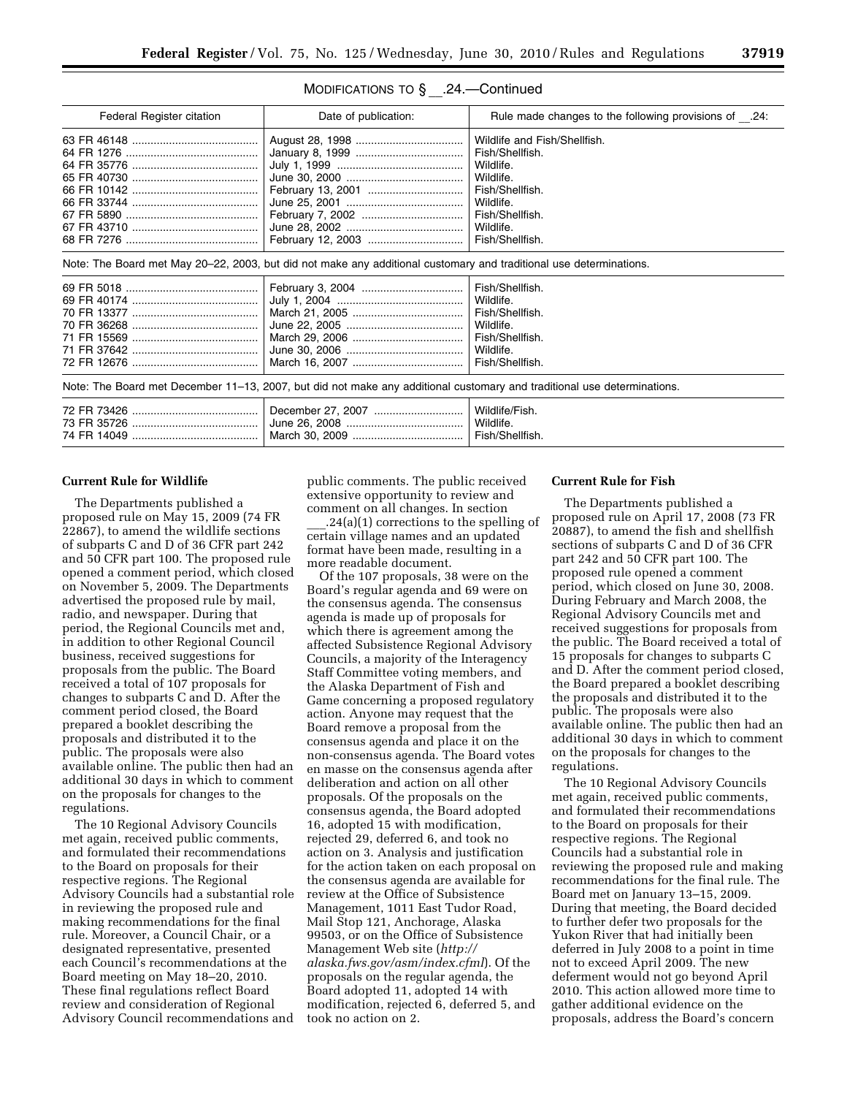| MODIFICATIONS TO § | .24.—Continued |
|--------------------|----------------|
|--------------------|----------------|

| Federal Register citation                                                                                               | Date of publication:                                                                                               | Rule made changes to the following provisions of .24: |  |
|-------------------------------------------------------------------------------------------------------------------------|--------------------------------------------------------------------------------------------------------------------|-------------------------------------------------------|--|
|                                                                                                                         |                                                                                                                    | Wildlife and Fish/Shellfish.                          |  |
|                                                                                                                         |                                                                                                                    | Fish/Shellfish.                                       |  |
|                                                                                                                         |                                                                                                                    | Wildlife.                                             |  |
|                                                                                                                         |                                                                                                                    | Wildlife.                                             |  |
|                                                                                                                         |                                                                                                                    | Fish/Shellfish.                                       |  |
|                                                                                                                         |                                                                                                                    | Wildlife.                                             |  |
|                                                                                                                         |                                                                                                                    | Fish/Shellfish.                                       |  |
|                                                                                                                         |                                                                                                                    | Wildlife.                                             |  |
|                                                                                                                         |                                                                                                                    | Fish/Shellfish.                                       |  |
|                                                                                                                         | Note: The Board met May 20–22, 2003, but did not make any additional customary and traditional use determinations. |                                                       |  |
|                                                                                                                         |                                                                                                                    | Fish/Shellfish.                                       |  |
|                                                                                                                         |                                                                                                                    | Wildlife.                                             |  |
|                                                                                                                         |                                                                                                                    | Fish/Shellfish.                                       |  |
|                                                                                                                         |                                                                                                                    | Wildlife.                                             |  |
|                                                                                                                         |                                                                                                                    | Fish/Shellfish.                                       |  |
|                                                                                                                         |                                                                                                                    | Wildlife.                                             |  |
|                                                                                                                         |                                                                                                                    | Fish/Shellfish.                                       |  |
| Note: The Board met December 11–13, 2007, but did not make any additional customary and traditional use determinations. |                                                                                                                    |                                                       |  |
|                                                                                                                         |                                                                                                                    | Wildlife/Fish.                                        |  |
|                                                                                                                         |                                                                                                                    | Wildlife.                                             |  |
|                                                                                                                         |                                                                                                                    | Fish/Shellfish.                                       |  |
|                                                                                                                         |                                                                                                                    |                                                       |  |

#### **Current Rule for Wildlife**

The Departments published a proposed rule on May 15, 2009 (74 FR 22867), to amend the wildlife sections of subparts C and D of 36 CFR part 242 and 50 CFR part 100. The proposed rule opened a comment period, which closed on November 5, 2009. The Departments advertised the proposed rule by mail, radio, and newspaper. During that period, the Regional Councils met and, in addition to other Regional Council business, received suggestions for proposals from the public. The Board received a total of 107 proposals for changes to subparts C and D. After the comment period closed, the Board prepared a booklet describing the proposals and distributed it to the public. The proposals were also available online. The public then had an additional 30 days in which to comment on the proposals for changes to the regulations.

The 10 Regional Advisory Councils met again, received public comments, and formulated their recommendations to the Board on proposals for their respective regions. The Regional Advisory Councils had a substantial role in reviewing the proposed rule and making recommendations for the final rule. Moreover, a Council Chair, or a designated representative, presented each Council's recommendations at the Board meeting on May 18–20, 2010. These final regulations reflect Board review and consideration of Regional Advisory Council recommendations and public comments. The public received extensive opportunity to review and comment on all changes. In section

\_\_\_.24(a)(1) corrections to the spelling of certain village names and an updated format have been made, resulting in a more readable document.

Of the 107 proposals, 38 were on the Board's regular agenda and 69 were on the consensus agenda. The consensus agenda is made up of proposals for which there is agreement among the affected Subsistence Regional Advisory Councils, a majority of the Interagency Staff Committee voting members, and the Alaska Department of Fish and Game concerning a proposed regulatory action. Anyone may request that the Board remove a proposal from the consensus agenda and place it on the non-consensus agenda. The Board votes en masse on the consensus agenda after deliberation and action on all other proposals. Of the proposals on the consensus agenda, the Board adopted 16, adopted 15 with modification, rejected 29, deferred 6, and took no action on 3. Analysis and justification for the action taken on each proposal on the consensus agenda are available for review at the Office of Subsistence Management, 1011 East Tudor Road, Mail Stop 121, Anchorage, Alaska 99503, or on the Office of Subsistence Management Web site (*http:// alaska.fws.gov/asm/index.cfml*). Of the proposals on the regular agenda, the Board adopted 11, adopted 14 with modification, rejected 6, deferred 5, and took no action on 2.

#### **Current Rule for Fish**

The Departments published a proposed rule on April 17, 2008 (73 FR 20887), to amend the fish and shellfish sections of subparts C and D of 36 CFR part 242 and 50 CFR part 100. The proposed rule opened a comment period, which closed on June 30, 2008. During February and March 2008, the Regional Advisory Councils met and received suggestions for proposals from the public. The Board received a total of 15 proposals for changes to subparts C and D. After the comment period closed, the Board prepared a booklet describing the proposals and distributed it to the public. The proposals were also available online. The public then had an additional 30 days in which to comment on the proposals for changes to the regulations.

The 10 Regional Advisory Councils met again, received public comments, and formulated their recommendations to the Board on proposals for their respective regions. The Regional Councils had a substantial role in reviewing the proposed rule and making recommendations for the final rule. The Board met on January 13–15, 2009. During that meeting, the Board decided to further defer two proposals for the Yukon River that had initially been deferred in July 2008 to a point in time not to exceed April 2009. The new deferment would not go beyond April 2010. This action allowed more time to gather additional evidence on the proposals, address the Board's concern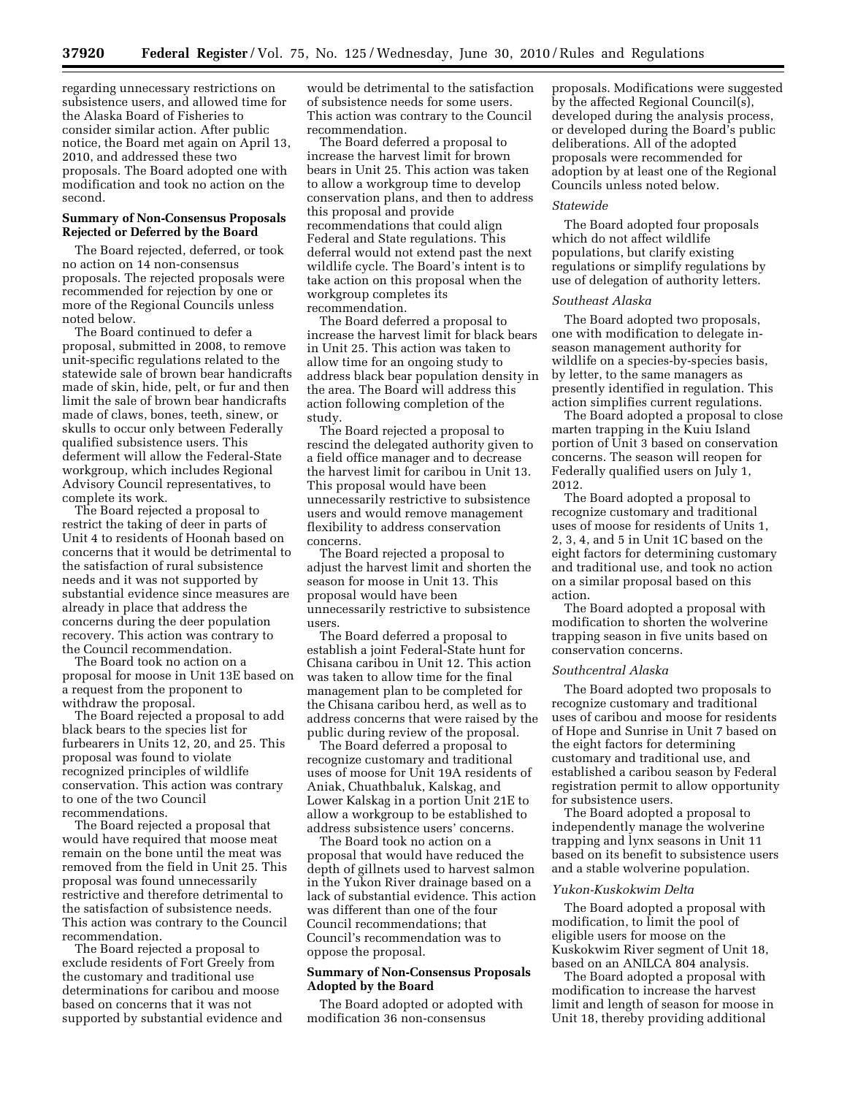regarding unnecessary restrictions on subsistence users, and allowed time for the Alaska Board of Fisheries to consider similar action. After public notice, the Board met again on April 13, 2010, and addressed these two proposals. The Board adopted one with modification and took no action on the second.

## **Summary of Non-Consensus Proposals Rejected or Deferred by the Board**

The Board rejected, deferred, or took no action on 14 non-consensus proposals. The rejected proposals were recommended for rejection by one or more of the Regional Councils unless noted below.

The Board continued to defer a proposal, submitted in 2008, to remove unit-specific regulations related to the statewide sale of brown bear handicrafts made of skin, hide, pelt, or fur and then limit the sale of brown bear handicrafts made of claws, bones, teeth, sinew, or skulls to occur only between Federally qualified subsistence users. This deferment will allow the Federal-State workgroup, which includes Regional Advisory Council representatives, to complete its work.

The Board rejected a proposal to restrict the taking of deer in parts of Unit 4 to residents of Hoonah based on concerns that it would be detrimental to the satisfaction of rural subsistence needs and it was not supported by substantial evidence since measures are already in place that address the concerns during the deer population recovery. This action was contrary to the Council recommendation.

The Board took no action on a proposal for moose in Unit 13E based on a request from the proponent to withdraw the proposal.

The Board rejected a proposal to add black bears to the species list for furbearers in Units 12, 20, and 25. This proposal was found to violate recognized principles of wildlife conservation. This action was contrary to one of the two Council recommendations.

The Board rejected a proposal that would have required that moose meat remain on the bone until the meat was removed from the field in Unit 25. This proposal was found unnecessarily restrictive and therefore detrimental to the satisfaction of subsistence needs. This action was contrary to the Council recommendation.

The Board rejected a proposal to exclude residents of Fort Greely from the customary and traditional use determinations for caribou and moose based on concerns that it was not supported by substantial evidence and would be detrimental to the satisfaction of subsistence needs for some users. This action was contrary to the Council recommendation.

The Board deferred a proposal to increase the harvest limit for brown bears in Unit 25. This action was taken to allow a workgroup time to develop conservation plans, and then to address this proposal and provide recommendations that could align Federal and State regulations. This deferral would not extend past the next wildlife cycle. The Board's intent is to take action on this proposal when the workgroup completes its recommendation.

The Board deferred a proposal to increase the harvest limit for black bears in Unit 25. This action was taken to allow time for an ongoing study to address black bear population density in the area. The Board will address this action following completion of the study.

The Board rejected a proposal to rescind the delegated authority given to a field office manager and to decrease the harvest limit for caribou in Unit 13. This proposal would have been unnecessarily restrictive to subsistence users and would remove management flexibility to address conservation concerns.

The Board rejected a proposal to adjust the harvest limit and shorten the season for moose in Unit 13. This proposal would have been unnecessarily restrictive to subsistence users.

The Board deferred a proposal to establish a joint Federal-State hunt for Chisana caribou in Unit 12. This action was taken to allow time for the final management plan to be completed for the Chisana caribou herd, as well as to address concerns that were raised by the public during review of the proposal.

The Board deferred a proposal to recognize customary and traditional uses of moose for Unit 19A residents of Aniak, Chuathbaluk, Kalskag, and Lower Kalskag in a portion Unit 21E to allow a workgroup to be established to address subsistence users' concerns.

The Board took no action on a proposal that would have reduced the depth of gillnets used to harvest salmon in the Yukon River drainage based on a lack of substantial evidence. This action was different than one of the four Council recommendations; that Council's recommendation was to oppose the proposal.

## **Summary of Non-Consensus Proposals Adopted by the Board**

The Board adopted or adopted with modification 36 non-consensus

proposals. Modifications were suggested by the affected Regional Council(s), developed during the analysis process, or developed during the Board's public deliberations. All of the adopted proposals were recommended for adoption by at least one of the Regional Councils unless noted below.

#### *Statewide*

The Board adopted four proposals which do not affect wildlife populations, but clarify existing regulations or simplify regulations by use of delegation of authority letters.

#### *Southeast Alaska*

The Board adopted two proposals, one with modification to delegate inseason management authority for wildlife on a species-by-species basis, by letter, to the same managers as presently identified in regulation. This action simplifies current regulations.

The Board adopted a proposal to close marten trapping in the Kuiu Island portion of Unit 3 based on conservation concerns. The season will reopen for Federally qualified users on July 1, 2012.

The Board adopted a proposal to recognize customary and traditional uses of moose for residents of Units 1, 2, 3, 4, and 5 in Unit 1C based on the eight factors for determining customary and traditional use, and took no action on a similar proposal based on this action.

The Board adopted a proposal with modification to shorten the wolverine trapping season in five units based on conservation concerns.

#### *Southcentral Alaska*

The Board adopted two proposals to recognize customary and traditional uses of caribou and moose for residents of Hope and Sunrise in Unit 7 based on the eight factors for determining customary and traditional use, and established a caribou season by Federal registration permit to allow opportunity for subsistence users.

The Board adopted a proposal to independently manage the wolverine trapping and lynx seasons in Unit 11 based on its benefit to subsistence users and a stable wolverine population.

#### *Yukon-Kuskokwim Delta*

The Board adopted a proposal with modification, to limit the pool of eligible users for moose on the Kuskokwim River segment of Unit 18, based on an ANILCA 804 analysis.

The Board adopted a proposal with modification to increase the harvest limit and length of season for moose in Unit 18, thereby providing additional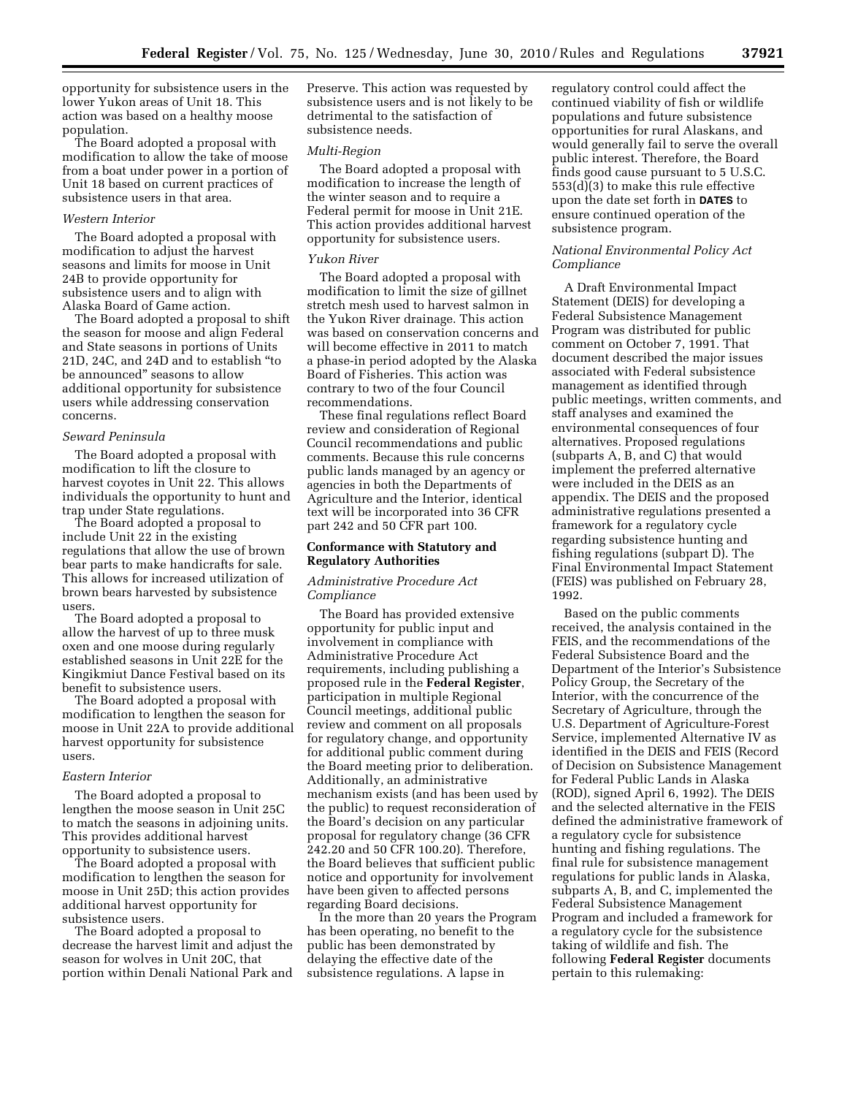opportunity for subsistence users in the lower Yukon areas of Unit 18. This action was based on a healthy moose population.

The Board adopted a proposal with modification to allow the take of moose from a boat under power in a portion of Unit 18 based on current practices of subsistence users in that area.

#### *Western Interior*

The Board adopted a proposal with modification to adjust the harvest seasons and limits for moose in Unit 24B to provide opportunity for subsistence users and to align with Alaska Board of Game action.

The Board adopted a proposal to shift the season for moose and align Federal and State seasons in portions of Units 21D, 24C, and 24D and to establish ''to be announced'' seasons to allow additional opportunity for subsistence users while addressing conservation concerns.

#### *Seward Peninsula*

The Board adopted a proposal with modification to lift the closure to harvest coyotes in Unit 22. This allows individuals the opportunity to hunt and trap under State regulations.

The Board adopted a proposal to include Unit 22 in the existing regulations that allow the use of brown bear parts to make handicrafts for sale. This allows for increased utilization of brown bears harvested by subsistence users.

The Board adopted a proposal to allow the harvest of up to three musk oxen and one moose during regularly established seasons in Unit 22E for the Kingikmiut Dance Festival based on its benefit to subsistence users.

The Board adopted a proposal with modification to lengthen the season for moose in Unit 22A to provide additional harvest opportunity for subsistence users.

#### *Eastern Interior*

The Board adopted a proposal to lengthen the moose season in Unit 25C to match the seasons in adjoining units. This provides additional harvest opportunity to subsistence users.

The Board adopted a proposal with modification to lengthen the season for moose in Unit 25D; this action provides additional harvest opportunity for subsistence users.

The Board adopted a proposal to decrease the harvest limit and adjust the season for wolves in Unit 20C, that portion within Denali National Park and Preserve. This action was requested by subsistence users and is not likely to be detrimental to the satisfaction of subsistence needs.

#### *Multi-Region*

The Board adopted a proposal with modification to increase the length of the winter season and to require a Federal permit for moose in Unit 21E. This action provides additional harvest opportunity for subsistence users.

#### *Yukon River*

The Board adopted a proposal with modification to limit the size of gillnet stretch mesh used to harvest salmon in the Yukon River drainage. This action was based on conservation concerns and will become effective in 2011 to match a phase-in period adopted by the Alaska Board of Fisheries. This action was contrary to two of the four Council recommendations.

These final regulations reflect Board review and consideration of Regional Council recommendations and public comments. Because this rule concerns public lands managed by an agency or agencies in both the Departments of Agriculture and the Interior, identical text will be incorporated into 36 CFR part 242 and 50 CFR part 100.

## **Conformance with Statutory and Regulatory Authorities**

## *Administrative Procedure Act Compliance*

The Board has provided extensive opportunity for public input and involvement in compliance with Administrative Procedure Act requirements, including publishing a proposed rule in the **Federal Register**, participation in multiple Regional Council meetings, additional public review and comment on all proposals for regulatory change, and opportunity for additional public comment during the Board meeting prior to deliberation. Additionally, an administrative mechanism exists (and has been used by the public) to request reconsideration of the Board's decision on any particular proposal for regulatory change (36 CFR 242.20 and 50 CFR 100.20). Therefore, the Board believes that sufficient public notice and opportunity for involvement have been given to affected persons regarding Board decisions.

In the more than 20 years the Program has been operating, no benefit to the public has been demonstrated by delaying the effective date of the subsistence regulations. A lapse in

regulatory control could affect the continued viability of fish or wildlife populations and future subsistence opportunities for rural Alaskans, and would generally fail to serve the overall public interest. Therefore, the Board finds good cause pursuant to 5 U.S.C. 553(d)(3) to make this rule effective upon the date set forth in **DATES** to ensure continued operation of the subsistence program.

## *National Environmental Policy Act Compliance*

A Draft Environmental Impact Statement (DEIS) for developing a Federal Subsistence Management Program was distributed for public comment on October 7, 1991. That document described the major issues associated with Federal subsistence management as identified through public meetings, written comments, and staff analyses and examined the environmental consequences of four alternatives. Proposed regulations (subparts A, B, and C) that would implement the preferred alternative were included in the DEIS as an appendix. The DEIS and the proposed administrative regulations presented a framework for a regulatory cycle regarding subsistence hunting and fishing regulations (subpart D). The Final Environmental Impact Statement (FEIS) was published on February 28, 1992.

Based on the public comments received, the analysis contained in the FEIS, and the recommendations of the Federal Subsistence Board and the Department of the Interior's Subsistence Policy Group, the Secretary of the Interior, with the concurrence of the Secretary of Agriculture, through the U.S. Department of Agriculture-Forest Service, implemented Alternative IV as identified in the DEIS and FEIS (Record of Decision on Subsistence Management for Federal Public Lands in Alaska (ROD), signed April 6, 1992). The DEIS and the selected alternative in the FEIS defined the administrative framework of a regulatory cycle for subsistence hunting and fishing regulations. The final rule for subsistence management regulations for public lands in Alaska, subparts A, B, and C, implemented the Federal Subsistence Management Program and included a framework for a regulatory cycle for the subsistence taking of wildlife and fish. The following **Federal Register** documents pertain to this rulemaking: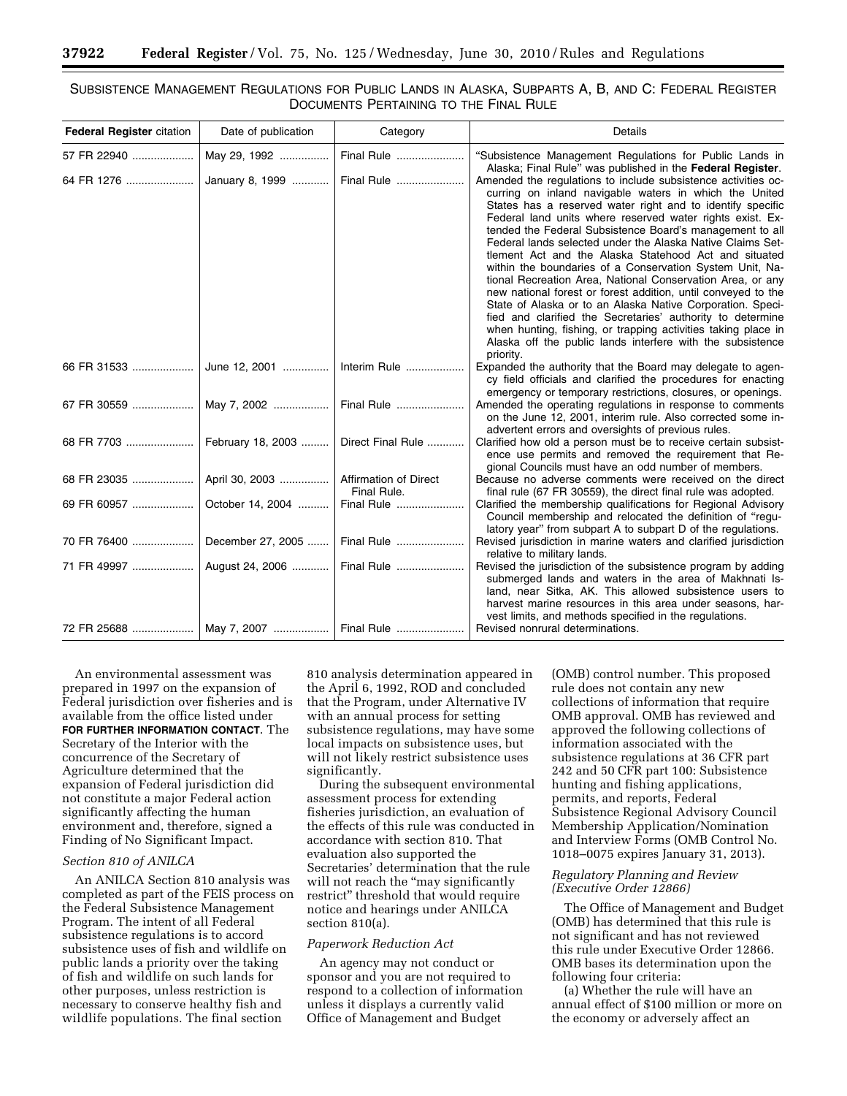## SUBSISTENCE MANAGEMENT REGULATIONS FOR PUBLIC LANDS IN ALASKA, SUBPARTS A, B, AND C: FEDERAL REGISTER DOCUMENTS PERTAINING TO THE FINAL RULE

| <b>Federal Register citation</b>       | Date of publication           | Category          | Details                                                                                                                                                                                                                                                                                                                                                                                                                                                                                                                                                                                                                                                                                                                                                                                                                                                                                                  |
|----------------------------------------|-------------------------------|-------------------|----------------------------------------------------------------------------------------------------------------------------------------------------------------------------------------------------------------------------------------------------------------------------------------------------------------------------------------------------------------------------------------------------------------------------------------------------------------------------------------------------------------------------------------------------------------------------------------------------------------------------------------------------------------------------------------------------------------------------------------------------------------------------------------------------------------------------------------------------------------------------------------------------------|
| 57 FR 22940                            | May 29, 1992                  | Final Rule        | "Subsistence Management Regulations for Public Lands in<br>Alaska; Final Rule" was published in the Federal Register.                                                                                                                                                                                                                                                                                                                                                                                                                                                                                                                                                                                                                                                                                                                                                                                    |
|                                        | January 8, 1999    Final Rule |                   | Amended the regulations to include subsistence activities oc-<br>curring on inland navigable waters in which the United<br>States has a reserved water right and to identify specific<br>Federal land units where reserved water rights exist. Ex-<br>tended the Federal Subsistence Board's management to all<br>Federal lands selected under the Alaska Native Claims Set-<br>tlement Act and the Alaska Statehood Act and situated<br>within the boundaries of a Conservation System Unit, Na-<br>tional Recreation Area, National Conservation Area, or any<br>new national forest or forest addition, until conveyed to the<br>State of Alaska or to an Alaska Native Corporation. Speci-<br>fied and clarified the Secretaries' authority to determine<br>when hunting, fishing, or trapping activities taking place in<br>Alaska off the public lands interfere with the subsistence<br>priority. |
|                                        |                               |                   | Expanded the authority that the Board may delegate to agen-<br>cy field officials and clarified the procedures for enacting<br>emergency or temporary restrictions, closures, or openings.                                                                                                                                                                                                                                                                                                                                                                                                                                                                                                                                                                                                                                                                                                               |
|                                        |                               |                   | Amended the operating regulations in response to comments<br>on the June 12, 2001, interim rule. Also corrected some in-<br>advertent errors and oversights of previous rules.                                                                                                                                                                                                                                                                                                                                                                                                                                                                                                                                                                                                                                                                                                                           |
| 68 FR 7703    February 18, 2003        |                               | Direct Final Rule | Clarified how old a person must be to receive certain subsist-<br>ence use permits and removed the requirement that Re-<br>gional Councils must have an odd number of members.                                                                                                                                                                                                                                                                                                                                                                                                                                                                                                                                                                                                                                                                                                                           |
|                                        |                               | Final Rule.       | Because no adverse comments were received on the direct<br>final rule (67 FR 30559), the direct final rule was adopted.                                                                                                                                                                                                                                                                                                                                                                                                                                                                                                                                                                                                                                                                                                                                                                                  |
|                                        |                               | Final Rule        | Clarified the membership qualifications for Regional Advisory<br>Council membership and relocated the definition of "regu-<br>latory year" from subpart A to subpart D of the regulations.                                                                                                                                                                                                                                                                                                                                                                                                                                                                                                                                                                                                                                                                                                               |
|                                        |                               |                   | Revised jurisdiction in marine waters and clarified jurisdiction<br>relative to military lands.                                                                                                                                                                                                                                                                                                                                                                                                                                                                                                                                                                                                                                                                                                                                                                                                          |
|                                        |                               |                   | Revised the jurisdiction of the subsistence program by adding<br>submerged lands and waters in the area of Makhnati Is-<br>land, near Sitka, AK. This allowed subsistence users to<br>harvest marine resources in this area under seasons, har-<br>vest limits, and methods specified in the regulations.                                                                                                                                                                                                                                                                                                                                                                                                                                                                                                                                                                                                |
| 72 FR 25688   May 7, 2007   Final Rule |                               |                   | Revised nonrural determinations.                                                                                                                                                                                                                                                                                                                                                                                                                                                                                                                                                                                                                                                                                                                                                                                                                                                                         |

An environmental assessment was prepared in 1997 on the expansion of Federal jurisdiction over fisheries and is available from the office listed under **FOR FURTHER INFORMATION CONTACT**. The Secretary of the Interior with the concurrence of the Secretary of Agriculture determined that the expansion of Federal jurisdiction did not constitute a major Federal action significantly affecting the human environment and, therefore, signed a Finding of No Significant Impact.

#### *Section 810 of ANILCA*

An ANILCA Section 810 analysis was completed as part of the FEIS process on the Federal Subsistence Management Program. The intent of all Federal subsistence regulations is to accord subsistence uses of fish and wildlife on public lands a priority over the taking of fish and wildlife on such lands for other purposes, unless restriction is necessary to conserve healthy fish and wildlife populations. The final section

810 analysis determination appeared in the April 6, 1992, ROD and concluded that the Program, under Alternative IV with an annual process for setting subsistence regulations, may have some local impacts on subsistence uses, but will not likely restrict subsistence uses significantly.

During the subsequent environmental assessment process for extending fisheries jurisdiction, an evaluation of the effects of this rule was conducted in accordance with section 810. That evaluation also supported the Secretaries' determination that the rule will not reach the "may significantly restrict'' threshold that would require notice and hearings under ANILCA section 810(a).

## *Paperwork Reduction Act*

An agency may not conduct or sponsor and you are not required to respond to a collection of information unless it displays a currently valid Office of Management and Budget

(OMB) control number. This proposed rule does not contain any new collections of information that require OMB approval. OMB has reviewed and approved the following collections of information associated with the subsistence regulations at 36 CFR part 242 and 50 CFR part 100: Subsistence hunting and fishing applications, permits, and reports, Federal Subsistence Regional Advisory Council Membership Application/Nomination and Interview Forms (OMB Control No. 1018–0075 expires January 31, 2013).

## *Regulatory Planning and Review (Executive Order 12866)*

The Office of Management and Budget (OMB) has determined that this rule is not significant and has not reviewed this rule under Executive Order 12866. OMB bases its determination upon the following four criteria:

(a) Whether the rule will have an annual effect of \$100 million or more on the economy or adversely affect an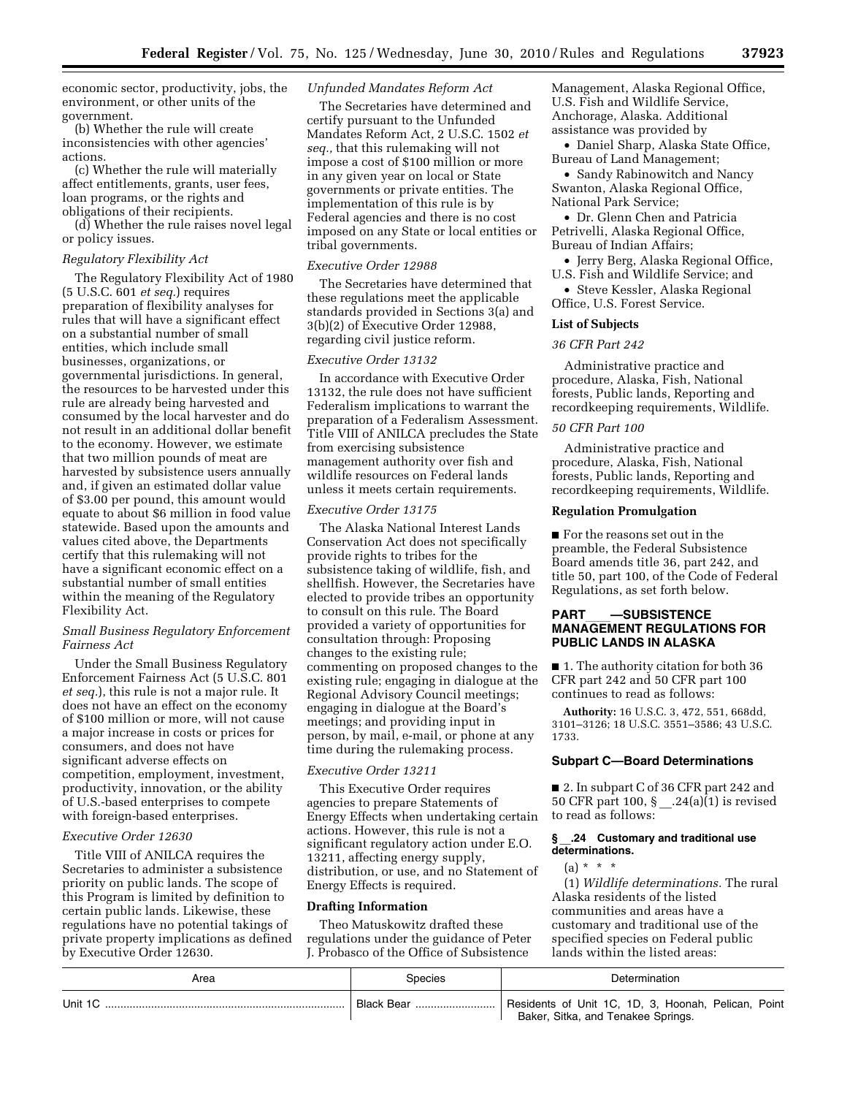economic sector, productivity, jobs, the environment, or other units of the government.

(b) Whether the rule will create inconsistencies with other agencies' actions.

(c) Whether the rule will materially affect entitlements, grants, user fees, loan programs, or the rights and obligations of their recipients.

(d) Whether the rule raises novel legal or policy issues.

## *Regulatory Flexibility Act*

The Regulatory Flexibility Act of 1980 (5 U.S.C. 601 *et seq.*) requires preparation of flexibility analyses for rules that will have a significant effect on a substantial number of small entities, which include small businesses, organizations, or governmental jurisdictions. In general, the resources to be harvested under this rule are already being harvested and consumed by the local harvester and do not result in an additional dollar benefit to the economy. However, we estimate that two million pounds of meat are harvested by subsistence users annually and, if given an estimated dollar value of \$3.00 per pound, this amount would equate to about \$6 million in food value statewide. Based upon the amounts and values cited above, the Departments certify that this rulemaking will not have a significant economic effect on a substantial number of small entities within the meaning of the Regulatory Flexibility Act.

## *Small Business Regulatory Enforcement Fairness Act*

Under the Small Business Regulatory Enforcement Fairness Act (5 U.S.C. 801 *et seq.*), this rule is not a major rule. It does not have an effect on the economy of \$100 million or more, will not cause a major increase in costs or prices for consumers, and does not have significant adverse effects on competition, employment, investment, productivity, innovation, or the ability of U.S.-based enterprises to compete with foreign-based enterprises.

### *Executive Order 12630*

Title VIII of ANILCA requires the Secretaries to administer a subsistence priority on public lands. The scope of this Program is limited by definition to certain public lands. Likewise, these regulations have no potential takings of private property implications as defined by Executive Order 12630.

#### *Unfunded Mandates Reform Act*

The Secretaries have determined and certify pursuant to the Unfunded Mandates Reform Act, 2 U.S.C. 1502 *et seq.,* that this rulemaking will not impose a cost of \$100 million or more in any given year on local or State governments or private entities. The implementation of this rule is by Federal agencies and there is no cost imposed on any State or local entities or tribal governments.

#### *Executive Order 12988*

The Secretaries have determined that these regulations meet the applicable standards provided in Sections 3(a) and 3(b)(2) of Executive Order 12988, regarding civil justice reform.

#### *Executive Order 13132*

In accordance with Executive Order 13132, the rule does not have sufficient Federalism implications to warrant the preparation of a Federalism Assessment. Title VIII of ANILCA precludes the State from exercising subsistence management authority over fish and wildlife resources on Federal lands unless it meets certain requirements.

## *Executive Order 13175*

The Alaska National Interest Lands Conservation Act does not specifically provide rights to tribes for the subsistence taking of wildlife, fish, and shellfish. However, the Secretaries have elected to provide tribes an opportunity to consult on this rule. The Board provided a variety of opportunities for consultation through: Proposing changes to the existing rule; commenting on proposed changes to the existing rule; engaging in dialogue at the Regional Advisory Council meetings; engaging in dialogue at the Board's meetings; and providing input in person, by mail, e-mail, or phone at any time during the rulemaking process.

#### *Executive Order 13211*

This Executive Order requires agencies to prepare Statements of Energy Effects when undertaking certain actions. However, this rule is not a significant regulatory action under E.O. 13211, affecting energy supply, distribution, or use, and no Statement of Energy Effects is required.

#### **Drafting Information**

Theo Matuskowitz drafted these regulations under the guidance of Peter J. Probasco of the Office of Subsistence Management, Alaska Regional Office, U.S. Fish and Wildlife Service, Anchorage, Alaska. Additional assistance was provided by

• Daniel Sharp, Alaska State Office, Bureau of Land Management;

• Sandy Rabinowitch and Nancy Swanton, Alaska Regional Office, National Park Service;

• Dr. Glenn Chen and Patricia Petrivelli, Alaska Regional Office, Bureau of Indian Affairs;

• Jerry Berg, Alaska Regional Office, U.S. Fish and Wildlife Service; and

• Steve Kessler, Alaska Regional Office, U.S. Forest Service.

#### **List of Subjects**

## *36 CFR Part 242*

Administrative practice and procedure, Alaska, Fish, National forests, Public lands, Reporting and recordkeeping requirements, Wildlife.

#### *50 CFR Part 100*

Administrative practice and procedure, Alaska, Fish, National forests, Public lands, Reporting and recordkeeping requirements, Wildlife.

#### **Regulation Promulgation**

■ For the reasons set out in the preamble, the Federal Subsistence Board amends title 36, part 242, and title 50, part 100, of the Code of Federal Regulations, as set forth below.

## **PART**ll**—SUBSISTENCE MANAGEMENT REGULATIONS FOR PUBLIC LANDS IN ALASKA**

■ 1. The authority citation for both 36 CFR part 242 and 50 CFR part 100 continues to read as follows:

**Authority:** 16 U.S.C. 3, 472, 551, 668dd, 3101–3126; 18 U.S.C. 3551–3586; 43 U.S.C. 1733.

#### **Subpart C—Board Determinations**

■ 2. In subpart C of 36 CFR part 242 and 50 CFR part 100, § .24(a)(1) is revised to read as follows:

## **§** \_\_**.24 Customary and traditional use determinations.**

 $(a) * * * *$ 

(1) *Wildlife determinations.* The rural Alaska residents of the listed communities and areas have a customary and traditional use of the specified species on Federal public lands within the listed areas:

| Area    | Species | Determination                                                                             |
|---------|---------|-------------------------------------------------------------------------------------------|
| Unit 1C |         | Residents of Unit 1C, 1D, 3, Hoonah, Pelican, Point<br>Baker, Sitka, and Tenakee Springs. |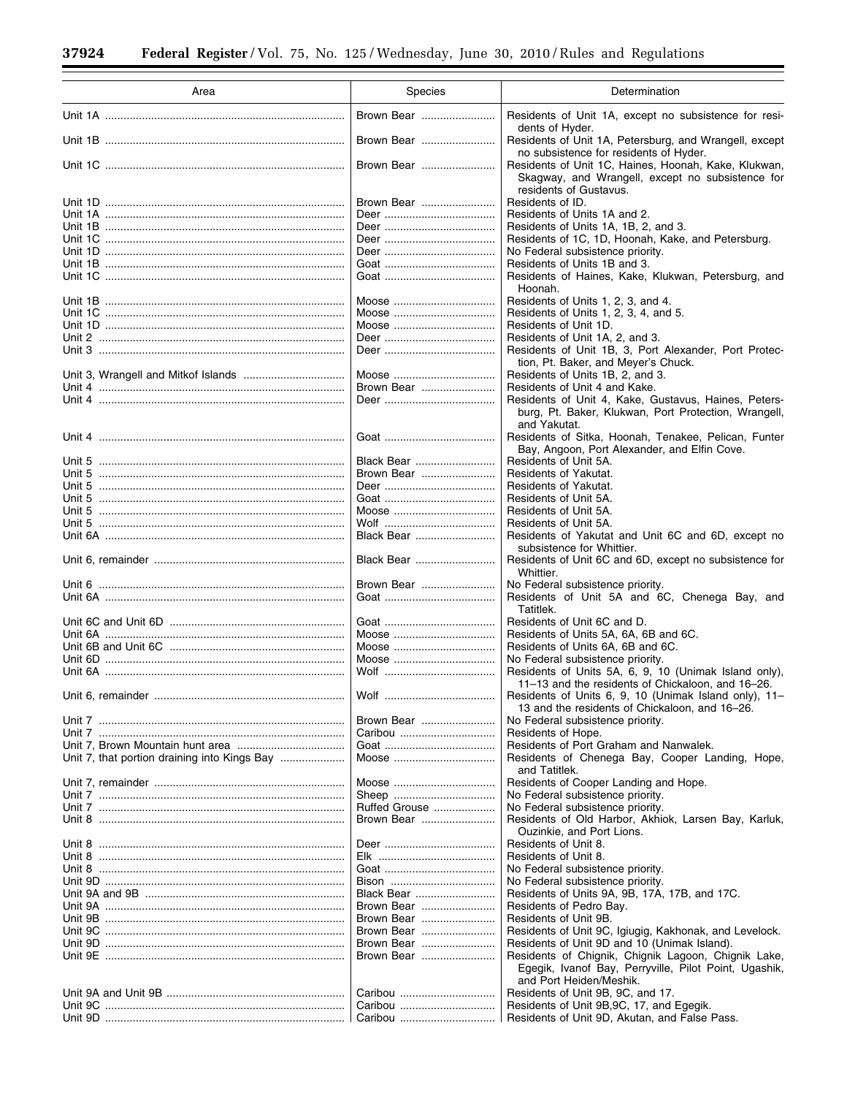$\equiv$ 

Ξ

| Area                              | Species                  | Determination                                                                                                                      |
|-----------------------------------|--------------------------|------------------------------------------------------------------------------------------------------------------------------------|
|                                   | Brown Bear               | Residents of Unit 1A, except no subsistence for resi-<br>dents of Hyder.                                                           |
|                                   | Brown Bear               | Residents of Unit 1A, Petersburg, and Wrangell, except<br>no subsistence for residents of Hyder.                                   |
|                                   | Brown Bear               | Residents of Unit 1C, Haines, Hoonah, Kake, Klukwan,<br>Skagway, and Wrangell, except no subsistence for<br>residents of Gustavus. |
|                                   | Brown Bear               | Residents of ID.                                                                                                                   |
| Unit 1A ………………………………………………………………… |                          | Residents of Units 1A and 2.                                                                                                       |
|                                   |                          | Residents of Units 1A, 1B, 2, and 3.                                                                                               |
|                                   |                          | Residents of 1C, 1D, Hoonah, Kake, and Petersburg.<br>No Federal subsistence priority.                                             |
|                                   |                          | Residents of Units 1B and 3.                                                                                                       |
|                                   |                          | Residents of Haines, Kake, Klukwan, Petersburg, and                                                                                |
|                                   |                          | Hoonah.                                                                                                                            |
|                                   | Moose                    | Residents of Units 1, 2, 3, and 4.                                                                                                 |
|                                   | Moose                    | Residents of Units 1, 2, 3, 4, and 5.<br>Residents of Unit 1D.                                                                     |
| Unit 2 …………………………………………………………………  |                          | Residents of Unit 1A, 2, and 3.                                                                                                    |
|                                   |                          | Residents of Unit 1B, 3, Port Alexander, Port Protec-                                                                              |
|                                   |                          | tion, Pt. Baker, and Meyer's Chuck.                                                                                                |
|                                   | Moose                    | Residents of Units 1B, 2, and 3.                                                                                                   |
|                                   | Brown Bear               | Residents of Unit 4 and Kake.                                                                                                      |
| Unit 4 …………………………………………………………………… |                          | Residents of Unit 4, Kake, Gustavus, Haines, Peters-                                                                               |
|                                   |                          | burg, Pt. Baker, Klukwan, Port Protection, Wrangell,<br>and Yakutat.                                                               |
| Unit 4 …………………………………………………………………… |                          | Residents of Sitka, Hoonah, Tenakee, Pelican, Funter<br>Bay, Angoon, Port Alexander, and Elfin Cove.                               |
|                                   | Black Bear               | Residents of Unit 5A.                                                                                                              |
| Unit 5 …………………………………………………………………  | Brown Bear               | Residents of Yakutat.                                                                                                              |
|                                   |                          | Residents of Yakutat.                                                                                                              |
| Unit 5 …………………………………………………………………… |                          | Residents of Unit 5A.                                                                                                              |
|                                   | Moose                    | Residents of Unit 5A.                                                                                                              |
| Unit 5 …………………………………………………………………… |                          | Residents of Unit 5A.                                                                                                              |
|                                   | Black Bear               | Residents of Yakutat and Unit 6C and 6D, except no<br>subsistence for Whittier.                                                    |
|                                   | Black Bear               | Residents of Unit 6C and 6D, except no subsistence for<br>Whittier.                                                                |
|                                   | Brown Bear               | No Federal subsistence priority.                                                                                                   |
| Unit 6A ………………………………………………………………… |                          | Residents of Unit 5A and 6C, Chenega Bay, and<br>Tatitlek.                                                                         |
|                                   |                          | Residents of Unit 6C and D.                                                                                                        |
|                                   | Moose                    | Residents of Units 5A, 6A, 6B and 6C.                                                                                              |
|                                   | Moose                    | Residents of Units 6A, 6B and 6C.                                                                                                  |
|                                   | Moose                    | No Federal subsistence priority.                                                                                                   |
|                                   |                          | Residents of Units 5A, 6, 9, 10 (Unimak Island only),<br>11-13 and the residents of Chickaloon, and 16-26.                         |
| Unit 6. remainder                 | Wolf                     | Residents of Units 6, 9, 10 (Unimak Island only), 11-<br>13 and the residents of Chickaloon, and 16-26.                            |
|                                   | Brown Bear               | No Federal subsistence priority.                                                                                                   |
| Unit 7 …………………………………………………………………… |                          | Residents of Hope.                                                                                                                 |
|                                   |                          | Residents of Port Graham and Nanwalek.                                                                                             |
|                                   | Moose                    | Residents of Chenega Bay, Cooper Landing, Hope,                                                                                    |
|                                   |                          | and Tatitlek.                                                                                                                      |
|                                   |                          | Residents of Cooper Landing and Hope.                                                                                              |
|                                   | Ruffed Grouse            | No Federal subsistence priority.                                                                                                   |
| Unit 8 …………………………………………………………………  | Brown Bear               | No Federal subsistence priority.                                                                                                   |
|                                   |                          | Residents of Old Harbor, Akhiok, Larsen Bay, Karluk,<br>Ouzinkie, and Port Lions.                                                  |
| Unit 8 …………………………………………………………………… |                          | Residents of Unit 8.                                                                                                               |
|                                   |                          | Residents of Unit 8.                                                                                                               |
|                                   |                          | No Federal subsistence priority.                                                                                                   |
|                                   |                          | No Federal subsistence priority.                                                                                                   |
|                                   | Black Bear               | Residents of Units 9A, 9B, 17A, 17B, and 17C.                                                                                      |
|                                   | Brown Bear<br>Brown Bear | Residents of Pedro Bay.<br>Residents of Unit 9B.                                                                                   |
|                                   | Brown Bear               | Residents of Unit 9C, Igiugig, Kakhonak, and Levelock.                                                                             |
|                                   | Brown Bear               | Residents of Unit 9D and 10 (Unimak Island).                                                                                       |
|                                   | Brown Bear               | Residents of Chignik, Chignik Lagoon, Chignik Lake,                                                                                |
|                                   |                          | Egegik, Ivanof Bay, Perryville, Pilot Point, Ugashik,<br>and Port Heiden/Meshik.                                                   |
|                                   |                          | Residents of Unit 9B, 9C, and 17.                                                                                                  |
|                                   | Caribou                  | Residents of Unit 9B, 9C, 17, and Egegik.                                                                                          |
|                                   |                          | Residents of Unit 9D, Akutan, and False Pass.                                                                                      |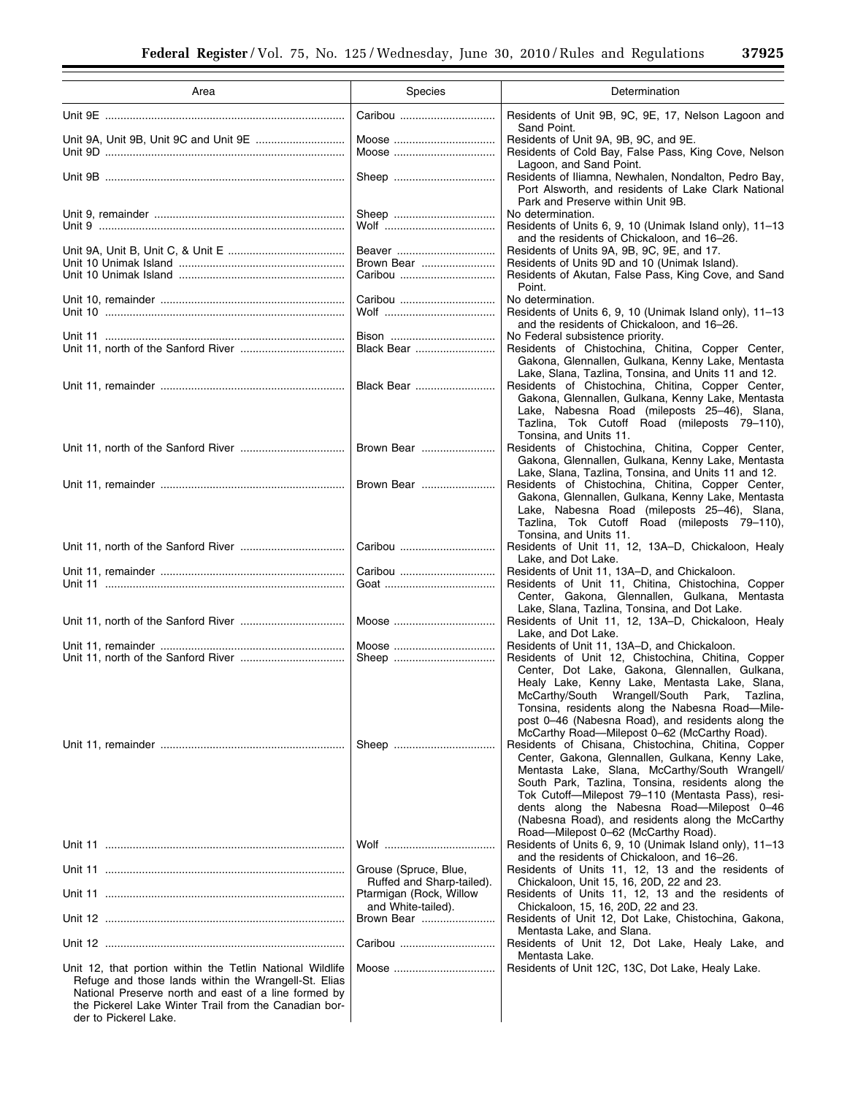$\equiv$ 

| Area                                                                                                                                                                                                                                                        | Species                                                     | Determination                                                                                                                                                                                                                                                                                                                                                                                               |
|-------------------------------------------------------------------------------------------------------------------------------------------------------------------------------------------------------------------------------------------------------------|-------------------------------------------------------------|-------------------------------------------------------------------------------------------------------------------------------------------------------------------------------------------------------------------------------------------------------------------------------------------------------------------------------------------------------------------------------------------------------------|
|                                                                                                                                                                                                                                                             | Caribou                                                     | Residents of Unit 9B, 9C, 9E, 17, Nelson Lagoon and<br>Sand Point.                                                                                                                                                                                                                                                                                                                                          |
|                                                                                                                                                                                                                                                             | Moose<br>Moose                                              | Residents of Unit 9A, 9B, 9C, and 9E.<br>Residents of Cold Bay, False Pass, King Cove, Nelson                                                                                                                                                                                                                                                                                                               |
|                                                                                                                                                                                                                                                             |                                                             | Lagoon, and Sand Point.<br>Residents of Iliamna, Newhalen, Nondalton, Pedro Bay,<br>Port Alsworth, and residents of Lake Clark National<br>Park and Preserve within Unit 9B.                                                                                                                                                                                                                                |
| Unit 9 ……………………………………………………………………                                                                                                                                                                                                                           |                                                             | No determination.<br>Residents of Units 6, 9, 10 (Unimak Island only), 11-13                                                                                                                                                                                                                                                                                                                                |
|                                                                                                                                                                                                                                                             | Beaver<br>Brown Bear                                        | and the residents of Chickaloon, and 16-26.<br>Residents of Units 9A, 9B, 9C, 9E, and 17.<br>Residents of Units 9D and 10 (Unimak Island).                                                                                                                                                                                                                                                                  |
|                                                                                                                                                                                                                                                             |                                                             | Residents of Akutan, False Pass, King Cove, and Sand<br>Point.                                                                                                                                                                                                                                                                                                                                              |
|                                                                                                                                                                                                                                                             | Caribou                                                     | No determination.<br>Residents of Units 6, 9, 10 (Unimak Island only), 11-13<br>and the residents of Chickaloon, and 16-26.                                                                                                                                                                                                                                                                                 |
|                                                                                                                                                                                                                                                             |                                                             | No Federal subsistence priority.                                                                                                                                                                                                                                                                                                                                                                            |
|                                                                                                                                                                                                                                                             | Black Bear                                                  | Residents of Chistochina, Chitina, Copper Center,<br>Gakona, Glennallen, Gulkana, Kenny Lake, Mentasta<br>Lake, Slana, Tazlina, Tonsina, and Units 11 and 12.                                                                                                                                                                                                                                               |
|                                                                                                                                                                                                                                                             | Black Bear                                                  | Residents of Chistochina, Chitina, Copper Center,<br>Gakona, Glennallen, Gulkana, Kenny Lake, Mentasta<br>Lake, Nabesna Road (mileposts 25-46), Slana,<br>Tazlina, Tok Cutoff Road (mileposts 79-110),                                                                                                                                                                                                      |
|                                                                                                                                                                                                                                                             | Brown Bear                                                  | Tonsina, and Units 11.<br>Residents of Chistochina, Chitina, Copper Center,<br>Gakona, Glennallen, Gulkana, Kenny Lake, Mentasta                                                                                                                                                                                                                                                                            |
|                                                                                                                                                                                                                                                             | Brown Bear                                                  | Lake, Slana, Tazlina, Tonsina, and Units 11 and 12.<br>Residents of Chistochina, Chitina, Copper Center,<br>Gakona, Glennallen, Gulkana, Kenny Lake, Mentasta<br>Lake, Nabesna Road (mileposts 25-46), Slana,<br>Tazlina, Tok Cutoff Road (mileposts 79-110),                                                                                                                                               |
|                                                                                                                                                                                                                                                             | Caribou                                                     | Tonsina, and Units 11.<br>Residents of Unit 11, 12, 13A-D, Chickaloon, Healy<br>Lake, and Dot Lake.                                                                                                                                                                                                                                                                                                         |
|                                                                                                                                                                                                                                                             | Caribou                                                     | Residents of Unit 11, 13A-D, and Chickaloon.<br>Residents of Unit 11, Chitina, Chistochina, Copper<br>Center, Gakona, Glennallen, Gulkana, Mentasta                                                                                                                                                                                                                                                         |
|                                                                                                                                                                                                                                                             | Moose                                                       | Lake, Slana, Tazlina, Tonsina, and Dot Lake.<br>Residents of Unit 11, 12, 13A-D, Chickaloon, Healy<br>Lake, and Dot Lake.                                                                                                                                                                                                                                                                                   |
|                                                                                                                                                                                                                                                             | Moose                                                       | Residents of Unit 11, 13A-D, and Chickaloon.<br>Residents of Unit 12, Chistochina, Chitina, Copper                                                                                                                                                                                                                                                                                                          |
|                                                                                                                                                                                                                                                             |                                                             | Center, Dot Lake, Gakona, Glennallen, Gulkana,<br>Healy Lake, Kenny Lake, Mentasta Lake, Slana,<br>McCarthy/South Wrangell/South Park,<br>Tazlina,<br>Tonsina, residents along the Nabesna Road-Mile-<br>post 0-46 (Nabesna Road), and residents along the<br>McCarthy Road-Milepost 0-62 (McCarthy Road).                                                                                                  |
|                                                                                                                                                                                                                                                             |                                                             | Residents of Chisana, Chistochina, Chitina, Copper<br>Center, Gakona, Glennallen, Gulkana, Kenny Lake,<br>Mentasta Lake, Slana, McCarthy/South Wrangell/<br>South Park, Tazlina, Tonsina, residents along the<br>Tok Cutoff—Milepost 79–110 (Mentasta Pass), resi-<br>dents along the Nabesna Road-Milepost 0-46<br>(Nabesna Road), and residents along the McCarthy<br>Road—Milepost 0–62 (McCarthy Road). |
|                                                                                                                                                                                                                                                             |                                                             | Residents of Units 6, 9, 10 (Unimak Island only), 11-13<br>and the residents of Chickaloon, and 16–26.                                                                                                                                                                                                                                                                                                      |
|                                                                                                                                                                                                                                                             | Grouse (Spruce, Blue,<br>Ruffed and Sharp-tailed).          | Residents of Units 11, 12, 13 and the residents of<br>Chickaloon, Unit 15, 16, 20D, 22 and 23.                                                                                                                                                                                                                                                                                                              |
|                                                                                                                                                                                                                                                             | Ptarmigan (Rock, Willow<br>and White-tailed).<br>Brown Bear | Residents of Units 11, 12, 13 and the residents of<br>Chickaloon, 15, 16, 20D, 22 and 23.<br>Residents of Unit 12, Dot Lake, Chistochina, Gakona,                                                                                                                                                                                                                                                           |
|                                                                                                                                                                                                                                                             | Caribou                                                     | Mentasta Lake, and Slana.<br>Residents of Unit 12, Dot Lake, Healy Lake, and                                                                                                                                                                                                                                                                                                                                |
| Unit 12, that portion within the Tetlin National Wildlife<br>Refuge and those lands within the Wrangell-St. Elias<br>National Preserve north and east of a line formed by<br>the Pickerel Lake Winter Trail from the Canadian bor-<br>der to Pickerel Lake. | Moose                                                       | Mentasta Lake.<br>Residents of Unit 12C, 13C, Dot Lake, Healy Lake.                                                                                                                                                                                                                                                                                                                                         |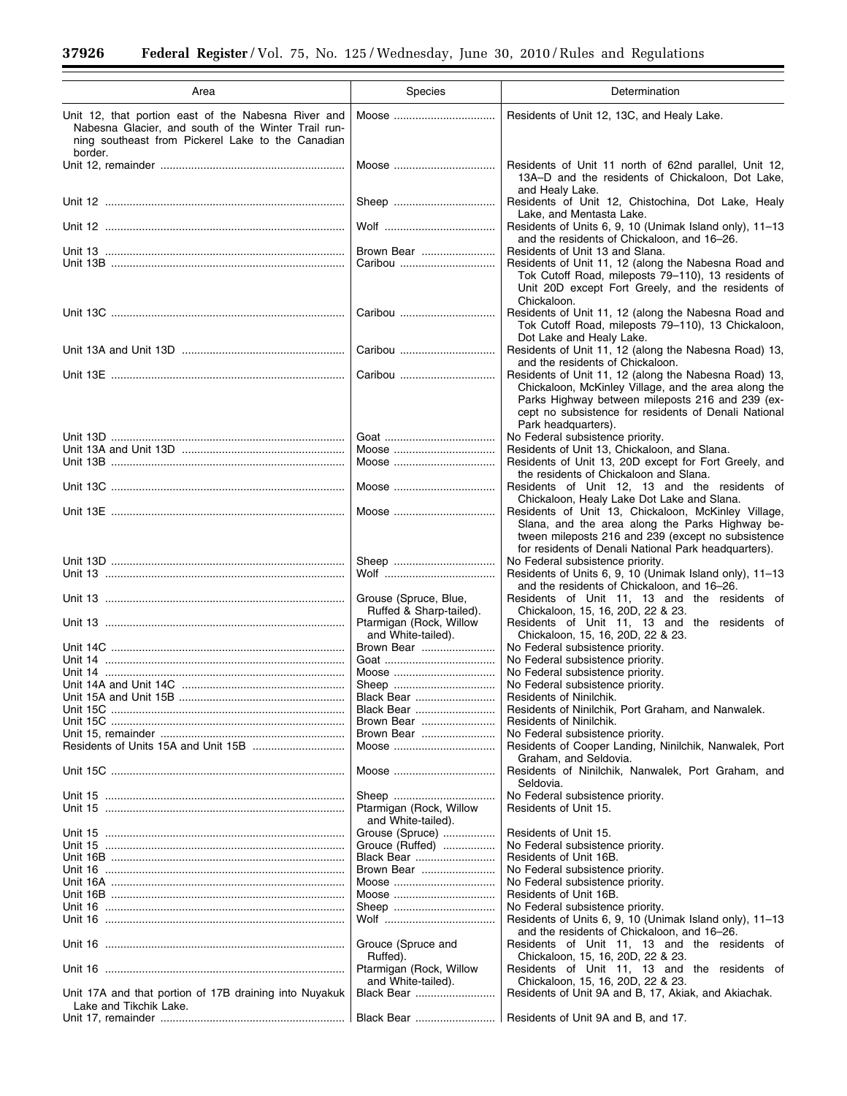Ξ

 $\equiv$ 

| Area                                                                                                                                                                       | Species                                          | Determination                                                                                                                                                                                                                                    |
|----------------------------------------------------------------------------------------------------------------------------------------------------------------------------|--------------------------------------------------|--------------------------------------------------------------------------------------------------------------------------------------------------------------------------------------------------------------------------------------------------|
| Unit 12, that portion east of the Nabesna River and<br>Nabesna Glacier, and south of the Winter Trail run-<br>ning southeast from Pickerel Lake to the Canadian<br>border. | Moose                                            | Residents of Unit 12, 13C, and Healy Lake.                                                                                                                                                                                                       |
|                                                                                                                                                                            | Moose                                            | Residents of Unit 11 north of 62nd parallel, Unit 12,<br>13A-D and the residents of Chickaloon, Dot Lake,<br>and Healy Lake.                                                                                                                     |
|                                                                                                                                                                            |                                                  | Residents of Unit 12, Chistochina, Dot Lake, Healy                                                                                                                                                                                               |
|                                                                                                                                                                            |                                                  | Lake, and Mentasta Lake.<br>Residents of Units 6, 9, 10 (Unimak Island only), 11-13                                                                                                                                                              |
|                                                                                                                                                                            | Brown Bear                                       | and the residents of Chickaloon, and 16-26.<br>Residents of Unit 13 and Slana.                                                                                                                                                                   |
|                                                                                                                                                                            | Caribou                                          | Residents of Unit 11, 12 (along the Nabesna Road and<br>Tok Cutoff Road, mileposts 79-110), 13 residents of<br>Unit 20D except Fort Greely, and the residents of<br>Chickaloon.                                                                  |
|                                                                                                                                                                            | Caribou                                          | Residents of Unit 11, 12 (along the Nabesna Road and<br>Tok Cutoff Road, mileposts 79-110), 13 Chickaloon,<br>Dot Lake and Healy Lake.                                                                                                           |
|                                                                                                                                                                            | Caribou                                          | Residents of Unit 11, 12 (along the Nabesna Road) 13,<br>and the residents of Chickaloon.                                                                                                                                                        |
|                                                                                                                                                                            | Caribou                                          | Residents of Unit 11, 12 (along the Nabesna Road) 13,<br>Chickaloon, McKinley Village, and the area along the<br>Parks Highway between mileposts 216 and 239 (ex-<br>cept no subsistence for residents of Denali National<br>Park headquarters). |
|                                                                                                                                                                            |                                                  | No Federal subsistence priority.                                                                                                                                                                                                                 |
|                                                                                                                                                                            | Moose<br>Moose                                   | Residents of Unit 13, Chickaloon, and Slana.<br>Residents of Unit 13, 20D except for Fort Greely, and                                                                                                                                            |
|                                                                                                                                                                            | Moose                                            | the residents of Chickaloon and Slana.<br>Residents of Unit 12, 13 and the residents of                                                                                                                                                          |
|                                                                                                                                                                            |                                                  | Chickaloon, Healy Lake Dot Lake and Slana.                                                                                                                                                                                                       |
|                                                                                                                                                                            | Moose                                            | Residents of Unit 13, Chickaloon, McKinley Village,<br>Slana, and the area along the Parks Highway be-<br>tween mileposts 216 and 239 (except no subsistence<br>for residents of Denali National Park headquarters).                             |
|                                                                                                                                                                            |                                                  | No Federal subsistence priority.                                                                                                                                                                                                                 |
|                                                                                                                                                                            |                                                  | Residents of Units 6, 9, 10 (Unimak Island only), 11-13<br>and the residents of Chickaloon, and 16-26.                                                                                                                                           |
|                                                                                                                                                                            | Grouse (Spruce, Blue,<br>Ruffed & Sharp-tailed). | Residents of Unit 11, 13 and the residents of<br>Chickaloon, 15, 16, 20D, 22 & 23.                                                                                                                                                               |
|                                                                                                                                                                            | Ptarmigan (Rock, Willow<br>and White-tailed).    | Residents of Unit 11, 13 and the residents of<br>Chickaloon, 15, 16, 20D, 22 & 23.                                                                                                                                                               |
|                                                                                                                                                                            | Brown Bear                                       | No Federal subsistence priority.                                                                                                                                                                                                                 |
|                                                                                                                                                                            | Moose                                            | No Federal subsistence priority.                                                                                                                                                                                                                 |
|                                                                                                                                                                            |                                                  | No Federal subsistence priority.<br>No Federal subsistence priority.                                                                                                                                                                             |
|                                                                                                                                                                            | Black Bear                                       | Residents of Ninilchik.                                                                                                                                                                                                                          |
|                                                                                                                                                                            | Black Bear                                       | Residents of Ninilchik, Port Graham, and Nanwalek.                                                                                                                                                                                               |
|                                                                                                                                                                            | Brown Bear                                       | Residents of Ninilchik.                                                                                                                                                                                                                          |
|                                                                                                                                                                            | Brown Bear                                       | No Federal subsistence priority.                                                                                                                                                                                                                 |
|                                                                                                                                                                            | Moose                                            | Residents of Cooper Landing, Ninilchik, Nanwalek, Port<br>Graham, and Seldovia.                                                                                                                                                                  |
|                                                                                                                                                                            | Moose                                            | Residents of Ninilchik, Nanwalek, Port Graham, and<br>Seldovia.                                                                                                                                                                                  |
|                                                                                                                                                                            | Ptarmigan (Rock, Willow<br>and White-tailed).    | No Federal subsistence priority.<br>Residents of Unit 15.                                                                                                                                                                                        |
|                                                                                                                                                                            | Grouse (Spruce)                                  | Residents of Unit 15.                                                                                                                                                                                                                            |
|                                                                                                                                                                            | Grouce (Ruffed)                                  | No Federal subsistence priority.                                                                                                                                                                                                                 |
|                                                                                                                                                                            | Black Bear                                       | Residents of Unit 16B.                                                                                                                                                                                                                           |
|                                                                                                                                                                            | Brown Bear                                       | No Federal subsistence priority.                                                                                                                                                                                                                 |
| Unit 16A …………………………………………………………………                                                                                                                                         | Moose<br>Moose                                   | No Federal subsistence priority.<br>Residents of Unit 16B.                                                                                                                                                                                       |
|                                                                                                                                                                            | Sheep                                            | No Federal subsistence priority.                                                                                                                                                                                                                 |
|                                                                                                                                                                            |                                                  | Residents of Units 6, 9, 10 (Unimak Island only), 11–13                                                                                                                                                                                          |
|                                                                                                                                                                            | Grouce (Spruce and<br>Ruffed).                   | and the residents of Chickaloon, and 16–26.<br>Residents of Unit 11, 13 and the residents of<br>Chickaloon, 15, 16, 20D, 22 & 23.                                                                                                                |
|                                                                                                                                                                            | Ptarmigan (Rock, Willow<br>and White-tailed).    | Residents of Unit 11, 13 and the residents of<br>Chickaloon, 15, 16, 20D, 22 & 23.                                                                                                                                                               |
| Unit 17A and that portion of 17B draining into Nuyakuk<br>Lake and Tikchik Lake.                                                                                           | Black Bear                                       | Residents of Unit 9A and B, 17, Akiak, and Akiachak.                                                                                                                                                                                             |
|                                                                                                                                                                            |                                                  | Residents of Unit 9A and B, and 17.                                                                                                                                                                                                              |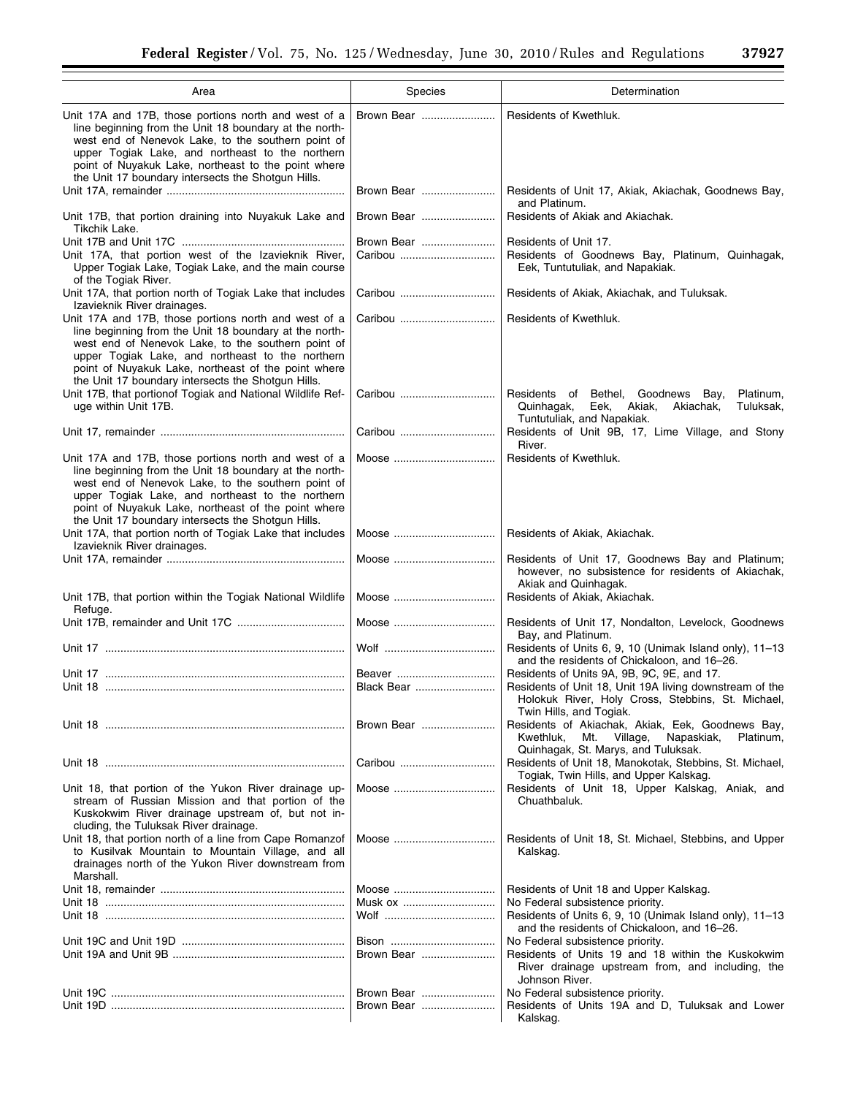| Area                                                                                                                                                                                                                                                                                                                                  | Species                  | Determination                                                                                                                                                                         |
|---------------------------------------------------------------------------------------------------------------------------------------------------------------------------------------------------------------------------------------------------------------------------------------------------------------------------------------|--------------------------|---------------------------------------------------------------------------------------------------------------------------------------------------------------------------------------|
| Unit 17A and 17B, those portions north and west of a<br>line beginning from the Unit 18 boundary at the north-<br>west end of Nenevok Lake, to the southern point of<br>upper Togiak Lake, and northeast to the northern<br>point of Nuyakuk Lake, northeast to the point where<br>the Unit 17 boundary intersects the Shotgun Hills. | Brown Bear               | Residents of Kwethluk.                                                                                                                                                                |
|                                                                                                                                                                                                                                                                                                                                       | Brown Bear               | Residents of Unit 17, Akiak, Akiachak, Goodnews Bay,<br>and Platinum.                                                                                                                 |
| Unit 17B, that portion draining into Nuyakuk Lake and<br>Tikchik Lake.                                                                                                                                                                                                                                                                | Brown Bear               | Residents of Akiak and Akiachak.                                                                                                                                                      |
| Unit 17A, that portion west of the Izavieknik River,<br>Upper Togiak Lake, Togiak Lake, and the main course<br>of the Togiak River.                                                                                                                                                                                                   | Brown Bear               | Residents of Unit 17.<br>Residents of Goodnews Bay, Platinum, Quinhagak,<br>Eek, Tuntutuliak, and Napakiak.                                                                           |
| Unit 17A, that portion north of Togiak Lake that includes<br>Izavieknik River drainages.                                                                                                                                                                                                                                              | Caribou                  | Residents of Akiak, Akiachak, and Tuluksak.                                                                                                                                           |
| Unit 17A and 17B, those portions north and west of a<br>line beginning from the Unit 18 boundary at the north-<br>west end of Nenevok Lake, to the southern point of<br>upper Togiak Lake, and northeast to the northern<br>point of Nuyakuk Lake, northeast of the point where<br>the Unit 17 boundary intersects the Shotgun Hills. | Caribou                  | Residents of Kwethluk.                                                                                                                                                                |
| Unit 17B, that portionof Togiak and National Wildlife Ref-<br>uge within Unit 17B.                                                                                                                                                                                                                                                    | Caribou                  | Residents of Bethel, Goodnews Bay,<br>Platinum,<br>Tuluksak,<br>Quinhagak,<br>Eek,<br>Akiak,<br>Akiachak,<br>Tuntutuliak, and Napakiak.                                               |
|                                                                                                                                                                                                                                                                                                                                       |                          | Residents of Unit 9B, 17, Lime Village, and Stony<br>River.                                                                                                                           |
| Unit 17A and 17B, those portions north and west of a<br>line beginning from the Unit 18 boundary at the north-<br>west end of Nenevok Lake, to the southern point of<br>upper Togiak Lake, and northeast to the northern<br>point of Nuyakuk Lake, northeast of the point where<br>the Unit 17 boundary intersects the Shotgun Hills. | Moose                    | Residents of Kwethluk.                                                                                                                                                                |
| Unit 17A, that portion north of Togiak Lake that includes<br>Izavieknik River drainages.                                                                                                                                                                                                                                              |                          | Residents of Akiak, Akiachak.                                                                                                                                                         |
|                                                                                                                                                                                                                                                                                                                                       | Moose                    | Residents of Unit 17, Goodnews Bay and Platinum;<br>however, no subsistence for residents of Akiachak,<br>Akiak and Quinhagak.                                                        |
| Unit 17B, that portion within the Togiak National Wildlife<br>Refuge.                                                                                                                                                                                                                                                                 | Moose                    | Residents of Akiak, Akiachak.                                                                                                                                                         |
|                                                                                                                                                                                                                                                                                                                                       | Moose                    | Residents of Unit 17, Nondalton, Levelock, Goodnews<br>Bay, and Platinum.                                                                                                             |
|                                                                                                                                                                                                                                                                                                                                       |                          | Residents of Units 6, 9, 10 (Unimak Island only), 11-13<br>and the residents of Chickaloon, and 16-26.                                                                                |
|                                                                                                                                                                                                                                                                                                                                       | Beaver<br>Black Bear     | Residents of Units 9A, 9B, 9C, 9E, and 17.<br>Residents of Unit 18, Unit 19A living downstream of the<br>Holokuk River, Holy Cross, Stebbins, St. Michael,<br>Twin Hills, and Togiak. |
|                                                                                                                                                                                                                                                                                                                                       | Brown Bear               | Residents of Akiachak, Akiak, Eek, Goodnews Bay,<br>Kwethluk,<br>Mt. Village,<br>Napaskiak,<br>Platinum,<br>Quinhagak, St. Marys, and Tuluksak.                                       |
|                                                                                                                                                                                                                                                                                                                                       | Caribou                  | Residents of Unit 18, Manokotak, Stebbins, St. Michael,<br>Togiak, Twin Hills, and Upper Kalskag.                                                                                     |
| Unit 18, that portion of the Yukon River drainage up-<br>stream of Russian Mission and that portion of the<br>Kuskokwim River drainage upstream of, but not in-<br>cluding, the Tuluksak River drainage.                                                                                                                              | Moose                    | Residents of Unit 18, Upper Kalskag, Aniak, and<br>Chuathbaluk.                                                                                                                       |
| Unit 18, that portion north of a line from Cape Romanzof<br>to Kusilvak Mountain to Mountain Village, and all<br>drainages north of the Yukon River downstream from<br>Marshall.                                                                                                                                                      | Moose                    | Residents of Unit 18, St. Michael, Stebbins, and Upper<br>Kalskag.                                                                                                                    |
|                                                                                                                                                                                                                                                                                                                                       | Moose<br>Musk ox         | Residents of Unit 18 and Upper Kalskag.<br>No Federal subsistence priority.                                                                                                           |
|                                                                                                                                                                                                                                                                                                                                       |                          | Residents of Units 6, 9, 10 (Unimak Island only), 11-13<br>and the residents of Chickaloon, and 16–26.                                                                                |
|                                                                                                                                                                                                                                                                                                                                       | Brown Bear               | No Federal subsistence priority.<br>Residents of Units 19 and 18 within the Kuskokwim<br>River drainage upstream from, and including, the<br>Johnson River.                           |
|                                                                                                                                                                                                                                                                                                                                       | Brown Bear<br>Brown Bear | No Federal subsistence priority.<br>Residents of Units 19A and D, Tuluksak and Lower<br>Kalskag.                                                                                      |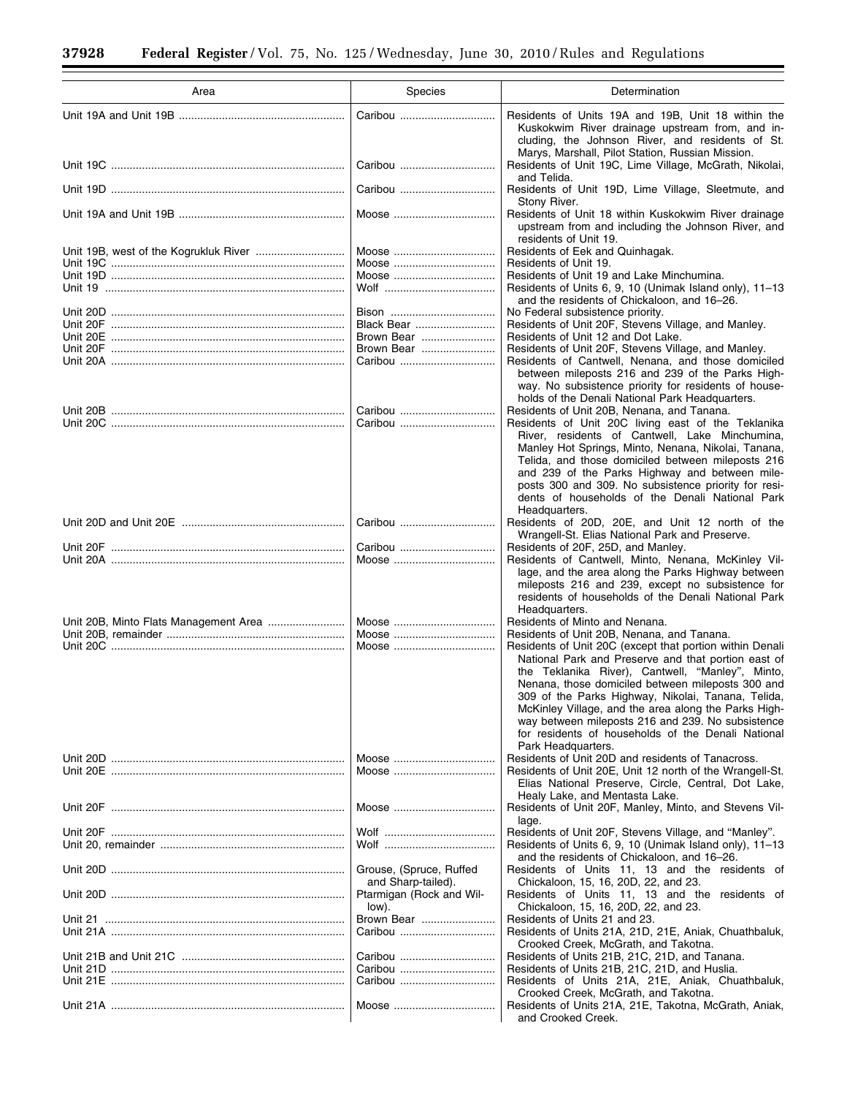Ξ

 $\equiv$ 

| Area                                  | Species                                        | Determination                                                                                                                                                                                                                                                                                                                                                                                                                                                           |
|---------------------------------------|------------------------------------------------|-------------------------------------------------------------------------------------------------------------------------------------------------------------------------------------------------------------------------------------------------------------------------------------------------------------------------------------------------------------------------------------------------------------------------------------------------------------------------|
|                                       | Caribou                                        | Residents of Units 19A and 19B, Unit 18 within the<br>Kuskokwim River drainage upstream from, and in-<br>cluding, the Johnson River, and residents of St.                                                                                                                                                                                                                                                                                                               |
|                                       | Caribou                                        | Marys, Marshall, Pilot Station, Russian Mission.<br>Residents of Unit 19C, Lime Village, McGrath, Nikolai,                                                                                                                                                                                                                                                                                                                                                              |
|                                       | Caribou                                        | and Telida.<br>Residents of Unit 19D, Lime Village, Sleetmute, and                                                                                                                                                                                                                                                                                                                                                                                                      |
|                                       | Moose                                          | Stony River.<br>Residents of Unit 18 within Kuskokwim River drainage<br>upstream from and including the Johnson River, and<br>residents of Unit 19.                                                                                                                                                                                                                                                                                                                     |
|                                       | Moose                                          | Residents of Eek and Quinhagak.                                                                                                                                                                                                                                                                                                                                                                                                                                         |
|                                       | Moose                                          | Residents of Unit 19.                                                                                                                                                                                                                                                                                                                                                                                                                                                   |
|                                       | Moose                                          | Residents of Unit 19 and Lake Minchumina.                                                                                                                                                                                                                                                                                                                                                                                                                               |
|                                       |                                                | Residents of Units 6, 9, 10 (Unimak Island only), 11-13<br>and the residents of Chickaloon, and 16-26.                                                                                                                                                                                                                                                                                                                                                                  |
|                                       |                                                | No Federal subsistence priority.                                                                                                                                                                                                                                                                                                                                                                                                                                        |
|                                       | Black Bear                                     | Residents of Unit 20F, Stevens Village, and Manley.                                                                                                                                                                                                                                                                                                                                                                                                                     |
|                                       | Brown Bear                                     | Residents of Unit 12 and Dot Lake.                                                                                                                                                                                                                                                                                                                                                                                                                                      |
|                                       | Brown Bear                                     | Residents of Unit 20F, Stevens Village, and Manley.<br>Residents of Cantwell, Nenana, and those domiciled                                                                                                                                                                                                                                                                                                                                                               |
|                                       |                                                | between mileposts 216 and 239 of the Parks High-<br>way. No subsistence priority for residents of house-<br>holds of the Denali National Park Headquarters.                                                                                                                                                                                                                                                                                                             |
|                                       | Caribou                                        | Residents of Unit 20B, Nenana, and Tanana.                                                                                                                                                                                                                                                                                                                                                                                                                              |
|                                       | Caribou                                        | Residents of Unit 20C living east of the Teklanika<br>River, residents of Cantwell, Lake Minchumina,<br>Manley Hot Springs, Minto, Nenana, Nikolai, Tanana,<br>Telida, and those domiciled between mileposts 216<br>and 239 of the Parks Highway and between mile-<br>posts 300 and 309. No subsistence priority for resi-<br>dents of households of the Denali National Park                                                                                           |
|                                       | Caribou                                        | Headquarters.<br>Residents of 20D, 20E, and Unit 12 north of the<br>Wrangell-St. Elias National Park and Preserve.                                                                                                                                                                                                                                                                                                                                                      |
|                                       | Caribou                                        | Residents of 20F, 25D, and Manley.                                                                                                                                                                                                                                                                                                                                                                                                                                      |
|                                       | Moose                                          | Residents of Cantwell, Minto, Nenana, McKinley Vil-<br>lage, and the area along the Parks Highway between<br>mileposts 216 and 239, except no subsistence for<br>residents of households of the Denali National Park<br>Headquarters.                                                                                                                                                                                                                                   |
| Unit 20B, Minto Flats Management Area |                                                | Residents of Minto and Nenana.                                                                                                                                                                                                                                                                                                                                                                                                                                          |
|                                       | Moose                                          | Residents of Unit 20B, Nenana, and Tanana.                                                                                                                                                                                                                                                                                                                                                                                                                              |
|                                       | Moose                                          | Residents of Unit 20C (except that portion within Denali<br>National Park and Preserve and that portion east of<br>the Teklanika River), Cantwell, "Manley", Minto,<br>Nenana, those domiciled between mileposts 300 and<br>309 of the Parks Highway, Nikolai, Tanana, Telida,<br>McKinley Village, and the area along the Parks High-<br>way between mileposts 216 and 239. No subsistence<br>for residents of households of the Denali National<br>Park Headquarters. |
|                                       | Moose                                          | Residents of Unit 20D and residents of Tanacross.                                                                                                                                                                                                                                                                                                                                                                                                                       |
|                                       | Moose                                          | Residents of Unit 20E, Unit 12 north of the Wrangell-St.<br>Elias National Preserve, Circle, Central, Dot Lake,<br>Healy Lake, and Mentasta Lake.                                                                                                                                                                                                                                                                                                                       |
|                                       | Moose                                          | Residents of Unit 20F, Manley, Minto, and Stevens Vil-<br>lage.                                                                                                                                                                                                                                                                                                                                                                                                         |
|                                       |                                                | Residents of Unit 20F, Stevens Village, and "Manley".<br>Residents of Units 6, 9, 10 (Unimak Island only), 11-13                                                                                                                                                                                                                                                                                                                                                        |
|                                       | Grouse, (Spruce, Ruffed                        | and the residents of Chickaloon, and 16–26.<br>Residents of Units 11, 13 and the residents of                                                                                                                                                                                                                                                                                                                                                                           |
|                                       | and Sharp-tailed).<br>Ptarmigan (Rock and Wil- | Chickaloon, 15, 16, 20D, 22, and 23.<br>Residents of Units 11, 13 and the residents of                                                                                                                                                                                                                                                                                                                                                                                  |
|                                       | low).                                          | Chickaloon, 15, 16, 20D, 22, and 23.                                                                                                                                                                                                                                                                                                                                                                                                                                    |
|                                       | Brown Bear                                     | Residents of Units 21 and 23.<br>Residents of Units 21A, 21D, 21E, Aniak, Chuathbaluk,                                                                                                                                                                                                                                                                                                                                                                                  |
|                                       |                                                | Crooked Creek, McGrath, and Takotna.<br>Residents of Units 21B, 21C, 21D, and Tanana.                                                                                                                                                                                                                                                                                                                                                                                   |
|                                       | Caribou                                        | Residents of Units 21B, 21C, 21D, and Huslia.                                                                                                                                                                                                                                                                                                                                                                                                                           |
|                                       |                                                | Residents of Units 21A, 21E, Aniak, Chuathbaluk,                                                                                                                                                                                                                                                                                                                                                                                                                        |
|                                       |                                                | Crooked Creek, McGrath, and Takotna.                                                                                                                                                                                                                                                                                                                                                                                                                                    |
|                                       | Moose                                          | Residents of Units 21A, 21E, Takotna, McGrath, Aniak,<br>and Crooked Creek.                                                                                                                                                                                                                                                                                                                                                                                             |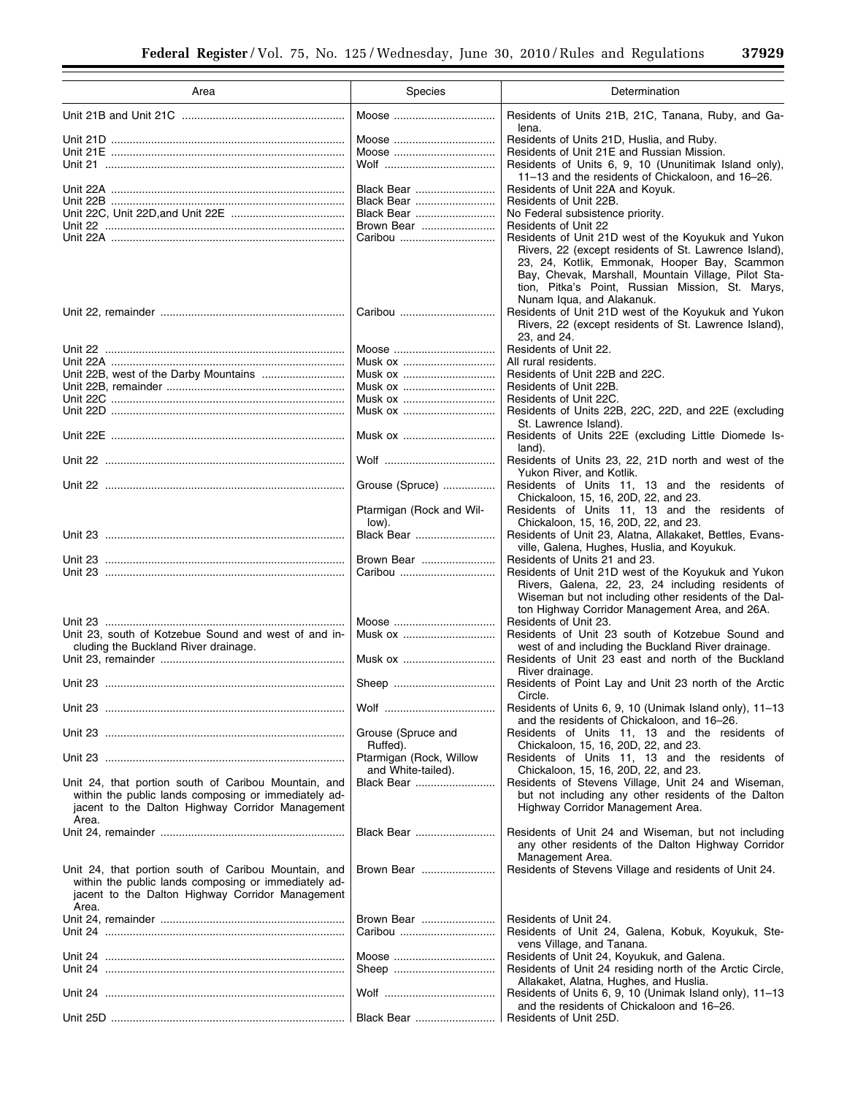| Area                                                                                                                                                                      | Species                           | Determination                                                                                                                                                                                                                                 |
|---------------------------------------------------------------------------------------------------------------------------------------------------------------------------|-----------------------------------|-----------------------------------------------------------------------------------------------------------------------------------------------------------------------------------------------------------------------------------------------|
|                                                                                                                                                                           | Moose                             | Residents of Units 21B, 21C, Tanana, Ruby, and Ga-                                                                                                                                                                                            |
|                                                                                                                                                                           |                                   | lena.                                                                                                                                                                                                                                         |
|                                                                                                                                                                           | Moose                             | Residents of Units 21D, Huslia, and Ruby.                                                                                                                                                                                                     |
|                                                                                                                                                                           | Moose                             | Residents of Unit 21E and Russian Mission.                                                                                                                                                                                                    |
|                                                                                                                                                                           |                                   | Residents of Units 6, 9, 10 (Ununitimak Island only),<br>11-13 and the residents of Chickaloon, and 16-26.                                                                                                                                    |
|                                                                                                                                                                           | Black Bear                        | Residents of Unit 22A and Koyuk.                                                                                                                                                                                                              |
|                                                                                                                                                                           | Black Bear                        | Residents of Unit 22B.                                                                                                                                                                                                                        |
|                                                                                                                                                                           | Black Bear                        | No Federal subsistence priority.                                                                                                                                                                                                              |
|                                                                                                                                                                           | Brown Bear                        | <b>Residents of Unit 22</b>                                                                                                                                                                                                                   |
|                                                                                                                                                                           | Caribou                           | Residents of Unit 21D west of the Koyukuk and Yukon                                                                                                                                                                                           |
|                                                                                                                                                                           |                                   | Rivers, 22 (except residents of St. Lawrence Island),<br>23, 24, Kotlik, Emmonak, Hooper Bay, Scammon<br>Bay, Chevak, Marshall, Mountain Village, Pilot Sta-<br>tion, Pitka's Point, Russian Mission, St. Marys,<br>Nunam Iqua, and Alakanuk. |
|                                                                                                                                                                           |                                   | Residents of Unit 21D west of the Koyukuk and Yukon                                                                                                                                                                                           |
|                                                                                                                                                                           |                                   | Rivers, 22 (except residents of St. Lawrence Island),                                                                                                                                                                                         |
|                                                                                                                                                                           |                                   | 23, and 24.                                                                                                                                                                                                                                   |
|                                                                                                                                                                           | Moose                             | Residents of Unit 22.                                                                                                                                                                                                                         |
|                                                                                                                                                                           | Musk ox                           | All rural residents.                                                                                                                                                                                                                          |
|                                                                                                                                                                           | Musk ox                           | Residents of Unit 22B and 22C.                                                                                                                                                                                                                |
|                                                                                                                                                                           | Musk ox                           | Residents of Unit 22B.                                                                                                                                                                                                                        |
|                                                                                                                                                                           | Musk ox                           | Residents of Unit 22C.                                                                                                                                                                                                                        |
|                                                                                                                                                                           | Musk ox                           | Residents of Units 22B, 22C, 22D, and 22E (excluding                                                                                                                                                                                          |
|                                                                                                                                                                           |                                   | St. Lawrence Island).                                                                                                                                                                                                                         |
|                                                                                                                                                                           | Musk ox                           | Residents of Units 22E (excluding Little Diomede Is-<br>land).                                                                                                                                                                                |
|                                                                                                                                                                           |                                   | Residents of Units 23, 22, 21D north and west of the<br>Yukon River, and Kotlik.                                                                                                                                                              |
|                                                                                                                                                                           | Grouse (Spruce)                   | Residents of Units 11, 13 and the residents of<br>Chickaloon, 15, 16, 20D, 22, and 23.                                                                                                                                                        |
|                                                                                                                                                                           | Ptarmigan (Rock and Wil-<br>low). | Residents of Units 11, 13 and the residents of<br>Chickaloon, 15, 16, 20D, 22, and 23.                                                                                                                                                        |
|                                                                                                                                                                           | Black Bear                        | Residents of Unit 23, Alatna, Allakaket, Bettles, Evans-<br>ville, Galena, Hughes, Huslia, and Koyukuk.                                                                                                                                       |
|                                                                                                                                                                           | Brown Bear                        | Residents of Units 21 and 23.                                                                                                                                                                                                                 |
|                                                                                                                                                                           | Caribou                           | Residents of Unit 21D west of the Koyukuk and Yukon<br>Rivers, Galena, 22, 23, 24 including residents of<br>Wiseman but not including other residents of the Dal-                                                                             |
|                                                                                                                                                                           |                                   | ton Highway Corridor Management Area, and 26A.                                                                                                                                                                                                |
|                                                                                                                                                                           | Moose                             | Residents of Unit 23.                                                                                                                                                                                                                         |
| Unit 23, south of Kotzebue Sound and west of and in-                                                                                                                      | Musk ox                           | Residents of Unit 23 south of Kotzebue Sound and                                                                                                                                                                                              |
| cluding the Buckland River drainage.                                                                                                                                      |                                   | west of and including the Buckland River drainage.                                                                                                                                                                                            |
|                                                                                                                                                                           | Musk ox                           | Residents of Unit 23 east and north of the Buckland<br>River drainage.                                                                                                                                                                        |
|                                                                                                                                                                           | Sheep                             | Residents of Point Lay and Unit 23 north of the Arctic<br>Circle.                                                                                                                                                                             |
|                                                                                                                                                                           |                                   | Residents of Units 6, 9, 10 (Unimak Island only), 11-13                                                                                                                                                                                       |
|                                                                                                                                                                           | Grouse (Spruce and                | and the residents of Chickaloon, and 16–26.<br>Residents of Units 11, 13 and the residents of                                                                                                                                                 |
|                                                                                                                                                                           | Ruffed).                          | Chickaloon, 15, 16, 20D, 22, and 23.                                                                                                                                                                                                          |
|                                                                                                                                                                           | Ptarmigan (Rock, Willow           | Residents of Units 11, 13 and the residents of                                                                                                                                                                                                |
|                                                                                                                                                                           | and White-tailed).                | Chickaloon, 15, 16, 20D, 22, and 23.                                                                                                                                                                                                          |
| Unit 24, that portion south of Caribou Mountain, and<br>within the public lands composing or immediately ad-<br>jacent to the Dalton Highway Corridor Management          | Black Bear                        | Residents of Stevens Village, Unit 24 and Wiseman,<br>but not including any other residents of the Dalton<br>Highway Corridor Management Area.                                                                                                |
| Area.                                                                                                                                                                     |                                   |                                                                                                                                                                                                                                               |
|                                                                                                                                                                           | Black Bear                        | Residents of Unit 24 and Wiseman, but not including<br>any other residents of the Dalton Highway Corridor                                                                                                                                     |
|                                                                                                                                                                           |                                   | Management Area.                                                                                                                                                                                                                              |
| Unit 24, that portion south of Caribou Mountain, and<br>within the public lands composing or immediately ad-<br>jacent to the Dalton Highway Corridor Management<br>Area. | Brown Bear                        | Residents of Stevens Village and residents of Unit 24.                                                                                                                                                                                        |
|                                                                                                                                                                           | Brown Bear                        | Residents of Unit 24.                                                                                                                                                                                                                         |
| Unit 24 …………………………………………………………………                                                                                                                                         | Caribou                           | Residents of Unit 24, Galena, Kobuk, Koyukuk, Ste-                                                                                                                                                                                            |
|                                                                                                                                                                           |                                   | vens Village, and Tanana.                                                                                                                                                                                                                     |
|                                                                                                                                                                           | Moose                             | Residents of Unit 24, Koyukuk, and Galena.<br>Residents of Unit 24 residing north of the Arctic Circle,                                                                                                                                       |
|                                                                                                                                                                           |                                   | Allakaket, Alatna, Hughes, and Huslia.<br>Residents of Units 6, 9, 10 (Unimak Island only), 11-13                                                                                                                                             |
|                                                                                                                                                                           |                                   | and the residents of Chickaloon and 16-26.<br>Residents of Unit 25D.                                                                                                                                                                          |
|                                                                                                                                                                           |                                   |                                                                                                                                                                                                                                               |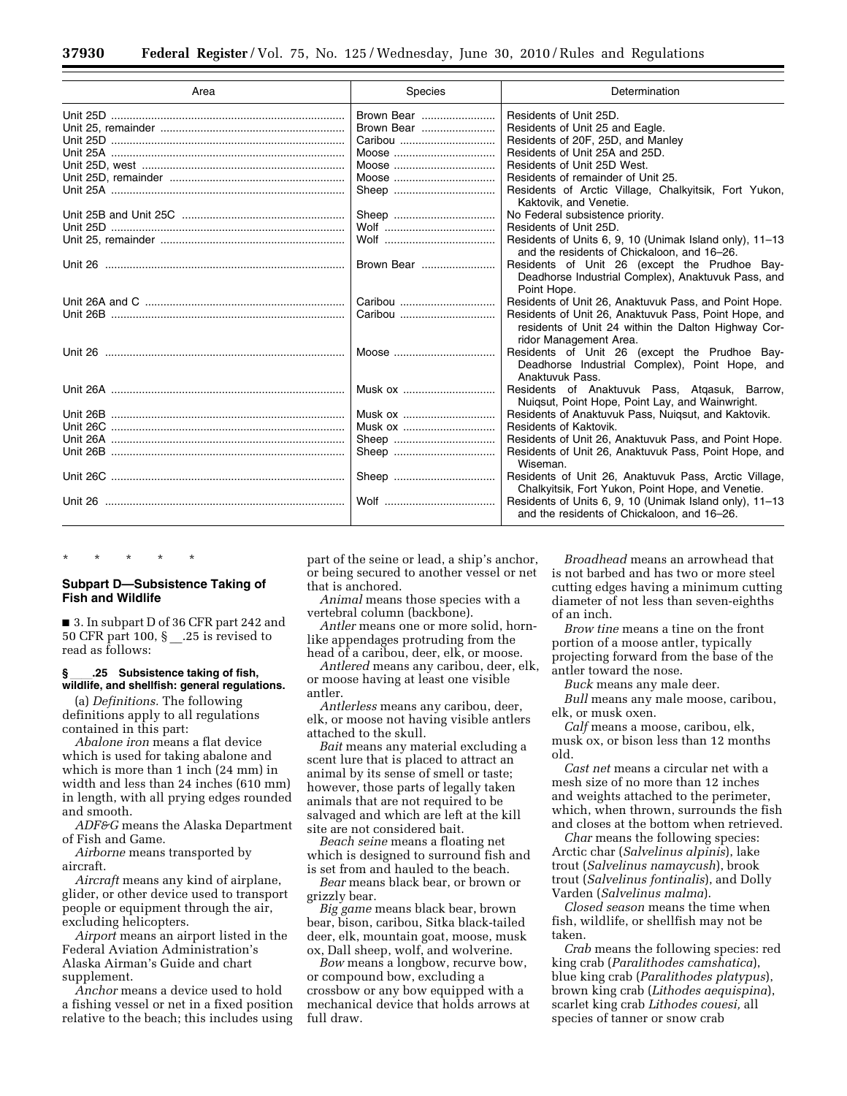| Area | Species    | Determination                                                                                                                          |
|------|------------|----------------------------------------------------------------------------------------------------------------------------------------|
|      | Brown Bear | Residents of Unit 25D.                                                                                                                 |
|      | Brown Bear | Residents of Unit 25 and Eagle.                                                                                                        |
|      |            | Residents of 20F, 25D, and Manley                                                                                                      |
|      |            | Residents of Unit 25A and 25D.                                                                                                         |
|      | Moose      | Residents of Unit 25D West.                                                                                                            |
|      | Moose      | Residents of remainder of Unit 25.                                                                                                     |
|      |            | Residents of Arctic Village, Chalkyitsik, Fort Yukon,<br>Kaktovik, and Venetie.                                                        |
|      | Sheep      | No Federal subsistence priority.                                                                                                       |
|      |            | Residents of Unit 25D.                                                                                                                 |
|      |            | Residents of Units 6, 9, 10 (Unimak Island only), 11–13<br>and the residents of Chickaloon, and 16-26.                                 |
|      | Brown Bear | Residents of Unit 26 (except the Prudhoe Bay-<br>Deadhorse Industrial Complex), Anaktuvuk Pass, and<br>Point Hope.                     |
|      | Caribou    | Residents of Unit 26, Anaktuvuk Pass, and Point Hope.                                                                                  |
|      | Caribou    | Residents of Unit 26, Anaktuvuk Pass, Point Hope, and<br>residents of Unit 24 within the Dalton Highway Cor-<br>ridor Management Area. |
|      | Moose      | Residents of Unit 26 (except the Prudhoe Bay-<br>Deadhorse Industrial Complex), Point Hope, and<br>Anaktuvuk Pass.                     |
|      | Musk ox    | Residents of Anaktuvuk Pass, Atgasuk, Barrow,<br>Nuigsut, Point Hope, Point Lay, and Wainwright.                                       |
|      | Musk ox    | Residents of Anaktuvuk Pass, Nuigsut, and Kaktovik.                                                                                    |
|      | Musk ox    | Residents of Kaktovik.                                                                                                                 |
|      |            | Residents of Unit 26, Anaktuvuk Pass, and Point Hope.                                                                                  |
|      |            | Residents of Unit 26, Anaktuvuk Pass, Point Hope, and<br>Wiseman.                                                                      |
|      |            | Residents of Unit 26, Anaktuvuk Pass, Arctic Village,<br>Chalkyitsik, Fort Yukon, Point Hope, and Venetie.                             |
|      |            | Residents of Units 6, 9, 10 (Unimak Island only), 11-13<br>and the residents of Chickaloon, and 16-26.                                 |

## **Subpart D—Subsistence Taking of Fish and Wildlife**

\* \* \* \* \*

■ 3. In subpart D of 36 CFR part 242 and 50 CFR part 100, § \_\_.25 is revised to read as follows:

## § \_\_\_\_.25 Subsistence taking of fish,<br>wildlife, and shellfish: general regulations.

(a) *Definitions.* The following definitions apply to all regulations contained in this part:

*Abalone iron* means a flat device which is used for taking abalone and which is more than 1 inch (24 mm) in width and less than 24 inches (610 mm) in length, with all prying edges rounded and smooth.

*ADF&G* means the Alaska Department of Fish and Game.

*Airborne* means transported by aircraft.

*Aircraft* means any kind of airplane, glider, or other device used to transport people or equipment through the air, excluding helicopters.

*Airport* means an airport listed in the Federal Aviation Administration's Alaska Airman's Guide and chart supplement.

*Anchor* means a device used to hold a fishing vessel or net in a fixed position relative to the beach; this includes using part of the seine or lead, a ship's anchor, or being secured to another vessel or net that is anchored.

*Animal* means those species with a vertebral column (backbone).

*Antler* means one or more solid, hornlike appendages protruding from the head of a caribou, deer, elk, or moose.

*Antlered* means any caribou, deer, elk, or moose having at least one visible antler.

*Antlerless* means any caribou, deer, elk, or moose not having visible antlers attached to the skull.

*Bait* means any material excluding a scent lure that is placed to attract an animal by its sense of smell or taste; however, those parts of legally taken animals that are not required to be salvaged and which are left at the kill site are not considered bait.

*Beach seine* means a floating net which is designed to surround fish and is set from and hauled to the beach.

*Bear* means black bear, or brown or grizzly bear.

*Big game* means black bear, brown bear, bison, caribou, Sitka black-tailed deer, elk, mountain goat, moose, musk ox, Dall sheep, wolf, and wolverine.

*Bow* means a longbow, recurve bow, or compound bow, excluding a crossbow or any bow equipped with a mechanical device that holds arrows at full draw.

*Broadhead* means an arrowhead that is not barbed and has two or more steel cutting edges having a minimum cutting diameter of not less than seven-eighths of an inch.

*Brow tine* means a tine on the front portion of a moose antler, typically projecting forward from the base of the antler toward the nose.

*Buck* means any male deer.

*Bull* means any male moose, caribou, elk, or musk oxen.

*Calf* means a moose, caribou, elk, musk ox, or bison less than 12 months old.

*Cast net* means a circular net with a mesh size of no more than 12 inches and weights attached to the perimeter, which, when thrown, surrounds the fish and closes at the bottom when retrieved.

*Char* means the following species: Arctic char (*Salvelinus alpinis*), lake trout (*Salvelinus namaycush*), brook trout (*Salvelinus fontinalis*), and Dolly Varden (*Salvelinus malma*).

*Closed season* means the time when fish, wildlife, or shellfish may not be taken.

*Crab* means the following species: red king crab (*Paralithodes camshatica*), blue king crab (*Paralithodes platypus*), brown king crab (*Lithodes aequispina*), scarlet king crab *Lithodes couesi,* all species of tanner or snow crab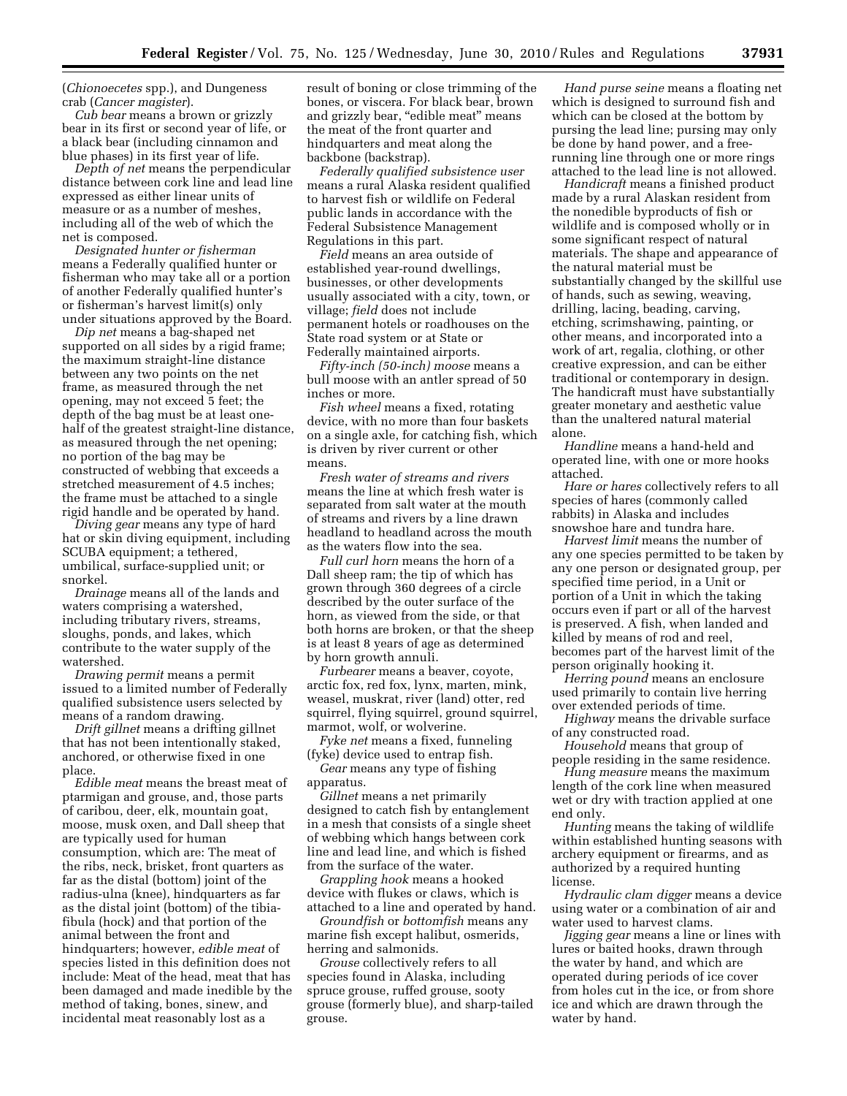(*Chionoecetes* spp.), and Dungeness crab (*Cancer magister*).

*Cub bear* means a brown or grizzly bear in its first or second year of life, or a black bear (including cinnamon and blue phases) in its first year of life.

*Depth of net* means the perpendicular distance between cork line and lead line expressed as either linear units of measure or as a number of meshes, including all of the web of which the net is composed.

*Designated hunter or fisherman*  means a Federally qualified hunter or fisherman who may take all or a portion of another Federally qualified hunter's or fisherman's harvest limit(s) only under situations approved by the Board.

*Dip net* means a bag-shaped net supported on all sides by a rigid frame; the maximum straight-line distance between any two points on the net frame, as measured through the net opening, may not exceed 5 feet; the depth of the bag must be at least onehalf of the greatest straight-line distance, as measured through the net opening; no portion of the bag may be constructed of webbing that exceeds a stretched measurement of 4.5 inches; the frame must be attached to a single rigid handle and be operated by hand.

*Diving gear* means any type of hard hat or skin diving equipment, including SCUBA equipment; a tethered, umbilical, surface-supplied unit; or snorkel.

*Drainage* means all of the lands and waters comprising a watershed, including tributary rivers, streams, sloughs, ponds, and lakes, which contribute to the water supply of the watershed.

*Drawing permit* means a permit issued to a limited number of Federally qualified subsistence users selected by means of a random drawing.

*Drift gillnet* means a drifting gillnet that has not been intentionally staked, anchored, or otherwise fixed in one place.

*Edible meat* means the breast meat of ptarmigan and grouse, and, those parts of caribou, deer, elk, mountain goat, moose, musk oxen, and Dall sheep that are typically used for human consumption, which are: The meat of the ribs, neck, brisket, front quarters as far as the distal (bottom) joint of the radius-ulna (knee), hindquarters as far as the distal joint (bottom) of the tibiafibula (hock) and that portion of the animal between the front and hindquarters; however, *edible meat* of species listed in this definition does not include: Meat of the head, meat that has been damaged and made inedible by the method of taking, bones, sinew, and incidental meat reasonably lost as a

result of boning or close trimming of the bones, or viscera. For black bear, brown and grizzly bear, "edible meat" means the meat of the front quarter and hindquarters and meat along the backbone (backstrap).

*Federally qualified subsistence user*  means a rural Alaska resident qualified to harvest fish or wildlife on Federal public lands in accordance with the Federal Subsistence Management Regulations in this part.

*Field* means an area outside of established year-round dwellings, businesses, or other developments usually associated with a city, town, or village; *field* does not include permanent hotels or roadhouses on the State road system or at State or Federally maintained airports.

*Fifty-inch (50-inch) moose* means a bull moose with an antler spread of 50 inches or more.

*Fish wheel* means a fixed, rotating device, with no more than four baskets on a single axle, for catching fish, which is driven by river current or other means.

*Fresh water of streams and rivers*  means the line at which fresh water is separated from salt water at the mouth of streams and rivers by a line drawn headland to headland across the mouth as the waters flow into the sea.

*Full curl horn* means the horn of a Dall sheep ram; the tip of which has grown through 360 degrees of a circle described by the outer surface of the horn, as viewed from the side, or that both horns are broken, or that the sheep is at least 8 years of age as determined by horn growth annuli.

*Furbearer* means a beaver, coyote, arctic fox, red fox, lynx, marten, mink, weasel, muskrat, river (land) otter, red squirrel, flying squirrel, ground squirrel, marmot, wolf, or wolverine.

*Fyke net* means a fixed, funneling (fyke) device used to entrap fish.

*Gear* means any type of fishing apparatus.

*Gillnet* means a net primarily designed to catch fish by entanglement in a mesh that consists of a single sheet of webbing which hangs between cork line and lead line, and which is fished from the surface of the water.

*Grappling hook* means a hooked device with flukes or claws, which is attached to a line and operated by hand.

*Groundfish* or *bottomfish* means any marine fish except halibut, osmerids, herring and salmonids.

*Grouse* collectively refers to all species found in Alaska, including spruce grouse, ruffed grouse, sooty grouse (formerly blue), and sharp-tailed grouse.

*Hand purse seine* means a floating net which is designed to surround fish and which can be closed at the bottom by pursing the lead line; pursing may only be done by hand power, and a freerunning line through one or more rings attached to the lead line is not allowed.

*Handicraft* means a finished product made by a rural Alaskan resident from the nonedible byproducts of fish or wildlife and is composed wholly or in some significant respect of natural materials. The shape and appearance of the natural material must be substantially changed by the skillful use of hands, such as sewing, weaving, drilling, lacing, beading, carving, etching, scrimshawing, painting, or other means, and incorporated into a work of art, regalia, clothing, or other creative expression, and can be either traditional or contemporary in design. The handicraft must have substantially greater monetary and aesthetic value than the unaltered natural material alone.

*Handline* means a hand-held and operated line, with one or more hooks attached.

*Hare or hares* collectively refers to all species of hares (commonly called rabbits) in Alaska and includes snowshoe hare and tundra hare.

*Harvest limit* means the number of any one species permitted to be taken by any one person or designated group, per specified time period, in a Unit or portion of a Unit in which the taking occurs even if part or all of the harvest is preserved. A fish, when landed and killed by means of rod and reel, becomes part of the harvest limit of the person originally hooking it.

*Herring pound* means an enclosure used primarily to contain live herring over extended periods of time.

*Highway* means the drivable surface of any constructed road.

*Household* means that group of people residing in the same residence.

*Hung measure* means the maximum length of the cork line when measured wet or dry with traction applied at one end only.

*Hunting* means the taking of wildlife within established hunting seasons with archery equipment or firearms, and as authorized by a required hunting license.

*Hydraulic clam digger* means a device using water or a combination of air and water used to harvest clams.

*Jigging gear* means a line or lines with lures or baited hooks, drawn through the water by hand, and which are operated during periods of ice cover from holes cut in the ice, or from shore ice and which are drawn through the water by hand.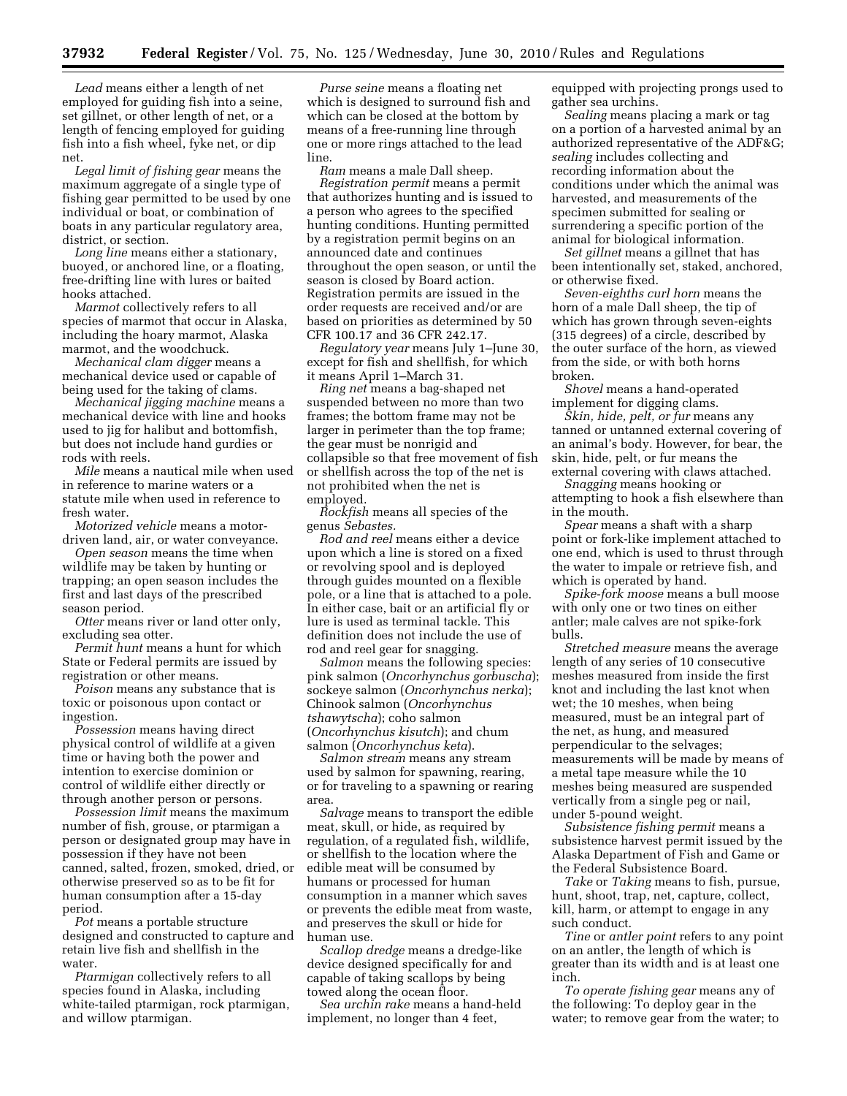*Lead* means either a length of net employed for guiding fish into a seine, set gillnet, or other length of net, or a length of fencing employed for guiding fish into a fish wheel, fyke net, or dip net.

*Legal limit of fishing gear* means the maximum aggregate of a single type of fishing gear permitted to be used by one individual or boat, or combination of boats in any particular regulatory area, district, or section.

*Long line* means either a stationary, buoyed, or anchored line, or a floating, free-drifting line with lures or baited hooks attached.

*Marmot* collectively refers to all species of marmot that occur in Alaska, including the hoary marmot, Alaska marmot, and the woodchuck.

*Mechanical clam digger* means a mechanical device used or capable of being used for the taking of clams.

*Mechanical jigging machine* means a mechanical device with line and hooks used to jig for halibut and bottomfish, but does not include hand gurdies or rods with reels.

*Mile* means a nautical mile when used in reference to marine waters or a statute mile when used in reference to fresh water.

*Motorized vehicle* means a motordriven land, air, or water conveyance.

*Open season* means the time when wildlife may be taken by hunting or trapping; an open season includes the first and last days of the prescribed season period.

*Otter* means river or land otter only, excluding sea otter.

*Permit hunt* means a hunt for which State or Federal permits are issued by registration or other means.

*Poison* means any substance that is toxic or poisonous upon contact or ingestion.

*Possession* means having direct physical control of wildlife at a given time or having both the power and intention to exercise dominion or control of wildlife either directly or through another person or persons.

*Possession limit* means the maximum number of fish, grouse, or ptarmigan a person or designated group may have in possession if they have not been canned, salted, frozen, smoked, dried, or otherwise preserved so as to be fit for human consumption after a 15-day period.

*Pot* means a portable structure designed and constructed to capture and retain live fish and shellfish in the water.

*Ptarmigan* collectively refers to all species found in Alaska, including white-tailed ptarmigan, rock ptarmigan, and willow ptarmigan.

*Purse seine* means a floating net which is designed to surround fish and which can be closed at the bottom by means of a free-running line through one or more rings attached to the lead line.

*Ram* means a male Dall sheep. *Registration permit* means a permit that authorizes hunting and is issued to a person who agrees to the specified hunting conditions. Hunting permitted by a registration permit begins on an announced date and continues throughout the open season, or until the season is closed by Board action. Registration permits are issued in the order requests are received and/or are based on priorities as determined by 50 CFR 100.17 and 36 CFR 242.17.

*Regulatory year* means July 1–June 30, except for fish and shellfish, for which it means April 1–March 31.

*Ring net* means a bag-shaped net suspended between no more than two frames; the bottom frame may not be larger in perimeter than the top frame; the gear must be nonrigid and collapsible so that free movement of fish or shellfish across the top of the net is not prohibited when the net is employed.

*Rockfish* means all species of the genus *Sebastes.* 

*Rod and reel* means either a device upon which a line is stored on a fixed or revolving spool and is deployed through guides mounted on a flexible pole, or a line that is attached to a pole. In either case, bait or an artificial fly or lure is used as terminal tackle. This definition does not include the use of rod and reel gear for snagging.

*Salmon* means the following species: pink salmon (*Oncorhynchus gorbuscha*); sockeye salmon (*Oncorhynchus nerka*); Chinook salmon (*Oncorhynchus tshawytscha*); coho salmon (*Oncorhynchus kisutch*); and chum salmon (*Oncorhynchus keta*).

*Salmon stream* means any stream used by salmon for spawning, rearing, or for traveling to a spawning or rearing area.

*Salvage* means to transport the edible meat, skull, or hide, as required by regulation, of a regulated fish, wildlife, or shellfish to the location where the edible meat will be consumed by humans or processed for human consumption in a manner which saves or prevents the edible meat from waste, and preserves the skull or hide for human use.

*Scallop dredge* means a dredge-like device designed specifically for and capable of taking scallops by being towed along the ocean floor.

*Sea urchin rake* means a hand-held implement, no longer than 4 feet,

equipped with projecting prongs used to gather sea urchins.

*Sealing* means placing a mark or tag on a portion of a harvested animal by an authorized representative of the ADF&G; *sealing* includes collecting and recording information about the conditions under which the animal was harvested, and measurements of the specimen submitted for sealing or surrendering a specific portion of the animal for biological information.

*Set gillnet* means a gillnet that has been intentionally set, staked, anchored, or otherwise fixed.

*Seven-eighths curl horn* means the horn of a male Dall sheep, the tip of which has grown through seven-eights (315 degrees) of a circle, described by the outer surface of the horn, as viewed from the side, or with both horns broken.

*Shovel* means a hand-operated implement for digging clams.

*Skin, hide, pelt, or fur* means any tanned or untanned external covering of an animal's body. However, for bear, the skin, hide, pelt, or fur means the external covering with claws attached.

*Snagging* means hooking or attempting to hook a fish elsewhere than in the mouth.

*Spear* means a shaft with a sharp point or fork-like implement attached to one end, which is used to thrust through the water to impale or retrieve fish, and which is operated by hand.

*Spike-fork moose* means a bull moose with only one or two tines on either antler; male calves are not spike-fork bulls.

*Stretched measure* means the average length of any series of 10 consecutive meshes measured from inside the first knot and including the last knot when wet; the 10 meshes, when being measured, must be an integral part of the net, as hung, and measured perpendicular to the selvages; measurements will be made by means of a metal tape measure while the 10 meshes being measured are suspended vertically from a single peg or nail, under 5-pound weight.

*Subsistence fishing permit* means a subsistence harvest permit issued by the Alaska Department of Fish and Game or the Federal Subsistence Board.

*Take* or *Taking* means to fish, pursue, hunt, shoot, trap, net, capture, collect, kill, harm, or attempt to engage in any such conduct.

*Tine* or *antler point* refers to any point on an antler, the length of which is greater than its width and is at least one inch.

*To operate fishing gear* means any of the following: To deploy gear in the water; to remove gear from the water; to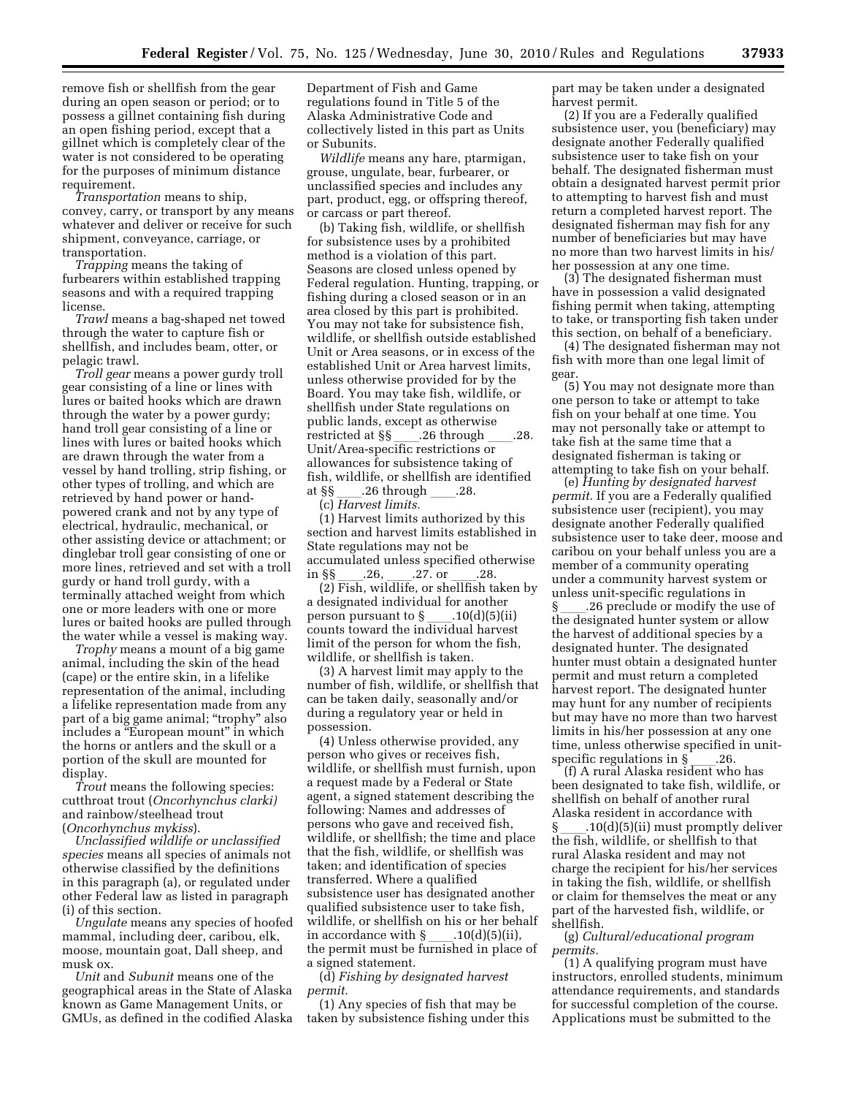remove fish or shellfish from the gear during an open season or period; or to possess a gillnet containing fish during an open fishing period, except that a gillnet which is completely clear of the water is not considered to be operating for the purposes of minimum distance requirement.

*Transportation* means to ship, convey, carry, or transport by any means whatever and deliver or receive for such shipment, conveyance, carriage, or transportation.

*Trapping* means the taking of furbearers within established trapping seasons and with a required trapping license.

*Trawl* means a bag-shaped net towed through the water to capture fish or shellfish, and includes beam, otter, or pelagic trawl.

*Troll gear* means a power gurdy troll gear consisting of a line or lines with lures or baited hooks which are drawn through the water by a power gurdy; hand troll gear consisting of a line or lines with lures or baited hooks which are drawn through the water from a vessel by hand trolling, strip fishing, or other types of trolling, and which are retrieved by hand power or handpowered crank and not by any type of electrical, hydraulic, mechanical, or other assisting device or attachment; or dinglebar troll gear consisting of one or more lines, retrieved and set with a troll gurdy or hand troll gurdy, with a terminally attached weight from which one or more leaders with one or more lures or baited hooks are pulled through the water while a vessel is making way.

*Trophy* means a mount of a big game animal, including the skin of the head (cape) or the entire skin, in a lifelike representation of the animal, including a lifelike representation made from any part of a big game animal; ''trophy'' also includes a ''European mount'' in which the horns or antlers and the skull or a portion of the skull are mounted for display.

*Trout* means the following species: cutthroat trout (*Oncorhynchus clarki)*  and rainbow/steelhead trout (*Oncorhynchus mykiss*).

*Unclassified wildlife or unclassified species* means all species of animals not otherwise classified by the definitions in this paragraph (a), or regulated under other Federal law as listed in paragraph (i) of this section.

*Ungulate* means any species of hoofed mammal, including deer, caribou, elk, moose, mountain goat, Dall sheep, and musk ox.

*Unit* and *Subunit* means one of the geographical areas in the State of Alaska known as Game Management Units, or GMUs, as defined in the codified Alaska

Department of Fish and Game regulations found in Title 5 of the Alaska Administrative Code and collectively listed in this part as Units or Subunits.

*Wildlife* means any hare, ptarmigan, grouse, ungulate, bear, furbearer, or unclassified species and includes any part, product, egg, or offspring thereof, or carcass or part thereof.

(b) Taking fish, wildlife, or shellfish for subsistence uses by a prohibited method is a violation of this part. Seasons are closed unless opened by Federal regulation. Hunting, trapping, or fishing during a closed season or in an area closed by this part is prohibited. You may not take for subsistence fish, wildlife, or shellfish outside established Unit or Area seasons, or in excess of the established Unit or Area harvest limits, unless otherwise provided for by the Board. You may take fish, wildlife, or shellfish under State regulations on public lands, except as otherwise<br>restricted at §§ .26 through restricted at §§\_\_\_\_.26 through \_\_\_\_.28.<br>Unit/Area-specific restrictions or allowances for subsistence taking of fish, wildlife, or shellfish are identified<br>at §§ .26 through .28. at §§<sub>\_\_\_\_\_</sub>.26 through \_\_\_\_.28.<br>(c) *Harvest limits.* 

(1) Harvest limits authorized by this section and harvest limits established in State regulations may not be accumulated unless specified otherwise

in §§\_\_\_\_.26, \_\_\_\_.27. or \_\_\_\_.28.<br>(2) Fish, wildlife, or shellfish taken by a designated individual for another<br>person pursuant to  $\S$  \_\_\_\_\_.10(d)(5)(i person pursuant to §\_\_\_\_.10(d)(5)(ii)<br>counts toward the individual harvest limit of the person for whom the fish, wildlife, or shellfish is taken.

(3) A harvest limit may apply to the number of fish, wildlife, or shellfish that can be taken daily, seasonally and/or during a regulatory year or held in possession.

(4) Unless otherwise provided, any person who gives or receives fish, wildlife, or shellfish must furnish, upon a request made by a Federal or State agent, a signed statement describing the following: Names and addresses of persons who gave and received fish, wildlife, or shellfish; the time and place that the fish, wildlife, or shellfish was taken; and identification of species transferred. Where a qualified subsistence user has designated another qualified subsistence user to take fish, wildlife, or shellfish on his or her behalf in accordance with § \_\_\_\_.10(d)(5)(ii),<br>the permit must be furnished in place of a signed statement.

(d) *Fishing by designated harvest permit.* 

(1) Any species of fish that may be taken by subsistence fishing under this part may be taken under a designated harvest permit.

(2) If you are a Federally qualified subsistence user, you (beneficiary) may designate another Federally qualified subsistence user to take fish on your behalf. The designated fisherman must obtain a designated harvest permit prior to attempting to harvest fish and must return a completed harvest report. The designated fisherman may fish for any number of beneficiaries but may have no more than two harvest limits in his/ her possession at any one time.

(3) The designated fisherman must have in possession a valid designated fishing permit when taking, attempting to take, or transporting fish taken under this section, on behalf of a beneficiary.

(4) The designated fisherman may not fish with more than one legal limit of gear.

(5) You may not designate more than one person to take or attempt to take fish on your behalf at one time. You may not personally take or attempt to take fish at the same time that a designated fisherman is taking or attempting to take fish on your behalf.

(e) *Hunting by designated harvest permit.* If you are a Federally qualified subsistence user (recipient), you may designate another Federally qualified subsistence user to take deer, moose and caribou on your behalf unless you are a member of a community operating under a community harvest system or unless unit-specific regulations in §ll.26 preclude or modify the use of the designated hunter system or allow the harvest of additional species by a designated hunter. The designated hunter must obtain a designated hunter permit and must return a completed harvest report. The designated hunter may hunt for any number of recipients but may have no more than two harvest limits in his/her possession at any one time, unless otherwise specified in unit-

specific regulations in §\_\_\_\_.26.<br>(f) A rural Alaska resident who has been designated to take fish, wildlife, or shellfish on behalf of another rural Alaska resident in accordance with §ll.10(d)(5)(ii) must promptly deliver the fish, wildlife, or shellfish to that rural Alaska resident and may not charge the recipient for his/her services in taking the fish, wildlife, or shellfish or claim for themselves the meat or any part of the harvested fish, wildlife, or shellfish.

(g) *Cultural/educational program permits.* 

(1) A qualifying program must have instructors, enrolled students, minimum attendance requirements, and standards for successful completion of the course. Applications must be submitted to the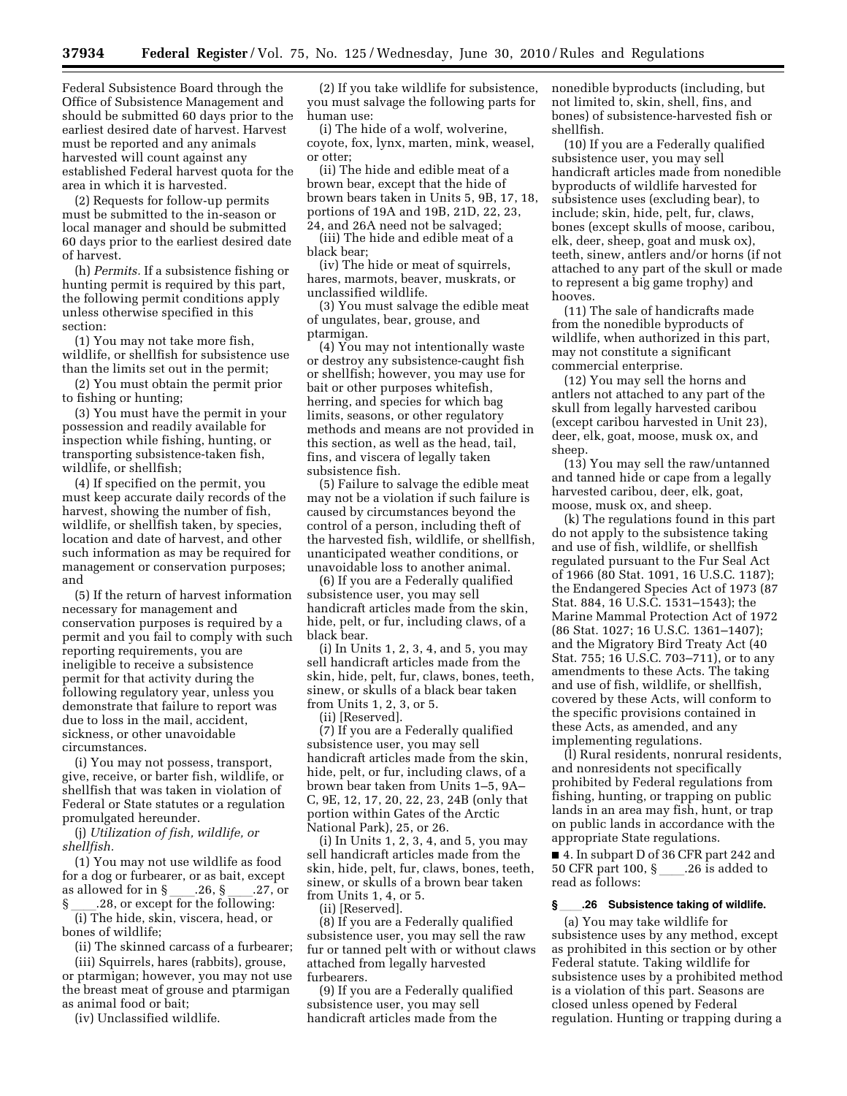Federal Subsistence Board through the Office of Subsistence Management and should be submitted 60 days prior to the earliest desired date of harvest. Harvest must be reported and any animals harvested will count against any established Federal harvest quota for the area in which it is harvested.

(2) Requests for follow-up permits must be submitted to the in-season or local manager and should be submitted 60 days prior to the earliest desired date of harvest.

(h) *Permits.* If a subsistence fishing or hunting permit is required by this part, the following permit conditions apply unless otherwise specified in this section:

(1) You may not take more fish, wildlife, or shellfish for subsistence use than the limits set out in the permit;

(2) You must obtain the permit prior to fishing or hunting;

(3) You must have the permit in your possession and readily available for inspection while fishing, hunting, or transporting subsistence-taken fish, wildlife, or shellfish;

(4) If specified on the permit, you must keep accurate daily records of the harvest, showing the number of fish, wildlife, or shellfish taken, by species, location and date of harvest, and other such information as may be required for management or conservation purposes; and

(5) If the return of harvest information necessary for management and conservation purposes is required by a permit and you fail to comply with such reporting requirements, you are ineligible to receive a subsistence permit for that activity during the following regulatory year, unless you demonstrate that failure to report was due to loss in the mail, accident, sickness, or other unavoidable circumstances.

(i) You may not possess, transport, give, receive, or barter fish, wildlife, or shellfish that was taken in violation of Federal or State statutes or a regulation promulgated hereunder.

(j) *Utilization of fish, wildlife, or shellfish.* 

(1) You may not use wildlife as food for a dog or furbearer, or as bait, except as allowed for in §ll.26, §ll.27, or

 $\S$  \_\_\_\_.28, or except for the following:<br>(i) The hide skin viscers head or (i) The hide, skin, viscera, head, or bones of wildlife;

(ii) The skinned carcass of a furbearer;

(iii) Squirrels, hares (rabbits), grouse, or ptarmigan; however, you may not use the breast meat of grouse and ptarmigan as animal food or bait;

(iv) Unclassified wildlife.

(2) If you take wildlife for subsistence, you must salvage the following parts for human use:

(i) The hide of a wolf, wolverine, coyote, fox, lynx, marten, mink, weasel, or otter;

(ii) The hide and edible meat of a brown bear, except that the hide of brown bears taken in Units 5, 9B, 17, 18, portions of 19A and 19B, 21D, 22, 23, 24, and 26A need not be salvaged;

(iii) The hide and edible meat of a black bear;

(iv) The hide or meat of squirrels, hares, marmots, beaver, muskrats, or unclassified wildlife.

(3) You must salvage the edible meat of ungulates, bear, grouse, and ptarmigan.

(4) You may not intentionally waste or destroy any subsistence-caught fish or shellfish; however, you may use for bait or other purposes whitefish, herring, and species for which bag limits, seasons, or other regulatory methods and means are not provided in this section, as well as the head, tail, fins, and viscera of legally taken subsistence fish.

(5) Failure to salvage the edible meat may not be a violation if such failure is caused by circumstances beyond the control of a person, including theft of the harvested fish, wildlife, or shellfish, unanticipated weather conditions, or unavoidable loss to another animal.

(6) If you are a Federally qualified subsistence user, you may sell handicraft articles made from the skin, hide, pelt, or fur, including claws, of a black bear.

(i) In Units 1, 2, 3, 4, and 5, you may sell handicraft articles made from the skin, hide, pelt, fur, claws, bones, teeth, sinew, or skulls of a black bear taken from Units 1, 2, 3, or 5.

(ii) [Reserved].

(7) If you are a Federally qualified subsistence user, you may sell handicraft articles made from the skin, hide, pelt, or fur, including claws, of a brown bear taken from Units 1–5, 9A– C, 9E, 12, 17, 20, 22, 23, 24B (only that portion within Gates of the Arctic National Park), 25, or 26.

(i) In Units 1, 2, 3, 4, and 5, you may sell handicraft articles made from the skin, hide, pelt, fur, claws, bones, teeth, sinew, or skulls of a brown bear taken from Units 1, 4, or 5.

(ii) [Reserved].

(8) If you are a Federally qualified subsistence user, you may sell the raw fur or tanned pelt with or without claws attached from legally harvested furbearers.

(9) If you are a Federally qualified subsistence user, you may sell handicraft articles made from the

nonedible byproducts (including, but not limited to, skin, shell, fins, and bones) of subsistence-harvested fish or shellfish.

(10) If you are a Federally qualified subsistence user, you may sell handicraft articles made from nonedible byproducts of wildlife harvested for subsistence uses (excluding bear), to include; skin, hide, pelt, fur, claws, bones (except skulls of moose, caribou, elk, deer, sheep, goat and musk ox), teeth, sinew, antlers and/or horns (if not attached to any part of the skull or made to represent a big game trophy) and hooves.

(11) The sale of handicrafts made from the nonedible byproducts of wildlife, when authorized in this part, may not constitute a significant commercial enterprise.

(12) You may sell the horns and antlers not attached to any part of the skull from legally harvested caribou (except caribou harvested in Unit 23), deer, elk, goat, moose, musk ox, and sheep.

(13) You may sell the raw/untanned and tanned hide or cape from a legally harvested caribou, deer, elk, goat, moose, musk ox, and sheep.

(k) The regulations found in this part do not apply to the subsistence taking and use of fish, wildlife, or shellfish regulated pursuant to the Fur Seal Act of 1966 (80 Stat. 1091, 16 U.S.C. 1187); the Endangered Species Act of 1973 (87 Stat. 884, 16 U.S.C. 1531–1543); the Marine Mammal Protection Act of 1972 (86 Stat. 1027; 16 U.S.C. 1361–1407); and the Migratory Bird Treaty Act (40 Stat. 755; 16 U.S.C. 703–711), or to any amendments to these Acts. The taking and use of fish, wildlife, or shellfish, covered by these Acts, will conform to the specific provisions contained in these Acts, as amended, and any implementing regulations.

(l) Rural residents, nonrural residents, and nonresidents not specifically prohibited by Federal regulations from fishing, hunting, or trapping on public lands in an area may fish, hunt, or trap on public lands in accordance with the appropriate State regulations.

■ 4. In subpart D of 36 CFR part 242 and 50 CFR part 100, § .26 is added to read as follows:

### **§**ll**.26 Subsistence taking of wildlife.**

(a) You may take wildlife for subsistence uses by any method, except as prohibited in this section or by other Federal statute. Taking wildlife for subsistence uses by a prohibited method is a violation of this part. Seasons are closed unless opened by Federal regulation. Hunting or trapping during a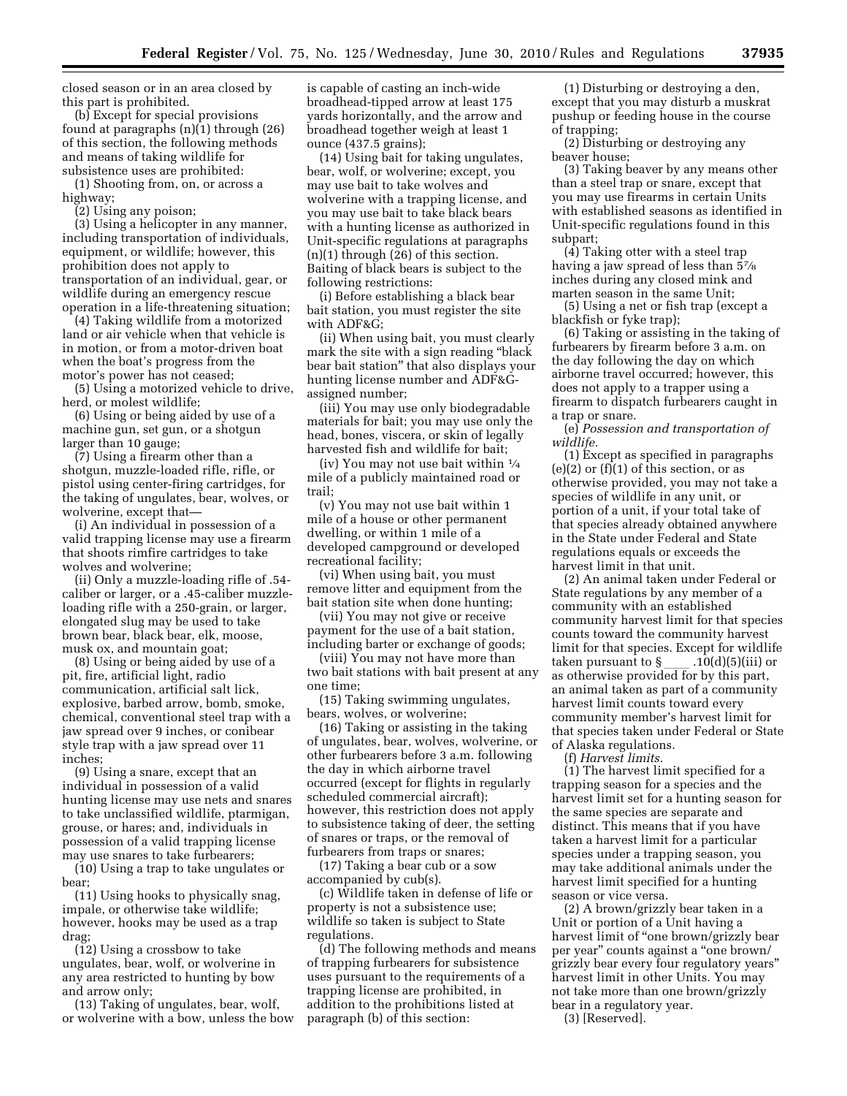closed season or in an area closed by this part is prohibited.

(b) Except for special provisions found at paragraphs (n)(1) through (26) of this section, the following methods and means of taking wildlife for subsistence uses are prohibited:

(1) Shooting from, on, or across a highway;

(2) Using any poison;

(3) Using a helicopter in any manner, including transportation of individuals, equipment, or wildlife; however, this prohibition does not apply to transportation of an individual, gear, or wildlife during an emergency rescue operation in a life-threatening situation;

(4) Taking wildlife from a motorized land or air vehicle when that vehicle is in motion, or from a motor-driven boat when the boat's progress from the motor's power has not ceased;

(5) Using a motorized vehicle to drive, herd, or molest wildlife;

(6) Using or being aided by use of a machine gun, set gun, or a shotgun larger than 10 gauge;

(7) Using a firearm other than a shotgun, muzzle-loaded rifle, rifle, or pistol using center-firing cartridges, for the taking of ungulates, bear, wolves, or wolverine, except that—

(i) An individual in possession of a valid trapping license may use a firearm that shoots rimfire cartridges to take wolves and wolverine;

(ii) Only a muzzle-loading rifle of .54 caliber or larger, or a .45-caliber muzzleloading rifle with a 250-grain, or larger, elongated slug may be used to take brown bear, black bear, elk, moose, musk ox, and mountain goat;

(8) Using or being aided by use of a pit, fire, artificial light, radio communication, artificial salt lick, explosive, barbed arrow, bomb, smoke, chemical, conventional steel trap with a jaw spread over 9 inches, or conibear style trap with a jaw spread over 11 inches;

(9) Using a snare, except that an individual in possession of a valid hunting license may use nets and snares to take unclassified wildlife, ptarmigan, grouse, or hares; and, individuals in possession of a valid trapping license may use snares to take furbearers;

(10) Using a trap to take ungulates or bear;

(11) Using hooks to physically snag, impale, or otherwise take wildlife; however, hooks may be used as a trap drag;

(12) Using a crossbow to take ungulates, bear, wolf, or wolverine in any area restricted to hunting by bow and arrow only;

(13) Taking of ungulates, bear, wolf, or wolverine with a bow, unless the bow is capable of casting an inch-wide broadhead-tipped arrow at least 175 yards horizontally, and the arrow and broadhead together weigh at least 1 ounce (437.5 grains);

(14) Using bait for taking ungulates, bear, wolf, or wolverine; except, you may use bait to take wolves and wolverine with a trapping license, and you may use bait to take black bears with a hunting license as authorized in Unit-specific regulations at paragraphs (n)(1) through (26) of this section. Baiting of black bears is subject to the following restrictions:

(i) Before establishing a black bear bait station, you must register the site with ADF&G;

(ii) When using bait, you must clearly mark the site with a sign reading ''black bear bait station'' that also displays your hunting license number and ADF&Gassigned number;

(iii) You may use only biodegradable materials for bait; you may use only the head, bones, viscera, or skin of legally harvested fish and wildlife for bait;

(iv) You may not use bait within  $\frac{1}{4}$ mile of a publicly maintained road or trail;

(v) You may not use bait within 1 mile of a house or other permanent dwelling, or within 1 mile of a developed campground or developed recreational facility;

(vi) When using bait, you must remove litter and equipment from the bait station site when done hunting;

(vii) You may not give or receive payment for the use of a bait station, including barter or exchange of goods;

(viii) You may not have more than two bait stations with bait present at any one time;

(15) Taking swimming ungulates, bears, wolves, or wolverine;

(16) Taking or assisting in the taking of ungulates, bear, wolves, wolverine, or other furbearers before 3 a.m. following the day in which airborne travel occurred (except for flights in regularly scheduled commercial aircraft); however, this restriction does not apply to subsistence taking of deer, the setting of snares or traps, or the removal of furbearers from traps or snares;

(17) Taking a bear cub or a sow accompanied by cub(s).

(c) Wildlife taken in defense of life or property is not a subsistence use; wildlife so taken is subject to State regulations.

(d) The following methods and means of trapping furbearers for subsistence uses pursuant to the requirements of a trapping license are prohibited, in addition to the prohibitions listed at paragraph (b) of this section:

(1) Disturbing or destroying a den, except that you may disturb a muskrat pushup or feeding house in the course of trapping;

(2) Disturbing or destroying any beaver house;

(3) Taking beaver by any means other than a steel trap or snare, except that you may use firearms in certain Units with established seasons as identified in Unit-specific regulations found in this subpart;

(4) Taking otter with a steel trap having a jaw spread of less than 57⁄8 inches during any closed mink and marten season in the same Unit;

(5) Using a net or fish trap (except a blackfish or fyke trap);

(6) Taking or assisting in the taking of furbearers by firearm before 3 a.m. on the day following the day on which airborne travel occurred; however, this does not apply to a trapper using a firearm to dispatch furbearers caught in a trap or snare.

(e) *Possession and transportation of wildlife.* 

(1) Except as specified in paragraphs  $(e)(2)$  or  $(f)(1)$  of this section, or as otherwise provided, you may not take a species of wildlife in any unit, or portion of a unit, if your total take of that species already obtained anywhere in the State under Federal and State regulations equals or exceeds the harvest limit in that unit.

(2) An animal taken under Federal or State regulations by any member of a community with an established community harvest limit for that species counts toward the community harvest limit for that species. Except for wildlife taken pursuant to § \_\_\_ .10(d)(5)(iii) or<br>as otherwise provided for by this part, an animal taken as part of a community harvest limit counts toward every community member's harvest limit for that species taken under Federal or State of Alaska regulations.

(f) *Harvest limits.* 

(1) The harvest limit specified for a trapping season for a species and the harvest limit set for a hunting season for the same species are separate and distinct. This means that if you have taken a harvest limit for a particular species under a trapping season, you may take additional animals under the harvest limit specified for a hunting season or vice versa.

(2) A brown/grizzly bear taken in a Unit or portion of a Unit having a harvest limit of "one brown/grizzly bear per year'' counts against a ''one brown/ grizzly bear every four regulatory years'' harvest limit in other Units. You may not take more than one brown/grizzly bear in a regulatory year. (3) [Reserved].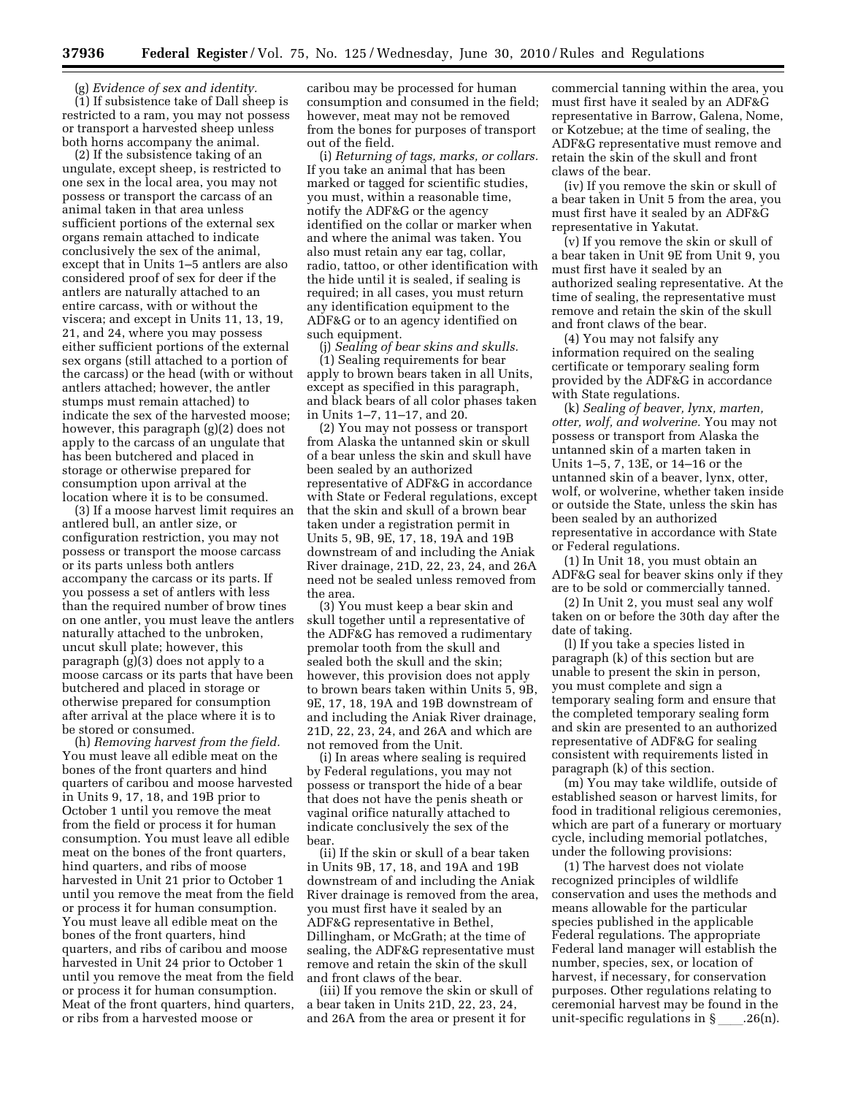(g) *Evidence of sex and identity.*  (1) If subsistence take of Dall sheep is restricted to a ram, you may not possess or transport a harvested sheep unless both horns accompany the animal.

(2) If the subsistence taking of an ungulate, except sheep, is restricted to one sex in the local area, you may not possess or transport the carcass of an animal taken in that area unless sufficient portions of the external sex organs remain attached to indicate conclusively the sex of the animal, except that in Units 1–5 antlers are also considered proof of sex for deer if the antlers are naturally attached to an entire carcass, with or without the viscera; and except in Units 11, 13, 19, 21, and 24, where you may possess either sufficient portions of the external sex organs (still attached to a portion of the carcass) or the head (with or without antlers attached; however, the antler stumps must remain attached) to indicate the sex of the harvested moose; however, this paragraph (g)(2) does not apply to the carcass of an ungulate that has been butchered and placed in storage or otherwise prepared for consumption upon arrival at the location where it is to be consumed.

(3) If a moose harvest limit requires an antlered bull, an antler size, or configuration restriction, you may not possess or transport the moose carcass or its parts unless both antlers accompany the carcass or its parts. If you possess a set of antlers with less than the required number of brow tines on one antler, you must leave the antlers naturally attached to the unbroken, uncut skull plate; however, this paragraph (g)(3) does not apply to a moose carcass or its parts that have been butchered and placed in storage or otherwise prepared for consumption after arrival at the place where it is to be stored or consumed.

(h) *Removing harvest from the field.*  You must leave all edible meat on the bones of the front quarters and hind quarters of caribou and moose harvested in Units 9, 17, 18, and 19B prior to October 1 until you remove the meat from the field or process it for human consumption. You must leave all edible meat on the bones of the front quarters, hind quarters, and ribs of moose harvested in Unit 21 prior to October 1 until you remove the meat from the field or process it for human consumption. You must leave all edible meat on the bones of the front quarters, hind quarters, and ribs of caribou and moose harvested in Unit 24 prior to October 1 until you remove the meat from the field or process it for human consumption. Meat of the front quarters, hind quarters, or ribs from a harvested moose or

caribou may be processed for human consumption and consumed in the field; however, meat may not be removed from the bones for purposes of transport out of the field.

(i) *Returning of tags, marks, or collars.*  If you take an animal that has been marked or tagged for scientific studies, you must, within a reasonable time, notify the ADF&G or the agency identified on the collar or marker when and where the animal was taken. You also must retain any ear tag, collar, radio, tattoo, or other identification with the hide until it is sealed, if sealing is required; in all cases, you must return any identification equipment to the ADF&G or to an agency identified on such equipment.

(j) *Sealing of bear skins and skulls.*  (1) Sealing requirements for bear apply to brown bears taken in all Units, except as specified in this paragraph, and black bears of all color phases taken in Units 1–7, 11–17, and 20.

(2) You may not possess or transport from Alaska the untanned skin or skull of a bear unless the skin and skull have been sealed by an authorized representative of ADF&G in accordance with State or Federal regulations, except that the skin and skull of a brown bear taken under a registration permit in Units 5, 9B, 9E, 17, 18, 19A and 19B downstream of and including the Aniak River drainage, 21D, 22, 23, 24, and 26A need not be sealed unless removed from the area.

(3) You must keep a bear skin and skull together until a representative of the ADF&G has removed a rudimentary premolar tooth from the skull and sealed both the skull and the skin; however, this provision does not apply to brown bears taken within Units 5, 9B, 9E, 17, 18, 19A and 19B downstream of and including the Aniak River drainage, 21D, 22, 23, 24, and 26A and which are not removed from the Unit.

(i) In areas where sealing is required by Federal regulations, you may not possess or transport the hide of a bear that does not have the penis sheath or vaginal orifice naturally attached to indicate conclusively the sex of the bear.

(ii) If the skin or skull of a bear taken in Units 9B, 17, 18, and 19A and 19B downstream of and including the Aniak River drainage is removed from the area, you must first have it sealed by an ADF&G representative in Bethel, Dillingham, or McGrath; at the time of sealing, the ADF&G representative must remove and retain the skin of the skull and front claws of the bear.

(iii) If you remove the skin or skull of a bear taken in Units 21D, 22, 23, 24, and 26A from the area or present it for

commercial tanning within the area, you must first have it sealed by an ADF&G representative in Barrow, Galena, Nome, or Kotzebue; at the time of sealing, the ADF&G representative must remove and retain the skin of the skull and front claws of the bear.

(iv) If you remove the skin or skull of a bear taken in Unit 5 from the area, you must first have it sealed by an ADF&G representative in Yakutat.

(v) If you remove the skin or skull of a bear taken in Unit 9E from Unit 9, you must first have it sealed by an authorized sealing representative. At the time of sealing, the representative must remove and retain the skin of the skull and front claws of the bear.

(4) You may not falsify any information required on the sealing certificate or temporary sealing form provided by the ADF&G in accordance with State regulations.

(k) *Sealing of beaver, lynx, marten, otter, wolf, and wolverine.* You may not possess or transport from Alaska the untanned skin of a marten taken in Units 1–5, 7, 13E, or 14–16 or the untanned skin of a beaver, lynx, otter, wolf, or wolverine, whether taken inside or outside the State, unless the skin has been sealed by an authorized representative in accordance with State or Federal regulations.

(1) In Unit 18, you must obtain an ADF&G seal for beaver skins only if they are to be sold or commercially tanned.

(2) In Unit 2, you must seal any wolf taken on or before the 30th day after the date of taking.

(l) If you take a species listed in paragraph (k) of this section but are unable to present the skin in person, you must complete and sign a temporary sealing form and ensure that the completed temporary sealing form and skin are presented to an authorized representative of ADF&G for sealing consistent with requirements listed in paragraph (k) of this section.

(m) You may take wildlife, outside of established season or harvest limits, for food in traditional religious ceremonies, which are part of a funerary or mortuary cycle, including memorial potlatches, under the following provisions:

(1) The harvest does not violate recognized principles of wildlife conservation and uses the methods and means allowable for the particular species published in the applicable Federal regulations. The appropriate Federal land manager will establish the number, species, sex, or location of harvest, if necessary, for conservation purposes. Other regulations relating to ceremonial harvest may be found in the unit-specific regulations in  $\S$ . 26(n).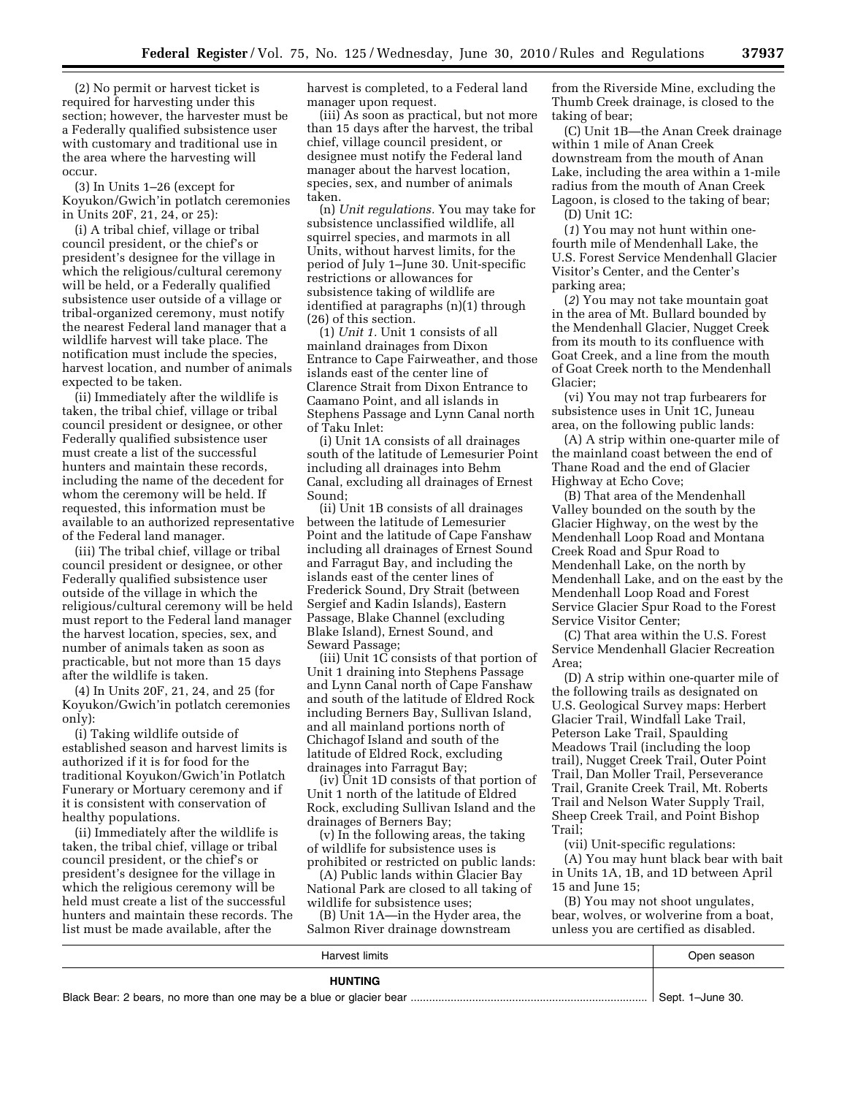(2) No permit or harvest ticket is required for harvesting under this section; however, the harvester must be a Federally qualified subsistence user with customary and traditional use in the area where the harvesting will occur.

(3) In Units 1–26 (except for Koyukon/Gwich'in potlatch ceremonies in Units 20F, 21, 24, or 25):

(i) A tribal chief, village or tribal council president, or the chief's or president's designee for the village in which the religious/cultural ceremony will be held, or a Federally qualified subsistence user outside of a village or tribal-organized ceremony, must notify the nearest Federal land manager that a wildlife harvest will take place. The notification must include the species, harvest location, and number of animals expected to be taken.

(ii) Immediately after the wildlife is taken, the tribal chief, village or tribal council president or designee, or other Federally qualified subsistence user must create a list of the successful hunters and maintain these records, including the name of the decedent for whom the ceremony will be held. If requested, this information must be available to an authorized representative of the Federal land manager.

(iii) The tribal chief, village or tribal council president or designee, or other Federally qualified subsistence user outside of the village in which the religious/cultural ceremony will be held must report to the Federal land manager the harvest location, species, sex, and number of animals taken as soon as practicable, but not more than 15 days after the wildlife is taken.

(4) In Units 20F, 21, 24, and 25 (for Koyukon/Gwich'in potlatch ceremonies only):

(i) Taking wildlife outside of established season and harvest limits is authorized if it is for food for the traditional Koyukon/Gwich'in Potlatch Funerary or Mortuary ceremony and if it is consistent with conservation of healthy populations.

(ii) Immediately after the wildlife is taken, the tribal chief, village or tribal council president, or the chief's or president's designee for the village in which the religious ceremony will be held must create a list of the successful hunters and maintain these records. The list must be made available, after the

harvest is completed, to a Federal land manager upon request.

(iii) As soon as practical, but not more than 15 days after the harvest, the tribal chief, village council president, or designee must notify the Federal land manager about the harvest location, species, sex, and number of animals taken.

(n) *Unit regulations.* You may take for subsistence unclassified wildlife, all squirrel species, and marmots in all Units, without harvest limits, for the period of July 1–June 30. Unit-specific restrictions or allowances for subsistence taking of wildlife are identified at paragraphs (n)(1) through (26) of this section.

(1) *Unit 1.* Unit 1 consists of all mainland drainages from Dixon Entrance to Cape Fairweather, and those islands east of the center line of Clarence Strait from Dixon Entrance to Caamano Point, and all islands in Stephens Passage and Lynn Canal north of Taku Inlet:

(i) Unit 1A consists of all drainages south of the latitude of Lemesurier Point including all drainages into Behm Canal, excluding all drainages of Ernest Sound;

(ii) Unit 1B consists of all drainages between the latitude of Lemesurier Point and the latitude of Cape Fanshaw including all drainages of Ernest Sound and Farragut Bay, and including the islands east of the center lines of Frederick Sound, Dry Strait (between Sergief and Kadin Islands), Eastern Passage, Blake Channel (excluding Blake Island), Ernest Sound, and Seward Passage;

(iii) Unit 1C consists of that portion of Unit 1 draining into Stephens Passage and Lynn Canal north of Cape Fanshaw and south of the latitude of Eldred Rock including Berners Bay, Sullivan Island, and all mainland portions north of Chichagof Island and south of the latitude of Eldred Rock, excluding drainages into Farragut Bay;

(iv) Unit 1D consists of that portion of Unit 1 north of the latitude of Eldred Rock, excluding Sullivan Island and the drainages of Berners Bay;

(v) In the following areas, the taking of wildlife for subsistence uses is prohibited or restricted on public lands:

(A) Public lands within Glacier Bay National Park are closed to all taking of wildlife for subsistence uses;

(B) Unit 1A—in the Hyder area, the Salmon River drainage downstream

from the Riverside Mine, excluding the Thumb Creek drainage, is closed to the taking of bear;

(C) Unit 1B—the Anan Creek drainage within 1 mile of Anan Creek downstream from the mouth of Anan Lake, including the area within a 1-mile radius from the mouth of Anan Creek Lagoon, is closed to the taking of bear;

(D) Unit 1C:

(*1*) You may not hunt within onefourth mile of Mendenhall Lake, the U.S. Forest Service Mendenhall Glacier Visitor's Center, and the Center's parking area;

(*2*) You may not take mountain goat in the area of Mt. Bullard bounded by the Mendenhall Glacier, Nugget Creek from its mouth to its confluence with Goat Creek, and a line from the mouth of Goat Creek north to the Mendenhall Glacier;

(vi) You may not trap furbearers for subsistence uses in Unit 1C, Juneau area, on the following public lands:

(A) A strip within one-quarter mile of the mainland coast between the end of Thane Road and the end of Glacier Highway at Echo Cove;

(B) That area of the Mendenhall Valley bounded on the south by the Glacier Highway, on the west by the Mendenhall Loop Road and Montana Creek Road and Spur Road to Mendenhall Lake, on the north by Mendenhall Lake, and on the east by the Mendenhall Loop Road and Forest Service Glacier Spur Road to the Forest Service Visitor Center;

(C) That area within the U.S. Forest Service Mendenhall Glacier Recreation Area;

(D) A strip within one-quarter mile of the following trails as designated on U.S. Geological Survey maps: Herbert Glacier Trail, Windfall Lake Trail, Peterson Lake Trail, Spaulding Meadows Trail (including the loop trail), Nugget Creek Trail, Outer Point Trail, Dan Moller Trail, Perseverance Trail, Granite Creek Trail, Mt. Roberts Trail and Nelson Water Supply Trail, Sheep Creek Trail, and Point Bishop Trail;

(vii) Unit-specific regulations: (A) You may hunt black bear with bait in Units 1A, 1B, and 1D between April 15 and June 15;

(B) You may not shoot ungulates, bear, wolves, or wolverine from a boat, unless you are certified as disabled.

| Harvest limits | Open season      |
|----------------|------------------|
| <b>HUNTING</b> |                  |
|                | Sept. 1-June 30. |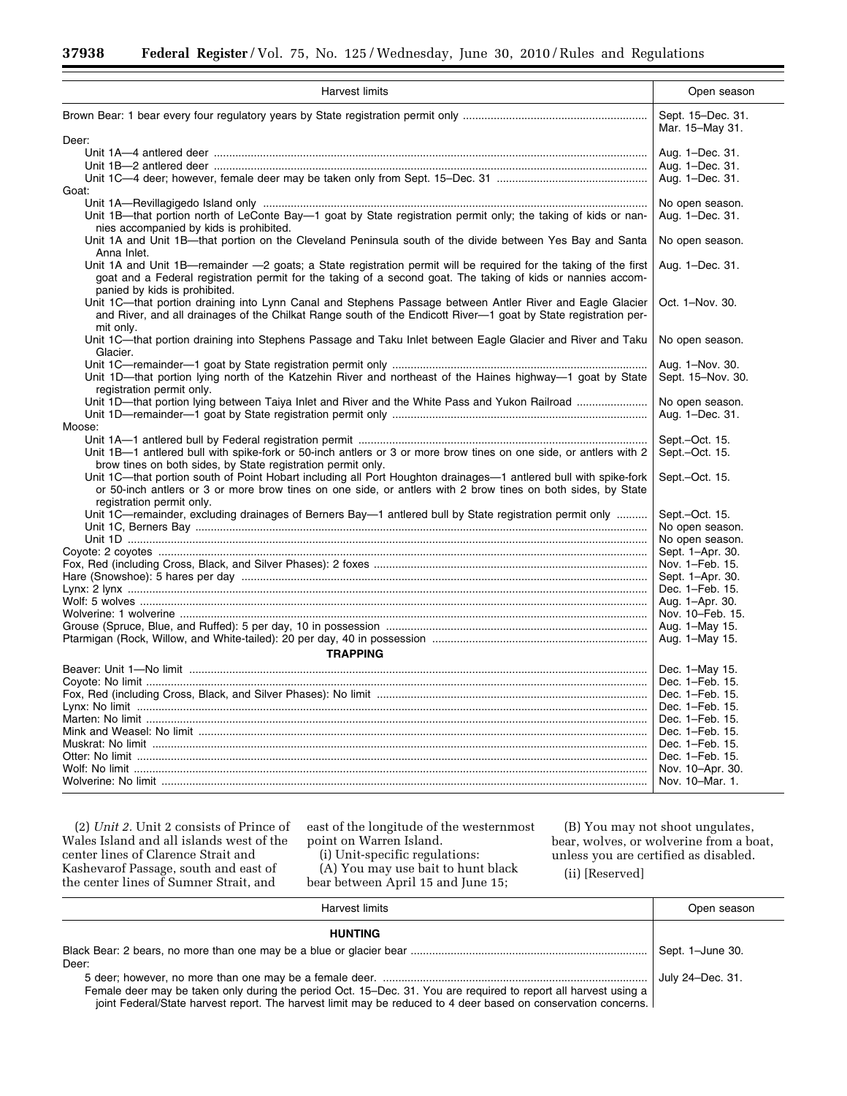۳

| <b>Harvest limits</b>                                                                                                                         | Open season                          |
|-----------------------------------------------------------------------------------------------------------------------------------------------|--------------------------------------|
|                                                                                                                                               | Sept. 15-Dec. 31.<br>Mar. 15-May 31. |
| Deer:                                                                                                                                         |                                      |
|                                                                                                                                               | Aug. 1-Dec. 31.                      |
|                                                                                                                                               | Aug. 1-Dec. 31.                      |
|                                                                                                                                               | Aug. 1-Dec. 31.                      |
| Goat:                                                                                                                                         |                                      |
|                                                                                                                                               | No open season.                      |
| Unit 1B—that portion north of LeConte Bay—1 goat by State registration permit only; the taking of kids or nan-                                | Aug. 1-Dec. 31.                      |
| nies accompanied by kids is prohibited.                                                                                                       |                                      |
| Unit 1A and Unit 1B—that portion on the Cleveland Peninsula south of the divide between Yes Bay and Santa                                     | No open season.                      |
| Anna Inlet.                                                                                                                                   |                                      |
| Unit 1A and Unit 1B—remainder -2 goats; a State registration permit will be required for the taking of the first                              | Aug. 1-Dec. 31.                      |
| goat and a Federal registration permit for the taking of a second goat. The taking of kids or nannies accom-<br>panied by kids is prohibited. |                                      |
| Unit 1C—that portion draining into Lynn Canal and Stephens Passage between Antler River and Eagle Glacier                                     | Oct. 1-Nov. 30.                      |
| and River, and all drainages of the Chilkat Range south of the Endicott River-1 goat by State registration per-<br>mit only.                  |                                      |
| Unit 1C—that portion draining into Stephens Passage and Taku Inlet between Eagle Glacier and River and Taku                                   | No open season.                      |
| Glacier.                                                                                                                                      |                                      |
|                                                                                                                                               | Aug. 1-Nov. 30.                      |
| Unit 1D—that portion lying north of the Katzehin River and northeast of the Haines highway—1 goat by State                                    |                                      |
|                                                                                                                                               | Sept. 15-Nov. 30.                    |
| registration permit only.                                                                                                                     |                                      |
| Unit 1D—that portion lying between Taiya Inlet and River and the White Pass and Yukon Railroad                                                | No open season.                      |
|                                                                                                                                               | Aug. 1-Dec. 31.                      |
| Moose:                                                                                                                                        |                                      |
|                                                                                                                                               | Sept.-Oct. 15.                       |
| Unit 1B-1 antlered bull with spike-fork or 50-inch antlers or 3 or more brow tines on one side, or antlers with 2                             | Sept.-Oct. 15.                       |
| brow tines on both sides, by State registration permit only.                                                                                  |                                      |
| Unit 1C—that portion south of Point Hobart including all Port Houghton drainages—1 antlered bull with spike-fork                              | Sept.-Oct. 15.                       |
| or 50-inch antlers or 3 or more brow tines on one side, or antlers with 2 brow tines on both sides, by State                                  |                                      |
| registration permit only.                                                                                                                     |                                      |
| Unit 1C-remainder, excluding drainages of Berners Bay-1 antlered bull by State registration permit only                                       | Sept.-Oct. 15.                       |
|                                                                                                                                               | No open season.                      |
|                                                                                                                                               | No open season.                      |
|                                                                                                                                               | Sept. 1-Apr. 30.                     |
|                                                                                                                                               | Nov. 1-Feb. 15.                      |
|                                                                                                                                               | Sept. 1-Apr. 30.                     |
|                                                                                                                                               | Dec. 1-Feb. 15.                      |
|                                                                                                                                               | Aug. 1-Apr. 30.                      |
|                                                                                                                                               | Nov. 10-Feb. 15.                     |
|                                                                                                                                               |                                      |
|                                                                                                                                               | Aug. 1-May 15.                       |
|                                                                                                                                               | Aug. 1-May 15.                       |
| <b>TRAPPING</b>                                                                                                                               |                                      |
|                                                                                                                                               | Dec. 1-May 15.                       |
|                                                                                                                                               | Dec. 1-Feb. 15.                      |
|                                                                                                                                               | Dec. 1-Feb. 15.                      |
|                                                                                                                                               | Dec. 1-Feb. 15.                      |
|                                                                                                                                               | Dec. 1-Feb. 15.                      |
|                                                                                                                                               | Dec. 1-Feb. 15.                      |
|                                                                                                                                               | Dec. 1-Feb. 15.                      |
|                                                                                                                                               |                                      |
|                                                                                                                                               | Dec. 1-Feb. 15.                      |
|                                                                                                                                               | Nov. 10-Apr. 30.                     |
|                                                                                                                                               | Nov. 10-Mar. 1.                      |

(2) *Unit 2.* Unit 2 consists of Prince of Wales Island and all islands west of the center lines of Clarence Strait and Kashevarof Passage, south and east of the center lines of Sumner Strait, and

east of the longitude of the westernmost point on Warren Island.

(i) Unit-specific regulations:

(A) You may use bait to hunt black bear between April 15 and June 15;

(B) You may not shoot ungulates, bear, wolves, or wolverine from a boat, unless you are certified as disabled.

÷

(ii) [Reserved]

| Harvest limits                                                                                                                                                                                                                    | Open season      |
|-----------------------------------------------------------------------------------------------------------------------------------------------------------------------------------------------------------------------------------|------------------|
| <b>HUNTING</b>                                                                                                                                                                                                                    |                  |
|                                                                                                                                                                                                                                   | Sept. 1-June 30. |
| Deer:                                                                                                                                                                                                                             |                  |
|                                                                                                                                                                                                                                   | July 24-Dec. 31. |
| Female deer may be taken only during the period Oct. 15–Dec. 31. You are required to report all harvest using a<br>joint Federal/State harvest report. The harvest limit may be reduced to 4 deer based on conservation concerns. |                  |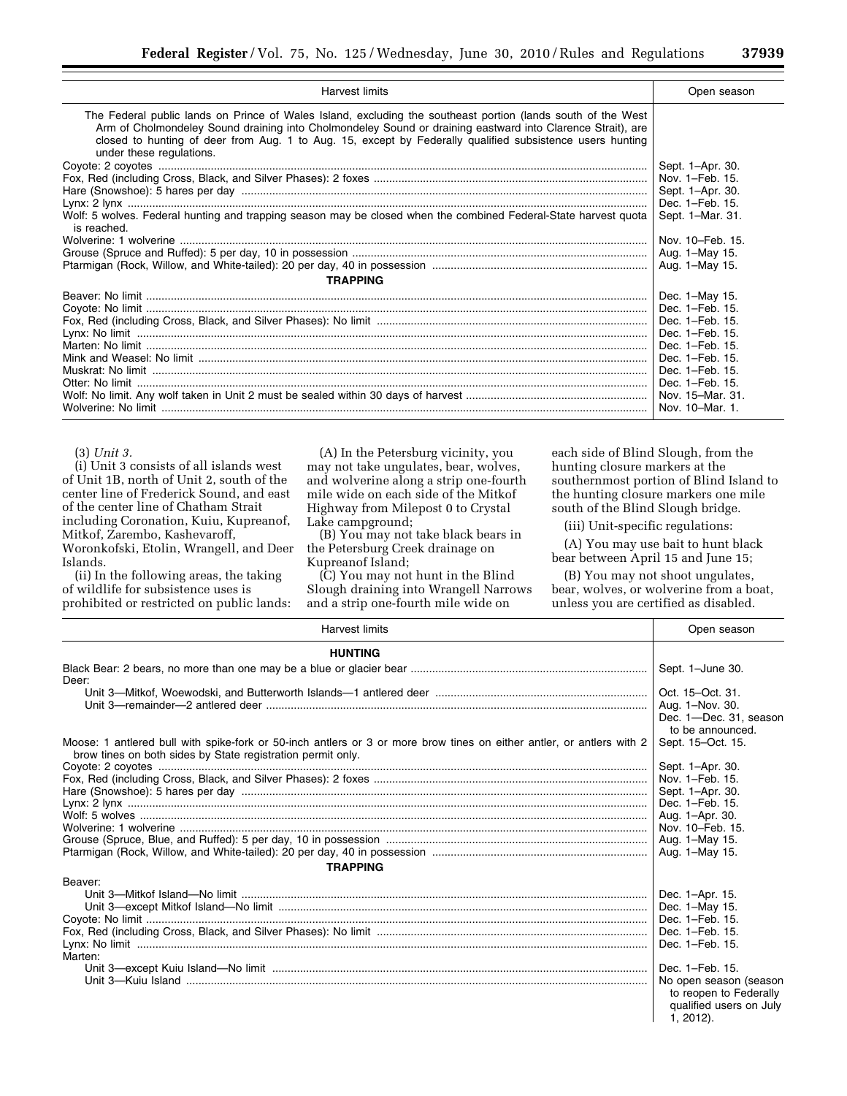| <b>Harvest limits</b>                                                                                                                                                                                                                                                                                                                                                                                                                                                                                                    | Open season                                              |
|--------------------------------------------------------------------------------------------------------------------------------------------------------------------------------------------------------------------------------------------------------------------------------------------------------------------------------------------------------------------------------------------------------------------------------------------------------------------------------------------------------------------------|----------------------------------------------------------|
| The Federal public lands on Prince of Wales Island, excluding the southeast portion (lands south of the West<br>Arm of Cholmondeley Sound draining into Cholmondeley Sound or draining eastward into Clarence Strait), are<br>closed to hunting of deer from Aug. 1 to Aug. 15, except by Federally qualified subsistence users hunting<br>under these regulations.<br>Wolf: 5 wolves. Federal hunting and trapping season may be closed when the combined Federal-State harvest quota<br>is reached.<br><b>TRAPPING</b> | Sept. 1-Apr. 30.<br>Sept. 1-Mar. 31.<br>Nov. 10-Feb. 15. |
|                                                                                                                                                                                                                                                                                                                                                                                                                                                                                                                          |                                                          |

#### (3) *Unit 3.*

(i) Unit 3 consists of all islands west of Unit 1B, north of Unit 2, south of the center line of Frederick Sound, and east of the center line of Chatham Strait including Coronation, Kuiu, Kupreanof, Mitkof, Zarembo, Kashevaroff, Woronkofski, Etolin, Wrangell, and Deer Islands.

(ii) In the following areas, the taking of wildlife for subsistence uses is prohibited or restricted on public lands:

(A) In the Petersburg vicinity, you may not take ungulates, bear, wolves, and wolverine along a strip one-fourth mile wide on each side of the Mitkof Highway from Milepost 0 to Crystal Lake campground;

(B) You may not take black bears in the Petersburg Creek drainage on Kupreanof Island;

(C) You may not hunt in the Blind Slough draining into Wrangell Narrows and a strip one-fourth mile wide on

each side of Blind Slough, from the hunting closure markers at the southernmost portion of Blind Island to the hunting closure markers one mile south of the Blind Slough bridge.

(iii) Unit-specific regulations:

(A) You may use bait to hunt black bear between April 15 and June 15;

(B) You may not shoot ungulates, bear, wolves, or wolverine from a boat, unless you are certified as disabled.

| <b>Harvest limits</b>                                                                                                                                                                | Open season                                                                                                                                           |
|--------------------------------------------------------------------------------------------------------------------------------------------------------------------------------------|-------------------------------------------------------------------------------------------------------------------------------------------------------|
| <b>HUNTING</b>                                                                                                                                                                       |                                                                                                                                                       |
| Deer:                                                                                                                                                                                | Sept. 1-June 30.                                                                                                                                      |
|                                                                                                                                                                                      | Oct. 15-Oct. 31.<br>Aug. 1-Nov. 30.<br>Dec. 1-Dec. 31, season<br>to be announced.                                                                     |
| Moose: 1 antlered bull with spike-fork or 50-inch antlers or 3 or more brow tines on either antler, or antlers with 2<br>brow tines on both sides by State registration permit only. | Sept. 15-Oct. 15.                                                                                                                                     |
| <b>TRAPPING</b>                                                                                                                                                                      | Sept. 1-Apr. 30.<br>Nov. 1-Feb. 15.<br>Sept. 1-Apr. 30.<br>Dec. 1-Feb. 15.<br>Aug. 1-Apr. 30.<br>Nov. 10–Feb. 15.<br>Aug. 1-May 15.<br>Aug. 1-May 15. |
| Beaver:<br>Marten:                                                                                                                                                                   | Dec. 1-Apr. 15.<br>Dec. 1-May 15.<br>Dec. 1-Feb. 15.<br>Dec. 1-Feb. 15.<br>Dec. 1-Feb. 15.                                                            |
|                                                                                                                                                                                      | Dec. 1–Feb. 15.<br>No open season (season<br>to reopen to Federally<br>qualified users on July<br>$1, 2012$ ).                                        |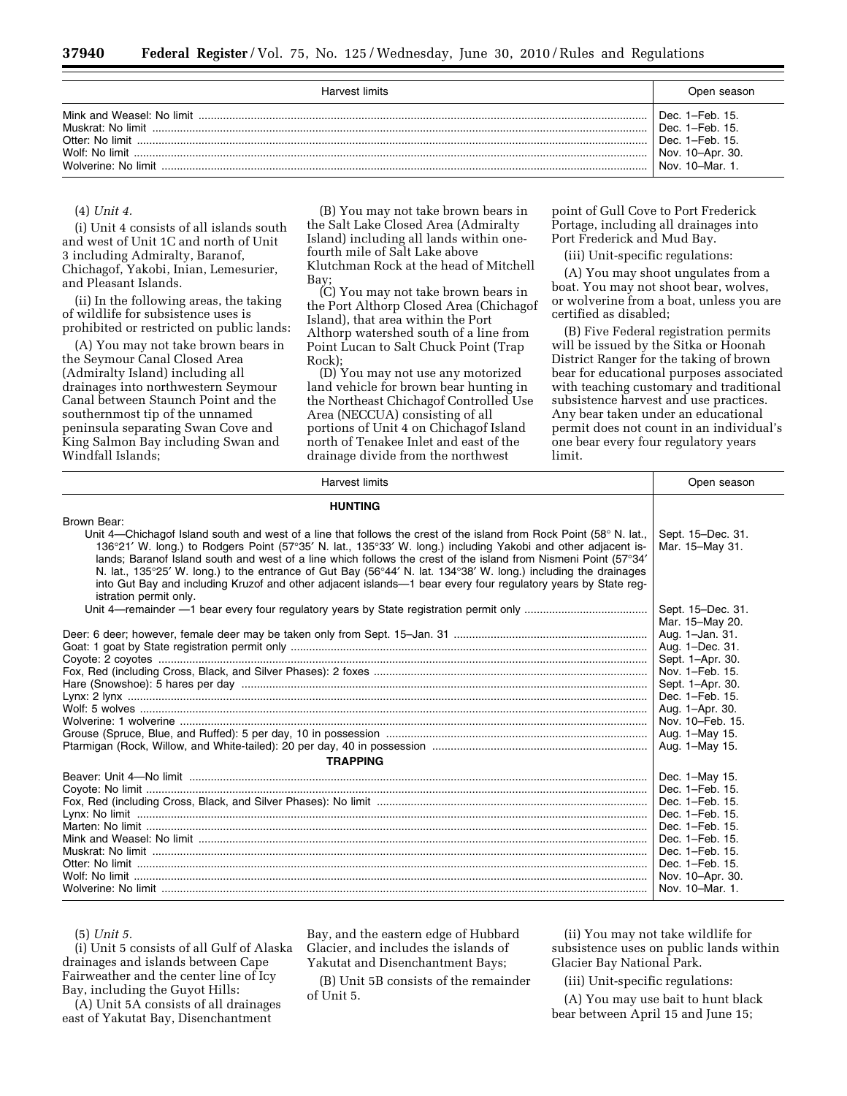| Harvest limits                                             | Open season                                                                                   |
|------------------------------------------------------------|-----------------------------------------------------------------------------------------------|
| Muskrat: No limit<br>Wolf: No limit<br>Wolverine: No limit | Dec. $1-Feb. 15$<br>Dec. 1-Feb. 15.<br>Dec. 1-Feb. 15.<br>Nov. 10-Apr. 30.<br>Nov. 10-Mar. 1. |

#### (4) *Unit 4.*

(i) Unit 4 consists of all islands south and west of Unit 1C and north of Unit 3 including Admiralty, Baranof, Chichagof, Yakobi, Inian, Lemesurier, and Pleasant Islands.

(ii) In the following areas, the taking of wildlife for subsistence uses is prohibited or restricted on public lands:

(A) You may not take brown bears in the Seymour Canal Closed Area (Admiralty Island) including all drainages into northwestern Seymour Canal between Staunch Point and the southernmost tip of the unnamed peninsula separating Swan Cove and King Salmon Bay including Swan and Windfall Islands;

(B) You may not take brown bears in the Salt Lake Closed Area (Admiralty Island) including all lands within onefourth mile of Salt Lake above Klutchman Rock at the head of Mitchell Bay;

(C) You may not take brown bears in the Port Althorp Closed Area (Chichagof Island), that area within the Port Althorp watershed south of a line from Point Lucan to Salt Chuck Point (Trap Rock);

(D) You may not use any motorized land vehicle for brown bear hunting in the Northeast Chichagof Controlled Use Area (NECCUA) consisting of all portions of Unit 4 on Chichagof Island north of Tenakee Inlet and east of the drainage divide from the northwest

point of Gull Cove to Port Frederick Portage, including all drainages into Port Frederick and Mud Bay.

(iii) Unit-specific regulations:

(A) You may shoot ungulates from a boat. You may not shoot bear, wolves, or wolverine from a boat, unless you are certified as disabled;

(B) Five Federal registration permits will be issued by the Sitka or Hoonah District Ranger for the taking of brown bear for educational purposes associated with teaching customary and traditional subsistence harvest and use practices. Any bear taken under an educational permit does not count in an individual's one bear every four regulatory years limit.

| <b>Harvest limits</b>                                                                                                                                                                                                                                                                                                                                                                                                                                                                                                                                                                                                                | Open season                          |
|--------------------------------------------------------------------------------------------------------------------------------------------------------------------------------------------------------------------------------------------------------------------------------------------------------------------------------------------------------------------------------------------------------------------------------------------------------------------------------------------------------------------------------------------------------------------------------------------------------------------------------------|--------------------------------------|
| <b>HUNTING</b>                                                                                                                                                                                                                                                                                                                                                                                                                                                                                                                                                                                                                       |                                      |
| Brown Bear:<br>Unit 4—Chichagof Island south and west of a line that follows the crest of the island from Rock Point (58° N. lat.,<br>136°21' W. long.) to Rodgers Point (57°35' N. lat., 135°33' W. long.) including Yakobi and other adjacent is-<br>lands; Baranof Island south and west of a line which follows the crest of the island from Nismeni Point (57°34′<br>N. lat., 135°25' W. long.) to the entrance of Gut Bay (56°44' N. lat. 134°38' W. long.) including the drainages<br>into Gut Bay and including Kruzof and other adjacent islands—1 bear every four regulatory years by State reg-<br>istration permit only. | Sept. 15-Dec. 31.<br>Mar. 15-May 31. |
|                                                                                                                                                                                                                                                                                                                                                                                                                                                                                                                                                                                                                                      | Sept. 15-Dec. 31.<br>Mar. 15-May 20. |
|                                                                                                                                                                                                                                                                                                                                                                                                                                                                                                                                                                                                                                      | Aug. 1-Jan. 31.                      |
|                                                                                                                                                                                                                                                                                                                                                                                                                                                                                                                                                                                                                                      | Aug. 1-Dec. 31.                      |
|                                                                                                                                                                                                                                                                                                                                                                                                                                                                                                                                                                                                                                      | Sept. 1-Apr. 30.                     |
|                                                                                                                                                                                                                                                                                                                                                                                                                                                                                                                                                                                                                                      | Nov. 1-Feb. 15.                      |
|                                                                                                                                                                                                                                                                                                                                                                                                                                                                                                                                                                                                                                      | Sept. 1-Apr. 30.                     |
|                                                                                                                                                                                                                                                                                                                                                                                                                                                                                                                                                                                                                                      | Dec. 1-Feb. 15.                      |
|                                                                                                                                                                                                                                                                                                                                                                                                                                                                                                                                                                                                                                      | Aug. 1-Apr. 30.                      |
|                                                                                                                                                                                                                                                                                                                                                                                                                                                                                                                                                                                                                                      | Nov. 10–Feb. 15.                     |
|                                                                                                                                                                                                                                                                                                                                                                                                                                                                                                                                                                                                                                      | Aug. 1-May 15.                       |
|                                                                                                                                                                                                                                                                                                                                                                                                                                                                                                                                                                                                                                      | Aug. 1-May 15.                       |
| <b>TRAPPING</b>                                                                                                                                                                                                                                                                                                                                                                                                                                                                                                                                                                                                                      |                                      |
|                                                                                                                                                                                                                                                                                                                                                                                                                                                                                                                                                                                                                                      | Dec. 1-May 15.                       |
|                                                                                                                                                                                                                                                                                                                                                                                                                                                                                                                                                                                                                                      | Dec. 1-Feb. 15.                      |
|                                                                                                                                                                                                                                                                                                                                                                                                                                                                                                                                                                                                                                      | Dec. 1-Feb. 15.                      |
|                                                                                                                                                                                                                                                                                                                                                                                                                                                                                                                                                                                                                                      | Dec. 1-Feb. 15.                      |
|                                                                                                                                                                                                                                                                                                                                                                                                                                                                                                                                                                                                                                      | Dec. 1-Feb. 15.                      |
|                                                                                                                                                                                                                                                                                                                                                                                                                                                                                                                                                                                                                                      | Dec. 1-Feb. 15.                      |
|                                                                                                                                                                                                                                                                                                                                                                                                                                                                                                                                                                                                                                      | Dec. 1-Feb. 15.                      |
|                                                                                                                                                                                                                                                                                                                                                                                                                                                                                                                                                                                                                                      | Dec. 1-Feb. 15.                      |
|                                                                                                                                                                                                                                                                                                                                                                                                                                                                                                                                                                                                                                      | Nov. 10-Apr. 30.                     |
|                                                                                                                                                                                                                                                                                                                                                                                                                                                                                                                                                                                                                                      | Nov. 10-Mar. 1.                      |

(5) *Unit 5.* 

(i) Unit 5 consists of all Gulf of Alaska drainages and islands between Cape Fairweather and the center line of Icy Bay, including the Guyot Hills:

(A) Unit 5A consists of all drainages east of Yakutat Bay, Disenchantment

Bay, and the eastern edge of Hubbard Glacier, and includes the islands of Yakutat and Disenchantment Bays;

(B) Unit 5B consists of the remainder of Unit 5.

(ii) You may not take wildlife for subsistence uses on public lands within Glacier Bay National Park.

(iii) Unit-specific regulations:

(A) You may use bait to hunt black bear between April 15 and June 15;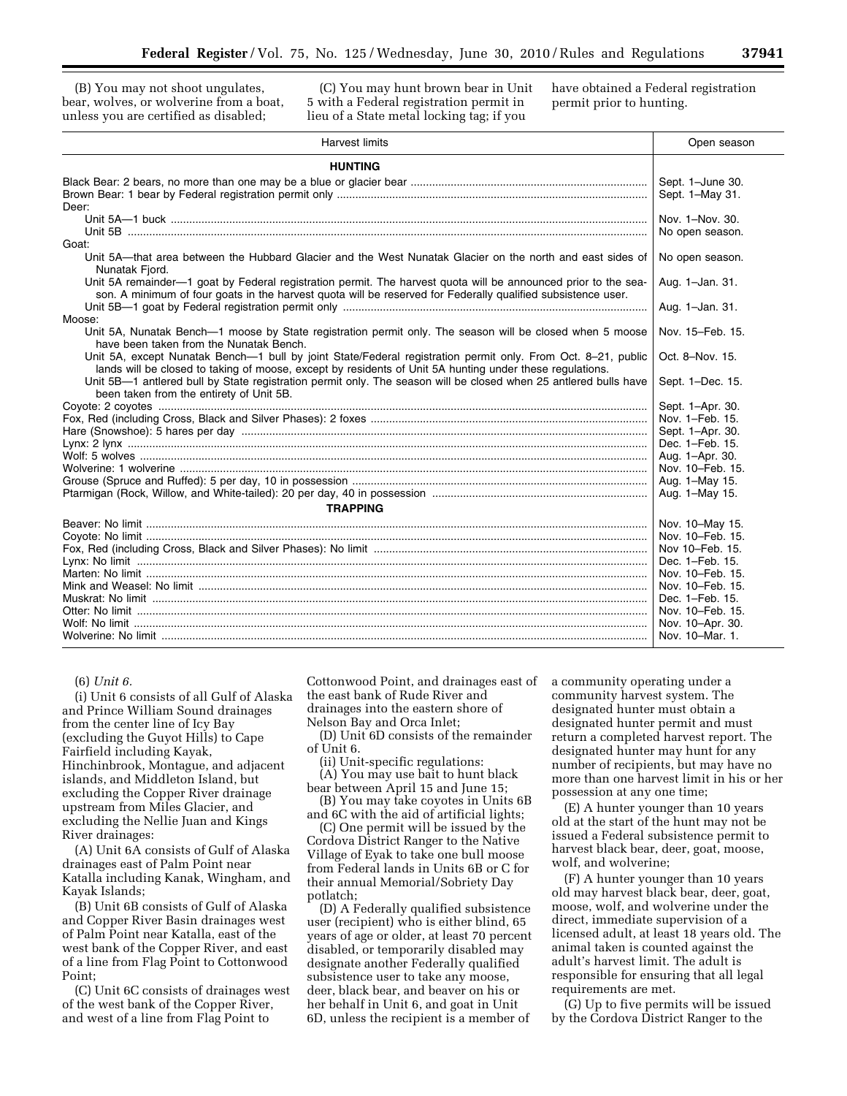(B) You may not shoot ungulates, bear, wolves, or wolverine from a boat, unless you are certified as disabled;

(C) You may hunt brown bear in Unit 5 with a Federal registration permit in lieu of a State metal locking tag; if you

have obtained a Federal registration permit prior to hunting.

| <b>HUNTING</b><br>Sept. 1-June 30.<br>Sept. 1-May 31.<br>Deer:<br>Nov. 1-Nov. 30.<br>No open season.<br>Goat:<br>Unit 5A—that area between the Hubbard Glacier and the West Nunatak Glacier on the north and east sides of<br>No open season.<br>Nunatak Fjord.<br>Unit 5A remainder-1 goat by Federal registration permit. The harvest quota will be announced prior to the sea-<br>Aug. 1-Jan. 31.<br>son. A minimum of four goats in the harvest quota will be reserved for Federally qualified subsistence user.<br>Aug. 1-Jan. 31.<br>Unit 5A, Nunatak Bench-1 moose by State registration permit only. The season will be closed when 5 moose<br>Nov. 15-Feb. 15.<br>have been taken from the Nunatak Bench.<br>Unit 5A, except Nunatak Bench—1 bull by joint State/Federal registration permit only. From Oct. 8–21, public<br>Oct. 8-Nov. 15.<br>lands will be closed to taking of moose, except by residents of Unit 5A hunting under these regulations.<br>Unit 5B-1 antlered bull by State registration permit only. The season will be closed when 25 antlered bulls have<br>Sept. 1-Dec. 15.<br>been taken from the entirety of Unit 5B.<br>Sept. 1-Apr. 30.<br>Nov. 1-Feb. 15.<br>Sept. 1-Apr. 30. | <b>Harvest limits</b> | Open season     |
|------------------------------------------------------------------------------------------------------------------------------------------------------------------------------------------------------------------------------------------------------------------------------------------------------------------------------------------------------------------------------------------------------------------------------------------------------------------------------------------------------------------------------------------------------------------------------------------------------------------------------------------------------------------------------------------------------------------------------------------------------------------------------------------------------------------------------------------------------------------------------------------------------------------------------------------------------------------------------------------------------------------------------------------------------------------------------------------------------------------------------------------------------------------------------------------------------------------|-----------------------|-----------------|
|                                                                                                                                                                                                                                                                                                                                                                                                                                                                                                                                                                                                                                                                                                                                                                                                                                                                                                                                                                                                                                                                                                                                                                                                                  |                       |                 |
|                                                                                                                                                                                                                                                                                                                                                                                                                                                                                                                                                                                                                                                                                                                                                                                                                                                                                                                                                                                                                                                                                                                                                                                                                  |                       |                 |
|                                                                                                                                                                                                                                                                                                                                                                                                                                                                                                                                                                                                                                                                                                                                                                                                                                                                                                                                                                                                                                                                                                                                                                                                                  |                       |                 |
|                                                                                                                                                                                                                                                                                                                                                                                                                                                                                                                                                                                                                                                                                                                                                                                                                                                                                                                                                                                                                                                                                                                                                                                                                  |                       |                 |
|                                                                                                                                                                                                                                                                                                                                                                                                                                                                                                                                                                                                                                                                                                                                                                                                                                                                                                                                                                                                                                                                                                                                                                                                                  |                       |                 |
|                                                                                                                                                                                                                                                                                                                                                                                                                                                                                                                                                                                                                                                                                                                                                                                                                                                                                                                                                                                                                                                                                                                                                                                                                  | Moose:                |                 |
|                                                                                                                                                                                                                                                                                                                                                                                                                                                                                                                                                                                                                                                                                                                                                                                                                                                                                                                                                                                                                                                                                                                                                                                                                  |                       |                 |
|                                                                                                                                                                                                                                                                                                                                                                                                                                                                                                                                                                                                                                                                                                                                                                                                                                                                                                                                                                                                                                                                                                                                                                                                                  |                       |                 |
|                                                                                                                                                                                                                                                                                                                                                                                                                                                                                                                                                                                                                                                                                                                                                                                                                                                                                                                                                                                                                                                                                                                                                                                                                  |                       |                 |
|                                                                                                                                                                                                                                                                                                                                                                                                                                                                                                                                                                                                                                                                                                                                                                                                                                                                                                                                                                                                                                                                                                                                                                                                                  |                       |                 |
|                                                                                                                                                                                                                                                                                                                                                                                                                                                                                                                                                                                                                                                                                                                                                                                                                                                                                                                                                                                                                                                                                                                                                                                                                  |                       |                 |
|                                                                                                                                                                                                                                                                                                                                                                                                                                                                                                                                                                                                                                                                                                                                                                                                                                                                                                                                                                                                                                                                                                                                                                                                                  |                       |                 |
|                                                                                                                                                                                                                                                                                                                                                                                                                                                                                                                                                                                                                                                                                                                                                                                                                                                                                                                                                                                                                                                                                                                                                                                                                  |                       | Dec. 1-Feb. 15. |
| Aug. 1-Apr. 30.                                                                                                                                                                                                                                                                                                                                                                                                                                                                                                                                                                                                                                                                                                                                                                                                                                                                                                                                                                                                                                                                                                                                                                                                  |                       |                 |
| Nov. 10–Feb. 15.                                                                                                                                                                                                                                                                                                                                                                                                                                                                                                                                                                                                                                                                                                                                                                                                                                                                                                                                                                                                                                                                                                                                                                                                 |                       |                 |
| Aug. 1-May 15.                                                                                                                                                                                                                                                                                                                                                                                                                                                                                                                                                                                                                                                                                                                                                                                                                                                                                                                                                                                                                                                                                                                                                                                                   |                       |                 |
| Aug. 1-May 15.                                                                                                                                                                                                                                                                                                                                                                                                                                                                                                                                                                                                                                                                                                                                                                                                                                                                                                                                                                                                                                                                                                                                                                                                   |                       |                 |
|                                                                                                                                                                                                                                                                                                                                                                                                                                                                                                                                                                                                                                                                                                                                                                                                                                                                                                                                                                                                                                                                                                                                                                                                                  |                       |                 |
| <b>TRAPPING</b>                                                                                                                                                                                                                                                                                                                                                                                                                                                                                                                                                                                                                                                                                                                                                                                                                                                                                                                                                                                                                                                                                                                                                                                                  |                       |                 |
| Nov. 10-May 15.                                                                                                                                                                                                                                                                                                                                                                                                                                                                                                                                                                                                                                                                                                                                                                                                                                                                                                                                                                                                                                                                                                                                                                                                  |                       |                 |
| Nov. 10-Feb. 15.                                                                                                                                                                                                                                                                                                                                                                                                                                                                                                                                                                                                                                                                                                                                                                                                                                                                                                                                                                                                                                                                                                                                                                                                 |                       |                 |
| Nov 10–Feb. 15.                                                                                                                                                                                                                                                                                                                                                                                                                                                                                                                                                                                                                                                                                                                                                                                                                                                                                                                                                                                                                                                                                                                                                                                                  |                       |                 |
| Dec. 1-Feb. 15.                                                                                                                                                                                                                                                                                                                                                                                                                                                                                                                                                                                                                                                                                                                                                                                                                                                                                                                                                                                                                                                                                                                                                                                                  |                       |                 |
| Nov. 10–Feb. 15.                                                                                                                                                                                                                                                                                                                                                                                                                                                                                                                                                                                                                                                                                                                                                                                                                                                                                                                                                                                                                                                                                                                                                                                                 |                       |                 |
| Nov. 10–Feb. 15.                                                                                                                                                                                                                                                                                                                                                                                                                                                                                                                                                                                                                                                                                                                                                                                                                                                                                                                                                                                                                                                                                                                                                                                                 |                       |                 |
| Dec. 1-Feb. 15.                                                                                                                                                                                                                                                                                                                                                                                                                                                                                                                                                                                                                                                                                                                                                                                                                                                                                                                                                                                                                                                                                                                                                                                                  |                       |                 |
| Nov. 10–Feb. 15.                                                                                                                                                                                                                                                                                                                                                                                                                                                                                                                                                                                                                                                                                                                                                                                                                                                                                                                                                                                                                                                                                                                                                                                                 |                       |                 |
| Nov. 10-Apr. 30.                                                                                                                                                                                                                                                                                                                                                                                                                                                                                                                                                                                                                                                                                                                                                                                                                                                                                                                                                                                                                                                                                                                                                                                                 |                       |                 |
| Nov. 10-Mar. 1.                                                                                                                                                                                                                                                                                                                                                                                                                                                                                                                                                                                                                                                                                                                                                                                                                                                                                                                                                                                                                                                                                                                                                                                                  |                       |                 |

## (6) *Unit 6.*

(i) Unit 6 consists of all Gulf of Alaska and Prince William Sound drainages from the center line of Icy Bay (excluding the Guyot Hills) to Cape Fairfield including Kayak, Hinchinbrook, Montague, and adjacent islands, and Middleton Island, but excluding the Copper River drainage upstream from Miles Glacier, and excluding the Nellie Juan and Kings River drainages:

(A) Unit 6A consists of Gulf of Alaska drainages east of Palm Point near Katalla including Kanak, Wingham, and Kayak Islands;

(B) Unit 6B consists of Gulf of Alaska and Copper River Basin drainages west of Palm Point near Katalla, east of the west bank of the Copper River, and east of a line from Flag Point to Cottonwood Point;

(C) Unit 6C consists of drainages west of the west bank of the Copper River, and west of a line from Flag Point to

Cottonwood Point, and drainages east of the east bank of Rude River and drainages into the eastern shore of Nelson Bay and Orca Inlet;

(D) Unit 6D consists of the remainder of Unit 6.

(ii) Unit-specific regulations:

(A) You may use bait to hunt black bear between April 15 and June 15;

(B) You may take coyotes in Units 6B and 6C with the aid of artificial lights;

(C) One permit will be issued by the Cordova District Ranger to the Native Village of Eyak to take one bull moose from Federal lands in Units 6B or C for their annual Memorial/Sobriety Day potlatch;

(D) A Federally qualified subsistence user (recipient) who is either blind, 65 years of age or older, at least 70 percent disabled, or temporarily disabled may designate another Federally qualified subsistence user to take any moose, deer, black bear, and beaver on his or her behalf in Unit 6, and goat in Unit 6D, unless the recipient is a member of

a community operating under a community harvest system. The designated hunter must obtain a designated hunter permit and must return a completed harvest report. The designated hunter may hunt for any number of recipients, but may have no more than one harvest limit in his or her possession at any one time;

(E) A hunter younger than 10 years old at the start of the hunt may not be issued a Federal subsistence permit to harvest black bear, deer, goat, moose, wolf, and wolverine;

(F) A hunter younger than 10 years old may harvest black bear, deer, goat, moose, wolf, and wolverine under the direct, immediate supervision of a licensed adult, at least 18 years old. The animal taken is counted against the adult's harvest limit. The adult is responsible for ensuring that all legal requirements are met.

(G) Up to five permits will be issued by the Cordova District Ranger to the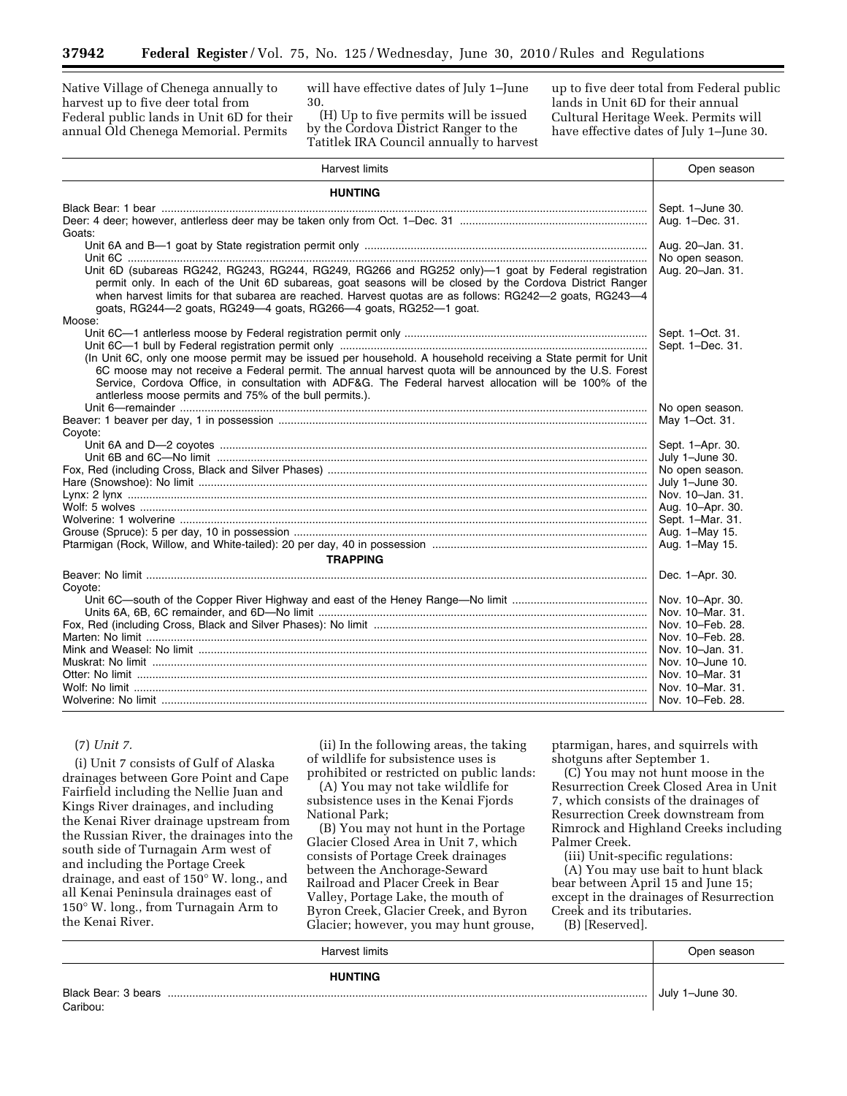Native Village of Chenega annually to harvest up to five deer total from Federal public lands in Unit 6D for their annual Old Chenega Memorial. Permits

will have effective dates of July 1–June 30.

(H) Up to five permits will be issued by the Cordova District Ranger to the Tatitlek IRA Council annually to harvest

up to five deer total from Federal public lands in Unit 6D for their annual Cultural Heritage Week. Permits will have effective dates of July 1–June 30.

| <b>Harvest limits</b>                                                                                         | Open season      |
|---------------------------------------------------------------------------------------------------------------|------------------|
| <b>HUNTING</b>                                                                                                |                  |
|                                                                                                               | Sept. 1-June 30. |
|                                                                                                               | Aug. 1-Dec. 31.  |
| Goats:                                                                                                        |                  |
|                                                                                                               | Aug. 20-Jan. 31. |
|                                                                                                               | No open season.  |
| Unit 6D (subareas RG242, RG243, RG244, RG249, RG266 and RG252 only)-1 goat by Federal registration            | Aug. 20-Jan. 31. |
| permit only. In each of the Unit 6D subareas, goat seasons will be closed by the Cordova District Ranger      |                  |
| when harvest limits for that subarea are reached. Harvest quotas are as follows: RG242-2 goats, RG243-4       |                  |
| goats, RG244-2 goats, RG249-4 goats, RG266-4 goats, RG252-1 goat.                                             |                  |
| Moose:                                                                                                        |                  |
|                                                                                                               | Sept. 1-Oct. 31. |
| (In Unit 6C, only one moose permit may be issued per household. A household receiving a State permit for Unit | Sept. 1-Dec. 31. |
| 6C moose may not receive a Federal permit. The annual harvest quota will be announced by the U.S. Forest      |                  |
| Service, Cordova Office, in consultation with ADF&G. The Federal harvest allocation will be 100% of the       |                  |
| antlerless moose permits and 75% of the bull permits.).                                                       |                  |
|                                                                                                               | No open season.  |
|                                                                                                               | May 1-Oct. 31.   |
| Coyote:                                                                                                       |                  |
|                                                                                                               | Sept. 1-Apr. 30. |
|                                                                                                               | July 1-June 30.  |
|                                                                                                               | No open season.  |
|                                                                                                               | July 1-June 30.  |
|                                                                                                               | Nov. 10-Jan. 31. |
|                                                                                                               | Aug. 10-Apr. 30. |
|                                                                                                               | Sept. 1-Mar. 31. |
|                                                                                                               | Aug. 1-May 15.   |
|                                                                                                               | Aug. 1-May 15.   |
| <b>TRAPPING</b>                                                                                               |                  |
|                                                                                                               | Dec. 1-Apr. 30.  |
| Coyote:                                                                                                       |                  |
|                                                                                                               | Nov. 10-Apr. 30. |
|                                                                                                               | Nov. 10-Mar. 31. |
|                                                                                                               | Nov. 10-Feb. 28. |
|                                                                                                               | Nov. 10–Feb. 28. |
|                                                                                                               | Nov. 10-Jan. 31. |
|                                                                                                               | Nov. 10-June 10. |
|                                                                                                               | Nov. 10-Mar. 31  |
|                                                                                                               | Nov. 10-Mar. 31. |
|                                                                                                               | Nov. 10-Feb. 28. |

## (7) *Unit 7.*

(i) Unit 7 consists of Gulf of Alaska drainages between Gore Point and Cape Fairfield including the Nellie Juan and Kings River drainages, and including the Kenai River drainage upstream from the Russian River, the drainages into the south side of Turnagain Arm west of and including the Portage Creek drainage, and east of 150° W. long., and all Kenai Peninsula drainages east of 150° W. long., from Turnagain Arm to the Kenai River.

(ii) In the following areas, the taking of wildlife for subsistence uses is prohibited or restricted on public lands:

(A) You may not take wildlife for subsistence uses in the Kenai Fjords National Park;

(B) You may not hunt in the Portage Glacier Closed Area in Unit 7, which consists of Portage Creek drainages between the Anchorage-Seward Railroad and Placer Creek in Bear Valley, Portage Lake, the mouth of Byron Creek, Glacier Creek, and Byron Glacier; however, you may hunt grouse, ptarmigan, hares, and squirrels with shotguns after September 1.

(C) You may not hunt moose in the Resurrection Creek Closed Area in Unit 7, which consists of the drainages of Resurrection Creek downstream from Rimrock and Highland Creeks including Palmer Creek.

(iii) Unit-specific regulations: (A) You may use bait to hunt black bear between April 15 and June 15; except in the drainages of Resurrection Creek and its tributaries. (B) [Reserved].

| <b>Harvest limits</b> | Open season     |
|-----------------------|-----------------|
| <b>HUNTING</b>        |                 |
|                       | July 1-June 30. |
| Caribou:              |                 |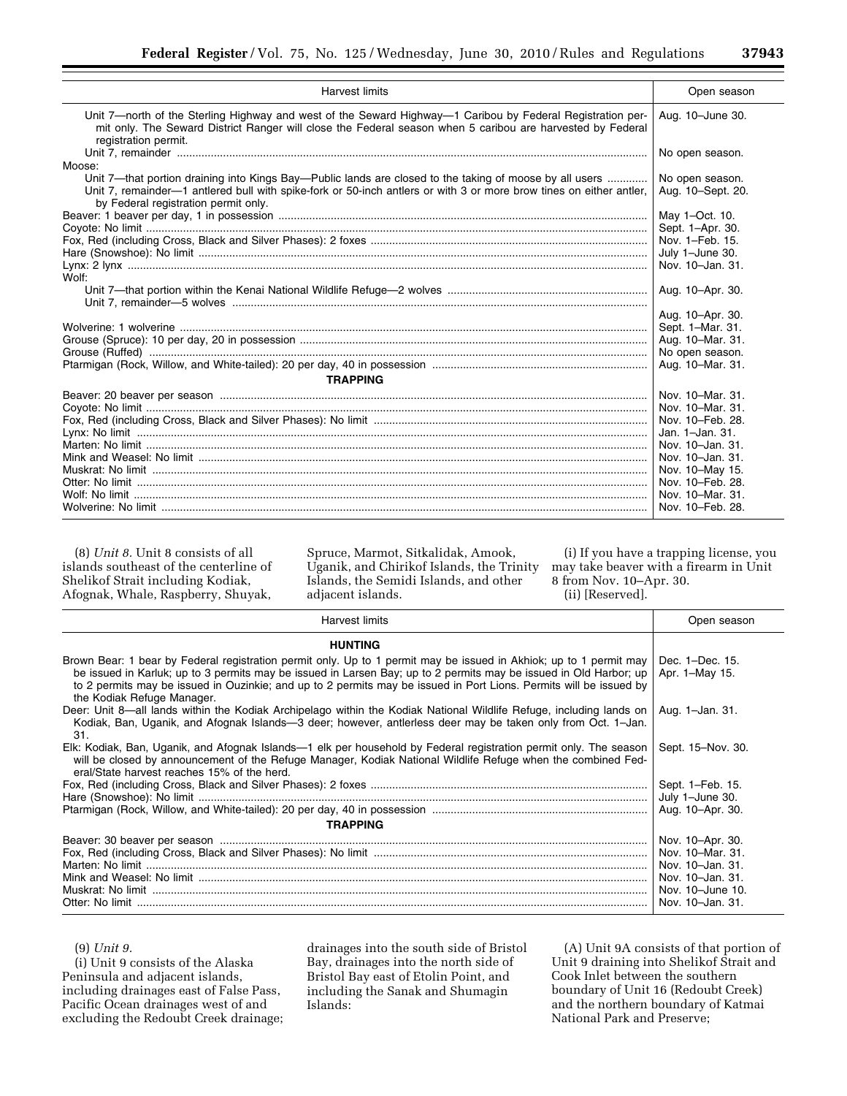| <b>Harvest limits</b>                                                                                                                                                                                                                                                  | Open season                          |
|------------------------------------------------------------------------------------------------------------------------------------------------------------------------------------------------------------------------------------------------------------------------|--------------------------------------|
| Unit 7—north of the Sterling Highway and west of the Seward Highway—1 Caribou by Federal Registration per-<br>mit only. The Seward District Ranger will close the Federal season when 5 caribou are harvested by Federal<br>registration permit.                       | Aug. 10-June 30.                     |
|                                                                                                                                                                                                                                                                        | No open season.                      |
| Moose:                                                                                                                                                                                                                                                                 |                                      |
| Unit 7—that portion draining into Kings Bay—Public lands are closed to the taking of moose by all users<br>Unit 7, remainder—1 antlered bull with spike-fork or 50-inch antlers or with 3 or more brow tines on either antler,<br>by Federal registration permit only. | No open season.<br>Aug. 10-Sept. 20. |
|                                                                                                                                                                                                                                                                        | May 1-Oct. 10.                       |
|                                                                                                                                                                                                                                                                        | Sept. 1-Apr. 30.                     |
|                                                                                                                                                                                                                                                                        | Nov. 1-Feb. 15.                      |
|                                                                                                                                                                                                                                                                        | July 1-June 30.                      |
| Wolf:                                                                                                                                                                                                                                                                  | Nov. 10-Jan. 31.                     |
|                                                                                                                                                                                                                                                                        | Aug. 10-Apr. 30.                     |
|                                                                                                                                                                                                                                                                        |                                      |
|                                                                                                                                                                                                                                                                        | Aug. 10-Apr. 30.                     |
|                                                                                                                                                                                                                                                                        | Sept. 1-Mar. 31.                     |
|                                                                                                                                                                                                                                                                        | Aug. 10-Mar. 31.                     |
|                                                                                                                                                                                                                                                                        | No open season.                      |
|                                                                                                                                                                                                                                                                        | Aug. 10-Mar. 31.                     |
| <b>TRAPPING</b>                                                                                                                                                                                                                                                        |                                      |
|                                                                                                                                                                                                                                                                        | Nov. 10-Mar. 31.                     |
|                                                                                                                                                                                                                                                                        | Nov. 10-Mar. 31.                     |
|                                                                                                                                                                                                                                                                        | Nov. 10-Feb. 28.                     |
|                                                                                                                                                                                                                                                                        | Jan. 1-Jan. 31.                      |
|                                                                                                                                                                                                                                                                        | Nov. 10-Jan. 31.                     |
|                                                                                                                                                                                                                                                                        | Nov. 10-Jan. 31.                     |
|                                                                                                                                                                                                                                                                        | Nov. 10-May 15.                      |
|                                                                                                                                                                                                                                                                        | Nov. 10-Feb. 28.                     |
|                                                                                                                                                                                                                                                                        | Nov. 10-Mar. 31.                     |
|                                                                                                                                                                                                                                                                        | Nov. 10–Feb. 28.                     |

(8) *Unit 8.* Unit 8 consists of all islands southeast of the centerline of Shelikof Strait including Kodiak, Afognak, Whale, Raspberry, Shuyak,

Spruce, Marmot, Sitkalidak, Amook, Uganik, and Chirikof Islands, the Trinity Islands, the Semidi Islands, and other adjacent islands.

(i) If you have a trapping license, you may take beaver with a firearm in Unit 8 from Nov. 10–Apr. 30.

(ii) [Reserved].

| <b>Harvest limits</b>                                                                                                                                                                                                                                                                                                                                                                       | Open season                       |
|---------------------------------------------------------------------------------------------------------------------------------------------------------------------------------------------------------------------------------------------------------------------------------------------------------------------------------------------------------------------------------------------|-----------------------------------|
| <b>HUNTING</b>                                                                                                                                                                                                                                                                                                                                                                              |                                   |
| Brown Bear: 1 bear by Federal registration permit only. Up to 1 permit may be issued in Akhiok; up to 1 permit may<br>be issued in Karluk; up to 3 permits may be issued in Larsen Bay; up to 2 permits may be issued in Old Harbor; up<br>to 2 permits may be issued in Ouzinkie; and up to 2 permits may be issued in Port Lions. Permits will be issued by<br>the Kodiak Refuge Manager. | Dec. 1-Dec. 15.<br>Apr. 1-May 15. |
| Deer: Unit 8—all lands within the Kodiak Archipelago within the Kodiak National Wildlife Refuge, including lands on<br>Kodiak, Ban, Uganik, and Afognak Islands—3 deer; however, antierless deer may be taken only from Oct. 1-Jan.<br>31.                                                                                                                                                  | Aug. 1-Jan. 31.                   |
| Elk: Kodiak, Ban, Uganik, and Afognak Islands—1 elk per household by Federal registration permit only. The season<br>will be closed by announcement of the Refuge Manager, Kodiak National Wildlife Refuge when the combined Fed-<br>eral/State harvest reaches 15% of the herd.                                                                                                            | Sept. 15-Nov. 30.                 |
|                                                                                                                                                                                                                                                                                                                                                                                             | Sept. 1-Feb. 15.                  |
|                                                                                                                                                                                                                                                                                                                                                                                             | July 1-June 30.                   |
|                                                                                                                                                                                                                                                                                                                                                                                             | Aug. 10-Apr. 30.                  |
| <b>TRAPPING</b>                                                                                                                                                                                                                                                                                                                                                                             |                                   |
|                                                                                                                                                                                                                                                                                                                                                                                             | Nov. 10-Apr. 30.                  |
|                                                                                                                                                                                                                                                                                                                                                                                             | Nov. 10-Mar. 31.                  |
|                                                                                                                                                                                                                                                                                                                                                                                             | Nov. 10-Jan. 31.                  |
|                                                                                                                                                                                                                                                                                                                                                                                             | Nov. 10-Jan. 31.                  |
|                                                                                                                                                                                                                                                                                                                                                                                             | Nov. 10-June 10.                  |
|                                                                                                                                                                                                                                                                                                                                                                                             | Nov. 10-Jan. 31.                  |

(9) *Unit 9.* 

(i) Unit 9 consists of the Alaska Peninsula and adjacent islands, including drainages east of False Pass, Pacific Ocean drainages west of and excluding the Redoubt Creek drainage;

drainages into the south side of Bristol Bay, drainages into the north side of Bristol Bay east of Etolin Point, and including the Sanak and Shumagin Islands:

(A) Unit 9A consists of that portion of Unit 9 draining into Shelikof Strait and Cook Inlet between the southern boundary of Unit 16 (Redoubt Creek) and the northern boundary of Katmai National Park and Preserve;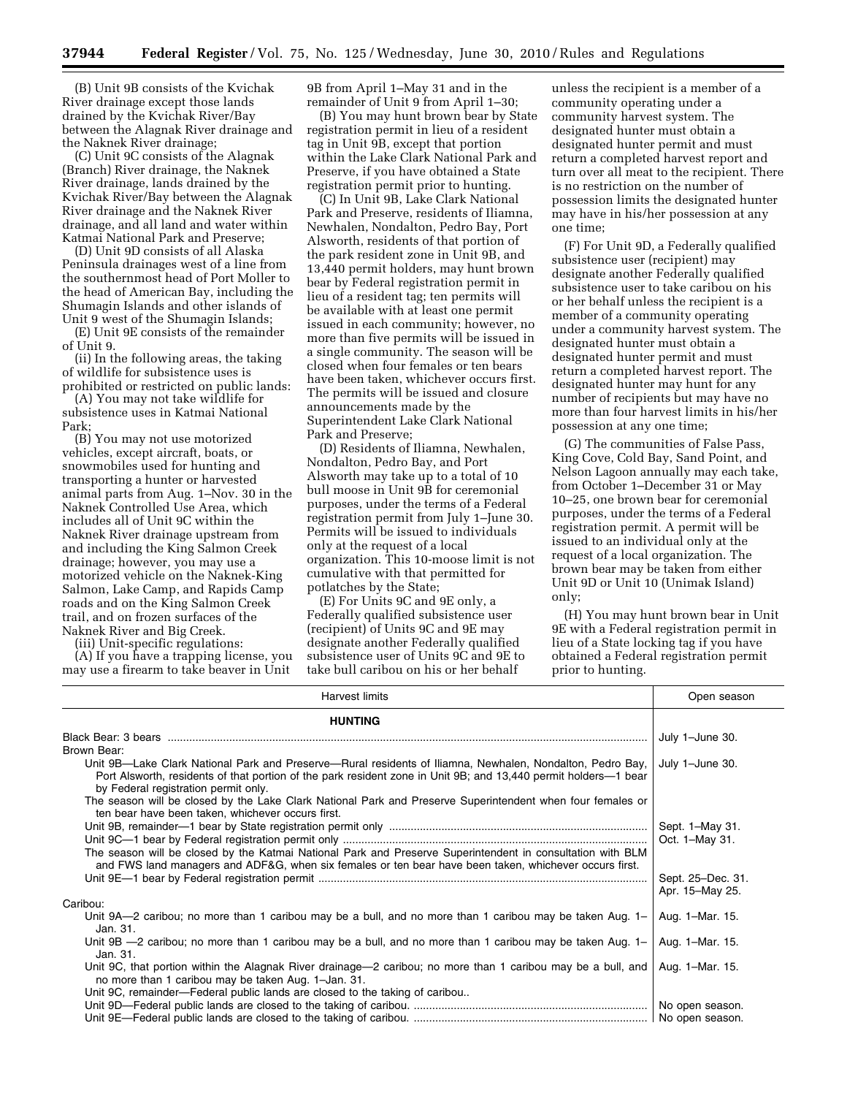(B) Unit 9B consists of the Kvichak River drainage except those lands drained by the Kvichak River/Bay between the Alagnak River drainage and the Naknek River drainage;

(C) Unit 9C consists of the Alagnak (Branch) River drainage, the Naknek River drainage, lands drained by the Kvichak River/Bay between the Alagnak River drainage and the Naknek River drainage, and all land and water within Katmai National Park and Preserve;

(D) Unit 9D consists of all Alaska Peninsula drainages west of a line from the southernmost head of Port Moller to the head of American Bay, including the Shumagin Islands and other islands of Unit 9 west of the Shumagin Islands;

(E) Unit 9E consists of the remainder of Unit 9.

(ii) In the following areas, the taking of wildlife for subsistence uses is prohibited or restricted on public lands:

(A) You may not take wildlife for subsistence uses in Katmai National Park;

(B) You may not use motorized vehicles, except aircraft, boats, or snowmobiles used for hunting and transporting a hunter or harvested animal parts from Aug. 1–Nov. 30 in the Naknek Controlled Use Area, which includes all of Unit 9C within the Naknek River drainage upstream from and including the King Salmon Creek drainage; however, you may use a motorized vehicle on the Naknek-King Salmon, Lake Camp, and Rapids Camp roads and on the King Salmon Creek trail, and on frozen surfaces of the Naknek River and Big Creek.

(iii) Unit-specific regulations:

(A) If you have a trapping license, you may use a firearm to take beaver in Unit

9B from April 1–May 31 and in the remainder of Unit 9 from April 1–30;

(B) You may hunt brown bear by State registration permit in lieu of a resident tag in Unit 9B, except that portion within the Lake Clark National Park and Preserve, if you have obtained a State registration permit prior to hunting.

(C) In Unit 9B, Lake Clark National Park and Preserve, residents of Iliamna, Newhalen, Nondalton, Pedro Bay, Port Alsworth, residents of that portion of the park resident zone in Unit 9B, and 13,440 permit holders, may hunt brown bear by Federal registration permit in lieu of a resident tag; ten permits will be available with at least one permit issued in each community; however, no more than five permits will be issued in a single community. The season will be closed when four females or ten bears have been taken, whichever occurs first. The permits will be issued and closure announcements made by the Superintendent Lake Clark National Park and Preserve;

(D) Residents of Iliamna, Newhalen, Nondalton, Pedro Bay, and Port Alsworth may take up to a total of 10 bull moose in Unit 9B for ceremonial purposes, under the terms of a Federal registration permit from July 1–June 30. Permits will be issued to individuals only at the request of a local organization. This 10-moose limit is not cumulative with that permitted for potlatches by the State;

(E) For Units 9C and 9E only, a Federally qualified subsistence user (recipient) of Units 9C and 9E may designate another Federally qualified subsistence user of Units 9C and 9E to take bull caribou on his or her behalf

unless the recipient is a member of a community operating under a community harvest system. The designated hunter must obtain a designated hunter permit and must return a completed harvest report and turn over all meat to the recipient. There is no restriction on the number of possession limits the designated hunter may have in his/her possession at any one time;

(F) For Unit 9D, a Federally qualified subsistence user (recipient) may designate another Federally qualified subsistence user to take caribou on his or her behalf unless the recipient is a member of a community operating under a community harvest system. The designated hunter must obtain a designated hunter permit and must return a completed harvest report. The designated hunter may hunt for any number of recipients but may have no more than four harvest limits in his/her possession at any one time;

(G) The communities of False Pass, King Cove, Cold Bay, Sand Point, and Nelson Lagoon annually may each take, from October 1–December 31 or May 10–25, one brown bear for ceremonial purposes, under the terms of a Federal registration permit. A permit will be issued to an individual only at the request of a local organization. The brown bear may be taken from either Unit 9D or Unit 10 (Unimak Island) only;

(H) You may hunt brown bear in Unit 9E with a Federal registration permit in lieu of a State locking tag if you have obtained a Federal registration permit prior to hunting.

| Harvest limits                                                                                                                                                                                                                                                       | Open season       |
|----------------------------------------------------------------------------------------------------------------------------------------------------------------------------------------------------------------------------------------------------------------------|-------------------|
| <b>HUNTING</b>                                                                                                                                                                                                                                                       |                   |
|                                                                                                                                                                                                                                                                      | July 1-June 30.   |
| Brown Bear:                                                                                                                                                                                                                                                          |                   |
| Unit 9B—Lake Clark National Park and Preserve—Rural residents of Iliamna, Newhalen, Nondalton, Pedro Bay,<br>Port Alsworth, residents of that portion of the park resident zone in Unit 9B; and 13,440 permit holders—1 bear<br>by Federal registration permit only. | July 1-June 30.   |
| The season will be closed by the Lake Clark National Park and Preserve Superintendent when four females or<br>ten bear have been taken, whichever occurs first.                                                                                                      |                   |
|                                                                                                                                                                                                                                                                      | Sept. 1-May 31.   |
|                                                                                                                                                                                                                                                                      | Oct. 1-May 31.    |
| The season will be closed by the Katmai National Park and Preserve Superintendent in consultation with BLM                                                                                                                                                           |                   |
| and FWS land managers and ADF&G, when six females or ten bear have been taken, whichever occurs first.                                                                                                                                                               | Sept. 25-Dec. 31. |
|                                                                                                                                                                                                                                                                      | Apr. 15–May 25.   |
| Caribou:                                                                                                                                                                                                                                                             |                   |
| Unit 9A-2 caribou; no more than 1 caribou may be a bull, and no more than 1 caribou may be taken Aug. 1–<br>Jan. 31.                                                                                                                                                 | Aug. 1-Mar. 15.   |
| Unit 9B -2 caribou; no more than 1 caribou may be a bull, and no more than 1 caribou may be taken Aug. 1–<br>Jan. 31.                                                                                                                                                | Aug. 1-Mar. 15.   |
| Unit 9C, that portion within the Alagnak River drainage—2 caribou; no more than 1 caribou may be a bull, and<br>no more than 1 caribou may be taken Aug. 1-Jan. 31.                                                                                                  | Aug. 1-Mar. 15.   |
| Unit 9C, remainder—Federal public lands are closed to the taking of caribou                                                                                                                                                                                          |                   |
|                                                                                                                                                                                                                                                                      |                   |
|                                                                                                                                                                                                                                                                      |                   |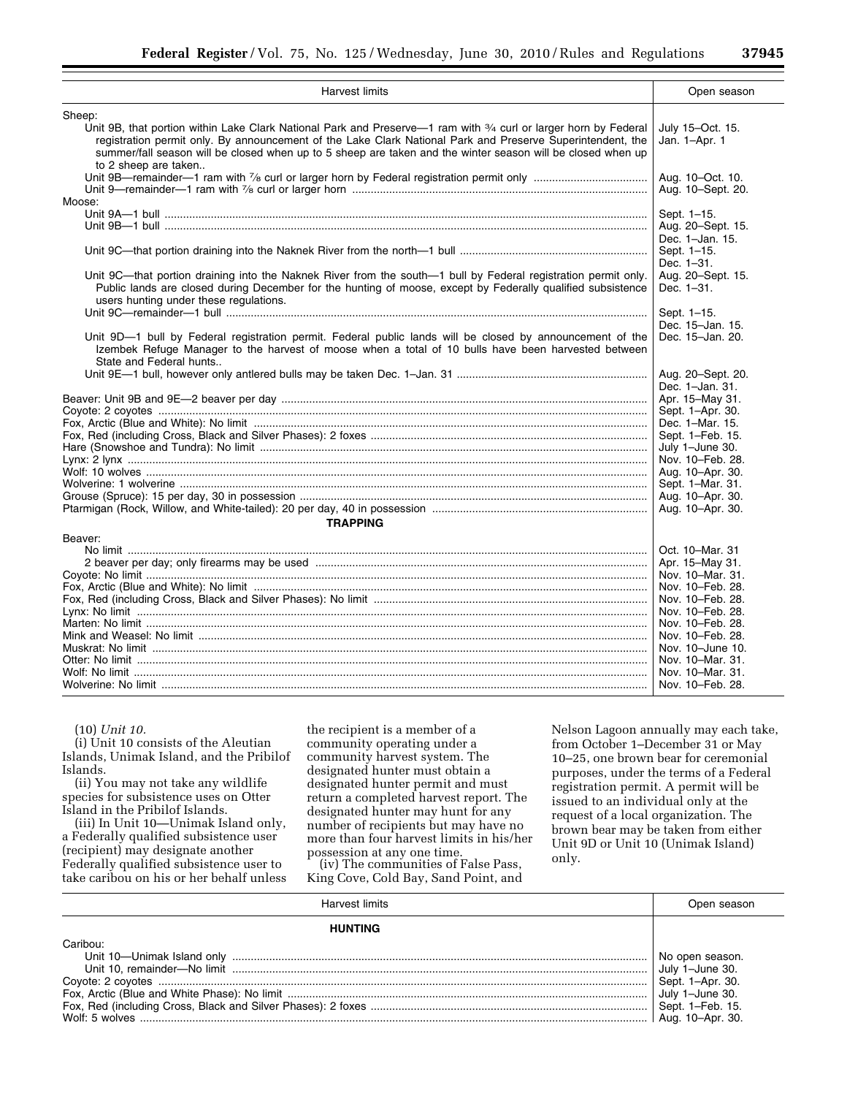| <b>Harvest limits</b>                                                                                                                                                                                                                                                   | Open season                                              |
|-------------------------------------------------------------------------------------------------------------------------------------------------------------------------------------------------------------------------------------------------------------------------|----------------------------------------------------------|
| Sheep:<br>Unit 9B, that portion within Lake Clark National Park and Preserve-1 ram with 3/4 curl or larger horn by Federal<br>registration permit only. By announcement of the Lake Clark National Park and Preserve Superintendent, the                                | July 15-Oct. 15.<br>Jan. 1-Apr. 1                        |
| summer/fall season will be closed when up to 5 sheep are taken and the winter season will be closed when up<br>to 2 sheep are taken                                                                                                                                     |                                                          |
| Moose:                                                                                                                                                                                                                                                                  | Aug. 10-Oct. 10.<br>Aug. 10-Sept. 20.                    |
|                                                                                                                                                                                                                                                                         | Sept. 1-15.<br>Aug. 20-Sept. 15.<br>Dec. 1-Jan. 15.      |
|                                                                                                                                                                                                                                                                         | Sept. 1-15.<br>Dec. 1-31.                                |
| Unit 9C-that portion draining into the Naknek River from the south-1 bull by Federal registration permit only.<br>Public lands are closed during December for the hunting of moose, except by Federally qualified subsistence<br>users hunting under these regulations. | Aug. 20–Sept. 15.<br>Dec. 1-31.                          |
|                                                                                                                                                                                                                                                                         | Sept. 1-15.<br>Dec. 15-Jan. 15.                          |
| Unit 9D-1 bull by Federal registration permit. Federal public lands will be closed by announcement of the<br>Izembek Refuge Manager to the harvest of moose when a total of 10 bulls have been harvested between<br>State and Federal hunts                             | Dec. 15-Jan. 20.                                         |
|                                                                                                                                                                                                                                                                         | Aug. 20–Sept. 20.<br>Dec. 1-Jan. 31.                     |
|                                                                                                                                                                                                                                                                         | Apr. 15-May 31.<br>Sept. 1-Apr. 30.                      |
|                                                                                                                                                                                                                                                                         | Dec. 1-Mar. 15.<br>Sept. 1-Feb. 15.                      |
|                                                                                                                                                                                                                                                                         | July 1-June 30.<br>Nov. 10-Feb. 28.                      |
|                                                                                                                                                                                                                                                                         | Aug. 10-Apr. 30.<br>Sept. 1-Mar. 31.                     |
|                                                                                                                                                                                                                                                                         | Aug. 10-Apr. 30.<br>Aug. 10-Apr. 30.                     |
| <b>TRAPPING</b><br>Beaver:                                                                                                                                                                                                                                              |                                                          |
|                                                                                                                                                                                                                                                                         | Oct. 10–Mar. 31<br>Apr. 15–May 31.                       |
|                                                                                                                                                                                                                                                                         | Nov. 10-Mar. 31.<br>Nov. 10-Feb. 28.                     |
|                                                                                                                                                                                                                                                                         | Nov. 10-Feb. 28.<br>Nov. 10-Feb. 28.<br>Nov. 10-Feb. 28. |
|                                                                                                                                                                                                                                                                         | Nov. 10-Feb. 28.<br>Nov. 10-June 10.                     |
|                                                                                                                                                                                                                                                                         | Nov. 10–Mar. 31.<br>Nov. 10–Mar. 31.                     |
|                                                                                                                                                                                                                                                                         | Nov. 10-Feb. 28.                                         |

(10) *Unit 10.* 

(i) Unit 10 consists of the Aleutian Islands, Unimak Island, and the Pribilof Islands.

(ii) You may not take any wildlife species for subsistence uses on Otter Island in the Pribilof Islands.

(iii) In Unit 10—Unimak Island only, a Federally qualified subsistence user (recipient) may designate another Federally qualified subsistence user to take caribou on his or her behalf unless

the recipient is a member of a community operating under a community harvest system. The designated hunter must obtain a designated hunter permit and must return a completed harvest report. The designated hunter may hunt for any number of recipients but may have no more than four harvest limits in his/her

(iv) The communities of False Pass, King Cove, Cold Bay, Sand Point, and

Nelson Lagoon annually may each take, from October 1–December 31 or May 10–25, one brown bear for ceremonial purposes, under the terms of a Federal registration permit. A permit will be issued to an individual only at the request of a local organization. The brown bear may be taken from either Unit 9D or Unit 10 (Unimak Island) only.

|                | Open season      |
|----------------|------------------|
| <b>HUNTING</b> |                  |
| Caribou:       |                  |
|                | No open season.  |
|                |                  |
|                | Sept. 1-Apr. 30. |
|                |                  |
|                |                  |
|                |                  |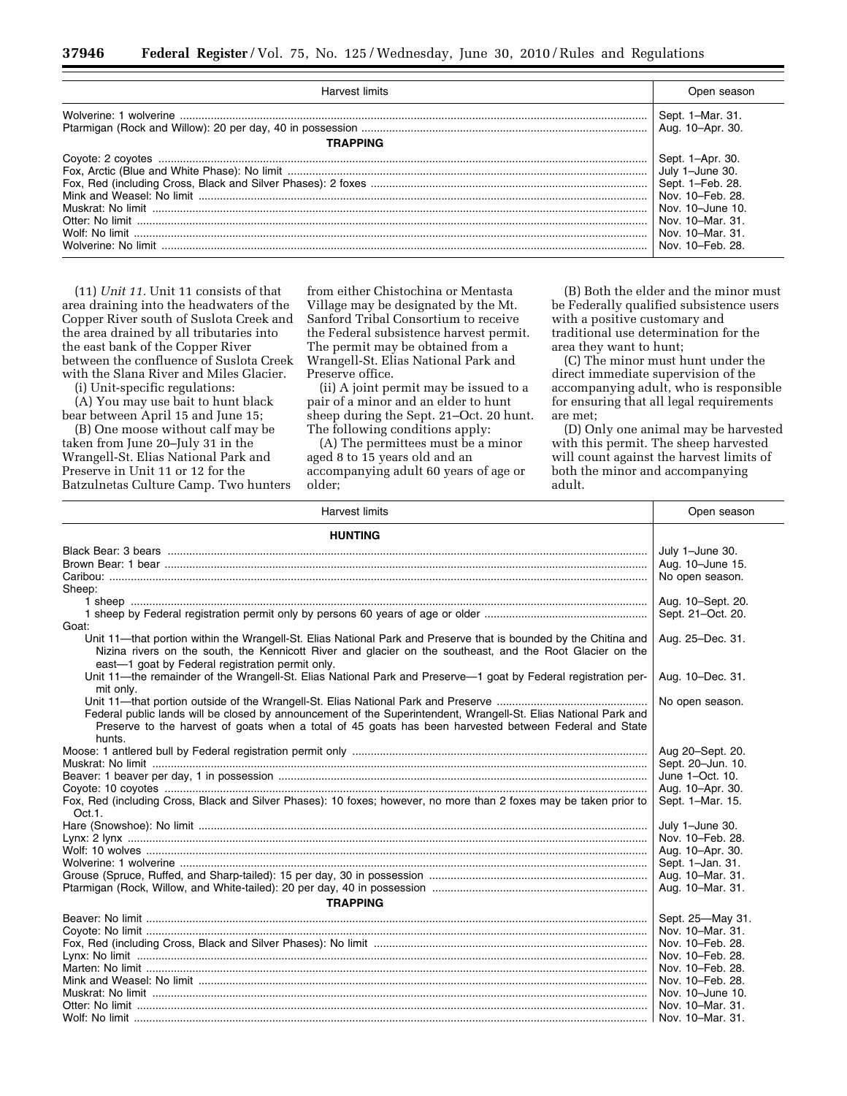| Harvest limits  | Open season                                                                                                                                                 |
|-----------------|-------------------------------------------------------------------------------------------------------------------------------------------------------------|
| <b>TRAPPING</b> | Sept. 1-Mar. 31.<br>Aug. 10-Apr. 30.                                                                                                                        |
|                 | Sept. 1-Apr. 30.<br>July 1-June 30.<br>Sept. 1-Feb. 28.<br>Nov. 10-Feb. 28.<br>Nov. 10-June 10.<br>Nov. 10-Mar. 31.<br>Nov. 10-Mar. 31.<br>Nov. 10-Feb. 28. |

(11) *Unit 11.* Unit 11 consists of that area draining into the headwaters of the Copper River south of Suslota Creek and the area drained by all tributaries into the east bank of the Copper River between the confluence of Suslota Creek with the Slana River and Miles Glacier.

(i) Unit-specific regulations:

(A) You may use bait to hunt black bear between April 15 and June 15;

(B) One moose without calf may be taken from June 20–July 31 in the Wrangell-St. Elias National Park and Preserve in Unit 11 or 12 for the Batzulnetas Culture Camp. Two hunters

from either Chistochina or Mentasta Village may be designated by the Mt. Sanford Tribal Consortium to receive the Federal subsistence harvest permit. The permit may be obtained from a Wrangell-St. Elias National Park and Preserve office.

(ii) A joint permit may be issued to a pair of a minor and an elder to hunt sheep during the Sept. 21–Oct. 20 hunt. The following conditions apply:

(A) The permittees must be a minor aged 8 to 15 years old and an accompanying adult 60 years of age or older;

(B) Both the elder and the minor must be Federally qualified subsistence users with a positive customary and traditional use determination for the area they want to hunt;

(C) The minor must hunt under the direct immediate supervision of the accompanying adult, who is responsible for ensuring that all legal requirements are met;

(D) Only one animal may be harvested with this permit. The sheep harvested will count against the harvest limits of both the minor and accompanying adult.

| <b>Harvest limits</b>                                                                                                                                                                                                                                                             | Open season       |
|-----------------------------------------------------------------------------------------------------------------------------------------------------------------------------------------------------------------------------------------------------------------------------------|-------------------|
| <b>HUNTING</b>                                                                                                                                                                                                                                                                    |                   |
|                                                                                                                                                                                                                                                                                   | July 1-June 30.   |
|                                                                                                                                                                                                                                                                                   | Aug. 10-June 15.  |
|                                                                                                                                                                                                                                                                                   | No open season.   |
| Sheep:                                                                                                                                                                                                                                                                            |                   |
|                                                                                                                                                                                                                                                                                   | Aug. 10-Sept. 20. |
|                                                                                                                                                                                                                                                                                   | Sept. 21-Oct. 20. |
| Goat:                                                                                                                                                                                                                                                                             |                   |
| Unit 11—that portion within the Wrangell-St. Elias National Park and Preserve that is bounded by the Chitina and<br>Nizina rivers on the south, the Kennicott River and glacier on the southeast, and the Root Glacier on the<br>east-1 goat by Federal registration permit only. | Aug. 25-Dec. 31.  |
| Unit 11-the remainder of the Wrangell-St. Elias National Park and Preserve-1 goat by Federal registration per-<br>mit only.                                                                                                                                                       | Aug. 10-Dec. 31.  |
| Federal public lands will be closed by announcement of the Superintendent, Wrangell-St. Elias National Park and<br>Preserve to the harvest of goats when a total of 45 goats has been harvested between Federal and State<br>hunts.                                               | No open season.   |
|                                                                                                                                                                                                                                                                                   | Aug 20-Sept. 20.  |
|                                                                                                                                                                                                                                                                                   | Sept. 20-Jun. 10. |
|                                                                                                                                                                                                                                                                                   | June 1-Oct. 10.   |
|                                                                                                                                                                                                                                                                                   | Aug. 10-Apr. 30.  |
| Fox, Red (including Cross, Black and Silver Phases): 10 foxes; however, no more than 2 foxes may be taken prior to<br>Oct.1.                                                                                                                                                      | Sept. 1-Mar. 15.  |
|                                                                                                                                                                                                                                                                                   | July 1-June 30.   |
|                                                                                                                                                                                                                                                                                   | Nov. 10-Feb. 28.  |
|                                                                                                                                                                                                                                                                                   | Aug. 10-Apr. 30.  |
|                                                                                                                                                                                                                                                                                   | Sept. 1-Jan. 31.  |
|                                                                                                                                                                                                                                                                                   | Aug. 10-Mar. 31.  |
|                                                                                                                                                                                                                                                                                   | Aug. 10-Mar. 31.  |
| <b>TRAPPING</b>                                                                                                                                                                                                                                                                   |                   |
|                                                                                                                                                                                                                                                                                   | Sept. 25-May 31.  |
|                                                                                                                                                                                                                                                                                   | Nov. 10-Mar. 31.  |
|                                                                                                                                                                                                                                                                                   | Nov. 10–Feb. 28.  |
|                                                                                                                                                                                                                                                                                   | Nov. 10-Feb. 28.  |
|                                                                                                                                                                                                                                                                                   | Nov. 10–Feb. 28.  |
|                                                                                                                                                                                                                                                                                   | Nov. 10–Feb. 28.  |
|                                                                                                                                                                                                                                                                                   | Nov. 10-June 10.  |
|                                                                                                                                                                                                                                                                                   | Nov. 10–Mar. 31.  |
|                                                                                                                                                                                                                                                                                   | Nov. 10-Mar. 31.  |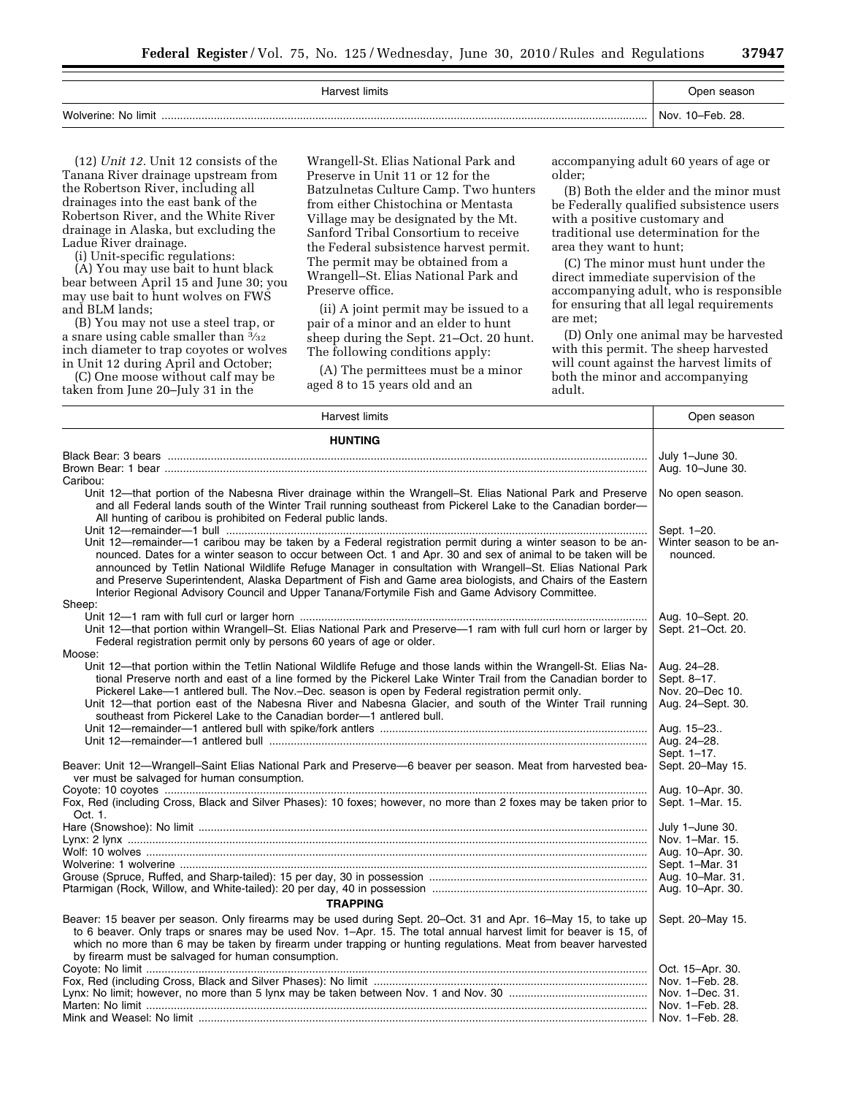| Harvest limits           | Open season         |
|--------------------------|---------------------|
| Wolverine: No limit<br>. | 10–Feb. 28.<br>Nov. |

(12) *Unit 12.* Unit 12 consists of the Tanana River drainage upstream from the Robertson River, including all drainages into the east bank of the Robertson River, and the White River drainage in Alaska, but excluding the Ladue River drainage.

(i) Unit-specific regulations:

(A) You may use bait to hunt black bear between April 15 and June 30; you may use bait to hunt wolves on FWS and BLM lands;

(B) You may not use a steel trap, or a snare using cable smaller than  $\frac{3}{32}$ inch diameter to trap coyotes or wolves in Unit 12 during April and October;

(C) One moose without calf may be taken from June 20–July 31 in the

Wrangell-St. Elias National Park and Preserve in Unit 11 or 12 for the Batzulnetas Culture Camp. Two hunters from either Chistochina or Mentasta Village may be designated by the Mt. Sanford Tribal Consortium to receive the Federal subsistence harvest permit. The permit may be obtained from a Wrangell–St. Elias National Park and Preserve office.

(ii) A joint permit may be issued to a pair of a minor and an elder to hunt sheep during the Sept. 21–Oct. 20 hunt. The following conditions apply:

(A) The permittees must be a minor aged 8 to 15 years old and an

accompanying adult 60 years of age or older;

(B) Both the elder and the minor must be Federally qualified subsistence users with a positive customary and traditional use determination for the area they want to hunt;

(C) The minor must hunt under the direct immediate supervision of the accompanying adult, who is responsible for ensuring that all legal requirements are met;

(D) Only one animal may be harvested with this permit. The sheep harvested will count against the harvest limits of both the minor and accompanying adult.

| <b>Harvest limits</b>                                                                                                                                                                                                                                                                                                                                                                                                                                                                                                                                     | Open season                            |
|-----------------------------------------------------------------------------------------------------------------------------------------------------------------------------------------------------------------------------------------------------------------------------------------------------------------------------------------------------------------------------------------------------------------------------------------------------------------------------------------------------------------------------------------------------------|----------------------------------------|
| <b>HUNTING</b>                                                                                                                                                                                                                                                                                                                                                                                                                                                                                                                                            |                                        |
|                                                                                                                                                                                                                                                                                                                                                                                                                                                                                                                                                           | July 1-June 30.                        |
|                                                                                                                                                                                                                                                                                                                                                                                                                                                                                                                                                           | Aug. 10-June 30.                       |
| Caribou:                                                                                                                                                                                                                                                                                                                                                                                                                                                                                                                                                  |                                        |
| Unit 12-that portion of the Nabesna River drainage within the Wrangell-St. Elias National Park and Preserve<br>and all Federal lands south of the Winter Trail running southeast from Pickerel Lake to the Canadian border-<br>All hunting of caribou is prohibited on Federal public lands.                                                                                                                                                                                                                                                              | No open season.                        |
|                                                                                                                                                                                                                                                                                                                                                                                                                                                                                                                                                           | Sept. 1-20.                            |
| Unit 12—remainder—1 caribou may be taken by a Federal registration permit during a winter season to be an-<br>nounced. Dates for a winter season to occur between Oct. 1 and Apr. 30 and sex of animal to be taken will be<br>announced by Tetlin National Wildlife Refuge Manager in consultation with Wrangell-St. Elias National Park<br>and Preserve Superintendent, Alaska Department of Fish and Game area biologists, and Chairs of the Eastern<br>Interior Regional Advisory Council and Upper Tanana/Fortymile Fish and Game Advisory Committee. | Winter season to be an-<br>nounced.    |
| Sheep:                                                                                                                                                                                                                                                                                                                                                                                                                                                                                                                                                    |                                        |
| Unit 12-that portion within Wrangell-St. Elias National Park and Preserve-1 ram with full curl horn or larger by<br>Federal registration permit only by persons 60 years of age or older.                                                                                                                                                                                                                                                                                                                                                                 | Aug. 10-Sept. 20.<br>Sept. 21-Oct. 20. |
| Moose:                                                                                                                                                                                                                                                                                                                                                                                                                                                                                                                                                    |                                        |
| Unit 12—that portion within the Tetlin National Wildlife Refuge and those lands within the Wrangell-St. Elias Na-                                                                                                                                                                                                                                                                                                                                                                                                                                         | Aug. 24-28.                            |
| tional Preserve north and east of a line formed by the Pickerel Lake Winter Trail from the Canadian border to                                                                                                                                                                                                                                                                                                                                                                                                                                             | Sept. 8-17.                            |
| Pickerel Lake-1 antlered bull. The Nov.-Dec. season is open by Federal registration permit only.<br>Unit 12—that portion east of the Nabesna River and Nabesna Glacier, and south of the Winter Trail running<br>southeast from Pickerel Lake to the Canadian border—1 antlered bull.                                                                                                                                                                                                                                                                     | Nov. 20-Dec 10.<br>Aug. 24-Sept. 30.   |
|                                                                                                                                                                                                                                                                                                                                                                                                                                                                                                                                                           | Aug. 15-23                             |
|                                                                                                                                                                                                                                                                                                                                                                                                                                                                                                                                                           | Aug. 24-28.                            |
|                                                                                                                                                                                                                                                                                                                                                                                                                                                                                                                                                           | Sept. 1-17.                            |
| Beaver: Unit 12-Wrangell-Saint Elias National Park and Preserve-6 beaver per season. Meat from harvested bea-<br>ver must be salvaged for human consumption.                                                                                                                                                                                                                                                                                                                                                                                              | Sept. 20-May 15.                       |
|                                                                                                                                                                                                                                                                                                                                                                                                                                                                                                                                                           | Aug. 10-Apr. 30.                       |
| Fox, Red (including Cross, Black and Silver Phases): 10 foxes; however, no more than 2 foxes may be taken prior to<br>Oct. 1.                                                                                                                                                                                                                                                                                                                                                                                                                             | Sept. 1-Mar. 15.                       |
|                                                                                                                                                                                                                                                                                                                                                                                                                                                                                                                                                           | July 1-June 30.                        |
|                                                                                                                                                                                                                                                                                                                                                                                                                                                                                                                                                           | Nov. 1-Mar. 15.                        |
|                                                                                                                                                                                                                                                                                                                                                                                                                                                                                                                                                           | Aug. 10-Apr. 30.<br>Sept. 1-Mar. 31    |
|                                                                                                                                                                                                                                                                                                                                                                                                                                                                                                                                                           | Aug. 10-Mar. 31.                       |
|                                                                                                                                                                                                                                                                                                                                                                                                                                                                                                                                                           | Aug. 10-Apr. 30.                       |
| <b>TRAPPING</b>                                                                                                                                                                                                                                                                                                                                                                                                                                                                                                                                           |                                        |
| Beaver: 15 beaver per season. Only firearms may be used during Sept. 20-Oct. 31 and Apr. 16-May 15, to take up                                                                                                                                                                                                                                                                                                                                                                                                                                            | Sept. 20-May 15.                       |
| to 6 beaver. Only traps or snares may be used Nov. 1-Apr. 15. The total annual harvest limit for beaver is 15, of<br>which no more than 6 may be taken by firearm under trapping or hunting regulations. Meat from beaver harvested<br>by firearm must be salvaged for human consumption.                                                                                                                                                                                                                                                                 |                                        |
|                                                                                                                                                                                                                                                                                                                                                                                                                                                                                                                                                           | Oct. 15-Apr. 30.                       |
|                                                                                                                                                                                                                                                                                                                                                                                                                                                                                                                                                           | Nov. 1-Feb. 28.                        |
|                                                                                                                                                                                                                                                                                                                                                                                                                                                                                                                                                           | Nov. 1-Dec. 31.                        |
|                                                                                                                                                                                                                                                                                                                                                                                                                                                                                                                                                           |                                        |
|                                                                                                                                                                                                                                                                                                                                                                                                                                                                                                                                                           |                                        |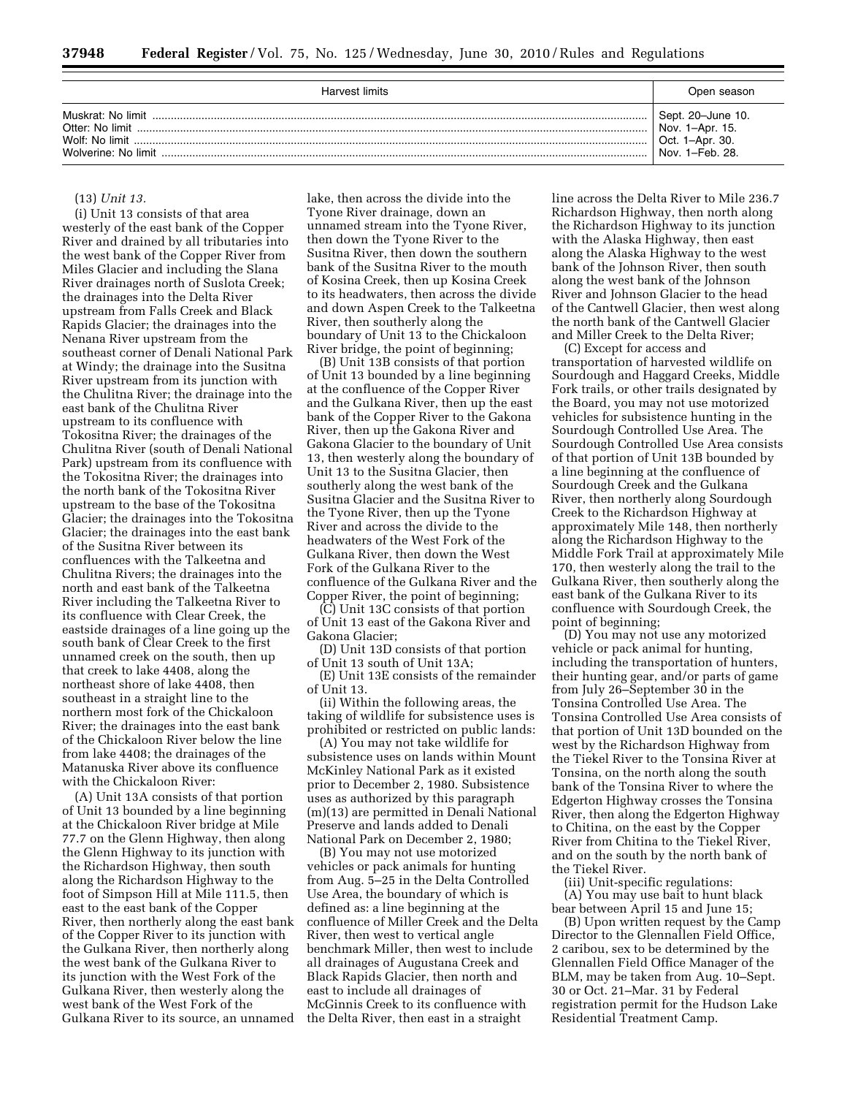| Harvest limits                                             | Open season                                                                   |
|------------------------------------------------------------|-------------------------------------------------------------------------------|
| Muskrat: No limit<br>Wolf: No limit<br>Wolverine: No limit | Sept. 20–June 10.<br>Nov. 1-Apr. 15.<br>1-Apr. 30.<br>Oct.<br>Nov. 1-Feb. 28. |

#### (13) *Unit 13.*

(i) Unit 13 consists of that area westerly of the east bank of the Copper River and drained by all tributaries into the west bank of the Copper River from Miles Glacier and including the Slana River drainages north of Suslota Creek; the drainages into the Delta River upstream from Falls Creek and Black Rapids Glacier; the drainages into the Nenana River upstream from the southeast corner of Denali National Park at Windy; the drainage into the Susitna River upstream from its junction with the Chulitna River; the drainage into the east bank of the Chulitna River upstream to its confluence with Tokositna River; the drainages of the Chulitna River (south of Denali National Park) upstream from its confluence with the Tokositna River; the drainages into the north bank of the Tokositna River upstream to the base of the Tokositna Glacier; the drainages into the Tokositna Glacier; the drainages into the east bank of the Susitna River between its confluences with the Talkeetna and Chulitna Rivers; the drainages into the north and east bank of the Talkeetna River including the Talkeetna River to its confluence with Clear Creek, the eastside drainages of a line going up the south bank of Clear Creek to the first unnamed creek on the south, then up that creek to lake 4408, along the northeast shore of lake 4408, then southeast in a straight line to the northern most fork of the Chickaloon River; the drainages into the east bank of the Chickaloon River below the line from lake 4408; the drainages of the Matanuska River above its confluence with the Chickaloon River:

(A) Unit 13A consists of that portion of Unit 13 bounded by a line beginning at the Chickaloon River bridge at Mile 77.7 on the Glenn Highway, then along the Glenn Highway to its junction with the Richardson Highway, then south along the Richardson Highway to the foot of Simpson Hill at Mile 111.5, then east to the east bank of the Copper River, then northerly along the east bank of the Copper River to its junction with the Gulkana River, then northerly along the west bank of the Gulkana River to its junction with the West Fork of the Gulkana River, then westerly along the west bank of the West Fork of the Gulkana River to its source, an unnamed lake, then across the divide into the Tyone River drainage, down an unnamed stream into the Tyone River, then down the Tyone River to the Susitna River, then down the southern bank of the Susitna River to the mouth of Kosina Creek, then up Kosina Creek to its headwaters, then across the divide and down Aspen Creek to the Talkeetna River, then southerly along the boundary of Unit 13 to the Chickaloon River bridge, the point of beginning;

(B) Unit 13B consists of that portion of Unit 13 bounded by a line beginning at the confluence of the Copper River and the Gulkana River, then up the east bank of the Copper River to the Gakona River, then up the Gakona River and Gakona Glacier to the boundary of Unit 13, then westerly along the boundary of Unit 13 to the Susitna Glacier, then southerly along the west bank of the Susitna Glacier and the Susitna River to the Tyone River, then up the Tyone River and across the divide to the headwaters of the West Fork of the Gulkana River, then down the West Fork of the Gulkana River to the confluence of the Gulkana River and the Copper River, the point of beginning;

(C) Unit 13C consists of that portion of Unit 13 east of the Gakona River and Gakona Glacier;

(D) Unit 13D consists of that portion of Unit 13 south of Unit 13A;

(E) Unit 13E consists of the remainder of Unit 13.

(ii) Within the following areas, the taking of wildlife for subsistence uses is prohibited or restricted on public lands:

(A) You may not take wildlife for subsistence uses on lands within Mount McKinley National Park as it existed prior to December 2, 1980. Subsistence uses as authorized by this paragraph (m)(13) are permitted in Denali National Preserve and lands added to Denali National Park on December 2, 1980;

(B) You may not use motorized vehicles or pack animals for hunting from Aug. 5–25 in the Delta Controlled Use Area, the boundary of which is defined as: a line beginning at the confluence of Miller Creek and the Delta River, then west to vertical angle benchmark Miller, then west to include all drainages of Augustana Creek and Black Rapids Glacier, then north and east to include all drainages of McGinnis Creek to its confluence with the Delta River, then east in a straight

line across the Delta River to Mile 236.7 Richardson Highway, then north along the Richardson Highway to its junction with the Alaska Highway, then east along the Alaska Highway to the west bank of the Johnson River, then south along the west bank of the Johnson River and Johnson Glacier to the head of the Cantwell Glacier, then west along the north bank of the Cantwell Glacier and Miller Creek to the Delta River;

(C) Except for access and transportation of harvested wildlife on Sourdough and Haggard Creeks, Middle Fork trails, or other trails designated by the Board, you may not use motorized vehicles for subsistence hunting in the Sourdough Controlled Use Area. The Sourdough Controlled Use Area consists of that portion of Unit 13B bounded by a line beginning at the confluence of Sourdough Creek and the Gulkana River, then northerly along Sourdough Creek to the Richardson Highway at approximately Mile 148, then northerly along the Richardson Highway to the Middle Fork Trail at approximately Mile 170, then westerly along the trail to the Gulkana River, then southerly along the east bank of the Gulkana River to its confluence with Sourdough Creek, the point of beginning;

(D) You may not use any motorized vehicle or pack animal for hunting, including the transportation of hunters, their hunting gear, and/or parts of game from July 26–September 30 in the Tonsina Controlled Use Area. The Tonsina Controlled Use Area consists of that portion of Unit 13D bounded on the west by the Richardson Highway from the Tiekel River to the Tonsina River at Tonsina, on the north along the south bank of the Tonsina River to where the Edgerton Highway crosses the Tonsina River, then along the Edgerton Highway to Chitina, on the east by the Copper River from Chitina to the Tiekel River, and on the south by the north bank of the Tiekel River.

(iii) Unit-specific regulations: (A) You may use bait to hunt black

bear between April 15 and June 15; (B) Upon written request by the Camp Director to the Glennallen Field Office, 2 caribou, sex to be determined by the Glennallen Field Office Manager of the BLM, may be taken from Aug. 10–Sept. 30 or Oct. 21–Mar. 31 by Federal registration permit for the Hudson Lake Residential Treatment Camp.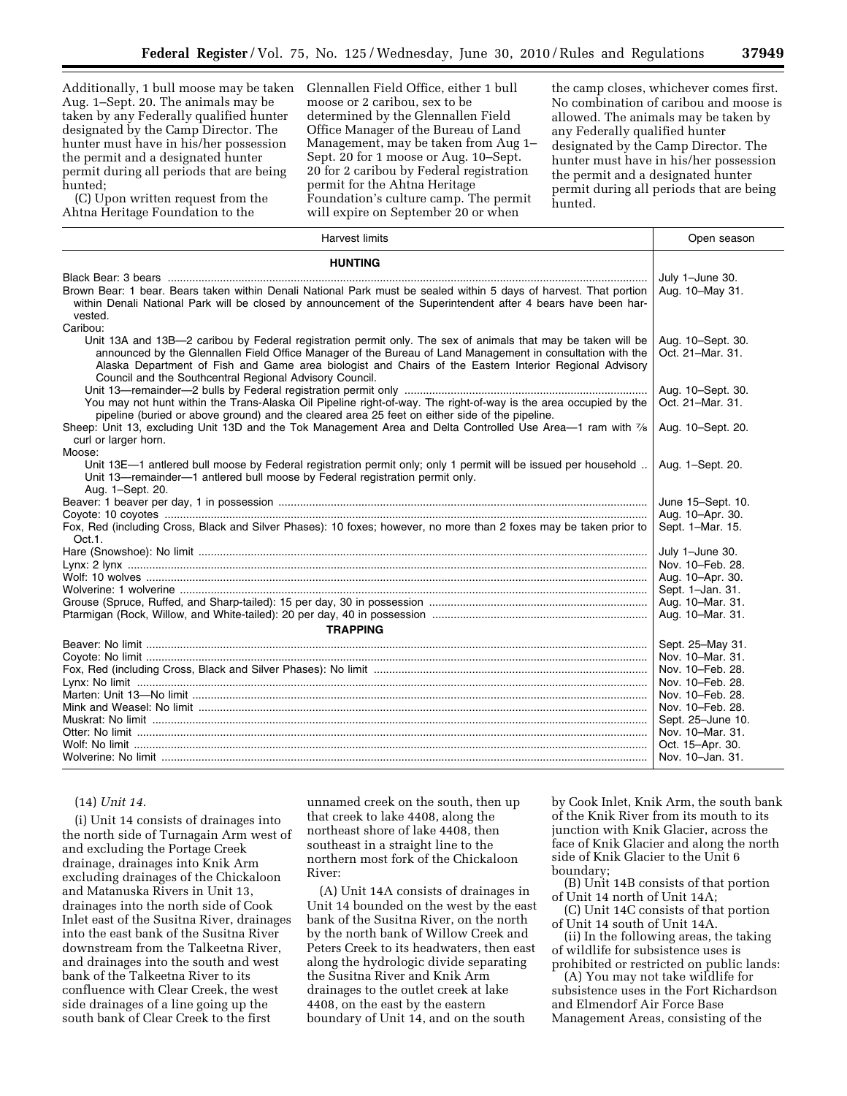Additionally, 1 bull moose may be taken Aug. 1–Sept. 20. The animals may be taken by any Federally qualified hunter designated by the Camp Director. The hunter must have in his/her possession the permit and a designated hunter permit during all periods that are being hunted;

(C) Upon written request from the Ahtna Heritage Foundation to the

Glennallen Field Office, either 1 bull moose or 2 caribou, sex to be determined by the Glennallen Field Office Manager of the Bureau of Land Management, may be taken from Aug 1– Sept. 20 for 1 moose or Aug. 10–Sept. 20 for 2 caribou by Federal registration permit for the Ahtna Heritage Foundation's culture camp. The permit will expire on September 20 or when

the camp closes, whichever comes first. No combination of caribou and moose is allowed. The animals may be taken by any Federally qualified hunter designated by the Camp Director. The hunter must have in his/her possession the permit and a designated hunter permit during all periods that are being hunted.

| Harvest limits                                                                                                                                                                                                                                                                                                                                                                                  | Open season                           |
|-------------------------------------------------------------------------------------------------------------------------------------------------------------------------------------------------------------------------------------------------------------------------------------------------------------------------------------------------------------------------------------------------|---------------------------------------|
| <b>HUNTING</b>                                                                                                                                                                                                                                                                                                                                                                                  |                                       |
|                                                                                                                                                                                                                                                                                                                                                                                                 | July 1-June 30.                       |
| Brown Bear: 1 bear. Bears taken within Denali National Park must be sealed within 5 days of harvest. That portion<br>within Denali National Park will be closed by announcement of the Superintendent after 4 bears have been har-<br>vested.                                                                                                                                                   | Aug. 10-May 31.                       |
| Caribou:                                                                                                                                                                                                                                                                                                                                                                                        |                                       |
| Unit 13A and 13B-2 caribou by Federal registration permit only. The sex of animals that may be taken will be<br>announced by the Glennallen Field Office Manager of the Bureau of Land Management in consultation with the<br>Alaska Department of Fish and Game area biologist and Chairs of the Eastern Interior Regional Advisory<br>Council and the Southcentral Regional Advisory Council. | Aug. 10-Sept. 30.<br>Oct. 21-Mar. 31. |
|                                                                                                                                                                                                                                                                                                                                                                                                 | Aug. 10-Sept. 30.                     |
| You may not hunt within the Trans-Alaska Oil Pipeline right-of-way. The right-of-way is the area occupied by the<br>pipeline (buried or above ground) and the cleared area 25 feet on either side of the pipeline.                                                                                                                                                                              | Oct. 21-Mar. 31.                      |
| Sheep: Unit 13, excluding Unit 13D and the Tok Management Area and Delta Controlled Use Area-1 ram with 7/8<br>curl or larger horn.                                                                                                                                                                                                                                                             | Aug. 10-Sept. 20.                     |
| Moose:                                                                                                                                                                                                                                                                                                                                                                                          |                                       |
| Unit 13E-1 antlered bull moose by Federal registration permit only; only 1 permit will be issued per household<br>Unit 13-remainder-1 antlered bull moose by Federal registration permit only.<br>Aug. 1-Sept. 20.                                                                                                                                                                              | Aug. 1-Sept. 20.                      |
|                                                                                                                                                                                                                                                                                                                                                                                                 | June 15-Sept. 10.                     |
|                                                                                                                                                                                                                                                                                                                                                                                                 | Aug. 10-Apr. 30.                      |
| Fox, Red (including Cross, Black and Silver Phases): 10 foxes; however, no more than 2 foxes may be taken prior to<br>Oct.1.                                                                                                                                                                                                                                                                    | Sept. 1-Mar. 15.                      |
|                                                                                                                                                                                                                                                                                                                                                                                                 | July 1-June 30.                       |
|                                                                                                                                                                                                                                                                                                                                                                                                 | Nov. 10-Feb. 28.                      |
|                                                                                                                                                                                                                                                                                                                                                                                                 | Aug. 10-Apr. 30.                      |
|                                                                                                                                                                                                                                                                                                                                                                                                 | Sept. 1-Jan. 31.                      |
|                                                                                                                                                                                                                                                                                                                                                                                                 | Aug. 10-Mar. 31.                      |
|                                                                                                                                                                                                                                                                                                                                                                                                 | Aug. 10-Mar. 31.                      |
| <b>TRAPPING</b>                                                                                                                                                                                                                                                                                                                                                                                 |                                       |
|                                                                                                                                                                                                                                                                                                                                                                                                 | Sept. 25-May 31.                      |
|                                                                                                                                                                                                                                                                                                                                                                                                 | Nov. 10-Mar. 31.                      |
|                                                                                                                                                                                                                                                                                                                                                                                                 | Nov. 10-Feb. 28.                      |
|                                                                                                                                                                                                                                                                                                                                                                                                 | Nov. 10–Feb. 28.                      |
|                                                                                                                                                                                                                                                                                                                                                                                                 | Nov. 10–Feb. 28.                      |
|                                                                                                                                                                                                                                                                                                                                                                                                 | Nov. 10-Feb. 28.                      |
|                                                                                                                                                                                                                                                                                                                                                                                                 | Sept. 25-June 10.                     |
|                                                                                                                                                                                                                                                                                                                                                                                                 | Nov. 10-Mar. 31.                      |
|                                                                                                                                                                                                                                                                                                                                                                                                 | Oct. 15-Apr. 30.                      |
|                                                                                                                                                                                                                                                                                                                                                                                                 | Nov. 10-Jan. 31.                      |
|                                                                                                                                                                                                                                                                                                                                                                                                 |                                       |

#### (14) *Unit 14.*

(i) Unit 14 consists of drainages into the north side of Turnagain Arm west of and excluding the Portage Creek drainage, drainages into Knik Arm excluding drainages of the Chickaloon and Matanuska Rivers in Unit 13, drainages into the north side of Cook Inlet east of the Susitna River, drainages into the east bank of the Susitna River downstream from the Talkeetna River, and drainages into the south and west bank of the Talkeetna River to its confluence with Clear Creek, the west side drainages of a line going up the south bank of Clear Creek to the first

unnamed creek on the south, then up that creek to lake 4408, along the northeast shore of lake 4408, then southeast in a straight line to the northern most fork of the Chickaloon River:

(A) Unit 14A consists of drainages in Unit 14 bounded on the west by the east bank of the Susitna River, on the north by the north bank of Willow Creek and Peters Creek to its headwaters, then east along the hydrologic divide separating the Susitna River and Knik Arm drainages to the outlet creek at lake 4408, on the east by the eastern boundary of Unit 14, and on the south

by Cook Inlet, Knik Arm, the south bank of the Knik River from its mouth to its junction with Knik Glacier, across the face of Knik Glacier and along the north side of Knik Glacier to the Unit 6 boundary;

(B) Unit 14B consists of that portion of Unit 14 north of Unit 14A;

(C) Unit 14C consists of that portion of Unit 14 south of Unit 14A.

(ii) In the following areas, the taking of wildlife for subsistence uses is prohibited or restricted on public lands:

(A) You may not take wildlife for subsistence uses in the Fort Richardson and Elmendorf Air Force Base Management Areas, consisting of the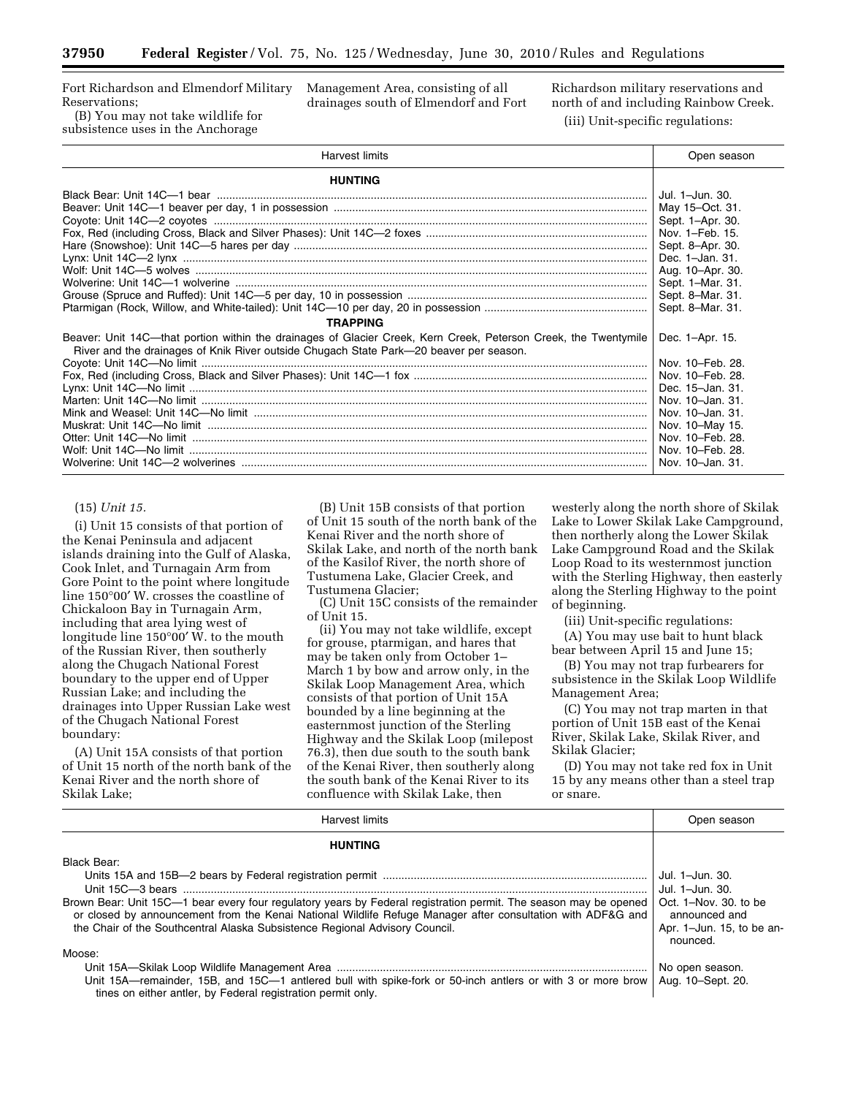Fort Richardson and Elmendorf Military Reservations;

(B) You may not take wildlife for subsistence uses in the Anchorage

Management Area, consisting of all drainages south of Elmendorf and Fort Richardson military reservations and north of and including Rainbow Creek. (iii) Unit-specific regulations:

| <b>Harvest limits</b>                                                                                                                                                                                     | Open season      |
|-----------------------------------------------------------------------------------------------------------------------------------------------------------------------------------------------------------|------------------|
| <b>HUNTING</b>                                                                                                                                                                                            |                  |
|                                                                                                                                                                                                           | Jul. 1-Jun. 30.  |
|                                                                                                                                                                                                           | May 15-Oct. 31.  |
|                                                                                                                                                                                                           | Sept. 1-Apr. 30. |
|                                                                                                                                                                                                           |                  |
|                                                                                                                                                                                                           |                  |
|                                                                                                                                                                                                           |                  |
|                                                                                                                                                                                                           | Aug. 10-Apr. 30. |
|                                                                                                                                                                                                           | Sept. 1-Mar. 31. |
|                                                                                                                                                                                                           |                  |
|                                                                                                                                                                                                           | Sept. 8-Mar. 31. |
| <b>TRAPPING</b>                                                                                                                                                                                           |                  |
| Beaver: Unit 14C—that portion within the drainages of Glacier Creek, Kern Creek, Peterson Creek, the Twentymile<br>River and the drainages of Knik River outside Chugach State Park—20 beaver per season. | Dec. 1-Apr. 15.  |
|                                                                                                                                                                                                           | Nov. 10–Feb. 28. |
|                                                                                                                                                                                                           |                  |
|                                                                                                                                                                                                           | Dec. 15-Jan. 31. |
|                                                                                                                                                                                                           | Nov. 10-Jan. 31. |
|                                                                                                                                                                                                           | Nov. 10-Jan. 31. |
|                                                                                                                                                                                                           | Nov. 10-May 15.  |
|                                                                                                                                                                                                           | Nov. 10–Feb. 28. |
|                                                                                                                                                                                                           | Nov. 10–Feb. 28. |
|                                                                                                                                                                                                           | Nov. 10-Jan. 31. |

## (15) *Unit 15.*

(i) Unit 15 consists of that portion of the Kenai Peninsula and adjacent islands draining into the Gulf of Alaska, Cook Inlet, and Turnagain Arm from Gore Point to the point where longitude line 150°00′ W. crosses the coastline of Chickaloon Bay in Turnagain Arm, including that area lying west of longitude line 150°00′ W. to the mouth of the Russian River, then southerly along the Chugach National Forest boundary to the upper end of Upper Russian Lake; and including the drainages into Upper Russian Lake west of the Chugach National Forest boundary:

(A) Unit 15A consists of that portion of Unit 15 north of the north bank of the Kenai River and the north shore of Skilak Lake;

(B) Unit 15B consists of that portion of Unit 15 south of the north bank of the Kenai River and the north shore of Skilak Lake, and north of the north bank of the Kasilof River, the north shore of Tustumena Lake, Glacier Creek, and Tustumena Glacier;

(C) Unit 15C consists of the remainder of Unit 15.

(ii) You may not take wildlife, except for grouse, ptarmigan, and hares that may be taken only from October 1– March 1 by bow and arrow only, in the Skilak Loop Management Area, which consists of that portion of Unit 15A bounded by a line beginning at the easternmost junction of the Sterling Highway and the Skilak Loop (milepost 76.3), then due south to the south bank of the Kenai River, then southerly along the south bank of the Kenai River to its confluence with Skilak Lake, then

westerly along the north shore of Skilak Lake to Lower Skilak Lake Campground, then northerly along the Lower Skilak Lake Campground Road and the Skilak Loop Road to its westernmost junction with the Sterling Highway, then easterly along the Sterling Highway to the point of beginning.

(iii) Unit-specific regulations:

(A) You may use bait to hunt black bear between April 15 and June 15;

(B) You may not trap furbearers for subsistence in the Skilak Loop Wildlife Management Area;

(C) You may not trap marten in that portion of Unit 15B east of the Kenai River, Skilak Lake, Skilak River, and Skilak Glacier;

(D) You may not take red fox in Unit 15 by any means other than a steel trap or snare.

| Harvest limits                                                                                                                                                                                                                                                                                                 | Open season                                                                                               |
|----------------------------------------------------------------------------------------------------------------------------------------------------------------------------------------------------------------------------------------------------------------------------------------------------------------|-----------------------------------------------------------------------------------------------------------|
| <b>HUNTING</b>                                                                                                                                                                                                                                                                                                 |                                                                                                           |
| Black Bear:                                                                                                                                                                                                                                                                                                    |                                                                                                           |
| Brown Bear: Unit 15C—1 bear every four regulatory years by Federal registration permit. The season may be opened<br>or closed by announcement from the Kenai National Wildlife Refuge Manager after consultation with ADF&G and<br>the Chair of the Southcentral Alaska Subsistence Regional Advisory Council. | Jul. 1–Jun. 30.<br>Jul. 1-Jun. 30.<br>Oct. 1-Nov. 30, to be<br>announced and<br>Apr. 1-Jun. 15, to be an- |
| Moose:<br>Unit 15A—remainder, 15B, and 15C—1 antlered bull with spike-fork or 50-inch antlers or with 3 or more brow<br>tines on either antler, by Federal registration permit only.                                                                                                                           | nounced.<br>No open season.<br>Aug. 10-Sept. 20.                                                          |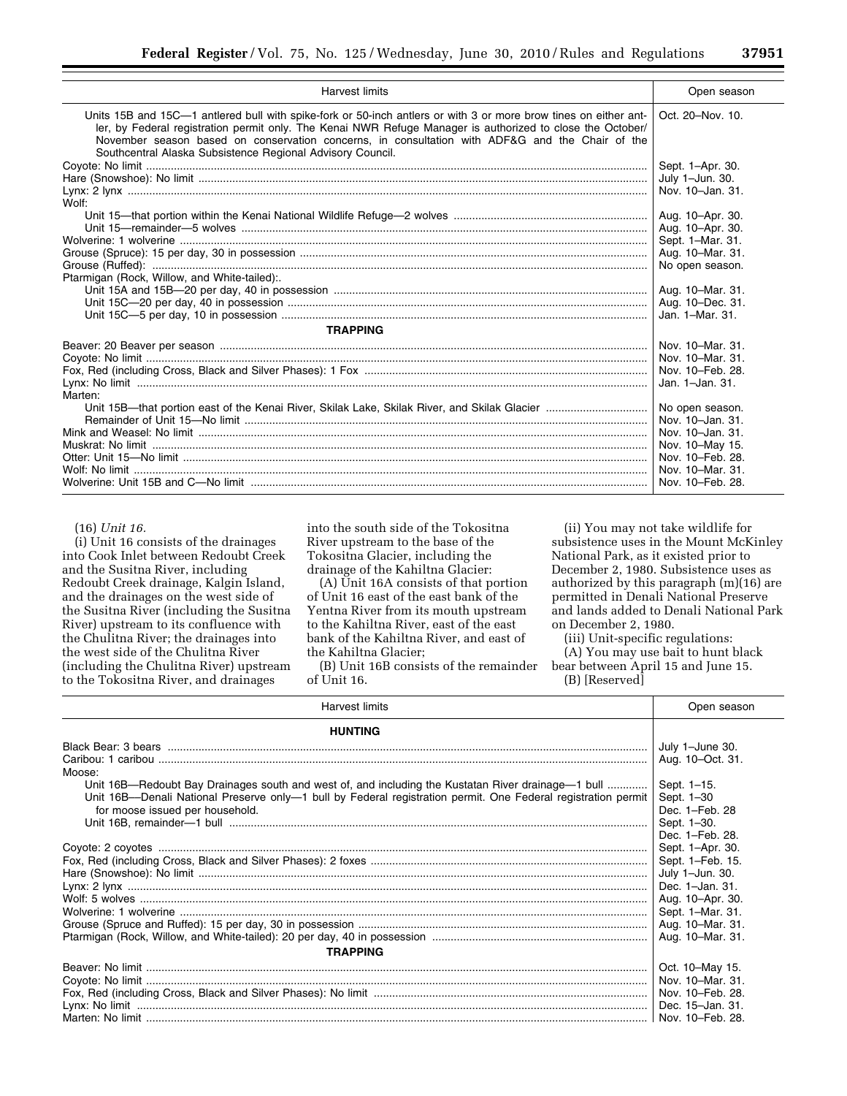| <b>Harvest limits</b>                                                                                                                                                                                                                                                                                                                                                                           | Open season      |
|-------------------------------------------------------------------------------------------------------------------------------------------------------------------------------------------------------------------------------------------------------------------------------------------------------------------------------------------------------------------------------------------------|------------------|
| Units 15B and 15C—1 antlered bull with spike-fork or 50-inch antlers or with 3 or more brow tines on either ant-<br>ler, by Federal registration permit only. The Kenai NWR Refuge Manager is authorized to close the October/<br>November season based on conservation concerns, in consultation with ADF&G and the Chair of the<br>Southcentral Alaska Subsistence Regional Advisory Council. | Oct. 20-Nov. 10. |
|                                                                                                                                                                                                                                                                                                                                                                                                 | Sept. 1-Apr. 30. |
|                                                                                                                                                                                                                                                                                                                                                                                                 | July 1-Jun. 30.  |
|                                                                                                                                                                                                                                                                                                                                                                                                 | Nov. 10-Jan. 31. |
| Wolf:                                                                                                                                                                                                                                                                                                                                                                                           |                  |
|                                                                                                                                                                                                                                                                                                                                                                                                 | Aug. 10-Apr. 30. |
|                                                                                                                                                                                                                                                                                                                                                                                                 | Aug. 10-Apr. 30. |
|                                                                                                                                                                                                                                                                                                                                                                                                 | Sept. 1-Mar. 31. |
|                                                                                                                                                                                                                                                                                                                                                                                                 | Aug. 10-Mar. 31. |
|                                                                                                                                                                                                                                                                                                                                                                                                 | No open season.  |
| Ptarmigan (Rock, Willow, and White-tailed):.                                                                                                                                                                                                                                                                                                                                                    |                  |
|                                                                                                                                                                                                                                                                                                                                                                                                 | Aug. 10-Mar. 31. |
|                                                                                                                                                                                                                                                                                                                                                                                                 | Aug. 10-Dec. 31. |
|                                                                                                                                                                                                                                                                                                                                                                                                 | Jan. 1-Mar. 31.  |
| <b>TRAPPING</b>                                                                                                                                                                                                                                                                                                                                                                                 |                  |
|                                                                                                                                                                                                                                                                                                                                                                                                 | Nov. 10–Mar. 31. |
|                                                                                                                                                                                                                                                                                                                                                                                                 | Nov. 10-Mar. 31. |
|                                                                                                                                                                                                                                                                                                                                                                                                 | Nov. 10-Feb. 28. |
|                                                                                                                                                                                                                                                                                                                                                                                                 | Jan. 1-Jan. 31.  |
| Marten:                                                                                                                                                                                                                                                                                                                                                                                         |                  |
|                                                                                                                                                                                                                                                                                                                                                                                                 | No open season.  |
|                                                                                                                                                                                                                                                                                                                                                                                                 | Nov. 10-Jan. 31. |
|                                                                                                                                                                                                                                                                                                                                                                                                 | Nov. 10-Jan. 31. |
|                                                                                                                                                                                                                                                                                                                                                                                                 | Nov. 10-May 15.  |
|                                                                                                                                                                                                                                                                                                                                                                                                 | Nov. 10-Feb. 28. |
|                                                                                                                                                                                                                                                                                                                                                                                                 | Nov. 10-Mar. 31. |
|                                                                                                                                                                                                                                                                                                                                                                                                 | Nov. 10–Feb. 28. |

#### (16) *Unit 16.*

(i) Unit 16 consists of the drainages into Cook Inlet between Redoubt Creek and the Susitna River, including Redoubt Creek drainage, Kalgin Island, and the drainages on the west side of the Susitna River (including the Susitna River) upstream to its confluence with the Chulitna River; the drainages into the west side of the Chulitna River (including the Chulitna River) upstream to the Tokositna River, and drainages

into the south side of the Tokositna River upstream to the base of the Tokositna Glacier, including the drainage of the Kahiltna Glacier:

(A) Unit 16A consists of that portion of Unit 16 east of the east bank of the Yentna River from its mouth upstream to the Kahiltna River, east of the east bank of the Kahiltna River, and east of the Kahiltna Glacier;

(B) Unit 16B consists of the remainder of Unit 16.

(ii) You may not take wildlife for subsistence uses in the Mount McKinley National Park, as it existed prior to December 2, 1980. Subsistence uses as authorized by this paragraph (m)(16) are permitted in Denali National Preserve and lands added to Denali National Park on December 2, 1980.

(iii) Unit-specific regulations:

(A) You may use bait to hunt black bear between April 15 and June 15. (B) [Reserved]

| <b>Harvest limits</b>                                                                                         | Open season      |
|---------------------------------------------------------------------------------------------------------------|------------------|
| <b>HUNTING</b>                                                                                                |                  |
|                                                                                                               | July 1-June 30.  |
|                                                                                                               | Aug. 10-Oct. 31. |
| Moose:                                                                                                        |                  |
| Unit 16B—Redoubt Bay Drainages south and west of, and including the Kustatan River drainage—1 bull            | Sept. 1-15.      |
| Unit 16B-Denali National Preserve only-1 bull by Federal registration permit. One Federal registration permit | Sept. 1-30       |
| for moose issued per household.                                                                               | Dec. 1-Feb. 28   |
|                                                                                                               | Sept. 1-30.      |
|                                                                                                               | Dec. 1-Feb. 28.  |
|                                                                                                               | Sept. 1-Apr. 30. |
|                                                                                                               | Sept. 1-Feb. 15. |
|                                                                                                               | July 1-Jun. 30.  |
|                                                                                                               | Dec. 1-Jan. 31.  |
|                                                                                                               | Aug. 10-Apr. 30. |
|                                                                                                               | Sept. 1-Mar. 31. |
|                                                                                                               | Aug. 10-Mar. 31. |
|                                                                                                               | Aug. 10-Mar. 31. |
| <b>TRAPPING</b>                                                                                               |                  |
|                                                                                                               | Oct. 10-May 15.  |
|                                                                                                               | Nov. 10-Mar. 31. |
|                                                                                                               | Nov. 10–Feb. 28. |
|                                                                                                               | Dec. 15-Jan. 31. |
|                                                                                                               | Nov. 10-Feb. 28. |
|                                                                                                               |                  |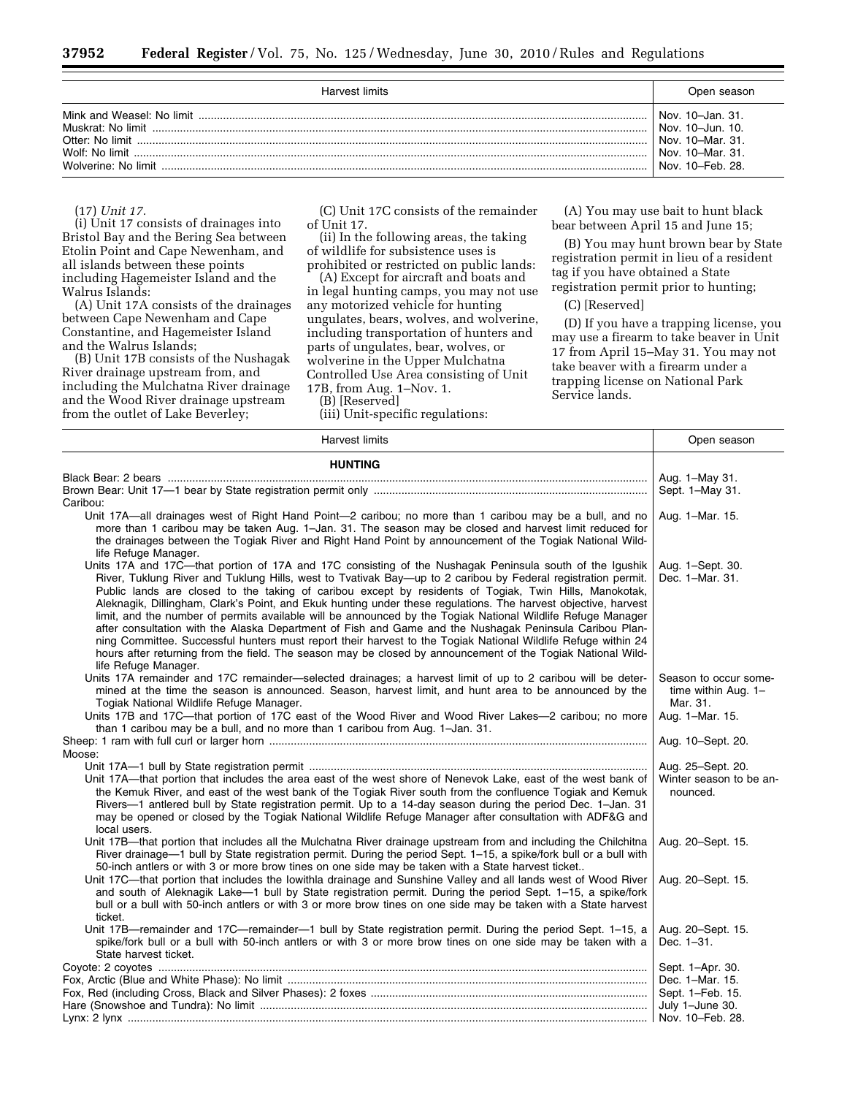| Harvest limits                        | Open season                                                                                                     |
|---------------------------------------|-----------------------------------------------------------------------------------------------------------------|
| Wolf: No limit<br>Wolverine: No limit | Nov. 10-Jan. 31.<br>Nov. $10 - \lim_{h \to 0} 10$ .<br>Nov. 10-Mar. 31.<br>Nov. 10-Mar. 31.<br>Nov. 10–Feb. 28. |

(17) *Unit 17.* 

(i) Unit 17 consists of drainages into Bristol Bay and the Bering Sea between Etolin Point and Cape Newenham, and all islands between these points including Hagemeister Island and the Walrus Islands:

(A) Unit 17A consists of the drainages between Cape Newenham and Cape Constantine, and Hagemeister Island and the Walrus Islands;

(B) Unit 17B consists of the Nushagak River drainage upstream from, and including the Mulchatna River drainage and the Wood River drainage upstream from the outlet of Lake Beverley;

(C) Unit 17C consists of the remainder of Unit 17.

(ii) In the following areas, the taking of wildlife for subsistence uses is prohibited or restricted on public lands:

(A) Except for aircraft and boats and in legal hunting camps, you may not use any motorized vehicle for hunting ungulates, bears, wolves, and wolverine, including transportation of hunters and parts of ungulates, bear, wolves, or wolverine in the Upper Mulchatna Controlled Use Area consisting of Unit 17B, from Aug. 1–Nov. 1.

(B) [Reserved]

(iii) Unit-specific regulations:

(A) You may use bait to hunt black bear between April 15 and June 15;

(B) You may hunt brown bear by State registration permit in lieu of a resident tag if you have obtained a State registration permit prior to hunting;

(C) [Reserved]

(D) If you have a trapping license, you may use a firearm to take beaver in Unit 17 from April 15–May 31. You may not take beaver with a firearm under a trapping license on National Park Service lands.

| <b>Harvest limits</b>                                                                                                                                                                                                                                                                                                                                                                                                                                                                                                                                                                                                                                                                                                                                                                                                                                                                                                                 | Open season                                                                 |
|---------------------------------------------------------------------------------------------------------------------------------------------------------------------------------------------------------------------------------------------------------------------------------------------------------------------------------------------------------------------------------------------------------------------------------------------------------------------------------------------------------------------------------------------------------------------------------------------------------------------------------------------------------------------------------------------------------------------------------------------------------------------------------------------------------------------------------------------------------------------------------------------------------------------------------------|-----------------------------------------------------------------------------|
| <b>HUNTING</b>                                                                                                                                                                                                                                                                                                                                                                                                                                                                                                                                                                                                                                                                                                                                                                                                                                                                                                                        |                                                                             |
|                                                                                                                                                                                                                                                                                                                                                                                                                                                                                                                                                                                                                                                                                                                                                                                                                                                                                                                                       | Aug. 1-May 31.                                                              |
| Caribou:                                                                                                                                                                                                                                                                                                                                                                                                                                                                                                                                                                                                                                                                                                                                                                                                                                                                                                                              | Sept. 1-May 31.                                                             |
| Unit 17A—all drainages west of Right Hand Point—2 caribou; no more than 1 caribou may be a bull, and no<br>more than 1 caribou may be taken Aug. 1-Jan. 31. The season may be closed and harvest limit reduced for<br>the drainages between the Togiak River and Right Hand Point by announcement of the Togiak National Wild-<br>life Refuge Manager.                                                                                                                                                                                                                                                                                                                                                                                                                                                                                                                                                                                | Aug. 1-Mar. 15.                                                             |
| Units 17A and 17C-that portion of 17A and 17C consisting of the Nushagak Peninsula south of the Igushik<br>River, Tuklung River and Tuklung Hills, west to Tvativak Bay—up to 2 caribou by Federal registration permit.<br>Public lands are closed to the taking of caribou except by residents of Togiak, Twin Hills, Manokotak,<br>Aleknagik, Dillingham, Clark's Point, and Ekuk hunting under these regulations. The harvest objective, harvest<br>limit, and the number of permits available will be announced by the Togiak National Wildlife Refuge Manager<br>after consultation with the Alaska Department of Fish and Game and the Nushagak Peninsula Caribou Plan-<br>ning Committee. Successful hunters must report their harvest to the Togiak National Wildlife Refuge within 24<br>hours after returning from the field. The season may be closed by announcement of the Togiak National Wild-<br>life Refuge Manager. | Aug. 1-Sept. 30.<br>Dec. 1-Mar. 31.                                         |
| Units 17A remainder and 17C remainder—selected drainages; a harvest limit of up to 2 caribou will be deter-<br>mined at the time the season is announced. Season, harvest limit, and hunt area to be announced by the<br>Togiak National Wildlife Refuge Manager.<br>Units 17B and 17C-that portion of 17C east of the Wood River and Wood River Lakes-2 caribou; no more<br>than 1 caribou may be a bull, and no more than 1 caribou from Aug. 1-Jan. 31.                                                                                                                                                                                                                                                                                                                                                                                                                                                                            | Season to occur some-<br>time within Aug. 1-<br>Mar. 31.<br>Aug. 1-Mar. 15. |
| Moose:                                                                                                                                                                                                                                                                                                                                                                                                                                                                                                                                                                                                                                                                                                                                                                                                                                                                                                                                | Aug. 10-Sept. 20.                                                           |
| Unit 17A-that portion that includes the area east of the west shore of Nenevok Lake, east of the west bank of<br>the Kemuk River, and east of the west bank of the Togiak River south from the confluence Togiak and Kemuk<br>Rivers-1 antlered bull by State registration permit. Up to a 14-day season during the period Dec. 1-Jan. 31<br>may be opened or closed by the Togiak National Wildlife Refuge Manager after consultation with ADF&G and<br>local users.                                                                                                                                                                                                                                                                                                                                                                                                                                                                 | Aug. 25-Sept. 20.<br>Winter season to be an-<br>nounced.                    |
| Unit 17B—that portion that includes all the Mulchatna River drainage upstream from and including the Chilchitna<br>River drainage—1 bull by State registration permit. During the period Sept. 1–15, a spike/fork bull or a bull with                                                                                                                                                                                                                                                                                                                                                                                                                                                                                                                                                                                                                                                                                                 | Aug. 20-Sept. 15.                                                           |
| 50-inch antlers or with 3 or more brow tines on one side may be taken with a State harvest ticket<br>Unit 17C-that portion that includes the lowithla drainage and Sunshine Valley and all lands west of Wood River<br>and south of Aleknagik Lake-1 bull by State registration permit. During the period Sept. 1-15, a spike/fork<br>bull or a bull with 50-inch antlers or with 3 or more brow tines on one side may be taken with a State harvest<br>ticket.                                                                                                                                                                                                                                                                                                                                                                                                                                                                       | Aug. 20-Sept. 15.                                                           |
| Unit 17B—remainder and 17C—remainder—1 bull by State registration permit. During the period Sept. 1–15, a<br>spike/fork bull or a bull with 50-inch antlers or with 3 or more brow tines on one side may be taken with a<br>State harvest ticket.                                                                                                                                                                                                                                                                                                                                                                                                                                                                                                                                                                                                                                                                                     | Aug. 20-Sept. 15.<br>Dec. 1-31.                                             |
|                                                                                                                                                                                                                                                                                                                                                                                                                                                                                                                                                                                                                                                                                                                                                                                                                                                                                                                                       | Sept. 1-Apr. 30.                                                            |
|                                                                                                                                                                                                                                                                                                                                                                                                                                                                                                                                                                                                                                                                                                                                                                                                                                                                                                                                       | Dec. 1-Mar. 15.                                                             |
|                                                                                                                                                                                                                                                                                                                                                                                                                                                                                                                                                                                                                                                                                                                                                                                                                                                                                                                                       | Sept. 1-Feb. 15.                                                            |
|                                                                                                                                                                                                                                                                                                                                                                                                                                                                                                                                                                                                                                                                                                                                                                                                                                                                                                                                       | July 1-June 30.                                                             |
|                                                                                                                                                                                                                                                                                                                                                                                                                                                                                                                                                                                                                                                                                                                                                                                                                                                                                                                                       |                                                                             |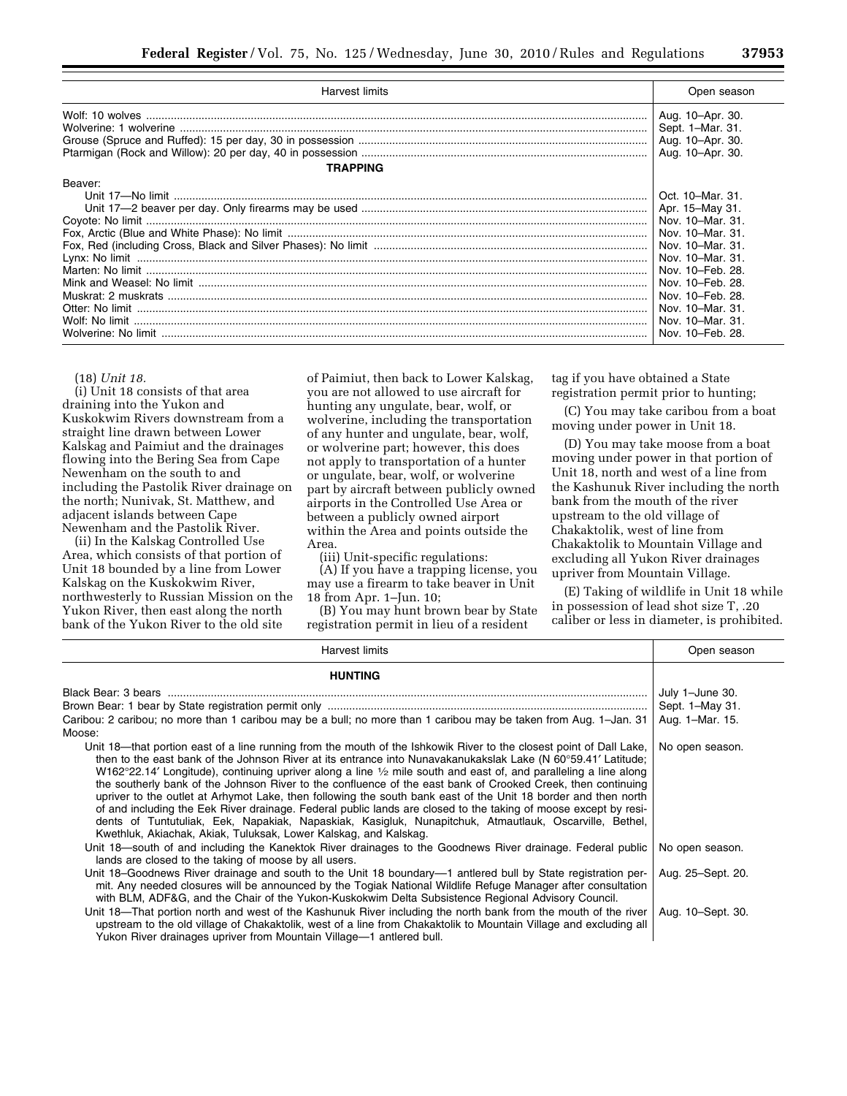| Harvest limits                                                                                                                                                                                                                                                                                                                                                                                                                                            | Open season                                                                                                                              |
|-----------------------------------------------------------------------------------------------------------------------------------------------------------------------------------------------------------------------------------------------------------------------------------------------------------------------------------------------------------------------------------------------------------------------------------------------------------|------------------------------------------------------------------------------------------------------------------------------------------|
| $\textbf{Wolf: 10 wolves} \,\, \ldots \,\, \ldots \,\, \ldots \,\, \ldots \,\, \ldots \,\, \ldots \,\, \ldots \,\, \ldots \,\, \ldots \,\, \ldots \,\, \ldots \,\, \ldots \,\, \ldots \,\, \ldots \,\, \ldots \,\, \ldots \,\, \ldots \,\, \ldots \,\, \ldots \,\, \ldots \,\, \ldots \,\, \ldots \,\, \ldots \,\, \ldots \,\, \ldots \,\, \ldots \,\, \ldots \,\, \ldots \,\, \ldots \,\, \ldots \,\, \ldots \,\, \ldots \,\, \ldots \,\, \ldots \,\, \$ | Aug. 10-Apr. 30.<br>Sept. 1-Mar. 31.                                                                                                     |
| <b>TRAPPING</b>                                                                                                                                                                                                                                                                                                                                                                                                                                           |                                                                                                                                          |
| Beaver:<br>$Lynx: No limit  \  \ldots \  \, \ldots \  \, \ldots \  \, \ldots \  \, \ldots \  \, \ldots \  \, \ldots \  \, \ldots \  \, \ldots \  \, \ldots \  \, \ldots \  \, \ldots \  \, \ldots \  \, \ldots \  \, \ldots \  \, \ldots \  \, \ldots \  \, \ldots \  \, \ldots \  \, \ldots \  \, \ldots \  \, \ldots \  \, \ldots \  \, \ldots \  \, \ldots \  \, \ldots \  \, \ldots \  \, \ldots \  \, \ldots \  \, \ldots \  \, \$                   | Oct. 10-Mar. 31.<br>Nov. 10-Mar. 31.<br>Nov. 10-Feb. 28.<br>Nov. 10-Feb. 28.<br>Nov. 10-Feb. 28.<br>Nov. 10-Mar. 31.<br>Nov. 10-Mar. 31. |
|                                                                                                                                                                                                                                                                                                                                                                                                                                                           | Nov. 10-Feb. 28.                                                                                                                         |

(18) *Unit 18.* 

(i) Unit 18 consists of that area draining into the Yukon and Kuskokwim Rivers downstream from a straight line drawn between Lower Kalskag and Paimiut and the drainages flowing into the Bering Sea from Cape Newenham on the south to and including the Pastolik River drainage on the north; Nunivak, St. Matthew, and adjacent islands between Cape Newenham and the Pastolik River.

(ii) In the Kalskag Controlled Use Area, which consists of that portion of Unit 18 bounded by a line from Lower Kalskag on the Kuskokwim River, northwesterly to Russian Mission on the Yukon River, then east along the north bank of the Yukon River to the old site

of Paimiut, then back to Lower Kalskag, you are not allowed to use aircraft for hunting any ungulate, bear, wolf, or wolverine, including the transportation of any hunter and ungulate, bear, wolf, or wolverine part; however, this does not apply to transportation of a hunter or ungulate, bear, wolf, or wolverine part by aircraft between publicly owned airports in the Controlled Use Area or between a publicly owned airport within the Area and points outside the Area.

(iii) Unit-specific regulations:

(A) If you have a trapping license, you may use a firearm to take beaver in Unit 18 from Apr. 1–Jun. 10;

(B) You may hunt brown bear by State registration permit in lieu of a resident

tag if you have obtained a State registration permit prior to hunting;

(C) You may take caribou from a boat moving under power in Unit 18.

(D) You may take moose from a boat moving under power in that portion of Unit 18, north and west of a line from the Kashunuk River including the north bank from the mouth of the river upstream to the old village of Chakaktolik, west of line from Chakaktolik to Mountain Village and excluding all Yukon River drainages upriver from Mountain Village.

(E) Taking of wildlife in Unit 18 while in possession of lead shot size T, .20 caliber or less in diameter, is prohibited.

| Harvest limits                                                                                                                                                                                                                                                                                                                                                                                                                                                                                                                                                                                                                                                                                                                                                                                                                                                                                        | Open season       |
|-------------------------------------------------------------------------------------------------------------------------------------------------------------------------------------------------------------------------------------------------------------------------------------------------------------------------------------------------------------------------------------------------------------------------------------------------------------------------------------------------------------------------------------------------------------------------------------------------------------------------------------------------------------------------------------------------------------------------------------------------------------------------------------------------------------------------------------------------------------------------------------------------------|-------------------|
| <b>HUNTING</b>                                                                                                                                                                                                                                                                                                                                                                                                                                                                                                                                                                                                                                                                                                                                                                                                                                                                                        |                   |
|                                                                                                                                                                                                                                                                                                                                                                                                                                                                                                                                                                                                                                                                                                                                                                                                                                                                                                       | July 1-June 30.   |
|                                                                                                                                                                                                                                                                                                                                                                                                                                                                                                                                                                                                                                                                                                                                                                                                                                                                                                       | Sept. 1-May 31.   |
| Caribou: 2 caribou; no more than 1 caribou may be a bull; no more than 1 caribou may be taken from Aug. 1-Jan. 31                                                                                                                                                                                                                                                                                                                                                                                                                                                                                                                                                                                                                                                                                                                                                                                     | Aug. 1-Mar. 15.   |
| Moose:                                                                                                                                                                                                                                                                                                                                                                                                                                                                                                                                                                                                                                                                                                                                                                                                                                                                                                |                   |
| Unit 18—that portion east of a line running from the mouth of the Ishkowik River to the closest point of Dall Lake,<br>then to the east bank of the Johnson River at its entrance into Nunavakanukakslak Lake (N 60°59.41' Latitude;<br>W162°22.14' Longitude), continuing upriver along a line $\frac{1}{2}$ mile south and east of, and paralleling a line along<br>the southerly bank of the Johnson River to the confluence of the east bank of Crooked Creek, then continuing<br>upriver to the outlet at Arhymot Lake, then following the south bank east of the Unit 18 border and then north<br>of and including the Eek River drainage. Federal public lands are closed to the taking of moose except by resi-<br>dents of Tuntutuliak, Eek, Napakiak, Napaskiak, Kasigluk, Nunapitchuk, Atmautlauk, Oscarville, Bethel,<br>Kwethluk, Akiachak, Akiak, Tuluksak, Lower Kalskag, and Kalskag. | No open season.   |
| Unit 18—south of and including the Kanektok River drainages to the Goodnews River drainage. Federal public<br>lands are closed to the taking of moose by all users.                                                                                                                                                                                                                                                                                                                                                                                                                                                                                                                                                                                                                                                                                                                                   | No open season.   |
| Unit 18–Goodnews River drainage and south to the Unit 18 boundary—1 antlered bull by State registration per-<br>mit. Any needed closures will be announced by the Togiak National Wildlife Refuge Manager after consultation<br>with BLM, ADF&G, and the Chair of the Yukon-Kuskokwim Delta Subsistence Regional Advisory Council.                                                                                                                                                                                                                                                                                                                                                                                                                                                                                                                                                                    | Aug. 25-Sept. 20. |
| Unit 18—That portion north and west of the Kashunuk River including the north bank from the mouth of the river<br>upstream to the old village of Chakaktolik, west of a line from Chakaktolik to Mountain Village and excluding all<br>Yukon River drainages upriver from Mountain Village-1 antlered bull.                                                                                                                                                                                                                                                                                                                                                                                                                                                                                                                                                                                           | Aug. 10-Sept. 30. |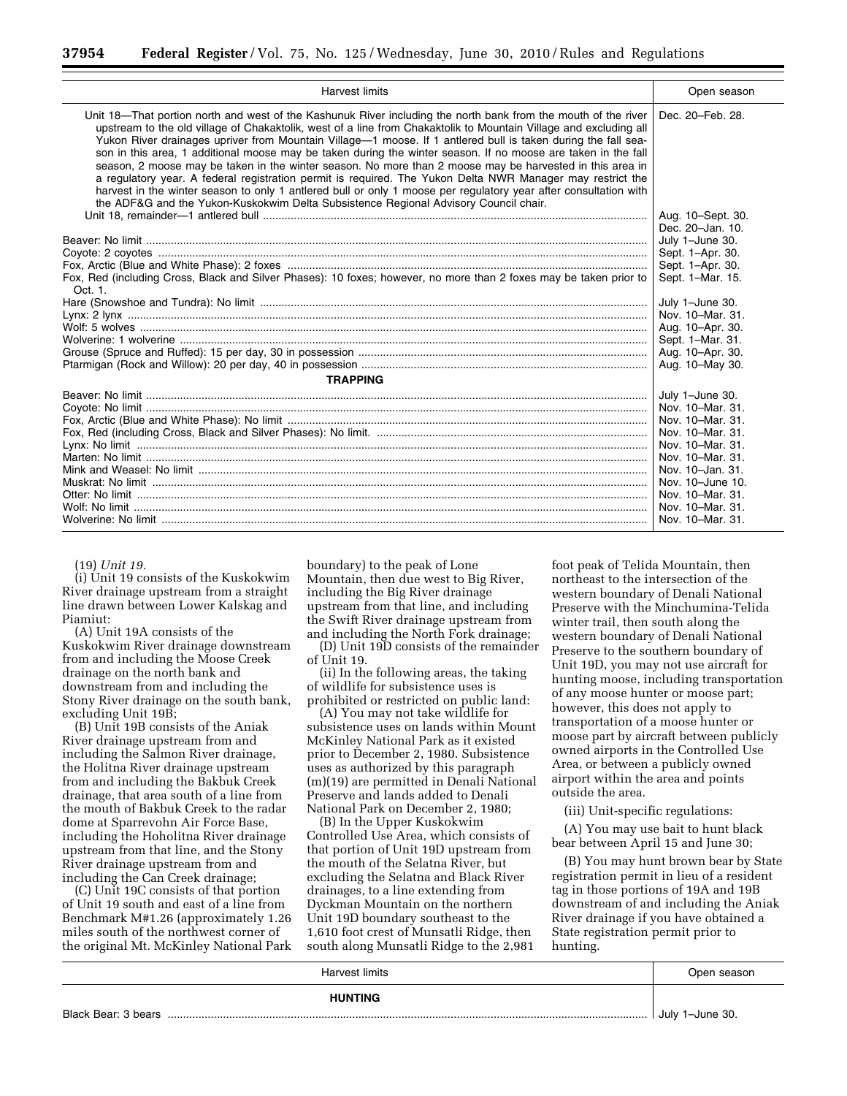| <b>Harvest limits</b>                                                                                                                                                                                                                                                                                                                                                                                                                                                                                                                                                                                                                                                                                                                                                                                                                                                                                       | Open season                          |
|-------------------------------------------------------------------------------------------------------------------------------------------------------------------------------------------------------------------------------------------------------------------------------------------------------------------------------------------------------------------------------------------------------------------------------------------------------------------------------------------------------------------------------------------------------------------------------------------------------------------------------------------------------------------------------------------------------------------------------------------------------------------------------------------------------------------------------------------------------------------------------------------------------------|--------------------------------------|
| Unit 18-That portion north and west of the Kashunuk River including the north bank from the mouth of the river<br>upstream to the old village of Chakaktolik, west of a line from Chakaktolik to Mountain Village and excluding all<br>Yukon River drainages upriver from Mountain Village—1 moose. If 1 antlered bull is taken during the fall sea-<br>son in this area, 1 additional moose may be taken during the winter season. If no moose are taken in the fall<br>season, 2 moose may be taken in the winter season. No more than 2 moose may be harvested in this area in<br>a regulatory year. A federal registration permit is required. The Yukon Delta NWR Manager may restrict the<br>harvest in the winter season to only 1 antlered bull or only 1 moose per regulatory year after consultation with<br>the ADF&G and the Yukon-Kuskokwim Delta Subsistence Regional Advisory Council chair. | Dec. 20-Feb. 28.                     |
|                                                                                                                                                                                                                                                                                                                                                                                                                                                                                                                                                                                                                                                                                                                                                                                                                                                                                                             | Aug. 10-Sept. 30.                    |
|                                                                                                                                                                                                                                                                                                                                                                                                                                                                                                                                                                                                                                                                                                                                                                                                                                                                                                             | Dec. 20-Jan. 10.                     |
|                                                                                                                                                                                                                                                                                                                                                                                                                                                                                                                                                                                                                                                                                                                                                                                                                                                                                                             | July 1-June 30.                      |
|                                                                                                                                                                                                                                                                                                                                                                                                                                                                                                                                                                                                                                                                                                                                                                                                                                                                                                             | Sept. 1-Apr. 30.                     |
| Fox, Red (including Cross, Black and Silver Phases): 10 foxes; however, no more than 2 foxes may be taken prior to                                                                                                                                                                                                                                                                                                                                                                                                                                                                                                                                                                                                                                                                                                                                                                                          | Sept. 1-Apr. 30.<br>Sept. 1-Mar. 15. |
| Oct. 1.                                                                                                                                                                                                                                                                                                                                                                                                                                                                                                                                                                                                                                                                                                                                                                                                                                                                                                     |                                      |
|                                                                                                                                                                                                                                                                                                                                                                                                                                                                                                                                                                                                                                                                                                                                                                                                                                                                                                             | July 1-June 30.                      |
|                                                                                                                                                                                                                                                                                                                                                                                                                                                                                                                                                                                                                                                                                                                                                                                                                                                                                                             | Nov. 10-Mar. 31.                     |
|                                                                                                                                                                                                                                                                                                                                                                                                                                                                                                                                                                                                                                                                                                                                                                                                                                                                                                             | Aug. 10-Apr. 30.                     |
|                                                                                                                                                                                                                                                                                                                                                                                                                                                                                                                                                                                                                                                                                                                                                                                                                                                                                                             | Sept. 1-Mar. 31.                     |
|                                                                                                                                                                                                                                                                                                                                                                                                                                                                                                                                                                                                                                                                                                                                                                                                                                                                                                             | Aug. 10-Apr. 30.                     |
|                                                                                                                                                                                                                                                                                                                                                                                                                                                                                                                                                                                                                                                                                                                                                                                                                                                                                                             | Aug. 10-May 30.                      |
| <b>TRAPPING</b>                                                                                                                                                                                                                                                                                                                                                                                                                                                                                                                                                                                                                                                                                                                                                                                                                                                                                             |                                      |
|                                                                                                                                                                                                                                                                                                                                                                                                                                                                                                                                                                                                                                                                                                                                                                                                                                                                                                             | July 1-June 30.                      |
|                                                                                                                                                                                                                                                                                                                                                                                                                                                                                                                                                                                                                                                                                                                                                                                                                                                                                                             | Nov. 10–Mar. 31.                     |
|                                                                                                                                                                                                                                                                                                                                                                                                                                                                                                                                                                                                                                                                                                                                                                                                                                                                                                             | Nov. 10–Mar. 31.                     |
|                                                                                                                                                                                                                                                                                                                                                                                                                                                                                                                                                                                                                                                                                                                                                                                                                                                                                                             | Nov. 10–Mar. 31.                     |
|                                                                                                                                                                                                                                                                                                                                                                                                                                                                                                                                                                                                                                                                                                                                                                                                                                                                                                             | Nov. 10–Mar. 31.                     |
|                                                                                                                                                                                                                                                                                                                                                                                                                                                                                                                                                                                                                                                                                                                                                                                                                                                                                                             | Nov. 10–Mar. 31.                     |
|                                                                                                                                                                                                                                                                                                                                                                                                                                                                                                                                                                                                                                                                                                                                                                                                                                                                                                             | Nov. 10-Jan. 31.                     |
|                                                                                                                                                                                                                                                                                                                                                                                                                                                                                                                                                                                                                                                                                                                                                                                                                                                                                                             | Nov. 10-June 10.                     |
|                                                                                                                                                                                                                                                                                                                                                                                                                                                                                                                                                                                                                                                                                                                                                                                                                                                                                                             | Nov. 10-Mar. 31.                     |
|                                                                                                                                                                                                                                                                                                                                                                                                                                                                                                                                                                                                                                                                                                                                                                                                                                                                                                             | Nov. 10-Mar. 31.                     |
|                                                                                                                                                                                                                                                                                                                                                                                                                                                                                                                                                                                                                                                                                                                                                                                                                                                                                                             | Nov. 10–Mar. 31.                     |

(19) *Unit 19.* 

(i) Unit 19 consists of the Kuskokwim River drainage upstream from a straight line drawn between Lower Kalskag and Piamiut:

(A) Unit 19A consists of the Kuskokwim River drainage downstream from and including the Moose Creek drainage on the north bank and downstream from and including the Stony River drainage on the south bank, excluding Unit 19B;

(B) Unit 19B consists of the Aniak River drainage upstream from and including the Salmon River drainage, the Holitna River drainage upstream from and including the Bakbuk Creek drainage, that area south of a line from the mouth of Bakbuk Creek to the radar dome at Sparrevohn Air Force Base, including the Hoholitna River drainage upstream from that line, and the Stony River drainage upstream from and including the Can Creek drainage;

(C) Unit 19C consists of that portion of Unit 19 south and east of a line from Benchmark M#1.26 (approximately 1.26 miles south of the northwest corner of the original Mt. McKinley National Park boundary) to the peak of Lone Mountain, then due west to Big River, including the Big River drainage upstream from that line, and including the Swift River drainage upstream from and including the North Fork drainage;

(D) Unit 19D consists of the remainder of Unit 19.

(ii) In the following areas, the taking of wildlife for subsistence uses is prohibited or restricted on public land:

(A) You may not take wildlife for subsistence uses on lands within Mount McKinley National Park as it existed prior to December 2, 1980. Subsistence uses as authorized by this paragraph (m)(19) are permitted in Denali National Preserve and lands added to Denali National Park on December 2, 1980;

(B) In the Upper Kuskokwim Controlled Use Area, which consists of that portion of Unit 19D upstream from the mouth of the Selatna River, but excluding the Selatna and Black River drainages, to a line extending from Dyckman Mountain on the northern Unit 19D boundary southeast to the 1,610 foot crest of Munsatli Ridge, then south along Munsatli Ridge to the 2,981

foot peak of Telida Mountain, then northeast to the intersection of the western boundary of Denali National Preserve with the Minchumina-Telida winter trail, then south along the western boundary of Denali National Preserve to the southern boundary of Unit 19D, you may not use aircraft for hunting moose, including transportation of any moose hunter or moose part; however, this does not apply to transportation of a moose hunter or moose part by aircraft between publicly owned airports in the Controlled Use Area, or between a publicly owned airport within the area and points outside the area.

(iii) Unit-specific regulations:

(A) You may use bait to hunt black bear between April 15 and June 30;

(B) You may hunt brown bear by State registration permit in lieu of a resident tag in those portions of 19A and 19B downstream of and including the Aniak River drainage if you have obtained a State registration permit prior to hunting.

| Harvest limits      | Open season     |
|---------------------|-----------------|
| <b>HUNTING</b>      |                 |
| Black Bear: 3 bears | July 1-June 30. |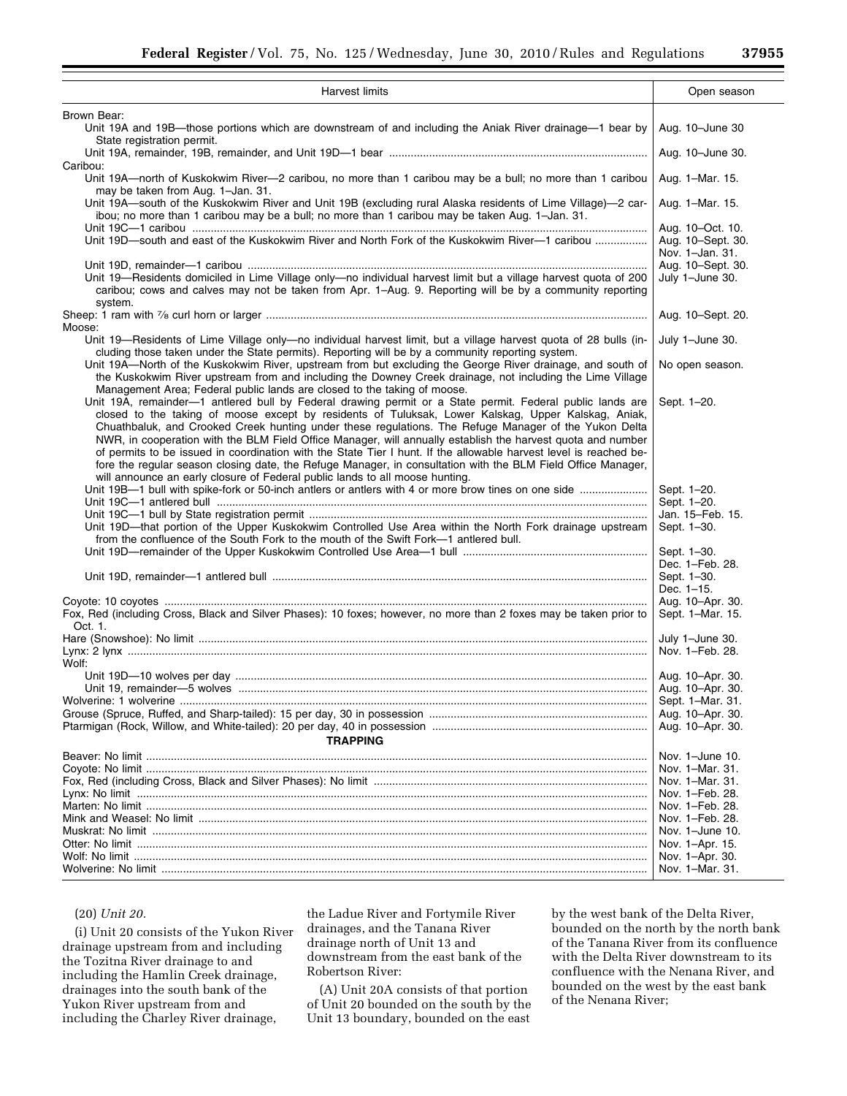| Harvest limits                                                                                                                                                                                                                                                                                                                                                                                                                                                                                                                                                                                                                                                                                                                                                | Open season                                              |
|---------------------------------------------------------------------------------------------------------------------------------------------------------------------------------------------------------------------------------------------------------------------------------------------------------------------------------------------------------------------------------------------------------------------------------------------------------------------------------------------------------------------------------------------------------------------------------------------------------------------------------------------------------------------------------------------------------------------------------------------------------------|----------------------------------------------------------|
|                                                                                                                                                                                                                                                                                                                                                                                                                                                                                                                                                                                                                                                                                                                                                               |                                                          |
| Brown Bear:<br>Unit 19A and 19B—those portions which are downstream of and including the Aniak River drainage—1 bear by<br>State registration permit.                                                                                                                                                                                                                                                                                                                                                                                                                                                                                                                                                                                                         | Aug. 10-June 30                                          |
| Caribou:                                                                                                                                                                                                                                                                                                                                                                                                                                                                                                                                                                                                                                                                                                                                                      | Aug. 10-June 30.                                         |
| Unit 19A-north of Kuskokwim River-2 caribou, no more than 1 caribou may be a bull; no more than 1 caribou<br>may be taken from Aug. 1-Jan. 31.                                                                                                                                                                                                                                                                                                                                                                                                                                                                                                                                                                                                                | Aug. 1-Mar. 15.                                          |
| Unit 19A—south of the Kuskokwim River and Unit 19B (excluding rural Alaska residents of Lime Village)—2 car-<br>ibou; no more than 1 caribou may be a bull; no more than 1 caribou may be taken Aug. 1-Jan. 31.                                                                                                                                                                                                                                                                                                                                                                                                                                                                                                                                               | Aug. 1–Mar. 15.                                          |
| Unit 19D-south and east of the Kuskokwim River and North Fork of the Kuskokwim River-1 caribou                                                                                                                                                                                                                                                                                                                                                                                                                                                                                                                                                                                                                                                                | Aug. 10-Oct. 10.<br>Aug. 10-Sept. 30.<br>Nov. 1-Jan. 31. |
|                                                                                                                                                                                                                                                                                                                                                                                                                                                                                                                                                                                                                                                                                                                                                               | Aug. 10-Sept. 30.                                        |
| Unit 19—Residents domiciled in Lime Village only—no individual harvest limit but a village harvest quota of 200<br>caribou; cows and calves may not be taken from Apr. 1–Aug. 9. Reporting will be by a community reporting<br>system.                                                                                                                                                                                                                                                                                                                                                                                                                                                                                                                        | July 1-June 30.                                          |
| Moose:                                                                                                                                                                                                                                                                                                                                                                                                                                                                                                                                                                                                                                                                                                                                                        | Aug. 10-Sept. 20.                                        |
| Unit 19-Residents of Lime Village only-no individual harvest limit, but a village harvest quota of 28 bulls (in-<br>cluding those taken under the State permits). Reporting will be by a community reporting system.                                                                                                                                                                                                                                                                                                                                                                                                                                                                                                                                          | July 1-June 30.                                          |
| Unit 19A-North of the Kuskokwim River, upstream from but excluding the George River drainage, and south of<br>the Kuskokwim River upstream from and including the Downey Creek drainage, not including the Lime Village<br>Management Area; Federal public lands are closed to the taking of moose.                                                                                                                                                                                                                                                                                                                                                                                                                                                           | No open season.                                          |
| Unit 19A, remainder-1 antlered bull by Federal drawing permit or a State permit. Federal public lands are<br>closed to the taking of moose except by residents of Tuluksak, Lower Kalskag, Upper Kalskag, Aniak,<br>Chuathbaluk, and Crooked Creek hunting under these regulations. The Refuge Manager of the Yukon Delta<br>NWR, in cooperation with the BLM Field Office Manager, will annually establish the harvest quota and number<br>of permits to be issued in coordination with the State Tier I hunt. If the allowable harvest level is reached be-<br>fore the regular season closing date, the Refuge Manager, in consultation with the BLM Field Office Manager,<br>will announce an early closure of Federal public lands to all moose hunting. | Sept. 1-20.                                              |
| Unit 19B-1 bull with spike-fork or 50-inch antlers or antlers with 4 or more brow tines on one side                                                                                                                                                                                                                                                                                                                                                                                                                                                                                                                                                                                                                                                           | Sept. 1-20.<br>Sept. 1-20.                               |
| Unit 19D—that portion of the Upper Kuskokwim Controlled Use Area within the North Fork drainage upstream<br>from the confluence of the South Fork to the mouth of the Swift Fork-1 antlered bull.                                                                                                                                                                                                                                                                                                                                                                                                                                                                                                                                                             | Jan. 15-Feb. 15.<br>Sept. 1-30.                          |
|                                                                                                                                                                                                                                                                                                                                                                                                                                                                                                                                                                                                                                                                                                                                                               | Sept. 1-30.<br>Dec. 1-Feb. 28.                           |
|                                                                                                                                                                                                                                                                                                                                                                                                                                                                                                                                                                                                                                                                                                                                                               | Sept. 1-30.<br>Dec. 1-15.                                |
|                                                                                                                                                                                                                                                                                                                                                                                                                                                                                                                                                                                                                                                                                                                                                               | Aug. 10-Apr. 30.                                         |
| Fox, Red (including Cross, Black and Silver Phases): 10 foxes; however, no more than 2 foxes may be taken prior to<br>Oct. 1.                                                                                                                                                                                                                                                                                                                                                                                                                                                                                                                                                                                                                                 | Sept. 1-Mar. 15.                                         |
|                                                                                                                                                                                                                                                                                                                                                                                                                                                                                                                                                                                                                                                                                                                                                               | July 1-June 30.                                          |
| Wolf:                                                                                                                                                                                                                                                                                                                                                                                                                                                                                                                                                                                                                                                                                                                                                         | Nov. 1-Feb. 28.                                          |
|                                                                                                                                                                                                                                                                                                                                                                                                                                                                                                                                                                                                                                                                                                                                                               | Aug. 10-Apr. 30.                                         |
|                                                                                                                                                                                                                                                                                                                                                                                                                                                                                                                                                                                                                                                                                                                                                               | Aug. 10-Apr. 30.                                         |
|                                                                                                                                                                                                                                                                                                                                                                                                                                                                                                                                                                                                                                                                                                                                                               | Sept. 1-Mar. 31.                                         |
|                                                                                                                                                                                                                                                                                                                                                                                                                                                                                                                                                                                                                                                                                                                                                               | Aug. 10-Apr. 30.                                         |
| <b>TRAPPING</b>                                                                                                                                                                                                                                                                                                                                                                                                                                                                                                                                                                                                                                                                                                                                               | Aug. 10-Apr. 30.                                         |
|                                                                                                                                                                                                                                                                                                                                                                                                                                                                                                                                                                                                                                                                                                                                                               | Nov. 1-June 10.                                          |
|                                                                                                                                                                                                                                                                                                                                                                                                                                                                                                                                                                                                                                                                                                                                                               | Nov. 1–Mar. 31.                                          |
|                                                                                                                                                                                                                                                                                                                                                                                                                                                                                                                                                                                                                                                                                                                                                               | Nov. 1-Mar. 31.                                          |
|                                                                                                                                                                                                                                                                                                                                                                                                                                                                                                                                                                                                                                                                                                                                                               | Nov. 1-Feb. 28.                                          |
|                                                                                                                                                                                                                                                                                                                                                                                                                                                                                                                                                                                                                                                                                                                                                               | Nov. 1–Feb. 28.                                          |
|                                                                                                                                                                                                                                                                                                                                                                                                                                                                                                                                                                                                                                                                                                                                                               | Nov. 1-Feb. 28.                                          |
|                                                                                                                                                                                                                                                                                                                                                                                                                                                                                                                                                                                                                                                                                                                                                               | Nov. 1-June 10.                                          |
|                                                                                                                                                                                                                                                                                                                                                                                                                                                                                                                                                                                                                                                                                                                                                               | Nov. 1–Apr. 15.                                          |
|                                                                                                                                                                                                                                                                                                                                                                                                                                                                                                                                                                                                                                                                                                                                                               | Nov. 1-Apr. 30.                                          |
|                                                                                                                                                                                                                                                                                                                                                                                                                                                                                                                                                                                                                                                                                                                                                               | Nov. 1-Mar. 31.                                          |

## (20) *Unit 20.*

(i) Unit 20 consists of the Yukon River drainage upstream from and including the Tozitna River drainage to and including the Hamlin Creek drainage, drainages into the south bank of the Yukon River upstream from and including the Charley River drainage,

the Ladue River and Fortymile River drainages, and the Tanana River drainage north of Unit 13 and downstream from the east bank of the Robertson River:

(A) Unit 20A consists of that portion of Unit 20 bounded on the south by the Unit 13 boundary, bounded on the east

by the west bank of the Delta River, bounded on the north by the north bank of the Tanana River from its confluence with the Delta River downstream to its confluence with the Nenana River, and bounded on the west by the east bank of the Nenana River;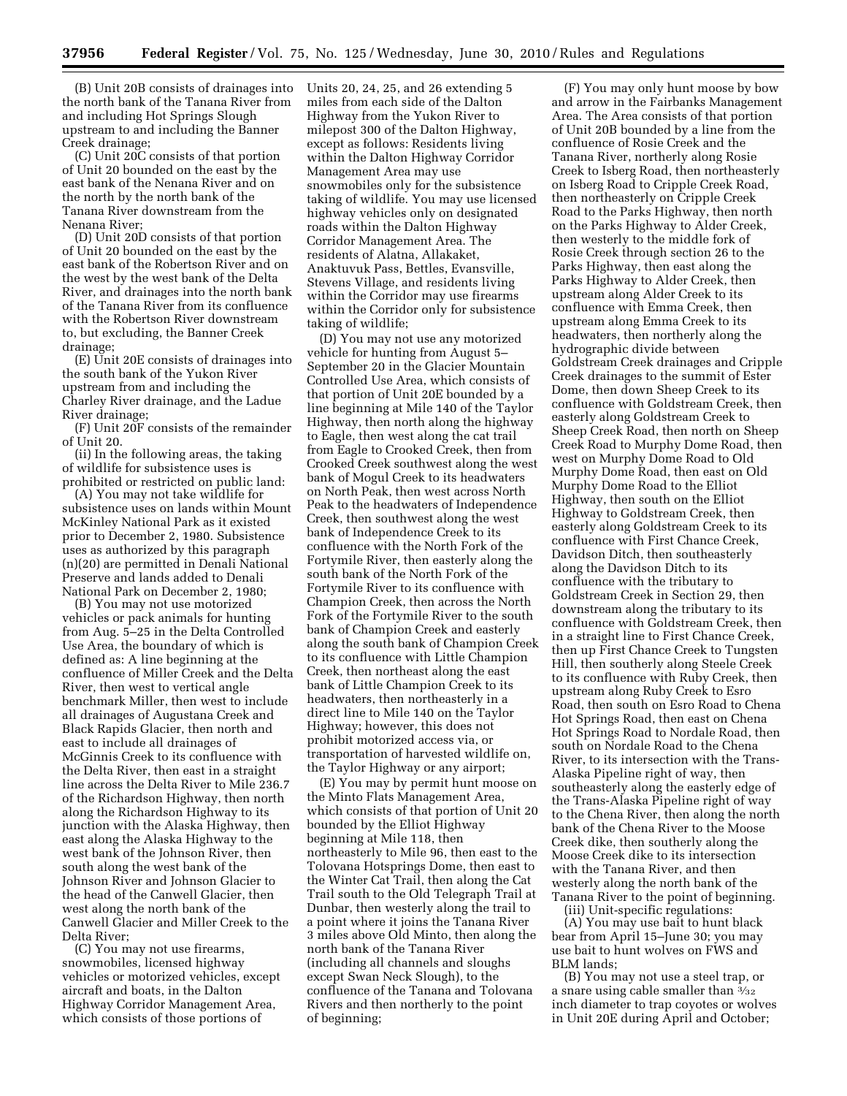(B) Unit 20B consists of drainages into the north bank of the Tanana River from and including Hot Springs Slough upstream to and including the Banner Creek drainage;

(C) Unit 20C consists of that portion of Unit 20 bounded on the east by the east bank of the Nenana River and on the north by the north bank of the Tanana River downstream from the Nenana River;

(D) Unit 20D consists of that portion of Unit 20 bounded on the east by the east bank of the Robertson River and on the west by the west bank of the Delta River, and drainages into the north bank of the Tanana River from its confluence with the Robertson River downstream to, but excluding, the Banner Creek drainage;

(E) Unit 20E consists of drainages into the south bank of the Yukon River upstream from and including the Charley River drainage, and the Ladue River drainage;

(F) Unit 20F consists of the remainder of Unit 20.

(ii) In the following areas, the taking of wildlife for subsistence uses is prohibited or restricted on public land:

(A) You may not take wildlife for subsistence uses on lands within Mount McKinley National Park as it existed prior to December 2, 1980. Subsistence uses as authorized by this paragraph (n)(20) are permitted in Denali National Preserve and lands added to Denali National Park on December 2, 1980;

(B) You may not use motorized vehicles or pack animals for hunting from Aug. 5–25 in the Delta Controlled Use Area, the boundary of which is defined as: A line beginning at the confluence of Miller Creek and the Delta River, then west to vertical angle benchmark Miller, then west to include all drainages of Augustana Creek and Black Rapids Glacier, then north and east to include all drainages of McGinnis Creek to its confluence with the Delta River, then east in a straight line across the Delta River to Mile 236.7 of the Richardson Highway, then north along the Richardson Highway to its junction with the Alaska Highway, then east along the Alaska Highway to the west bank of the Johnson River, then south along the west bank of the Johnson River and Johnson Glacier to the head of the Canwell Glacier, then west along the north bank of the Canwell Glacier and Miller Creek to the Delta River;

(C) You may not use firearms, snowmobiles, licensed highway vehicles or motorized vehicles, except aircraft and boats, in the Dalton Highway Corridor Management Area, which consists of those portions of

Units 20, 24, 25, and 26 extending 5 miles from each side of the Dalton Highway from the Yukon River to milepost 300 of the Dalton Highway, except as follows: Residents living within the Dalton Highway Corridor Management Area may use snowmobiles only for the subsistence taking of wildlife. You may use licensed highway vehicles only on designated roads within the Dalton Highway Corridor Management Area. The residents of Alatna, Allakaket, Anaktuvuk Pass, Bettles, Evansville, Stevens Village, and residents living within the Corridor may use firearms within the Corridor only for subsistence taking of wildlife;

(D) You may not use any motorized vehicle for hunting from August 5– September 20 in the Glacier Mountain Controlled Use Area, which consists of that portion of Unit 20E bounded by a line beginning at Mile 140 of the Taylor Highway, then north along the highway to Eagle, then west along the cat trail from Eagle to Crooked Creek, then from Crooked Creek southwest along the west bank of Mogul Creek to its headwaters on North Peak, then west across North Peak to the headwaters of Independence Creek, then southwest along the west bank of Independence Creek to its confluence with the North Fork of the Fortymile River, then easterly along the south bank of the North Fork of the Fortymile River to its confluence with Champion Creek, then across the North Fork of the Fortymile River to the south bank of Champion Creek and easterly along the south bank of Champion Creek to its confluence with Little Champion Creek, then northeast along the east bank of Little Champion Creek to its headwaters, then northeasterly in a direct line to Mile 140 on the Taylor Highway; however, this does not prohibit motorized access via, or transportation of harvested wildlife on, the Taylor Highway or any airport;

(E) You may by permit hunt moose on the Minto Flats Management Area, which consists of that portion of Unit 20 bounded by the Elliot Highway beginning at Mile 118, then northeasterly to Mile 96, then east to the Tolovana Hotsprings Dome, then east to the Winter Cat Trail, then along the Cat Trail south to the Old Telegraph Trail at Dunbar, then westerly along the trail to a point where it joins the Tanana River 3 miles above Old Minto, then along the north bank of the Tanana River (including all channels and sloughs except Swan Neck Slough), to the confluence of the Tanana and Tolovana Rivers and then northerly to the point of beginning;

(F) You may only hunt moose by bow and arrow in the Fairbanks Management Area. The Area consists of that portion of Unit 20B bounded by a line from the confluence of Rosie Creek and the Tanana River, northerly along Rosie Creek to Isberg Road, then northeasterly on Isberg Road to Cripple Creek Road, then northeasterly on Cripple Creek Road to the Parks Highway, then north on the Parks Highway to Alder Creek, then westerly to the middle fork of Rosie Creek through section 26 to the Parks Highway, then east along the Parks Highway to Alder Creek, then upstream along Alder Creek to its confluence with Emma Creek, then upstream along Emma Creek to its headwaters, then northerly along the hydrographic divide between Goldstream Creek drainages and Cripple Creek drainages to the summit of Ester Dome, then down Sheep Creek to its confluence with Goldstream Creek, then easterly along Goldstream Creek to Sheep Creek Road, then north on Sheep Creek Road to Murphy Dome Road, then west on Murphy Dome Road to Old Murphy Dome Road, then east on Old Murphy Dome Road to the Elliot Highway, then south on the Elliot Highway to Goldstream Creek, then easterly along Goldstream Creek to its confluence with First Chance Creek, Davidson Ditch, then southeasterly along the Davidson Ditch to its confluence with the tributary to Goldstream Creek in Section 29, then downstream along the tributary to its confluence with Goldstream Creek, then in a straight line to First Chance Creek, then up First Chance Creek to Tungsten Hill, then southerly along Steele Creek to its confluence with Ruby Creek, then upstream along Ruby Creek to Esro Road, then south on Esro Road to Chena Hot Springs Road, then east on Chena Hot Springs Road to Nordale Road, then south on Nordale Road to the Chena River, to its intersection with the Trans-Alaska Pipeline right of way, then southeasterly along the easterly edge of the Trans-Alaska Pipeline right of way to the Chena River, then along the north bank of the Chena River to the Moose Creek dike, then southerly along the Moose Creek dike to its intersection with the Tanana River, and then westerly along the north bank of the Tanana River to the point of beginning.

(iii) Unit-specific regulations: (A) You may use bait to hunt black bear from April 15–June 30; you may use bait to hunt wolves on FWS and BLM lands;

(B) You may not use a steel trap, or a snare using cable smaller than  $\frac{3}{32}$ inch diameter to trap coyotes or wolves in Unit 20E during April and October;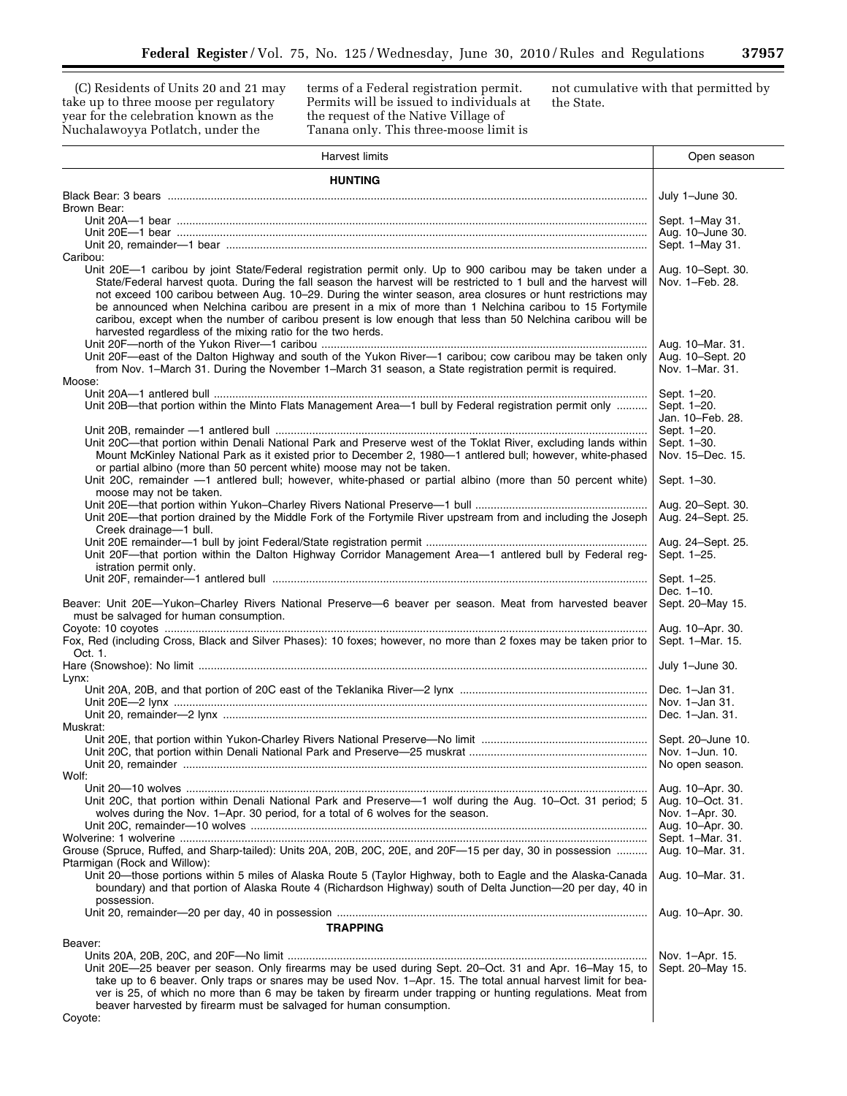(C) Residents of Units 20 and 21 may take up to three moose per regulatory year for the celebration known as the Nuchalawoyya Potlatch, under the

terms of a Federal registration permit. Permits will be issued to individuals at the request of the Native Village of Tanana only. This three-moose limit is

not cumulative with that permitted by the State.

▀

| Harvest limits                                                                                                                                                                                                                                                                                                                                                                                                                                                                                                            | Open season                                         |
|---------------------------------------------------------------------------------------------------------------------------------------------------------------------------------------------------------------------------------------------------------------------------------------------------------------------------------------------------------------------------------------------------------------------------------------------------------------------------------------------------------------------------|-----------------------------------------------------|
| <b>HUNTING</b>                                                                                                                                                                                                                                                                                                                                                                                                                                                                                                            |                                                     |
|                                                                                                                                                                                                                                                                                                                                                                                                                                                                                                                           | July 1-June 30.                                     |
| Brown Bear:                                                                                                                                                                                                                                                                                                                                                                                                                                                                                                               |                                                     |
|                                                                                                                                                                                                                                                                                                                                                                                                                                                                                                                           | Sept. 1-May 31.<br>Aug. 10-June 30.                 |
|                                                                                                                                                                                                                                                                                                                                                                                                                                                                                                                           | Sept. 1-May 31.                                     |
| Caribou:<br>Unit 20E-1 caribou by joint State/Federal registration permit only. Up to 900 caribou may be taken under a                                                                                                                                                                                                                                                                                                                                                                                                    | Aug. 10–Sept. 30.                                   |
| State/Federal harvest quota. During the fall season the harvest will be restricted to 1 bull and the harvest will<br>not exceed 100 caribou between Aug. 10-29. During the winter season, area closures or hunt restrictions may<br>be announced when Nelchina caribou are present in a mix of more than 1 Nelchina caribou to 15 Fortymile<br>caribou, except when the number of caribou present is low enough that less than 50 Nelchina caribou will be<br>harvested regardless of the mixing ratio for the two herds. | Nov. 1-Feb. 28.<br>Aug. 10–Mar. 31.                 |
| Unit 20F—east of the Dalton Highway and south of the Yukon River—1 caribou; cow caribou may be taken only<br>from Nov. 1–March 31. During the November 1–March 31 season, a State registration permit is required.<br>Moose:                                                                                                                                                                                                                                                                                              | Aug. 10-Sept. 20<br>Nov. 1-Mar. 31.                 |
|                                                                                                                                                                                                                                                                                                                                                                                                                                                                                                                           | Sept. 1-20.                                         |
| Unit 20B—that portion within the Minto Flats Management Area—1 bull by Federal registration permit only                                                                                                                                                                                                                                                                                                                                                                                                                   | Sept. 1-20.<br>Jan. 10–Feb. 28.                     |
|                                                                                                                                                                                                                                                                                                                                                                                                                                                                                                                           | Sept. 1-20.                                         |
| Unit 20C-that portion within Denali National Park and Preserve west of the Toklat River, excluding lands within<br>Mount McKinley National Park as it existed prior to December 2, 1980-1 antlered bull; however, white-phased                                                                                                                                                                                                                                                                                            | Sept. 1-30.<br>Nov. 15-Dec. 15.                     |
| or partial albino (more than 50 percent white) moose may not be taken.<br>Unit 20C, remainder -1 antlered bull; however, white-phased or partial albino (more than 50 percent white)<br>moose may not be taken.                                                                                                                                                                                                                                                                                                           | Sept. 1-30.                                         |
| Unit 20E—that portion drained by the Middle Fork of the Fortymile River upstream from and including the Joseph<br>Creek drainage-1 bull.                                                                                                                                                                                                                                                                                                                                                                                  | Aug. 20–Sept. 30.<br>Aug. 24-Sept. 25.              |
| Unit 20F-that portion within the Dalton Highway Corridor Management Area-1 antlered bull by Federal reg-<br>istration permit only.                                                                                                                                                                                                                                                                                                                                                                                        | Aug. 24–Sept. 25.<br>Sept. 1-25.                    |
|                                                                                                                                                                                                                                                                                                                                                                                                                                                                                                                           | Sept. 1-25.                                         |
| Beaver: Unit 20E-Yukon-Charley Rivers National Preserve-6 beaver per season. Meat from harvested beaver<br>must be salvaged for human consumption.                                                                                                                                                                                                                                                                                                                                                                        | Dec. 1-10.<br>Sept. 20-May 15.                      |
| Fox, Red (including Cross, Black and Silver Phases): 10 foxes; however, no more than 2 foxes may be taken prior to<br>Oct. 1.                                                                                                                                                                                                                                                                                                                                                                                             | Aug. 10-Apr. 30.<br>Sept. 1-Mar. 15.                |
| Lynx:                                                                                                                                                                                                                                                                                                                                                                                                                                                                                                                     | July 1-June 30.                                     |
|                                                                                                                                                                                                                                                                                                                                                                                                                                                                                                                           | Dec. 1-Jan 31.<br>Nov. 1-Jan 31.<br>Dec. 1-Jan. 31. |
| Muskrat:                                                                                                                                                                                                                                                                                                                                                                                                                                                                                                                  |                                                     |
| Wolf:                                                                                                                                                                                                                                                                                                                                                                                                                                                                                                                     |                                                     |
| Unit 20C, that portion within Denali National Park and Preserve-1 wolf during the Aug. 10-Oct. 31 period; 5                                                                                                                                                                                                                                                                                                                                                                                                               | Aug. 10-Apr. 30.<br>Aug. 10-Oct. 31.                |
| wolves during the Nov. 1–Apr. 30 period, for a total of 6 wolves for the season.                                                                                                                                                                                                                                                                                                                                                                                                                                          | Nov. 1-Apr. 30.<br>Aug. 10-Apr. 30.                 |
|                                                                                                                                                                                                                                                                                                                                                                                                                                                                                                                           | Sept. 1-Mar. 31.                                    |
| Grouse (Spruce, Ruffed, and Sharp-tailed): Units 20A, 20B, 20C, 20E, and 20F-15 per day, 30 in possession<br>Ptarmigan (Rock and Willow):                                                                                                                                                                                                                                                                                                                                                                                 | Aug. 10–Mar. 31.                                    |
| Unit 20—those portions within 5 miles of Alaska Route 5 (Taylor Highway, both to Eagle and the Alaska-Canada<br>boundary) and that portion of Alaska Route 4 (Richardson Highway) south of Delta Junction-20 per day, 40 in<br>possession.                                                                                                                                                                                                                                                                                | Aug. 10-Mar. 31.                                    |
|                                                                                                                                                                                                                                                                                                                                                                                                                                                                                                                           | Aug. 10-Apr. 30.                                    |
| <b>TRAPPING</b>                                                                                                                                                                                                                                                                                                                                                                                                                                                                                                           |                                                     |
| Beaver:                                                                                                                                                                                                                                                                                                                                                                                                                                                                                                                   |                                                     |
| Unit 20E-25 beaver per season. Only firearms may be used during Sept. 20-Oct. 31 and Apr. 16-May 15, to<br>take up to 6 beaver. Only traps or snares may be used Nov. 1–Apr. 15. The total annual harvest limit for bea-<br>ver is 25, of which no more than 6 may be taken by firearm under trapping or hunting regulations. Meat from<br>beaver harvested by firearm must be salvaged for human consumption.                                                                                                            | Nov. 1-Apr. 15.<br>Sept. 20–May 15.                 |
| Coyote:                                                                                                                                                                                                                                                                                                                                                                                                                                                                                                                   |                                                     |

Coyote: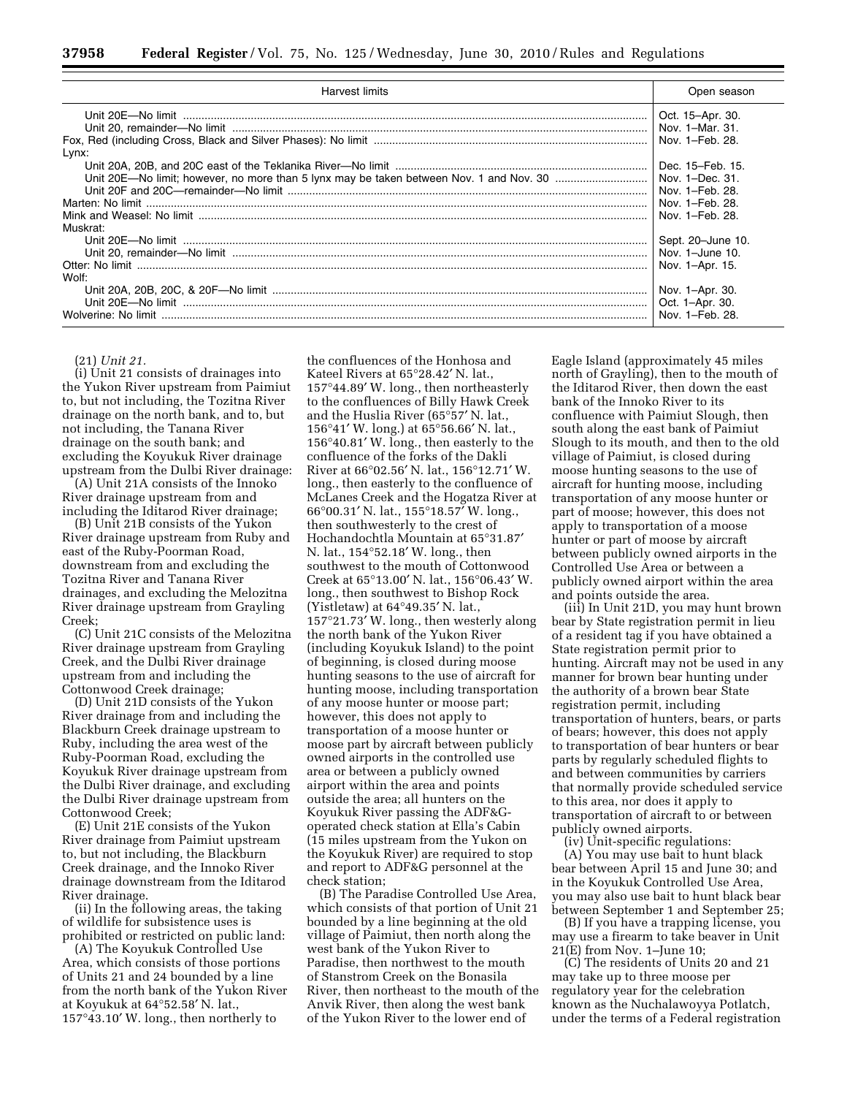| Harvest limits                                                                                  | Open season                                                             |
|-------------------------------------------------------------------------------------------------|-------------------------------------------------------------------------|
| Fox, Red (including Cross, Black and Silver Phases): No limit <b>Example 20</b> Nov. 1–Feb. 28. | Oct. 15-Apr. 30.<br>Nov. 1-Mar. 31.                                     |
| Lynx:                                                                                           | Dec. 15–Feb. 15.<br>Nov. 1-Feb. 28.                                     |
| Muskrat:                                                                                        | Nov. 1-Feb. 28.<br>Sept. 20-June 10.<br>Nov. 1-June 10.                 |
| Wolf:<br>Wolverine: No limit                                                                    | Nov. 1-Apr. 15.<br>Nov. 1-Apr. 30.<br>Oct. 1-Apr. 30.<br>Nov. 1-Feb. 28 |

#### (21) *Unit 21.*

(i) Unit 21 consists of drainages into the Yukon River upstream from Paimiut to, but not including, the Tozitna River drainage on the north bank, and to, but not including, the Tanana River drainage on the south bank; and excluding the Koyukuk River drainage upstream from the Dulbi River drainage:

(A) Unit 21A consists of the Innoko River drainage upstream from and including the Iditarod River drainage;

(B) Unit 21B consists of the Yukon River drainage upstream from Ruby and east of the Ruby-Poorman Road, downstream from and excluding the Tozitna River and Tanana River drainages, and excluding the Melozitna River drainage upstream from Grayling Creek;

(C) Unit 21C consists of the Melozitna River drainage upstream from Grayling Creek, and the Dulbi River drainage upstream from and including the Cottonwood Creek drainage;

(D) Unit 21D consists of the Yukon River drainage from and including the Blackburn Creek drainage upstream to Ruby, including the area west of the Ruby-Poorman Road, excluding the Koyukuk River drainage upstream from the Dulbi River drainage, and excluding the Dulbi River drainage upstream from Cottonwood Creek;

(E) Unit 21E consists of the Yukon River drainage from Paimiut upstream to, but not including, the Blackburn Creek drainage, and the Innoko River drainage downstream from the Iditarod River drainage.

(ii) In the following areas, the taking of wildlife for subsistence uses is prohibited or restricted on public land:

(A) The Koyukuk Controlled Use Area, which consists of those portions of Units 21 and 24 bounded by a line from the north bank of the Yukon River at Koyukuk at 64°52.58′ N. lat., 157°43.10′ W. long., then northerly to

the confluences of the Honhosa and Kateel Rivers at 65°28.42′ N. lat., 157°44.89′ W. long., then northeasterly to the confluences of Billy Hawk Creek and the Huslia River (65°57′ N. lat., 156°41′ W. long.) at 65°56.66′ N. lat., 156°40.81′ W. long., then easterly to the confluence of the forks of the Dakli River at 66°02.56′ N. lat., 156°12.71′ W. long., then easterly to the confluence of McLanes Creek and the Hogatza River at 66°00.31′ N. lat., 155°18.57′ W. long., then southwesterly to the crest of Hochandochtla Mountain at 65°31.87′ N. lat., 154°52.18′ W. long., then southwest to the mouth of Cottonwood Creek at 65°13.00′ N. lat., 156°06.43′ W. long., then southwest to Bishop Rock (Yistletaw) at 64°49.35′ N. lat., 157°21.73′ W. long., then westerly along the north bank of the Yukon River (including Koyukuk Island) to the point of beginning, is closed during moose hunting seasons to the use of aircraft for hunting moose, including transportation of any moose hunter or moose part; however, this does not apply to transportation of a moose hunter or moose part by aircraft between publicly owned airports in the controlled use area or between a publicly owned airport within the area and points outside the area; all hunters on the Koyukuk River passing the ADF&Goperated check station at Ella's Cabin (15 miles upstream from the Yukon on the Koyukuk River) are required to stop and report to ADF&G personnel at the check station;

(B) The Paradise Controlled Use Area, which consists of that portion of Unit 21 bounded by a line beginning at the old village of Paimiut, then north along the west bank of the Yukon River to Paradise, then northwest to the mouth of Stanstrom Creek on the Bonasila River, then northeast to the mouth of the Anvik River, then along the west bank of the Yukon River to the lower end of

Eagle Island (approximately 45 miles north of Grayling), then to the mouth of the Iditarod River, then down the east bank of the Innoko River to its confluence with Paimiut Slough, then south along the east bank of Paimiut Slough to its mouth, and then to the old village of Paimiut, is closed during moose hunting seasons to the use of aircraft for hunting moose, including transportation of any moose hunter or part of moose; however, this does not apply to transportation of a moose hunter or part of moose by aircraft between publicly owned airports in the Controlled Use Area or between a publicly owned airport within the area and points outside the area.

(iii) In Unit 21D, you may hunt brown bear by State registration permit in lieu of a resident tag if you have obtained a State registration permit prior to hunting. Aircraft may not be used in any manner for brown bear hunting under the authority of a brown bear State registration permit, including transportation of hunters, bears, or parts of bears; however, this does not apply to transportation of bear hunters or bear parts by regularly scheduled flights to and between communities by carriers that normally provide scheduled service to this area, nor does it apply to transportation of aircraft to or between publicly owned airports.

(iv) Unit-specific regulations: (A) You may use bait to hunt black bear between April 15 and June 30; and in the Koyukuk Controlled Use Area, you may also use bait to hunt black bear between September 1 and September 25;

(B) If you have a trapping license, you may use a firearm to take beaver in Unit  $21(E)$  from Nov. 1–June 10;

(C) The residents of Units 20 and 21 may take up to three moose per regulatory year for the celebration known as the Nuchalawoyya Potlatch, under the terms of a Federal registration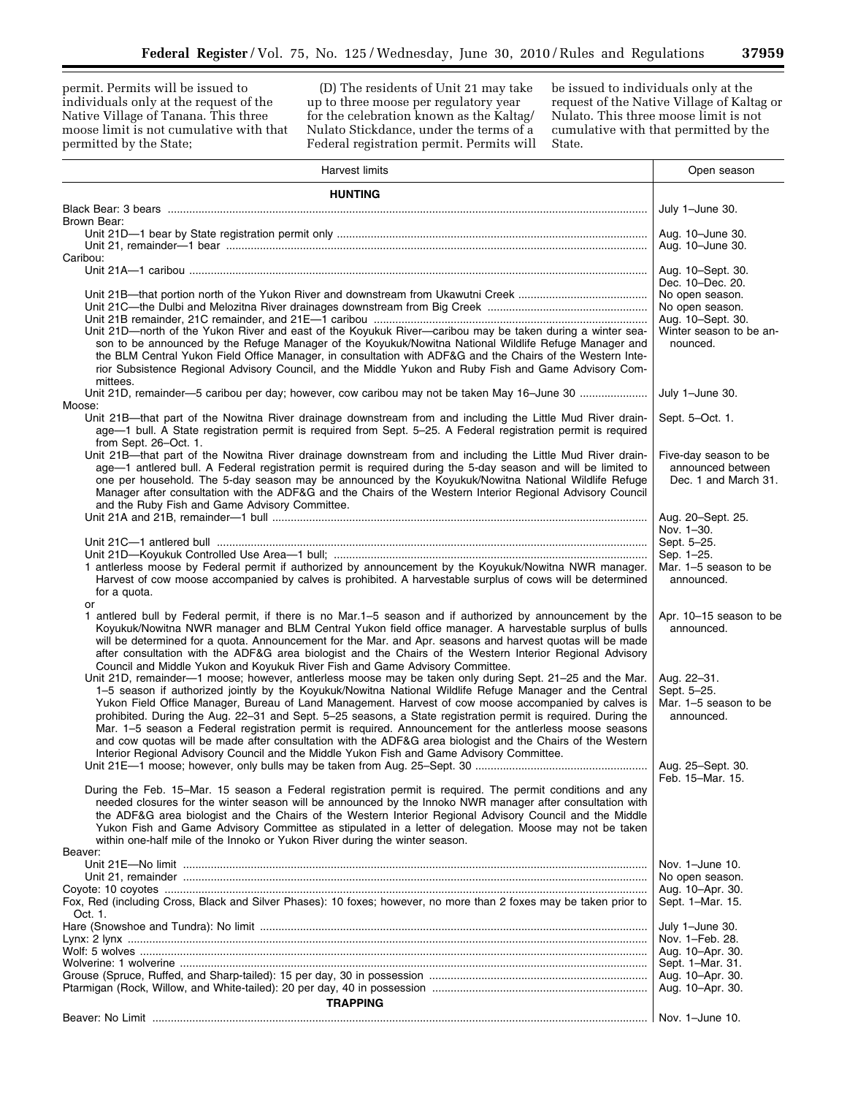permit. Permits will be issued to individuals only at the request of the Native Village of Tanana. This three moose limit is not cumulative with that permitted by the State;

(D) The residents of Unit 21 may take up to three moose per regulatory year for the celebration known as the Kaltag/ Nulato Stickdance, under the terms of a Federal registration permit. Permits will

be issued to individuals only at the request of the Native Village of Kaltag or Nulato. This three moose limit is not cumulative with that permitted by the State.

| <b>Harvest limits</b>                                                                                                                                                                                                                                                                                                                                                                                                                                                                                                                                                                                                                                                                                                                                                | Open season                                                        |
|----------------------------------------------------------------------------------------------------------------------------------------------------------------------------------------------------------------------------------------------------------------------------------------------------------------------------------------------------------------------------------------------------------------------------------------------------------------------------------------------------------------------------------------------------------------------------------------------------------------------------------------------------------------------------------------------------------------------------------------------------------------------|--------------------------------------------------------------------|
| <b>HUNTING</b>                                                                                                                                                                                                                                                                                                                                                                                                                                                                                                                                                                                                                                                                                                                                                       |                                                                    |
|                                                                                                                                                                                                                                                                                                                                                                                                                                                                                                                                                                                                                                                                                                                                                                      | July 1-June 30.                                                    |
| Brown Bear:                                                                                                                                                                                                                                                                                                                                                                                                                                                                                                                                                                                                                                                                                                                                                          |                                                                    |
|                                                                                                                                                                                                                                                                                                                                                                                                                                                                                                                                                                                                                                                                                                                                                                      | Aug. 10-June 30.<br>Aug. 10-June 30.                               |
| Caribou:                                                                                                                                                                                                                                                                                                                                                                                                                                                                                                                                                                                                                                                                                                                                                             |                                                                    |
|                                                                                                                                                                                                                                                                                                                                                                                                                                                                                                                                                                                                                                                                                                                                                                      | Aug. 10–Sept. 30.                                                  |
|                                                                                                                                                                                                                                                                                                                                                                                                                                                                                                                                                                                                                                                                                                                                                                      | Dec. 10-Dec. 20.<br>No open season.                                |
|                                                                                                                                                                                                                                                                                                                                                                                                                                                                                                                                                                                                                                                                                                                                                                      | No open season.                                                    |
|                                                                                                                                                                                                                                                                                                                                                                                                                                                                                                                                                                                                                                                                                                                                                                      | Aug. 10-Sept. 30.                                                  |
| Unit 21D-north of the Yukon River and east of the Koyukuk River-caribou may be taken during a winter sea-<br>son to be announced by the Refuge Manager of the Koyukuk/Nowitna National Wildlife Refuge Manager and<br>the BLM Central Yukon Field Office Manager, in consultation with ADF&G and the Chairs of the Western Inte-<br>rior Subsistence Regional Advisory Council, and the Middle Yukon and Ruby Fish and Game Advisory Com-                                                                                                                                                                                                                                                                                                                            | Winter season to be an-<br>nounced.                                |
| mittees.<br>Unit 21D, remainder—5 caribou per day; however, cow caribou may not be taken May 16-June 30                                                                                                                                                                                                                                                                                                                                                                                                                                                                                                                                                                                                                                                              | July 1-June 30.                                                    |
| Moose:                                                                                                                                                                                                                                                                                                                                                                                                                                                                                                                                                                                                                                                                                                                                                               |                                                                    |
| Unit 21B-that part of the Nowitna River drainage downstream from and including the Little Mud River drain-<br>age-1 bull. A State registration permit is required from Sept. 5-25. A Federal registration permit is required<br>from Sept. 26-Oct. 1.                                                                                                                                                                                                                                                                                                                                                                                                                                                                                                                | Sept. 5-Oct. 1.                                                    |
| Unit 21B—that part of the Nowitna River drainage downstream from and including the Little Mud River drain-<br>age-1 antlered bull. A Federal registration permit is required during the 5-day season and will be limited to<br>one per household. The 5-day season may be announced by the Koyukuk/Nowitna National Wildlife Refuge<br>Manager after consultation with the ADF&G and the Chairs of the Western Interior Regional Advisory Council<br>and the Ruby Fish and Game Advisory Committee.                                                                                                                                                                                                                                                                  | Five-day season to be<br>announced between<br>Dec. 1 and March 31. |
|                                                                                                                                                                                                                                                                                                                                                                                                                                                                                                                                                                                                                                                                                                                                                                      | Aug. 20–Sept. 25.                                                  |
|                                                                                                                                                                                                                                                                                                                                                                                                                                                                                                                                                                                                                                                                                                                                                                      | Nov. 1-30.                                                         |
|                                                                                                                                                                                                                                                                                                                                                                                                                                                                                                                                                                                                                                                                                                                                                                      | Sept. 5-25.<br>Sep. 1-25.                                          |
| 1 antlerless moose by Federal permit if authorized by announcement by the Koyukuk/Nowitna NWR manager.<br>Harvest of cow moose accompanied by calves is prohibited. A harvestable surplus of cows will be determined<br>for a quota.<br>or                                                                                                                                                                                                                                                                                                                                                                                                                                                                                                                           | Mar. 1-5 season to be<br>announced.                                |
| 1 antlered bull by Federal permit, if there is no Mar.1–5 season and if authorized by announcement by the<br>Koyukuk/Nowitna NWR manager and BLM Central Yukon field office manager. A harvestable surplus of bulls<br>will be determined for a quota. Announcement for the Mar. and Apr. seasons and harvest quotas will be made<br>after consultation with the ADF&G area biologist and the Chairs of the Western Interior Regional Advisory<br>Council and Middle Yukon and Koyukuk River Fish and Game Advisory Committee.                                                                                                                                                                                                                                       | Apr. 10-15 season to be<br>announced.                              |
| Unit 21D, remainder-1 moose; however, antlerless moose may be taken only during Sept. 21-25 and the Mar.<br>1-5 season if authorized jointly by the Koyukuk/Nowitna National Wildlife Refuge Manager and the Central<br>Yukon Field Office Manager, Bureau of Land Management. Harvest of cow moose accompanied by calves is<br>prohibited. During the Aug. 22-31 and Sept. 5-25 seasons, a State registration permit is required. During the<br>Mar. 1-5 season a Federal registration permit is required. Announcement for the antlerless moose seasons<br>and cow quotas will be made after consultation with the ADF&G area biologist and the Chairs of the Western<br>Interior Regional Advisory Council and the Middle Yukon Fish and Game Advisory Committee. | Aug. 22-31.<br>Sept. 5-25.<br>Mar. 1-5 season to be<br>announced.  |
|                                                                                                                                                                                                                                                                                                                                                                                                                                                                                                                                                                                                                                                                                                                                                                      | Aug. 25–Sept. 30.<br>Feb. 15-Mar. 15.                              |
| During the Feb. 15–Mar. 15 season a Federal registration permit is required. The permit conditions and any<br>needed closures for the winter season will be announced by the Innoko NWR manager after consultation with<br>the ADF&G area biologist and the Chairs of the Western Interior Regional Advisory Council and the Middle<br>Yukon Fish and Game Advisory Committee as stipulated in a letter of delegation. Moose may not be taken<br>within one-half mile of the Innoko or Yukon River during the winter season.                                                                                                                                                                                                                                         |                                                                    |
| Beaver:                                                                                                                                                                                                                                                                                                                                                                                                                                                                                                                                                                                                                                                                                                                                                              |                                                                    |
|                                                                                                                                                                                                                                                                                                                                                                                                                                                                                                                                                                                                                                                                                                                                                                      | Nov. 1-June 10.<br>No open season.                                 |
|                                                                                                                                                                                                                                                                                                                                                                                                                                                                                                                                                                                                                                                                                                                                                                      | Aug. 10-Apr. 30.                                                   |
| Fox, Red (including Cross, Black and Silver Phases): 10 foxes; however, no more than 2 foxes may be taken prior to<br>Oct. 1.                                                                                                                                                                                                                                                                                                                                                                                                                                                                                                                                                                                                                                        | Sept. 1-Mar. 15.                                                   |
|                                                                                                                                                                                                                                                                                                                                                                                                                                                                                                                                                                                                                                                                                                                                                                      | July 1-June 30.                                                    |
|                                                                                                                                                                                                                                                                                                                                                                                                                                                                                                                                                                                                                                                                                                                                                                      | Nov. 1-Feb. 28.                                                    |
|                                                                                                                                                                                                                                                                                                                                                                                                                                                                                                                                                                                                                                                                                                                                                                      | Aug. 10-Apr. 30.                                                   |
|                                                                                                                                                                                                                                                                                                                                                                                                                                                                                                                                                                                                                                                                                                                                                                      | Sept. 1–Mar. 31.<br>Aug. 10-Apr. 30.                               |
|                                                                                                                                                                                                                                                                                                                                                                                                                                                                                                                                                                                                                                                                                                                                                                      | Aug. 10-Apr. 30.                                                   |
| <b>TRAPPING</b>                                                                                                                                                                                                                                                                                                                                                                                                                                                                                                                                                                                                                                                                                                                                                      |                                                                    |
|                                                                                                                                                                                                                                                                                                                                                                                                                                                                                                                                                                                                                                                                                                                                                                      |                                                                    |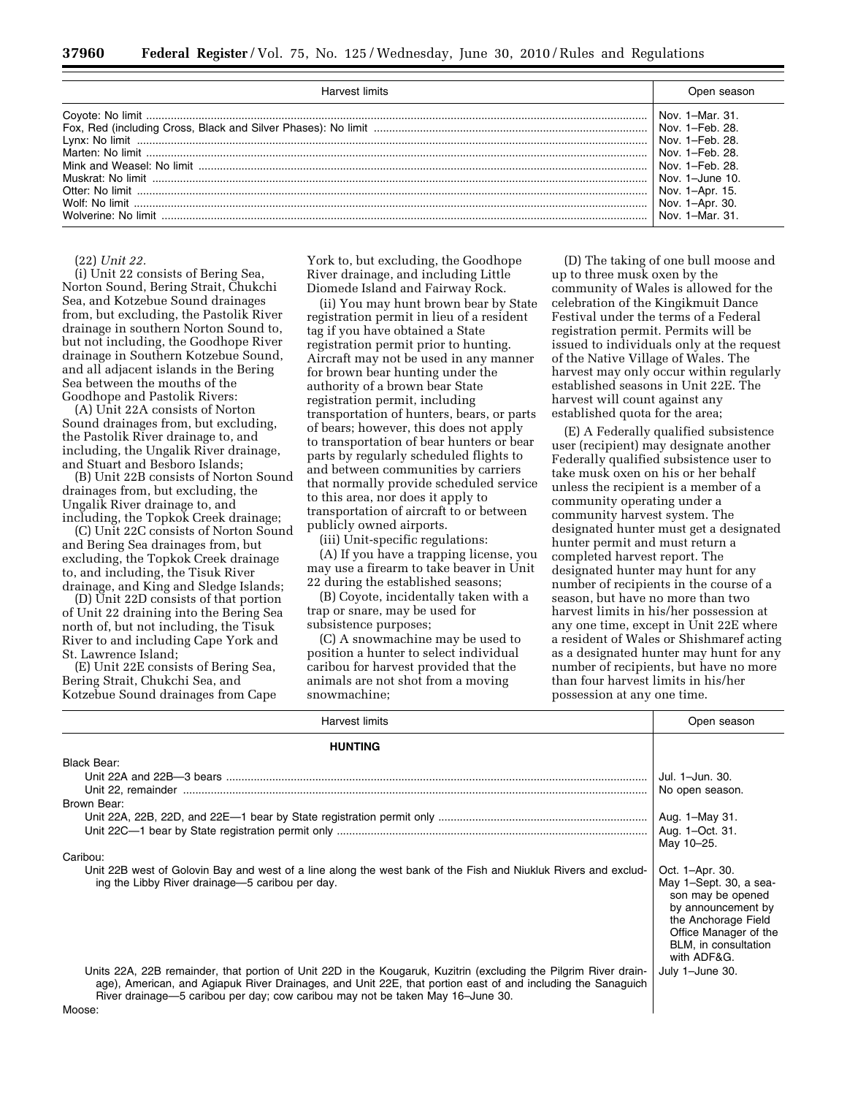| Harvest limits | Joen season                                                                                                                                                |
|----------------|------------------------------------------------------------------------------------------------------------------------------------------------------------|
|                | Nov. 1-Mar. 31.<br>Nov. 1-Feb. 28.<br>Nov. 1–Feb. 28.<br>Nov. 1–Feb. 28.<br>Nov. $1 -$ June $10$ .<br>Nov. 1–Apr. 15.<br>Nov. 1-Apr. 30.<br>Nov $1-Mar$ 31 |

#### (22) *Unit 22.*

(i) Unit 22 consists of Bering Sea, Norton Sound, Bering Strait, Chukchi Sea, and Kotzebue Sound drainages from, but excluding, the Pastolik River drainage in southern Norton Sound to, but not including, the Goodhope River drainage in Southern Kotzebue Sound, and all adjacent islands in the Bering Sea between the mouths of the Goodhope and Pastolik Rivers:

(A) Unit 22A consists of Norton Sound drainages from, but excluding, the Pastolik River drainage to, and including, the Ungalik River drainage, and Stuart and Besboro Islands;

(B) Unit 22B consists of Norton Sound drainages from, but excluding, the Ungalik River drainage to, and including, the Topkok Creek drainage;

(C) Unit 22C consists of Norton Sound and Bering Sea drainages from, but excluding, the Topkok Creek drainage to, and including, the Tisuk River drainage, and King and Sledge Islands;

(D) Unit 22D consists of that portion of Unit 22 draining into the Bering Sea north of, but not including, the Tisuk River to and including Cape York and St. Lawrence Island;

(E) Unit 22E consists of Bering Sea, Bering Strait, Chukchi Sea, and Kotzebue Sound drainages from Cape York to, but excluding, the Goodhope River drainage, and including Little Diomede Island and Fairway Rock.

(ii) You may hunt brown bear by State registration permit in lieu of a resident tag if you have obtained a State registration permit prior to hunting. Aircraft may not be used in any manner for brown bear hunting under the authority of a brown bear State registration permit, including transportation of hunters, bears, or parts of bears; however, this does not apply to transportation of bear hunters or bear parts by regularly scheduled flights to and between communities by carriers that normally provide scheduled service to this area, nor does it apply to transportation of aircraft to or between publicly owned airports.

(iii) Unit-specific regulations:

(A) If you have a trapping license, you may use a firearm to take beaver in Unit 22 during the established seasons;

(B) Coyote, incidentally taken with a trap or snare, may be used for subsistence purposes;

(C) A snowmachine may be used to position a hunter to select individual caribou for harvest provided that the animals are not shot from a moving snowmachine;

(D) The taking of one bull moose and up to three musk oxen by the community of Wales is allowed for the celebration of the Kingikmuit Dance Festival under the terms of a Federal registration permit. Permits will be issued to individuals only at the request of the Native Village of Wales. The harvest may only occur within regularly established seasons in Unit 22E. The harvest will count against any established quota for the area;

(E) A Federally qualified subsistence user (recipient) may designate another Federally qualified subsistence user to take musk oxen on his or her behalf unless the recipient is a member of a community operating under a community harvest system. The designated hunter must get a designated hunter permit and must return a completed harvest report. The designated hunter may hunt for any number of recipients in the course of a season, but have no more than two harvest limits in his/her possession at any one time, except in Unit 22E where a resident of Wales or Shishmaref acting as a designated hunter may hunt for any number of recipients, but have no more than four harvest limits in his/her possession at any one time.

| <b>Harvest limits</b>                                                                                                                                                                                                                                                                                             | Open season                                                                                                                                                                 |
|-------------------------------------------------------------------------------------------------------------------------------------------------------------------------------------------------------------------------------------------------------------------------------------------------------------------|-----------------------------------------------------------------------------------------------------------------------------------------------------------------------------|
| <b>HUNTING</b>                                                                                                                                                                                                                                                                                                    |                                                                                                                                                                             |
| <b>Black Bear:</b>                                                                                                                                                                                                                                                                                                |                                                                                                                                                                             |
|                                                                                                                                                                                                                                                                                                                   | Jul. 1-Jun. 30.                                                                                                                                                             |
|                                                                                                                                                                                                                                                                                                                   | No open season.                                                                                                                                                             |
| Brown Bear:                                                                                                                                                                                                                                                                                                       |                                                                                                                                                                             |
|                                                                                                                                                                                                                                                                                                                   | Aug. 1-May 31.                                                                                                                                                              |
|                                                                                                                                                                                                                                                                                                                   | Aug. 1-Oct. 31.                                                                                                                                                             |
|                                                                                                                                                                                                                                                                                                                   | May 10-25.                                                                                                                                                                  |
| Caribou:                                                                                                                                                                                                                                                                                                          |                                                                                                                                                                             |
| Unit 22B west of Golovin Bay and west of a line along the west bank of the Fish and Niukluk Rivers and exclud-<br>ing the Libby River drainage—5 caribou per day.                                                                                                                                                 | Oct. 1-Apr. 30.<br>May 1-Sept. 30, a sea-<br>son may be opened<br>by announcement by<br>the Anchorage Field<br>Office Manager of the<br>BLM, in consultation<br>with ADF&G. |
| Units 22A, 22B remainder, that portion of Unit 22D in the Kougaruk, Kuzitrin (excluding the Pilgrim River drain-<br>age), American, and Agiapuk River Drainages, and Unit 22E, that portion east of and including the Sanaguich<br>River drainage-5 caribou per day; cow caribou may not be taken May 16-June 30. | July 1-June 30.                                                                                                                                                             |
| Moose:                                                                                                                                                                                                                                                                                                            |                                                                                                                                                                             |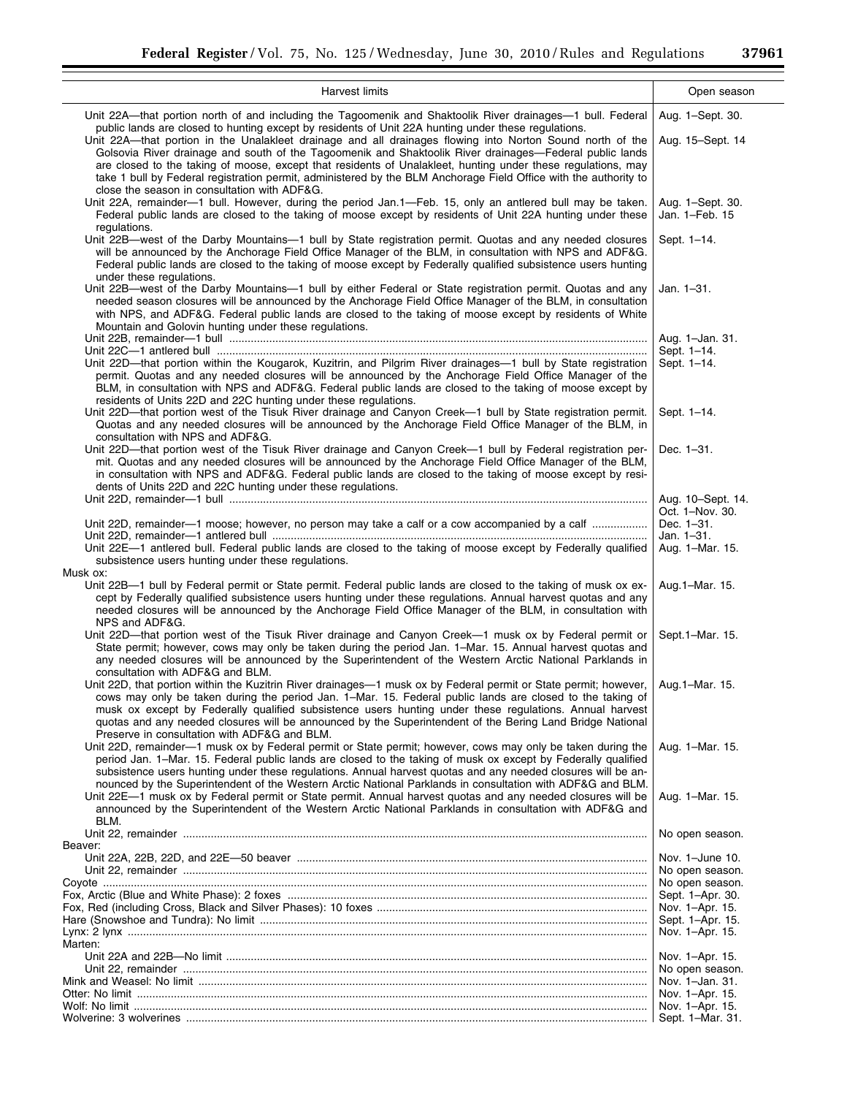▘

 $\overline{\phantom{a}}$ 

| Harvest limits                                                                                                                                                                                                                                                                                                                                                                                                                                                                                                                                                                                                                                                                                                                | Open season                          |
|-------------------------------------------------------------------------------------------------------------------------------------------------------------------------------------------------------------------------------------------------------------------------------------------------------------------------------------------------------------------------------------------------------------------------------------------------------------------------------------------------------------------------------------------------------------------------------------------------------------------------------------------------------------------------------------------------------------------------------|--------------------------------------|
| Unit 22A—that portion north of and including the Tagoomenik and Shaktoolik River drainages—1 bull. Federal<br>public lands are closed to hunting except by residents of Unit 22A hunting under these regulations.<br>Unit 22A—that portion in the Unalakleet drainage and all drainages flowing into Norton Sound north of the<br>Golsovia River drainage and south of the Tagoomenik and Shaktoolik River drainages-Federal public lands<br>are closed to the taking of moose, except that residents of Unalakleet, hunting under these regulations, may<br>take 1 bull by Federal registration permit, administered by the BLM Anchorage Field Office with the authority to<br>close the season in consultation with ADF&G. | Aug. 1-Sept. 30.<br>Aug. 15–Sept. 14 |
| Unit 22A, remainder-1 bull. However, during the period Jan.1-Feb. 15, only an antlered bull may be taken.<br>Federal public lands are closed to the taking of moose except by residents of Unit 22A hunting under these<br>regulations.                                                                                                                                                                                                                                                                                                                                                                                                                                                                                       | Aug. 1-Sept. 30.<br>Jan. 1-Feb. 15   |
| Unit 22B-west of the Darby Mountains-1 bull by State registration permit. Quotas and any needed closures<br>will be announced by the Anchorage Field Office Manager of the BLM, in consultation with NPS and ADF&G.<br>Federal public lands are closed to the taking of moose except by Federally qualified subsistence users hunting<br>under these regulations.                                                                                                                                                                                                                                                                                                                                                             | Sept. 1-14.                          |
| Unit 22B—west of the Darby Mountains—1 bull by either Federal or State registration permit. Quotas and any<br>needed season closures will be announced by the Anchorage Field Office Manager of the BLM, in consultation<br>with NPS, and ADF&G. Federal public lands are closed to the taking of moose except by residents of White<br>Mountain and Golovin hunting under these regulations.                                                                                                                                                                                                                                                                                                                                 | Jan. 1-31.                           |
|                                                                                                                                                                                                                                                                                                                                                                                                                                                                                                                                                                                                                                                                                                                               | Aug. 1-Jan. 31.                      |
| Unit 22D—that portion within the Kougarok, Kuzitrin, and Pilgrim River drainages—1 bull by State registration<br>permit. Quotas and any needed closures will be announced by the Anchorage Field Office Manager of the<br>BLM, in consultation with NPS and ADF&G. Federal public lands are closed to the taking of moose except by<br>residents of Units 22D and 22C hunting under these regulations.                                                                                                                                                                                                                                                                                                                        | Sept. 1–14.<br>Sept. 1-14.           |
| Unit 22D—that portion west of the Tisuk River drainage and Canyon Creek—1 bull by State registration permit.<br>Quotas and any needed closures will be announced by the Anchorage Field Office Manager of the BLM, in<br>consultation with NPS and ADF&G.                                                                                                                                                                                                                                                                                                                                                                                                                                                                     | Sept. 1-14.                          |
| Unit 22D—that portion west of the Tisuk River drainage and Canyon Creek—1 bull by Federal registration per-<br>mit. Quotas and any needed closures will be announced by the Anchorage Field Office Manager of the BLM,<br>in consultation with NPS and ADF&G. Federal public lands are closed to the taking of moose except by resi-<br>dents of Units 22D and 22C hunting under these regulations.                                                                                                                                                                                                                                                                                                                           | Dec. 1-31.                           |
|                                                                                                                                                                                                                                                                                                                                                                                                                                                                                                                                                                                                                                                                                                                               | Aug. 10–Sept. 14.                    |
|                                                                                                                                                                                                                                                                                                                                                                                                                                                                                                                                                                                                                                                                                                                               | Oct. 1-Nov. 30.                      |
| Unit 22D, remainder-1 moose; however, no person may take a calf or a cow accompanied by a calf                                                                                                                                                                                                                                                                                                                                                                                                                                                                                                                                                                                                                                | Dec. 1-31.<br>Jan. 1-31.             |
| Unit 22E-1 antlered bull. Federal public lands are closed to the taking of moose except by Federally qualified<br>subsistence users hunting under these regulations.                                                                                                                                                                                                                                                                                                                                                                                                                                                                                                                                                          | Aug. 1-Mar. 15.                      |
| Musk ox:                                                                                                                                                                                                                                                                                                                                                                                                                                                                                                                                                                                                                                                                                                                      |                                      |
| Unit 22B—1 bull by Federal permit or State permit. Federal public lands are closed to the taking of musk ox ex-<br>cept by Federally qualified subsistence users hunting under these regulations. Annual harvest quotas and any<br>needed closures will be announced by the Anchorage Field Office Manager of the BLM, in consultation with<br>NPS and ADF&G.                                                                                                                                                                                                                                                                                                                                                                 | Aug. 1–Mar. 15.                      |
| Unit 22D—that portion west of the Tisuk River drainage and Canyon Creek—1 musk ox by Federal permit or<br>State permit; however, cows may only be taken during the period Jan. 1-Mar. 15. Annual harvest quotas and<br>any needed closures will be announced by the Superintendent of the Western Arctic National Parklands in<br>consultation with ADF&G and BLM.                                                                                                                                                                                                                                                                                                                                                            | Sept.1-Mar. 15.                      |
| Unit 22D, that portion within the Kuzitrin River drainages-1 musk ox by Federal permit or State permit; however,<br>cows may only be taken during the period Jan. 1–Mar. 15. Federal public lands are closed to the taking of<br>musk ox except by Federally qualified subsistence users hunting under these regulations. Annual harvest<br>quotas and any needed closures will be announced by the Superintendent of the Bering Land Bridge National<br>Preserve in consultation with ADF&G and BLM.                                                                                                                                                                                                                         | Aug. 1–Mar. 15.                      |
| Unit 22D, remainder—1 musk ox by Federal permit or State permit; however, cows may only be taken during the<br>period Jan. 1–Mar. 15. Federal public lands are closed to the taking of musk ox except by Federally qualified<br>subsistence users hunting under these regulations. Annual harvest quotas and any needed closures will be an-<br>nounced by the Superintendent of the Western Arctic National Parklands in consultation with ADF&G and BLM.                                                                                                                                                                                                                                                                    | Aug. 1-Mar. 15.                      |
| Unit 22E-1 musk ox by Federal permit or State permit. Annual harvest quotas and any needed closures will be<br>announced by the Superintendent of the Western Arctic National Parklands in consultation with ADF&G and<br>BLM.                                                                                                                                                                                                                                                                                                                                                                                                                                                                                                | Aug. 1-Mar. 15.                      |
|                                                                                                                                                                                                                                                                                                                                                                                                                                                                                                                                                                                                                                                                                                                               | No open season.                      |
| Beaver:                                                                                                                                                                                                                                                                                                                                                                                                                                                                                                                                                                                                                                                                                                                       | Nov. 1-June 10.                      |
|                                                                                                                                                                                                                                                                                                                                                                                                                                                                                                                                                                                                                                                                                                                               | No open season.                      |
|                                                                                                                                                                                                                                                                                                                                                                                                                                                                                                                                                                                                                                                                                                                               | No open season.                      |
|                                                                                                                                                                                                                                                                                                                                                                                                                                                                                                                                                                                                                                                                                                                               | Sept. 1-Apr. 30.                     |
|                                                                                                                                                                                                                                                                                                                                                                                                                                                                                                                                                                                                                                                                                                                               | Nov. 1-Apr. 15.                      |
|                                                                                                                                                                                                                                                                                                                                                                                                                                                                                                                                                                                                                                                                                                                               | Sept. 1-Apr. 15.<br>Nov. 1-Apr. 15.  |
| Marten:                                                                                                                                                                                                                                                                                                                                                                                                                                                                                                                                                                                                                                                                                                                       |                                      |
|                                                                                                                                                                                                                                                                                                                                                                                                                                                                                                                                                                                                                                                                                                                               | Nov. 1–Apr. 15.                      |
|                                                                                                                                                                                                                                                                                                                                                                                                                                                                                                                                                                                                                                                                                                                               | No open season.                      |
|                                                                                                                                                                                                                                                                                                                                                                                                                                                                                                                                                                                                                                                                                                                               | Nov. 1-Jan. 31.                      |
|                                                                                                                                                                                                                                                                                                                                                                                                                                                                                                                                                                                                                                                                                                                               | Nov. 1-Apr. 15.<br>Nov. 1-Apr. 15.   |
|                                                                                                                                                                                                                                                                                                                                                                                                                                                                                                                                                                                                                                                                                                                               | Sept. 1–Mar. 31.                     |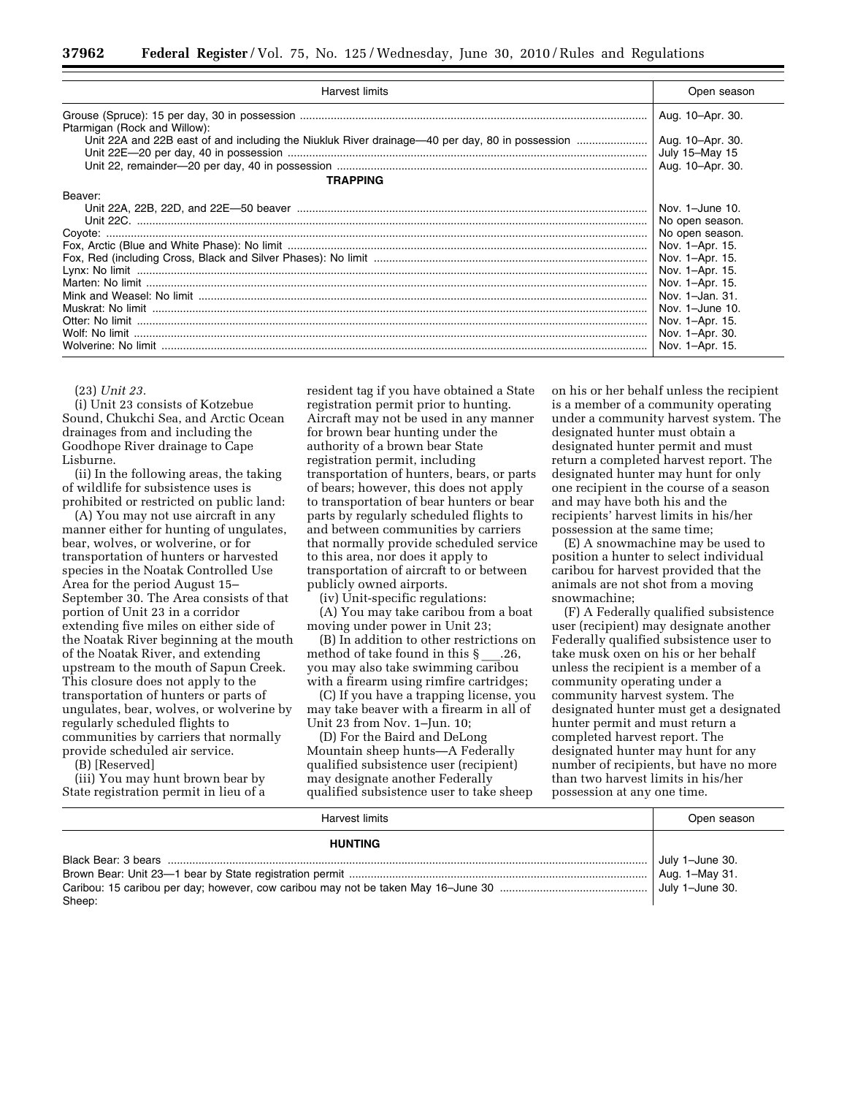| Harvest limits               | Open season      |
|------------------------------|------------------|
| Ptarmigan (Rock and Willow): | Aug. 10-Apr. 30. |
|                              | Aug. 10-Apr. 30. |
|                              | July 15-May 15   |
|                              |                  |
| TRAPPING                     |                  |
| Beaver:                      |                  |
|                              | Nov. 1-June 10.  |
|                              | No open season.  |
|                              | No open season.  |
|                              | Nov. 1-Apr. 15.  |
|                              | Nov. 1-Apr. 15.  |
|                              | Nov. 1-Apr. 15.  |
|                              | Nov. 1-Apr. 15.  |
|                              | Nov. 1-Jan. 31.  |
|                              | Nov. 1-June 10.  |
|                              | Nov. 1-Apr. 15.  |
|                              | Nov. 1-Apr. 30.  |
|                              | Nov. 1-Apr. 15.  |

(23) *Unit 23.* 

(i) Unit 23 consists of Kotzebue Sound, Chukchi Sea, and Arctic Ocean drainages from and including the Goodhope River drainage to Cape Lisburne.

(ii) In the following areas, the taking of wildlife for subsistence uses is prohibited or restricted on public land:

(A) You may not use aircraft in any manner either for hunting of ungulates, bear, wolves, or wolverine, or for transportation of hunters or harvested species in the Noatak Controlled Use Area for the period August 15– September 30. The Area consists of that portion of Unit 23 in a corridor extending five miles on either side of the Noatak River beginning at the mouth of the Noatak River, and extending upstream to the mouth of Sapun Creek. This closure does not apply to the transportation of hunters or parts of ungulates, bear, wolves, or wolverine by regularly scheduled flights to communities by carriers that normally provide scheduled air service.

(B) [Reserved]

(iii) You may hunt brown bear by State registration permit in lieu of a resident tag if you have obtained a State registration permit prior to hunting. Aircraft may not be used in any manner for brown bear hunting under the authority of a brown bear State registration permit, including transportation of hunters, bears, or parts of bears; however, this does not apply to transportation of bear hunters or bear parts by regularly scheduled flights to and between communities by carriers that normally provide scheduled service to this area, nor does it apply to transportation of aircraft to or between publicly owned airports.

(iv) Unit-specific regulations:

(A) You may take caribou from a boat moving under power in Unit 23;

(B) In addition to other restrictions on method of take found in this  $\S$  .26, you may also take swimming caribou with a firearm using rimfire cartridges;

(C) If you have a trapping license, you may take beaver with a firearm in all of Unit 23 from Nov. 1–Jun. 10;

(D) For the Baird and DeLong Mountain sheep hunts—A Federally qualified subsistence user (recipient) may designate another Federally qualified subsistence user to take sheep

on his or her behalf unless the recipient is a member of a community operating under a community harvest system. The designated hunter must obtain a designated hunter permit and must return a completed harvest report. The designated hunter may hunt for only one recipient in the course of a season and may have both his and the recipients' harvest limits in his/her possession at the same time;

(E) A snowmachine may be used to position a hunter to select individual caribou for harvest provided that the animals are not shot from a moving snowmachine;

(F) A Federally qualified subsistence user (recipient) may designate another Federally qualified subsistence user to take musk oxen on his or her behalf unless the recipient is a member of a community operating under a community harvest system. The designated hunter must get a designated hunter permit and must return a completed harvest report. The designated hunter may hunt for any number of recipients, but have no more than two harvest limits in his/her possession at any one time.

| Harvest limits | Open season     |
|----------------|-----------------|
| <b>HUNTING</b> |                 |
|                | July 1-June 30. |
|                | Aug. 1-May 31.  |
|                |                 |
| Sheep:         |                 |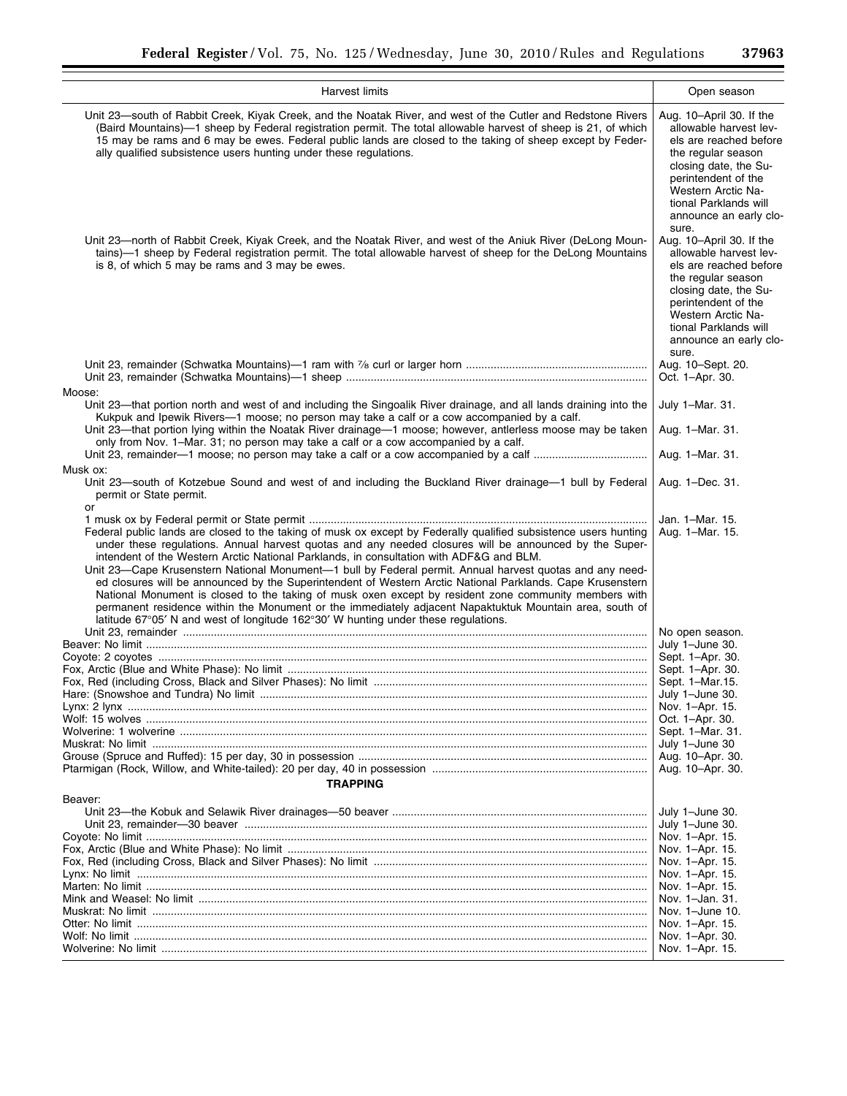i.

| <b>Harvest limits</b>                                                                                                                                                                                                                                                                                                                                                                                                                                                                                                                                                                                                                                                                                                                                               | Open season                                                                                                                                                                                                                                                                                                                                |
|---------------------------------------------------------------------------------------------------------------------------------------------------------------------------------------------------------------------------------------------------------------------------------------------------------------------------------------------------------------------------------------------------------------------------------------------------------------------------------------------------------------------------------------------------------------------------------------------------------------------------------------------------------------------------------------------------------------------------------------------------------------------|--------------------------------------------------------------------------------------------------------------------------------------------------------------------------------------------------------------------------------------------------------------------------------------------------------------------------------------------|
| Unit 23—south of Rabbit Creek, Kiyak Creek, and the Noatak River, and west of the Cutler and Redstone Rivers<br>(Baird Mountains)—1 sheep by Federal registration permit. The total allowable harvest of sheep is 21, of which<br>15 may be rams and 6 may be ewes. Federal public lands are closed to the taking of sheep except by Feder-<br>ally qualified subsistence users hunting under these regulations.<br>Unit 23—north of Rabbit Creek, Kiyak Creek, and the Noatak River, and west of the Aniuk River (DeLong Moun-<br>tains)-1 sheep by Federal registration permit. The total allowable harvest of sheep for the DeLong Mountains<br>is 8, of which 5 may be rams and 3 may be ewes.                                                                  | Aug. 10-April 30. If the<br>allowable harvest lev-<br>els are reached before<br>the regular season<br>closing date, the Su-<br>perintendent of the<br>Western Arctic Na-<br>tional Parklands will<br>announce an early clo-<br>sure.<br>Aug. 10-April 30. If the<br>allowable harvest lev-<br>els are reached before<br>the regular season |
|                                                                                                                                                                                                                                                                                                                                                                                                                                                                                                                                                                                                                                                                                                                                                                     | closing date, the Su-<br>perintendent of the<br>Western Arctic Na-<br>tional Parklands will<br>announce an early clo-<br>sure.<br>Aug. 10-Sept. 20.                                                                                                                                                                                        |
|                                                                                                                                                                                                                                                                                                                                                                                                                                                                                                                                                                                                                                                                                                                                                                     | Oct. 1-Apr. 30.                                                                                                                                                                                                                                                                                                                            |
| Moose:<br>Unit 23—that portion north and west of and including the Singoalik River drainage, and all lands draining into the<br>Kukpuk and Ipewik Rivers-1 moose; no person may take a calf or a cow accompanied by a calf.<br>Unit 23-that portion lying within the Noatak River drainage-1 moose; however, antlerless moose may be taken<br>only from Nov. 1–Mar. 31; no person may take a calf or a cow accompanied by a calf.                                                                                                                                                                                                                                                                                                                                   | July 1-Mar. 31.<br>Aug. 1-Mar. 31.                                                                                                                                                                                                                                                                                                         |
|                                                                                                                                                                                                                                                                                                                                                                                                                                                                                                                                                                                                                                                                                                                                                                     | Aug. 1-Mar. 31.                                                                                                                                                                                                                                                                                                                            |
| Musk ox:<br>Unit 23—south of Kotzebue Sound and west of and including the Buckland River drainage—1 bull by Federal<br>permit or State permit.<br>or                                                                                                                                                                                                                                                                                                                                                                                                                                                                                                                                                                                                                | Aug. 1-Dec. 31.                                                                                                                                                                                                                                                                                                                            |
|                                                                                                                                                                                                                                                                                                                                                                                                                                                                                                                                                                                                                                                                                                                                                                     | Jan. 1-Mar. 15.                                                                                                                                                                                                                                                                                                                            |
| Federal public lands are closed to the taking of musk ox except by Federally qualified subsistence users hunting<br>under these regulations. Annual harvest quotas and any needed closures will be announced by the Super-<br>intendent of the Western Arctic National Parklands, in consultation with ADF&G and BLM.<br>Unit 23—Cape Krusenstern National Monument—1 bull by Federal permit. Annual harvest quotas and any need-<br>ed closures will be announced by the Superintendent of Western Arctic National Parklands. Cape Krusenstern<br>National Monument is closed to the taking of musk oxen except by resident zone community members with<br>permanent residence within the Monument or the immediately adjacent Napaktuktuk Mountain area, south of | Aug. 1-Mar. 15.                                                                                                                                                                                                                                                                                                                            |
| latitude 67°05' N and west of longitude 162°30' W hunting under these regulations.                                                                                                                                                                                                                                                                                                                                                                                                                                                                                                                                                                                                                                                                                  |                                                                                                                                                                                                                                                                                                                                            |
|                                                                                                                                                                                                                                                                                                                                                                                                                                                                                                                                                                                                                                                                                                                                                                     | No open season.<br>July 1-June 30.                                                                                                                                                                                                                                                                                                         |
|                                                                                                                                                                                                                                                                                                                                                                                                                                                                                                                                                                                                                                                                                                                                                                     | Sept. 1-Apr. 30.                                                                                                                                                                                                                                                                                                                           |
|                                                                                                                                                                                                                                                                                                                                                                                                                                                                                                                                                                                                                                                                                                                                                                     | Sept. 1-Apr. 30.                                                                                                                                                                                                                                                                                                                           |
|                                                                                                                                                                                                                                                                                                                                                                                                                                                                                                                                                                                                                                                                                                                                                                     | Sept. 1-Mar. 15.                                                                                                                                                                                                                                                                                                                           |
|                                                                                                                                                                                                                                                                                                                                                                                                                                                                                                                                                                                                                                                                                                                                                                     | July 1-June 30.                                                                                                                                                                                                                                                                                                                            |
|                                                                                                                                                                                                                                                                                                                                                                                                                                                                                                                                                                                                                                                                                                                                                                     | Nov. 1-Apr. 15.                                                                                                                                                                                                                                                                                                                            |
|                                                                                                                                                                                                                                                                                                                                                                                                                                                                                                                                                                                                                                                                                                                                                                     | Oct. 1-Apr. 30.                                                                                                                                                                                                                                                                                                                            |
|                                                                                                                                                                                                                                                                                                                                                                                                                                                                                                                                                                                                                                                                                                                                                                     | Sept. 1-Mar. 31.                                                                                                                                                                                                                                                                                                                           |
|                                                                                                                                                                                                                                                                                                                                                                                                                                                                                                                                                                                                                                                                                                                                                                     | July 1-June 30                                                                                                                                                                                                                                                                                                                             |
|                                                                                                                                                                                                                                                                                                                                                                                                                                                                                                                                                                                                                                                                                                                                                                     | Aug. 10-Apr. 30.                                                                                                                                                                                                                                                                                                                           |
|                                                                                                                                                                                                                                                                                                                                                                                                                                                                                                                                                                                                                                                                                                                                                                     | Aug. 10-Apr. 30.                                                                                                                                                                                                                                                                                                                           |
| <b>TRAPPING</b>                                                                                                                                                                                                                                                                                                                                                                                                                                                                                                                                                                                                                                                                                                                                                     |                                                                                                                                                                                                                                                                                                                                            |
| Beaver:                                                                                                                                                                                                                                                                                                                                                                                                                                                                                                                                                                                                                                                                                                                                                             |                                                                                                                                                                                                                                                                                                                                            |
|                                                                                                                                                                                                                                                                                                                                                                                                                                                                                                                                                                                                                                                                                                                                                                     | July 1-June 30.                                                                                                                                                                                                                                                                                                                            |
|                                                                                                                                                                                                                                                                                                                                                                                                                                                                                                                                                                                                                                                                                                                                                                     | July 1-June 30.                                                                                                                                                                                                                                                                                                                            |
|                                                                                                                                                                                                                                                                                                                                                                                                                                                                                                                                                                                                                                                                                                                                                                     | Nov. 1–Apr. 15.                                                                                                                                                                                                                                                                                                                            |
|                                                                                                                                                                                                                                                                                                                                                                                                                                                                                                                                                                                                                                                                                                                                                                     | Nov. 1–Apr. 15.<br>Nov. 1–Apr. 15.                                                                                                                                                                                                                                                                                                         |
|                                                                                                                                                                                                                                                                                                                                                                                                                                                                                                                                                                                                                                                                                                                                                                     | Nov. 1–Apr. 15.                                                                                                                                                                                                                                                                                                                            |
|                                                                                                                                                                                                                                                                                                                                                                                                                                                                                                                                                                                                                                                                                                                                                                     | Nov. 1–Apr. 15.                                                                                                                                                                                                                                                                                                                            |
|                                                                                                                                                                                                                                                                                                                                                                                                                                                                                                                                                                                                                                                                                                                                                                     | Nov. 1-Jan. 31.                                                                                                                                                                                                                                                                                                                            |
|                                                                                                                                                                                                                                                                                                                                                                                                                                                                                                                                                                                                                                                                                                                                                                     | Nov. 1-June 10.                                                                                                                                                                                                                                                                                                                            |
|                                                                                                                                                                                                                                                                                                                                                                                                                                                                                                                                                                                                                                                                                                                                                                     | Nov. 1–Apr. 15.                                                                                                                                                                                                                                                                                                                            |
|                                                                                                                                                                                                                                                                                                                                                                                                                                                                                                                                                                                                                                                                                                                                                                     | Nov. 1–Apr. 30.                                                                                                                                                                                                                                                                                                                            |
|                                                                                                                                                                                                                                                                                                                                                                                                                                                                                                                                                                                                                                                                                                                                                                     | Nov. 1-Apr. 15.                                                                                                                                                                                                                                                                                                                            |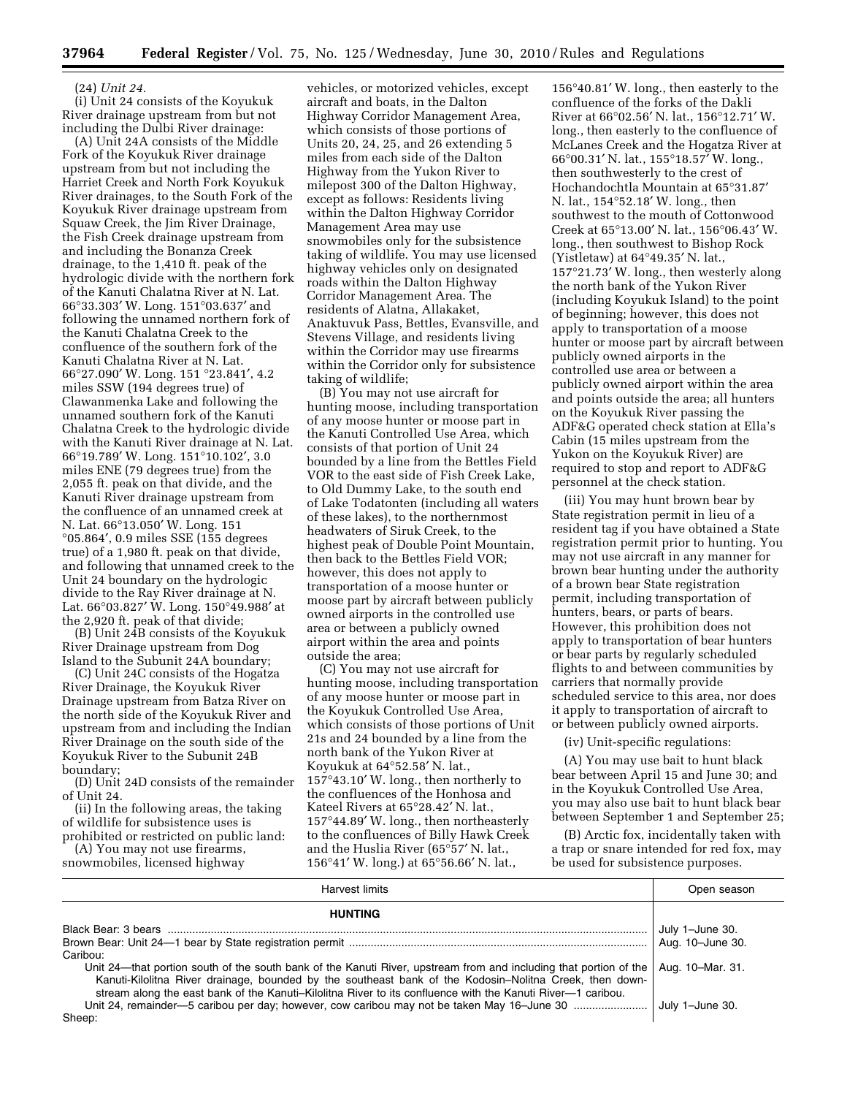#### (24) *Unit 24.*

(i) Unit 24 consists of the Koyukuk River drainage upstream from but not including the Dulbi River drainage:

(A) Unit 24A consists of the Middle Fork of the Koyukuk River drainage upstream from but not including the Harriet Creek and North Fork Koyukuk River drainages, to the South Fork of the Koyukuk River drainage upstream from Squaw Creek, the Jim River Drainage, the Fish Creek drainage upstream from and including the Bonanza Creek drainage, to the 1,410 ft. peak of the hydrologic divide with the northern fork of the Kanuti Chalatna River at N. Lat. 66°33.303′ W. Long. 151°03.637′ and following the unnamed northern fork of the Kanuti Chalatna Creek to the confluence of the southern fork of the Kanuti Chalatna River at N. Lat. 66°27.090′ W. Long. 151 °23.841′, 4.2 miles SSW (194 degrees true) of Clawanmenka Lake and following the unnamed southern fork of the Kanuti Chalatna Creek to the hydrologic divide with the Kanuti River drainage at N. Lat. 66°19.789′ W. Long. 151°10.102′, 3.0 miles ENE (79 degrees true) from the 2,055 ft. peak on that divide, and the Kanuti River drainage upstream from the confluence of an unnamed creek at N. Lat. 66°13.050′ W. Long. 151 °05.864′, 0.9 miles SSE (155 degrees true) of a 1,980 ft. peak on that divide, and following that unnamed creek to the Unit 24 boundary on the hydrologic divide to the Ray River drainage at N. Lat. 66°03.827′ W. Long. 150°49.988′ at the 2,920 ft. peak of that divide;

(B) Unit 24B consists of the Koyukuk River Drainage upstream from Dog Island to the Subunit 24A boundary;

(C) Unit 24C consists of the Hogatza River Drainage, the Koyukuk River Drainage upstream from Batza River on the north side of the Koyukuk River and upstream from and including the Indian River Drainage on the south side of the Koyukuk River to the Subunit 24B boundary;

(D) Unit 24D consists of the remainder of Unit 24.

(ii) In the following areas, the taking of wildlife for subsistence uses is prohibited or restricted on public land:

(A) You may not use firearms,

snowmobiles, licensed highway

vehicles, or motorized vehicles, except aircraft and boats, in the Dalton Highway Corridor Management Area, which consists of those portions of Units 20, 24, 25, and 26 extending 5 miles from each side of the Dalton Highway from the Yukon River to milepost 300 of the Dalton Highway, except as follows: Residents living within the Dalton Highway Corridor Management Area may use snowmobiles only for the subsistence taking of wildlife. You may use licensed highway vehicles only on designated roads within the Dalton Highway Corridor Management Area. The residents of Alatna, Allakaket, Anaktuvuk Pass, Bettles, Evansville, and Stevens Village, and residents living within the Corridor may use firearms within the Corridor only for subsistence taking of wildlife;

(B) You may not use aircraft for hunting moose, including transportation of any moose hunter or moose part in the Kanuti Controlled Use Area, which consists of that portion of Unit 24 bounded by a line from the Bettles Field VOR to the east side of Fish Creek Lake, to Old Dummy Lake, to the south end of Lake Todatonten (including all waters of these lakes), to the northernmost headwaters of Siruk Creek, to the highest peak of Double Point Mountain, then back to the Bettles Field VOR; however, this does not apply to transportation of a moose hunter or moose part by aircraft between publicly owned airports in the controlled use area or between a publicly owned airport within the area and points outside the area;

(C) You may not use aircraft for hunting moose, including transportation of any moose hunter or moose part in the Koyukuk Controlled Use Area, which consists of those portions of Unit 21s and 24 bounded by a line from the north bank of the Yukon River at Koyukuk at 64°52.58′ N. lat., 157°43.10′ W. long., then northerly to the confluences of the Honhosa and Kateel Rivers at 65°28.42′ N. lat., 157°44.89′ W. long., then northeasterly to the confluences of Billy Hawk Creek and the Huslia River (65°57′ N. lat., 156°41′ W. long.) at 65°56.66′ N. lat.,

156°40.81′ W. long., then easterly to the confluence of the forks of the Dakli River at 66°02.56′ N. lat., 156°12.71′ W. long., then easterly to the confluence of McLanes Creek and the Hogatza River at 66°00.31′ N. lat., 155°18.57′ W. long., then southwesterly to the crest of Hochandochtla Mountain at 65°31.87′ N. lat., 154°52.18′ W. long., then southwest to the mouth of Cottonwood Creek at 65°13.00′ N. lat., 156°06.43′ W. long., then southwest to Bishop Rock (Yistletaw) at 64°49.35′ N. lat., 157°21.73′ W. long., then westerly along the north bank of the Yukon River (including Koyukuk Island) to the point of beginning; however, this does not apply to transportation of a moose hunter or moose part by aircraft between publicly owned airports in the controlled use area or between a publicly owned airport within the area and points outside the area; all hunters on the Koyukuk River passing the ADF&G operated check station at Ella's Cabin (15 miles upstream from the Yukon on the Koyukuk River) are required to stop and report to ADF&G personnel at the check station.

(iii) You may hunt brown bear by State registration permit in lieu of a resident tag if you have obtained a State registration permit prior to hunting. You may not use aircraft in any manner for brown bear hunting under the authority of a brown bear State registration permit, including transportation of hunters, bears, or parts of bears. However, this prohibition does not apply to transportation of bear hunters or bear parts by regularly scheduled flights to and between communities by carriers that normally provide scheduled service to this area, nor does it apply to transportation of aircraft to or between publicly owned airports.

(iv) Unit-specific regulations:

(A) You may use bait to hunt black bear between April 15 and June 30; and in the Koyukuk Controlled Use Area, you may also use bait to hunt black bear between September 1 and September 25;

(B) Arctic fox, incidentally taken with a trap or snare intended for red fox, may be used for subsistence purposes.

| Harvest limits                                                                                                                                                                                                                                                                                                                              | Open season                         |
|---------------------------------------------------------------------------------------------------------------------------------------------------------------------------------------------------------------------------------------------------------------------------------------------------------------------------------------------|-------------------------------------|
| <b>HUNTING</b>                                                                                                                                                                                                                                                                                                                              |                                     |
|                                                                                                                                                                                                                                                                                                                                             | July 1-June 30.<br>Aug. 10-June 30. |
| Caribou:                                                                                                                                                                                                                                                                                                                                    |                                     |
| Unit 24—that portion south of the south bank of the Kanuti River, upstream from and including that portion of the<br>Kanuti-Kilolitna River drainage, bounded by the southeast bank of the Kodosin–Nolitna Creek, then down-<br>stream along the east bank of the Kanuti-Kilolitna River to its confluence with the Kanuti River-1 caribou. | Aug. 10–Mar. 31.                    |
|                                                                                                                                                                                                                                                                                                                                             |                                     |
| Sheep:                                                                                                                                                                                                                                                                                                                                      |                                     |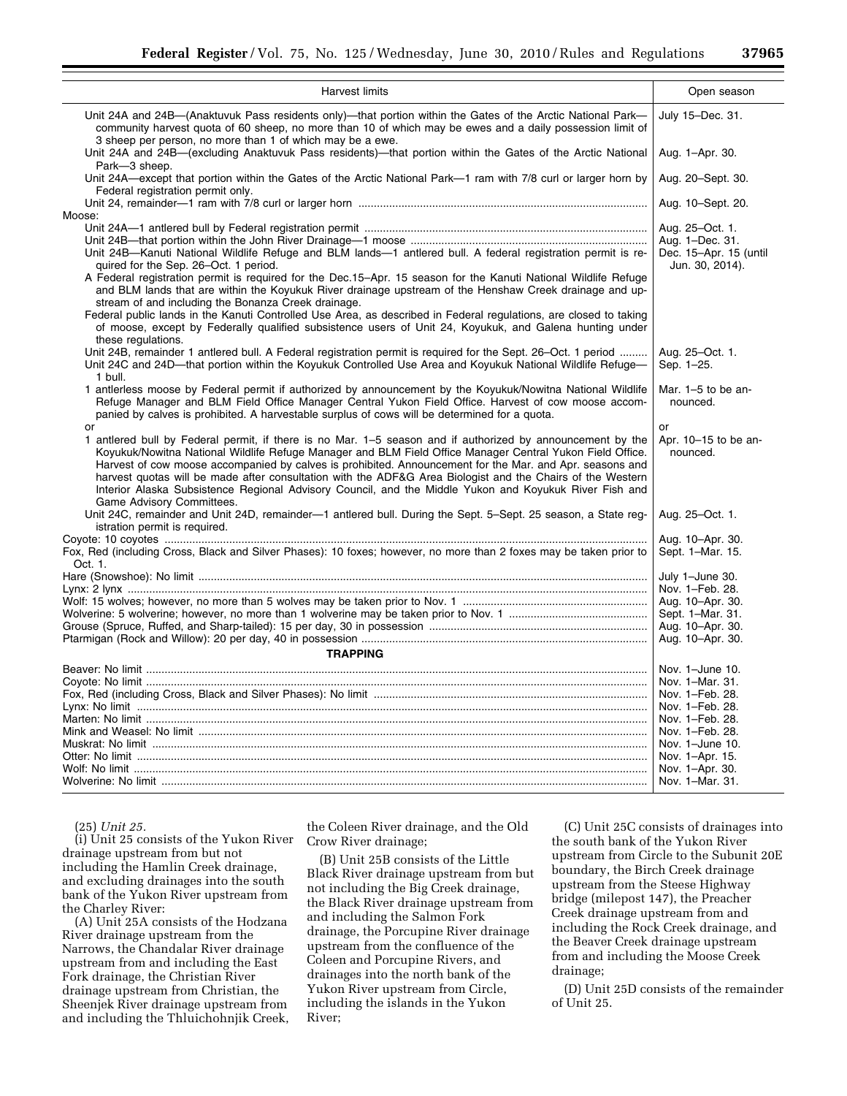| Harvest limits                                                                                                                                                                                                                                                                                                                                                                                                                                                                                                                                                                           | Open season                                                  |
|------------------------------------------------------------------------------------------------------------------------------------------------------------------------------------------------------------------------------------------------------------------------------------------------------------------------------------------------------------------------------------------------------------------------------------------------------------------------------------------------------------------------------------------------------------------------------------------|--------------------------------------------------------------|
| Unit 24A and 24B-(Anaktuvuk Pass residents only)-that portion within the Gates of the Arctic National Park-<br>community harvest quota of 60 sheep, no more than 10 of which may be ewes and a daily possession limit of<br>3 sheep per person, no more than 1 of which may be a ewe.                                                                                                                                                                                                                                                                                                    | July 15-Dec. 31.                                             |
| Unit 24A and 24B—(excluding Anaktuvuk Pass residents)—that portion within the Gates of the Arctic National<br>Park-3 sheep.                                                                                                                                                                                                                                                                                                                                                                                                                                                              | Aug. 1-Apr. 30.                                              |
| Unit 24A—except that portion within the Gates of the Arctic National Park—1 ram with 7/8 curl or larger horn by<br>Federal registration permit only.                                                                                                                                                                                                                                                                                                                                                                                                                                     | Aug. 20–Sept. 30.                                            |
| Moose:                                                                                                                                                                                                                                                                                                                                                                                                                                                                                                                                                                                   | Aug. 10-Sept. 20.                                            |
|                                                                                                                                                                                                                                                                                                                                                                                                                                                                                                                                                                                          |                                                              |
|                                                                                                                                                                                                                                                                                                                                                                                                                                                                                                                                                                                          | Aug. 25-Oct. 1.                                              |
| Unit 24B—Kanuti National Wildlife Refuge and BLM lands—1 antlered bull. A federal registration permit is re-<br>quired for the Sep. 26–Oct. 1 period.                                                                                                                                                                                                                                                                                                                                                                                                                                    | Aug. 1-Dec. 31.<br>Dec. 15-Apr. 15 (until<br>Jun. 30, 2014). |
| A Federal registration permit is required for the Dec.15–Apr. 15 season for the Kanuti National Wildlife Refuge<br>and BLM lands that are within the Koyukuk River drainage upstream of the Henshaw Creek drainage and up-                                                                                                                                                                                                                                                                                                                                                               |                                                              |
| stream of and including the Bonanza Creek drainage.<br>Federal public lands in the Kanuti Controlled Use Area, as described in Federal regulations, are closed to taking<br>of moose, except by Federally qualified subsistence users of Unit 24, Koyukuk, and Galena hunting under<br>these regulations.                                                                                                                                                                                                                                                                                |                                                              |
| Unit 24B, remainder 1 antlered bull. A Federal registration permit is required for the Sept. 26–Oct. 1 period<br>Unit 24C and 24D—that portion within the Koyukuk Controlled Use Area and Koyukuk National Wildlife Refuge—<br>1 bull.                                                                                                                                                                                                                                                                                                                                                   | Aug. 25-Oct. 1.<br>Sep. 1-25.                                |
| 1 antierless moose by Federal permit if authorized by announcement by the Koyukuk/Nowitna National Wildlife<br>Refuge Manager and BLM Field Office Manager Central Yukon Field Office. Harvest of cow moose accom-<br>panied by calves is prohibited. A harvestable surplus of cows will be determined for a quota.                                                                                                                                                                                                                                                                      | Mar. $1-5$ to be an-<br>nounced.                             |
| or                                                                                                                                                                                                                                                                                                                                                                                                                                                                                                                                                                                       | or                                                           |
| 1 antlered bull by Federal permit, if there is no Mar. 1–5 season and if authorized by announcement by the<br>Koyukuk/Nowitna National Wildlife Refuge Manager and BLM Field Office Manager Central Yukon Field Office.<br>Harvest of cow moose accompanied by calves is prohibited. Announcement for the Mar. and Apr. seasons and<br>harvest quotas will be made after consultation with the ADF&G Area Biologist and the Chairs of the Western<br>Interior Alaska Subsistence Regional Advisory Council, and the Middle Yukon and Koyukuk River Fish and<br>Game Advisory Committees. | Apr. 10-15 to be an-<br>nounced.                             |
| Unit 24C, remainder and Unit 24D, remainder-1 antlered bull. During the Sept. 5-Sept. 25 season, a State reg-<br>istration permit is required.                                                                                                                                                                                                                                                                                                                                                                                                                                           | Aug. 25-Oct. 1.                                              |
|                                                                                                                                                                                                                                                                                                                                                                                                                                                                                                                                                                                          | Aug. 10-Apr. 30.                                             |
| Fox, Red (including Cross, Black and Silver Phases): 10 foxes; however, no more than 2 foxes may be taken prior to<br>Oct. 1.                                                                                                                                                                                                                                                                                                                                                                                                                                                            | Sept. 1-Mar. 15.                                             |
|                                                                                                                                                                                                                                                                                                                                                                                                                                                                                                                                                                                          | July 1-June 30.                                              |
|                                                                                                                                                                                                                                                                                                                                                                                                                                                                                                                                                                                          | Nov. 1-Feb. 28.                                              |
|                                                                                                                                                                                                                                                                                                                                                                                                                                                                                                                                                                                          | Aug. 10-Apr. 30.                                             |
|                                                                                                                                                                                                                                                                                                                                                                                                                                                                                                                                                                                          | Sept. 1-Mar. 31.                                             |
|                                                                                                                                                                                                                                                                                                                                                                                                                                                                                                                                                                                          | Aug. 10-Apr. 30.                                             |
|                                                                                                                                                                                                                                                                                                                                                                                                                                                                                                                                                                                          | Aug. 10-Apr. 30.                                             |
| <b>TRAPPING</b>                                                                                                                                                                                                                                                                                                                                                                                                                                                                                                                                                                          |                                                              |
|                                                                                                                                                                                                                                                                                                                                                                                                                                                                                                                                                                                          | Nov. 1-June 10.                                              |
|                                                                                                                                                                                                                                                                                                                                                                                                                                                                                                                                                                                          | Nov. 1-Mar. 31.                                              |
|                                                                                                                                                                                                                                                                                                                                                                                                                                                                                                                                                                                          | Nov. 1-Feb. 28.                                              |
|                                                                                                                                                                                                                                                                                                                                                                                                                                                                                                                                                                                          | Nov. 1-Feb. 28.                                              |
|                                                                                                                                                                                                                                                                                                                                                                                                                                                                                                                                                                                          | Nov. 1-Feb. 28.                                              |
|                                                                                                                                                                                                                                                                                                                                                                                                                                                                                                                                                                                          | Nov. 1-Feb. 28.                                              |
|                                                                                                                                                                                                                                                                                                                                                                                                                                                                                                                                                                                          | Nov. 1-June 10.                                              |
|                                                                                                                                                                                                                                                                                                                                                                                                                                                                                                                                                                                          | Nov. 1-Apr. 15.                                              |
|                                                                                                                                                                                                                                                                                                                                                                                                                                                                                                                                                                                          | Nov. 1-Apr. 30.                                              |
|                                                                                                                                                                                                                                                                                                                                                                                                                                                                                                                                                                                          | Nov. 1-Mar. 31.                                              |
|                                                                                                                                                                                                                                                                                                                                                                                                                                                                                                                                                                                          |                                                              |

(25) *Unit 25.* 

(i) Unit 25 consists of the Yukon River drainage upstream from but not including the Hamlin Creek drainage, and excluding drainages into the south bank of the Yukon River upstream from the Charley River:

(A) Unit 25A consists of the Hodzana River drainage upstream from the Narrows, the Chandalar River drainage upstream from and including the East Fork drainage, the Christian River drainage upstream from Christian, the Sheenjek River drainage upstream from and including the Thluichohnjik Creek,

the Coleen River drainage, and the Old Crow River drainage;

(B) Unit 25B consists of the Little Black River drainage upstream from but not including the Big Creek drainage, the Black River drainage upstream from and including the Salmon Fork drainage, the Porcupine River drainage upstream from the confluence of the Coleen and Porcupine Rivers, and drainages into the north bank of the Yukon River upstream from Circle, including the islands in the Yukon River;

(C) Unit 25C consists of drainages into the south bank of the Yukon River upstream from Circle to the Subunit 20E boundary, the Birch Creek drainage upstream from the Steese Highway bridge (milepost 147), the Preacher Creek drainage upstream from and including the Rock Creek drainage, and the Beaver Creek drainage upstream from and including the Moose Creek drainage;

(D) Unit 25D consists of the remainder of Unit 25.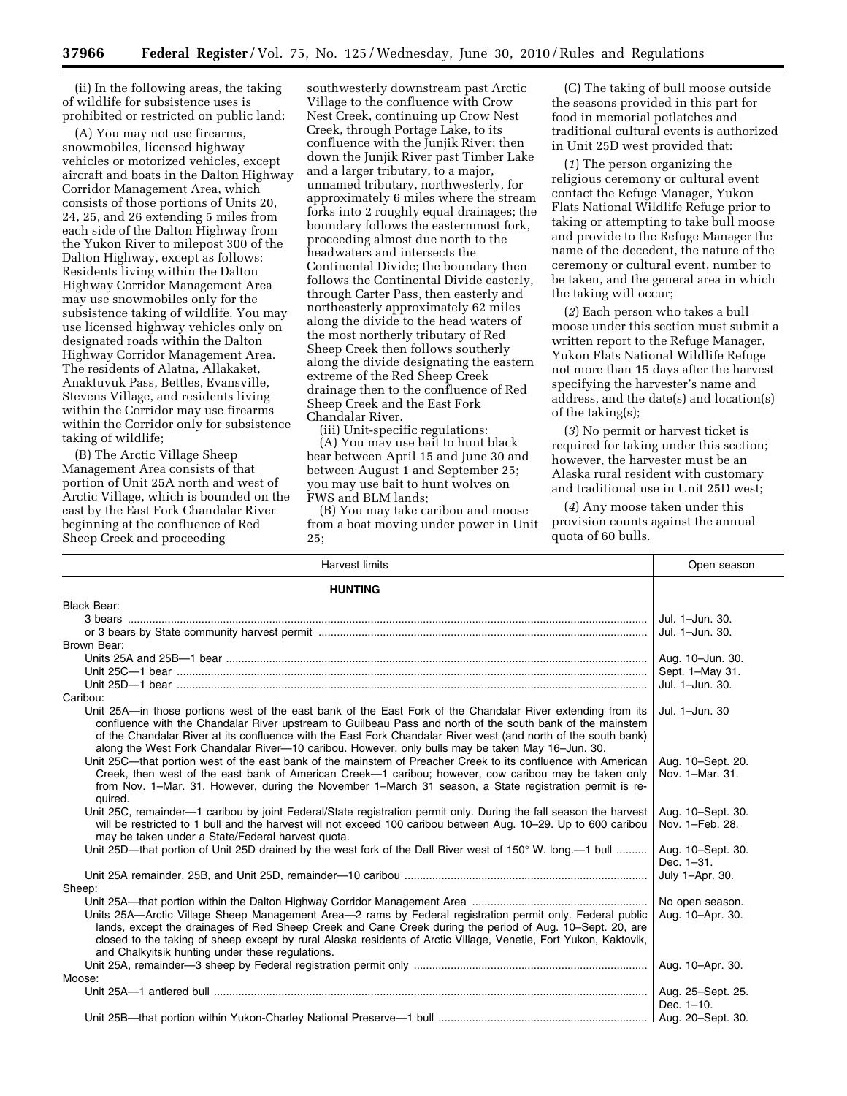(ii) In the following areas, the taking of wildlife for subsistence uses is prohibited or restricted on public land:

(A) You may not use firearms, snowmobiles, licensed highway vehicles or motorized vehicles, except aircraft and boats in the Dalton Highway Corridor Management Area, which consists of those portions of Units 20, 24, 25, and 26 extending 5 miles from each side of the Dalton Highway from the Yukon River to milepost 300 of the Dalton Highway, except as follows: Residents living within the Dalton Highway Corridor Management Area may use snowmobiles only for the subsistence taking of wildlife. You may use licensed highway vehicles only on designated roads within the Dalton Highway Corridor Management Area. The residents of Alatna, Allakaket, Anaktuvuk Pass, Bettles, Evansville, Stevens Village, and residents living within the Corridor may use firearms within the Corridor only for subsistence taking of wildlife;

(B) The Arctic Village Sheep Management Area consists of that portion of Unit 25A north and west of Arctic Village, which is bounded on the east by the East Fork Chandalar River beginning at the confluence of Red Sheep Creek and proceeding

southwesterly downstream past Arctic Village to the confluence with Crow Nest Creek, continuing up Crow Nest Creek, through Portage Lake, to its confluence with the Junjik River; then down the Junjik River past Timber Lake and a larger tributary, to a major, unnamed tributary, northwesterly, for approximately 6 miles where the stream forks into 2 roughly equal drainages; the boundary follows the easternmost fork, proceeding almost due north to the headwaters and intersects the Continental Divide; the boundary then follows the Continental Divide easterly, through Carter Pass, then easterly and northeasterly approximately 62 miles along the divide to the head waters of the most northerly tributary of Red Sheep Creek then follows southerly along the divide designating the eastern extreme of the Red Sheep Creek drainage then to the confluence of Red Sheep Creek and the East Fork Chandalar River.

(iii) Unit-specific regulations:

(A) You may use bait to hunt black bear between April 15 and June 30 and between August 1 and September 25; you may use bait to hunt wolves on FWS and BLM lands;

(B) You may take caribou and moose from a boat moving under power in Unit 25;

(C) The taking of bull moose outside the seasons provided in this part for food in memorial potlatches and traditional cultural events is authorized in Unit 25D west provided that:

(*1*) The person organizing the religious ceremony or cultural event contact the Refuge Manager, Yukon Flats National Wildlife Refuge prior to taking or attempting to take bull moose and provide to the Refuge Manager the name of the decedent, the nature of the ceremony or cultural event, number to be taken, and the general area in which the taking will occur;

(*2*) Each person who takes a bull moose under this section must submit a written report to the Refuge Manager, Yukon Flats National Wildlife Refuge not more than 15 days after the harvest specifying the harvester's name and address, and the date(s) and location(s) of the taking(s);

(*3*) No permit or harvest ticket is required for taking under this section; however, the harvester must be an Alaska rural resident with customary and traditional use in Unit 25D west;

(*4*) Any moose taken under this provision counts against the annual quota of 60 bulls.

| Harvest limits                                                                                                                                                                                                                                                                                                                                                                                                                                 | Open season                          |
|------------------------------------------------------------------------------------------------------------------------------------------------------------------------------------------------------------------------------------------------------------------------------------------------------------------------------------------------------------------------------------------------------------------------------------------------|--------------------------------------|
| <b>HUNTING</b>                                                                                                                                                                                                                                                                                                                                                                                                                                 |                                      |
| Black Bear:                                                                                                                                                                                                                                                                                                                                                                                                                                    |                                      |
|                                                                                                                                                                                                                                                                                                                                                                                                                                                | Jul. 1-Jun. 30.                      |
|                                                                                                                                                                                                                                                                                                                                                                                                                                                | Jul. 1-Jun. 30.                      |
| Brown Bear:                                                                                                                                                                                                                                                                                                                                                                                                                                    |                                      |
|                                                                                                                                                                                                                                                                                                                                                                                                                                                | Aug. 10-Jun. 30.                     |
|                                                                                                                                                                                                                                                                                                                                                                                                                                                | Sept. 1-May 31.                      |
|                                                                                                                                                                                                                                                                                                                                                                                                                                                | Jul. 1-Jun. 30.                      |
| Caribou:                                                                                                                                                                                                                                                                                                                                                                                                                                       |                                      |
| Unit 25A-in those portions west of the east bank of the East Fork of the Chandalar River extending from its<br>confluence with the Chandalar River upstream to Guilbeau Pass and north of the south bank of the mainstem<br>of the Chandalar River at its confluence with the East Fork Chandalar River west (and north of the south bank)<br>along the West Fork Chandalar River-10 caribou. However, only bulls may be taken May 16-Jun. 30. | Jul. 1-Jun. 30                       |
| Unit 25C—that portion west of the east bank of the mainstem of Preacher Creek to its confluence with American<br>Creek, then west of the east bank of American Creek—1 caribou; however, cow caribou may be taken only<br>from Nov. 1–Mar. 31. However, during the November 1–March 31 season, a State registration permit is re-<br>quired.                                                                                                   | Aug. 10-Sept. 20.<br>Nov. 1-Mar. 31. |
| Unit 25C, remainder—1 caribou by joint Federal/State registration permit only. During the fall season the harvest<br>will be restricted to 1 bull and the harvest will not exceed 100 caribou between Aug. 10-29. Up to 600 caribou<br>may be taken under a State/Federal harvest quota.                                                                                                                                                       | Aug. 10-Sept. 30.<br>Nov. 1-Feb. 28. |
| Unit 25D—that portion of Unit 25D drained by the west fork of the Dall River west of 150° W. long.—1 bull                                                                                                                                                                                                                                                                                                                                      | Aug. 10-Sept. 30.<br>Dec. 1-31.      |
| Sheep:                                                                                                                                                                                                                                                                                                                                                                                                                                         | July 1-Apr. 30.                      |
| Units 25A—Arctic Village Sheep Management Area—2 rams by Federal registration permit only. Federal public<br>lands, except the drainages of Red Sheep Creek and Cane Creek during the period of Aug. 10–Sept. 20, are<br>closed to the taking of sheep except by rural Alaska residents of Arctic Village, Venetie, Fort Yukon, Kaktovik,<br>and Chalkyitsik hunting under these regulations.                                                  | No open season.<br>Aug. 10-Apr. 30.  |
|                                                                                                                                                                                                                                                                                                                                                                                                                                                | Aug. 10-Apr. 30.                     |
| Moose:                                                                                                                                                                                                                                                                                                                                                                                                                                         |                                      |
|                                                                                                                                                                                                                                                                                                                                                                                                                                                | Aug. 25-Sept. 25.<br>Dec. 1-10.      |
|                                                                                                                                                                                                                                                                                                                                                                                                                                                |                                      |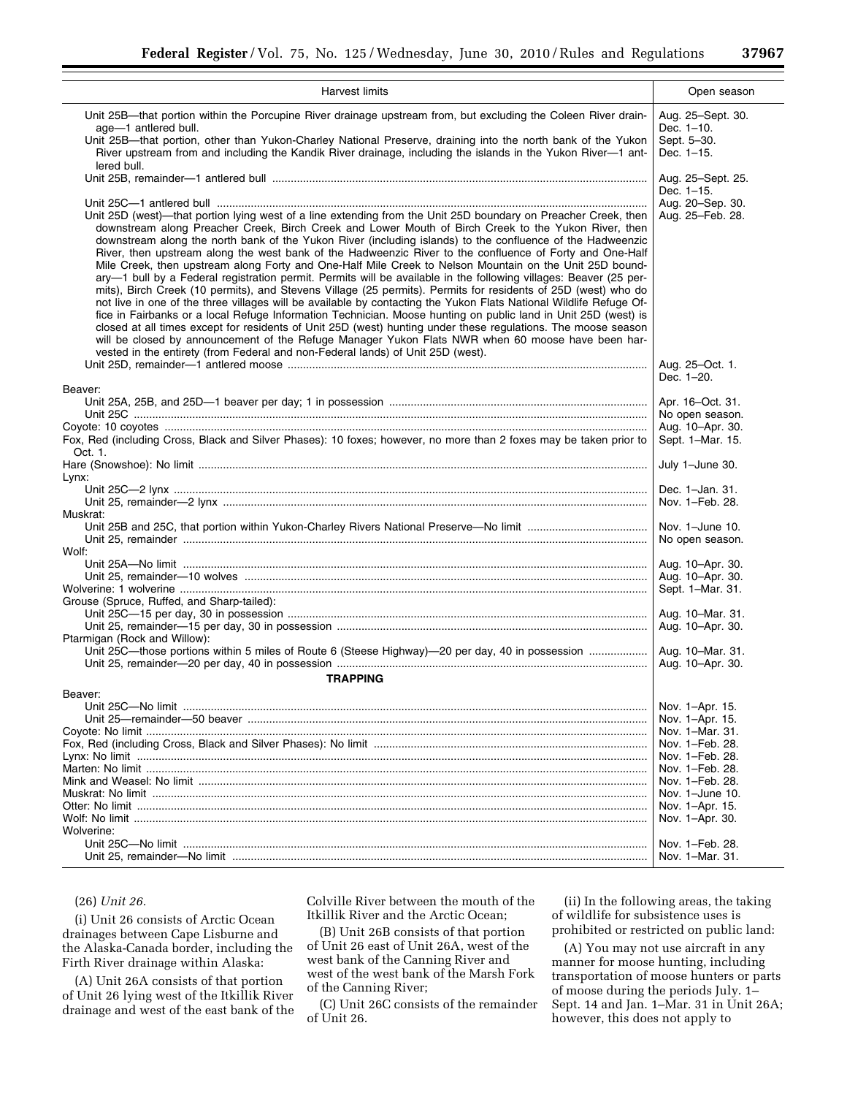|                                                                                                                                                                                                                                                                                                                                                                                                                                                                                                                                                                                                                                                                                                                                                                                                                                                                                                                                                                                                                                                                                                                                                                                                                                  | Open season                                                             |
|----------------------------------------------------------------------------------------------------------------------------------------------------------------------------------------------------------------------------------------------------------------------------------------------------------------------------------------------------------------------------------------------------------------------------------------------------------------------------------------------------------------------------------------------------------------------------------------------------------------------------------------------------------------------------------------------------------------------------------------------------------------------------------------------------------------------------------------------------------------------------------------------------------------------------------------------------------------------------------------------------------------------------------------------------------------------------------------------------------------------------------------------------------------------------------------------------------------------------------|-------------------------------------------------------------------------|
| Harvest limits                                                                                                                                                                                                                                                                                                                                                                                                                                                                                                                                                                                                                                                                                                                                                                                                                                                                                                                                                                                                                                                                                                                                                                                                                   |                                                                         |
| Unit 25B—that portion within the Porcupine River drainage upstream from, but excluding the Coleen River drain-<br>age-1 antlered bull.<br>Unit 25B—that portion, other than Yukon-Charley National Preserve, draining into the north bank of the Yukon<br>River upstream from and including the Kandik River drainage, including the islands in the Yukon River-1 ant-<br>lered bull.                                                                                                                                                                                                                                                                                                                                                                                                                                                                                                                                                                                                                                                                                                                                                                                                                                            | Aug. 25-Sept. 30.<br>Dec. 1-10.<br>Sept. 5-30.<br>Dec. 1-15.            |
| Unit 25D (west)—that portion lying west of a line extending from the Unit 25D boundary on Preacher Creek, then                                                                                                                                                                                                                                                                                                                                                                                                                                                                                                                                                                                                                                                                                                                                                                                                                                                                                                                                                                                                                                                                                                                   | Aug. 25-Sept. 25.<br>Dec. 1-15.<br>Aug. 20-Sep. 30.<br>Aug. 25-Feb. 28. |
| downstream along Preacher Creek, Birch Creek and Lower Mouth of Birch Creek to the Yukon River, then<br>downstream along the north bank of the Yukon River (including islands) to the confluence of the Hadweenzic<br>River, then upstream along the west bank of the Hadweenzic River to the confluence of Forty and One-Half<br>Mile Creek, then upstream along Forty and One-Half Mile Creek to Nelson Mountain on the Unit 25D bound-<br>ary—1 bull by a Federal registration permit. Permits will be available in the following villages: Beaver (25 per-<br>mits), Birch Creek (10 permits), and Stevens Village (25 permits). Permits for residents of 25D (west) who do<br>not live in one of the three villages will be available by contacting the Yukon Flats National Wildlife Refuge Of-<br>fice in Fairbanks or a local Refuge Information Technician. Moose hunting on public land in Unit 25D (west) is<br>closed at all times except for residents of Unit 25D (west) hunting under these regulations. The moose season<br>will be closed by announcement of the Refuge Manager Yukon Flats NWR when 60 moose have been har-<br>vested in the entirety (from Federal and non-Federal lands) of Unit 25D (west). |                                                                         |
| Beaver:                                                                                                                                                                                                                                                                                                                                                                                                                                                                                                                                                                                                                                                                                                                                                                                                                                                                                                                                                                                                                                                                                                                                                                                                                          | Aug. 25-Oct. 1.<br>Dec. 1-20.                                           |
|                                                                                                                                                                                                                                                                                                                                                                                                                                                                                                                                                                                                                                                                                                                                                                                                                                                                                                                                                                                                                                                                                                                                                                                                                                  | Apr. 16-Oct. 31.                                                        |
|                                                                                                                                                                                                                                                                                                                                                                                                                                                                                                                                                                                                                                                                                                                                                                                                                                                                                                                                                                                                                                                                                                                                                                                                                                  | No open season.                                                         |
|                                                                                                                                                                                                                                                                                                                                                                                                                                                                                                                                                                                                                                                                                                                                                                                                                                                                                                                                                                                                                                                                                                                                                                                                                                  | Aug. 10-Apr. 30.                                                        |
| Fox, Red (including Cross, Black and Silver Phases): 10 foxes; however, no more than 2 foxes may be taken prior to<br>Oct. 1.                                                                                                                                                                                                                                                                                                                                                                                                                                                                                                                                                                                                                                                                                                                                                                                                                                                                                                                                                                                                                                                                                                    | Sept. 1-Mar. 15.                                                        |
|                                                                                                                                                                                                                                                                                                                                                                                                                                                                                                                                                                                                                                                                                                                                                                                                                                                                                                                                                                                                                                                                                                                                                                                                                                  | July 1-June 30.                                                         |
| Lynx:                                                                                                                                                                                                                                                                                                                                                                                                                                                                                                                                                                                                                                                                                                                                                                                                                                                                                                                                                                                                                                                                                                                                                                                                                            |                                                                         |
|                                                                                                                                                                                                                                                                                                                                                                                                                                                                                                                                                                                                                                                                                                                                                                                                                                                                                                                                                                                                                                                                                                                                                                                                                                  | Dec. 1-Jan. 31.                                                         |
|                                                                                                                                                                                                                                                                                                                                                                                                                                                                                                                                                                                                                                                                                                                                                                                                                                                                                                                                                                                                                                                                                                                                                                                                                                  | Nov. 1-Feb. 28.                                                         |
| Muskrat:                                                                                                                                                                                                                                                                                                                                                                                                                                                                                                                                                                                                                                                                                                                                                                                                                                                                                                                                                                                                                                                                                                                                                                                                                         |                                                                         |
|                                                                                                                                                                                                                                                                                                                                                                                                                                                                                                                                                                                                                                                                                                                                                                                                                                                                                                                                                                                                                                                                                                                                                                                                                                  | Nov. 1-June 10.<br>No open season.                                      |
| Wolf:                                                                                                                                                                                                                                                                                                                                                                                                                                                                                                                                                                                                                                                                                                                                                                                                                                                                                                                                                                                                                                                                                                                                                                                                                            |                                                                         |
|                                                                                                                                                                                                                                                                                                                                                                                                                                                                                                                                                                                                                                                                                                                                                                                                                                                                                                                                                                                                                                                                                                                                                                                                                                  | Aug. 10-Apr. 30.                                                        |
|                                                                                                                                                                                                                                                                                                                                                                                                                                                                                                                                                                                                                                                                                                                                                                                                                                                                                                                                                                                                                                                                                                                                                                                                                                  | Aug. 10-Apr. 30.                                                        |
|                                                                                                                                                                                                                                                                                                                                                                                                                                                                                                                                                                                                                                                                                                                                                                                                                                                                                                                                                                                                                                                                                                                                                                                                                                  | Sept. 1-Mar. 31.                                                        |
| Grouse (Spruce, Ruffed, and Sharp-tailed):                                                                                                                                                                                                                                                                                                                                                                                                                                                                                                                                                                                                                                                                                                                                                                                                                                                                                                                                                                                                                                                                                                                                                                                       | Aug. 10–Mar. 31.                                                        |
|                                                                                                                                                                                                                                                                                                                                                                                                                                                                                                                                                                                                                                                                                                                                                                                                                                                                                                                                                                                                                                                                                                                                                                                                                                  | Aug. 10-Apr. 30.                                                        |
| Ptarmigan (Rock and Willow):                                                                                                                                                                                                                                                                                                                                                                                                                                                                                                                                                                                                                                                                                                                                                                                                                                                                                                                                                                                                                                                                                                                                                                                                     |                                                                         |
| Unit 25C-those portions within 5 miles of Route 6 (Steese Highway)-20 per day, 40 in possession                                                                                                                                                                                                                                                                                                                                                                                                                                                                                                                                                                                                                                                                                                                                                                                                                                                                                                                                                                                                                                                                                                                                  | Aug. 10–Mar. 31.                                                        |
|                                                                                                                                                                                                                                                                                                                                                                                                                                                                                                                                                                                                                                                                                                                                                                                                                                                                                                                                                                                                                                                                                                                                                                                                                                  | Aug. 10-Apr. 30.                                                        |
| <b>TRAPPING</b>                                                                                                                                                                                                                                                                                                                                                                                                                                                                                                                                                                                                                                                                                                                                                                                                                                                                                                                                                                                                                                                                                                                                                                                                                  |                                                                         |
| Beaver:                                                                                                                                                                                                                                                                                                                                                                                                                                                                                                                                                                                                                                                                                                                                                                                                                                                                                                                                                                                                                                                                                                                                                                                                                          |                                                                         |
|                                                                                                                                                                                                                                                                                                                                                                                                                                                                                                                                                                                                                                                                                                                                                                                                                                                                                                                                                                                                                                                                                                                                                                                                                                  | Nov. 1-Apr. 15.                                                         |
|                                                                                                                                                                                                                                                                                                                                                                                                                                                                                                                                                                                                                                                                                                                                                                                                                                                                                                                                                                                                                                                                                                                                                                                                                                  | Nov. 1-Apr. 15.                                                         |
|                                                                                                                                                                                                                                                                                                                                                                                                                                                                                                                                                                                                                                                                                                                                                                                                                                                                                                                                                                                                                                                                                                                                                                                                                                  | Nov. 1–Mar. 31.                                                         |
|                                                                                                                                                                                                                                                                                                                                                                                                                                                                                                                                                                                                                                                                                                                                                                                                                                                                                                                                                                                                                                                                                                                                                                                                                                  | Nov. 1–Feb. 28.                                                         |
|                                                                                                                                                                                                                                                                                                                                                                                                                                                                                                                                                                                                                                                                                                                                                                                                                                                                                                                                                                                                                                                                                                                                                                                                                                  | Nov. 1-Feb. 28.                                                         |
|                                                                                                                                                                                                                                                                                                                                                                                                                                                                                                                                                                                                                                                                                                                                                                                                                                                                                                                                                                                                                                                                                                                                                                                                                                  | Nov. 1-Feb. 28.                                                         |
|                                                                                                                                                                                                                                                                                                                                                                                                                                                                                                                                                                                                                                                                                                                                                                                                                                                                                                                                                                                                                                                                                                                                                                                                                                  | Nov. 1-Feb. 28.                                                         |
|                                                                                                                                                                                                                                                                                                                                                                                                                                                                                                                                                                                                                                                                                                                                                                                                                                                                                                                                                                                                                                                                                                                                                                                                                                  | Nov. 1-June 10.                                                         |
|                                                                                                                                                                                                                                                                                                                                                                                                                                                                                                                                                                                                                                                                                                                                                                                                                                                                                                                                                                                                                                                                                                                                                                                                                                  | Nov. 1-Apr. 15.                                                         |
| Wolverine:                                                                                                                                                                                                                                                                                                                                                                                                                                                                                                                                                                                                                                                                                                                                                                                                                                                                                                                                                                                                                                                                                                                                                                                                                       | Nov. 1-Apr. 30.                                                         |
|                                                                                                                                                                                                                                                                                                                                                                                                                                                                                                                                                                                                                                                                                                                                                                                                                                                                                                                                                                                                                                                                                                                                                                                                                                  | Nov. 1-Feb. 28.                                                         |
|                                                                                                                                                                                                                                                                                                                                                                                                                                                                                                                                                                                                                                                                                                                                                                                                                                                                                                                                                                                                                                                                                                                                                                                                                                  | Nov. 1–Mar. 31.                                                         |

## (26) *Unit 26.*

(i) Unit 26 consists of Arctic Ocean drainages between Cape Lisburne and the Alaska-Canada border, including the Firth River drainage within Alaska:

(A) Unit 26A consists of that portion of Unit 26 lying west of the Itkillik River drainage and west of the east bank of the

Colville River between the mouth of the Itkillik River and the Arctic Ocean;

(B) Unit 26B consists of that portion of Unit 26 east of Unit 26A, west of the west bank of the Canning River and west of the west bank of the Marsh Fork of the Canning River;

(C) Unit 26C consists of the remainder of Unit 26.

(ii) In the following areas, the taking of wildlife for subsistence uses is prohibited or restricted on public land:

(A) You may not use aircraft in any manner for moose hunting, including transportation of moose hunters or parts of moose during the periods July. 1– Sept. 14 and Jan. 1–Mar. 31 in Unit 26A; however, this does not apply to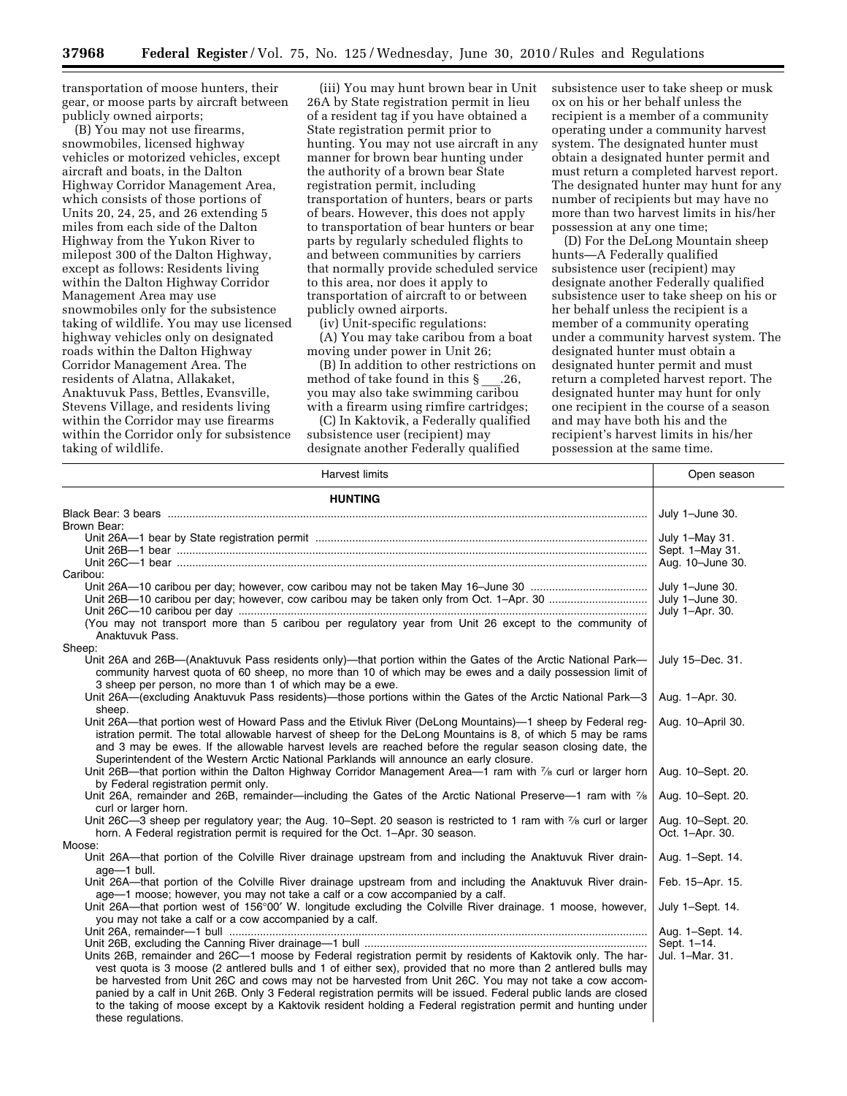transportation of moose hunters, their gear, or moose parts by aircraft between publicly owned airports;

(B) You may not use firearms, snowmobiles, licensed highway vehicles or motorized vehicles, except aircraft and boats, in the Dalton Highway Corridor Management Area, which consists of those portions of Units 20, 24, 25, and 26 extending 5 miles from each side of the Dalton Highway from the Yukon River to milepost 300 of the Dalton Highway, except as follows: Residents living within the Dalton Highway Corridor Management Area may use snowmobiles only for the subsistence taking of wildlife. You may use licensed highway vehicles only on designated roads within the Dalton Highway Corridor Management Area. The residents of Alatna, Allakaket, Anaktuvuk Pass, Bettles, Evansville, Stevens Village, and residents living within the Corridor may use firearms within the Corridor only for subsistence taking of wildlife.

(iii) You may hunt brown bear in Unit 26A by State registration permit in lieu of a resident tag if you have obtained a State registration permit prior to hunting. You may not use aircraft in any manner for brown bear hunting under the authority of a brown bear State registration permit, including transportation of hunters, bears or parts of bears. However, this does not apply to transportation of bear hunters or bear parts by regularly scheduled flights to and between communities by carriers that normally provide scheduled service to this area, nor does it apply to transportation of aircraft to or between publicly owned airports.

(iv) Unit-specific regulations:

(A) You may take caribou from a boat moving under power in Unit 26;

(B) In addition to other restrictions on method of take found in this  $\S$  .26, you may also take swimming caribou with a firearm using rimfire cartridges;

(C) In Kaktovik, a Federally qualified subsistence user (recipient) may designate another Federally qualified

subsistence user to take sheep or musk ox on his or her behalf unless the recipient is a member of a community operating under a community harvest system. The designated hunter must obtain a designated hunter permit and must return a completed harvest report. The designated hunter may hunt for any number of recipients but may have no more than two harvest limits in his/her possession at any one time;

(D) For the DeLong Mountain sheep hunts—A Federally qualified subsistence user (recipient) may designate another Federally qualified subsistence user to take sheep on his or her behalf unless the recipient is a member of a community operating under a community harvest system. The designated hunter must obtain a designated hunter permit and must return a completed harvest report. The designated hunter may hunt for only one recipient in the course of a season and may have both his and the recipient's harvest limits in his/her possession at the same time.

| <b>Harvest limits</b>                                                                                                                                                                                                                                                                                                                                                                                                               | Open season                          |
|-------------------------------------------------------------------------------------------------------------------------------------------------------------------------------------------------------------------------------------------------------------------------------------------------------------------------------------------------------------------------------------------------------------------------------------|--------------------------------------|
| <b>HUNTING</b>                                                                                                                                                                                                                                                                                                                                                                                                                      |                                      |
|                                                                                                                                                                                                                                                                                                                                                                                                                                     | July 1-June 30.                      |
| Brown Bear:                                                                                                                                                                                                                                                                                                                                                                                                                         |                                      |
|                                                                                                                                                                                                                                                                                                                                                                                                                                     | July 1-May 31.                       |
|                                                                                                                                                                                                                                                                                                                                                                                                                                     | Sept. 1-May 31.                      |
|                                                                                                                                                                                                                                                                                                                                                                                                                                     | Aug. 10-June 30.                     |
| Caribou:                                                                                                                                                                                                                                                                                                                                                                                                                            |                                      |
|                                                                                                                                                                                                                                                                                                                                                                                                                                     | July 1-June 30.                      |
|                                                                                                                                                                                                                                                                                                                                                                                                                                     | July 1-June 30.                      |
|                                                                                                                                                                                                                                                                                                                                                                                                                                     | July 1-Apr. 30.                      |
| (You may not transport more than 5 caribou per regulatory year from Unit 26 except to the community of<br>Anaktuvuk Pass.                                                                                                                                                                                                                                                                                                           |                                      |
| Sheep:                                                                                                                                                                                                                                                                                                                                                                                                                              |                                      |
| Unit 26A and 26B—(Anaktuvuk Pass residents only)—that portion within the Gates of the Arctic National Park—<br>community harvest quota of 60 sheep, no more than 10 of which may be ewes and a daily possession limit of<br>3 sheep per person, no more than 1 of which may be a ewe.                                                                                                                                               | July 15-Dec. 31.                     |
| Unit 26A—(excluding Anaktuvuk Pass residents)—those portions within the Gates of the Arctic National Park—3<br>sheep.                                                                                                                                                                                                                                                                                                               | Aug. 1-Apr. 30.                      |
| Unit 26A—that portion west of Howard Pass and the Etivluk River (DeLong Mountains)—1 sheep by Federal reg-<br>istration permit. The total allowable harvest of sheep for the DeLong Mountains is 8, of which 5 may be rams<br>and 3 may be ewes. If the allowable harvest levels are reached before the regular season closing date, the<br>Superintendent of the Western Arctic National Parklands will announce an early closure. | Aug. 10-April 30.                    |
| Unit 26B—that portion within the Dalton Highway Corridor Management Area—1 ram with $\frac{7}{6}$ curl or larger horn<br>by Federal registration permit only.                                                                                                                                                                                                                                                                       | Aug. 10-Sept. 20.                    |
| Unit 26A, remainder and 26B, remainder—including the Gates of the Arctic National Preserve—1 ram with 7/8<br>curl or larger horn.                                                                                                                                                                                                                                                                                                   | Aug. 10-Sept. 20.                    |
| Unit 26C—3 sheep per regulatory year; the Aug. 10–Sept. 20 season is restricted to 1 ram with $\frac{7}{6}$ curl or larger<br>horn. A Federal registration permit is required for the Oct. 1-Apr. 30 season.                                                                                                                                                                                                                        | Aug. 10-Sept. 20.<br>Oct. 1-Apr. 30. |
| Moose:                                                                                                                                                                                                                                                                                                                                                                                                                              |                                      |
| Unit 26A—that portion of the Colville River drainage upstream from and including the Anaktuvuk River drain-<br>age-1 bull.                                                                                                                                                                                                                                                                                                          | Aug. 1-Sept. 14.                     |
| Unit 26A—that portion of the Colville River drainage upstream from and including the Anaktuvuk River drain-<br>age-1 moose; however, you may not take a calf or a cow accompanied by a calf.                                                                                                                                                                                                                                        | Feb. 15-Apr. 15.                     |
| Unit 26A—that portion west of 156°00' W. longitude excluding the Colville River drainage. 1 moose, however,<br>you may not take a calf or a cow accompanied by a calf.                                                                                                                                                                                                                                                              | July 1-Sept. 14.                     |
|                                                                                                                                                                                                                                                                                                                                                                                                                                     | Aug. 1-Sept. 14.                     |
|                                                                                                                                                                                                                                                                                                                                                                                                                                     | Sept. 1-14.                          |
| Units 26B, remainder and 26C-1 moose by Federal registration permit by residents of Kaktovik only. The har-                                                                                                                                                                                                                                                                                                                         | Jul. 1-Mar. 31.                      |
| vest quota is 3 moose (2 antlered bulls and 1 of either sex), provided that no more than 2 antlered bulls may<br>be harvested from Unit 26C and cows may not be harvested from Unit 26C. You may not take a cow accom-                                                                                                                                                                                                              |                                      |
| panied by a calf in Unit 26B. Only 3 Federal registration permits will be issued. Federal public lands are closed<br>to the taking of moose except by a Kaktovik resident holding a Federal registration permit and hunting under<br>these regulations.                                                                                                                                                                             |                                      |